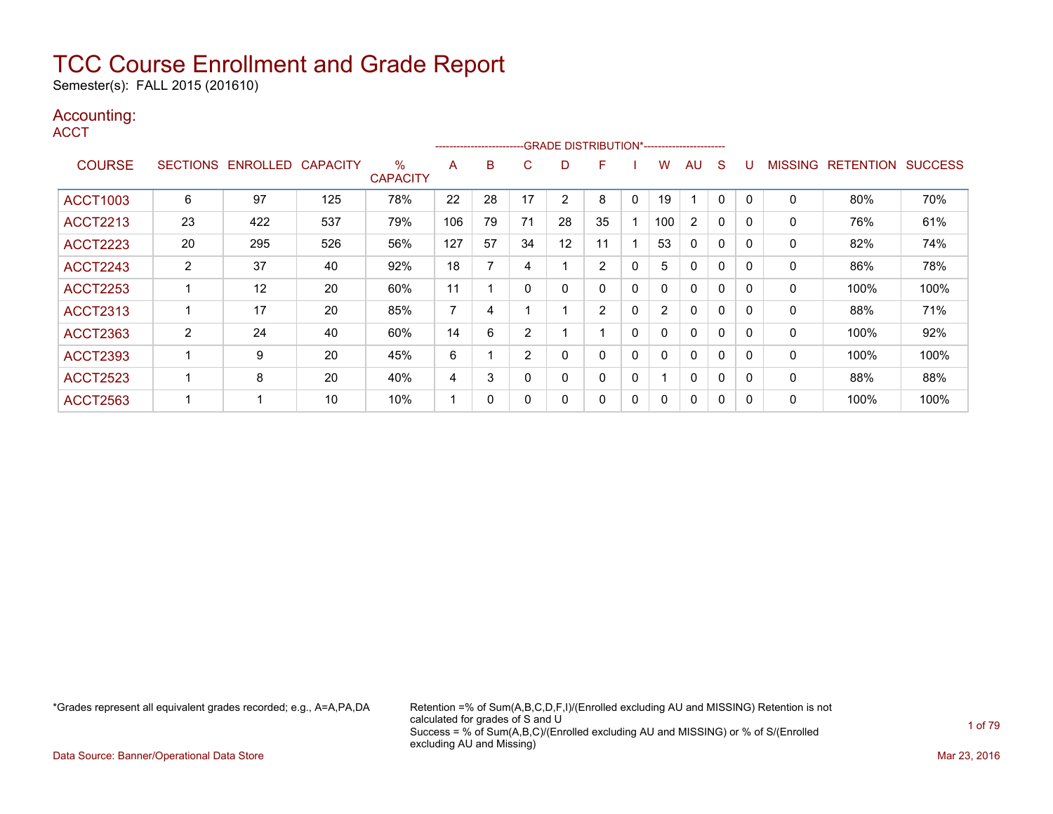Semester(s): FALL 2015 (201610)

### Accounting:

**ACCT** 

|                 |                |                            |     |                      |     | ----------------------- |                |                | -GRADE DISTRIBUTION*----------------------- |   |                |                |              |   |              |                   |                |
|-----------------|----------------|----------------------------|-----|----------------------|-----|-------------------------|----------------|----------------|---------------------------------------------|---|----------------|----------------|--------------|---|--------------|-------------------|----------------|
| <b>COURSE</b>   |                | SECTIONS ENROLLED CAPACITY |     | %<br><b>CAPACITY</b> | A   | B                       | C              | D              | F                                           |   | w              | AU             | <sub>S</sub> |   |              | MISSING RETENTION | <b>SUCCESS</b> |
| <b>ACCT1003</b> | 6              | 97                         | 125 | 78%                  | 22  | 28                      | 17             | $\overline{2}$ | 8                                           | 0 | 19             |                | 0            |   | $\mathbf 0$  | 80%               | 70%            |
| <b>ACCT2213</b> | 23             | 422                        | 537 | 79%                  | 106 | 79                      | 71             | 28             | 35                                          |   | 100            | $\overline{2}$ | $\mathbf{0}$ | 0 | $\mathbf{0}$ | 76%               | 61%            |
| <b>ACCT2223</b> | 20             | 295                        | 526 | 56%                  | 127 | 57                      | 34             | 12             | 11                                          |   | 53             | $\Omega$       | 0            | 0 | $\mathbf{0}$ | 82%               | 74%            |
| <b>ACCT2243</b> | $\overline{2}$ | 37                         | 40  | 92%                  | 18  | ⇁                       | 4              |                | 2                                           | 0 | 5              | $\Omega$       | 0            |   | 0            | 86%               | 78%            |
| <b>ACCT2253</b> |                | 12                         | 20  | 60%                  | 11  |                         | $\Omega$       | 0              | 0                                           | 0 |                | $\Omega$       | 0            | 0 | 0            | 100%              | 100%           |
| <b>ACCT2313</b> |                | 17                         | 20  | 85%                  | 7   | 4                       |                |                | 2                                           | 0 | $\overline{2}$ | 0              | 0            |   | 0            | 88%               | 71%            |
| <b>ACCT2363</b> | $\overline{2}$ | 24                         | 40  | 60%                  | 14  | 6                       | $\overline{2}$ |                |                                             | 0 |                | $\Omega$       | 0            |   | 0            | 100%              | 92%            |
| <b>ACCT2393</b> |                | 9                          | 20  | 45%                  | 6   |                         | 2              | 0              | 0                                           | 0 |                | $\Omega$       | 0            |   | 0            | 100%              | 100%           |
| <b>ACCT2523</b> |                | 8                          | 20  | 40%                  | 4   | 3                       | $\mathbf 0$    | 0              | 0                                           | 0 |                | 0              | 0            |   | 0            | 88%               | 88%            |
| <b>ACCT2563</b> |                |                            | 10  | 10%                  | 1   | 0                       | $\Omega$       | 0              | 0                                           | 0 |                | 0              | 0            |   | 0            | 100%              | 100%           |

\*Grades represent all equivalent grades recorded; e.g., A=A,PA,DA Retention =% of Sum(A,B,C,D,F,I)/(Enrolled excluding AU and MISSING) Retention is not calculated for grades of S and U Success = % of Sum(A,B,C)/(Enrolled excluding AU and MISSING) or % of S/(Enrolled excluding AU and Missing)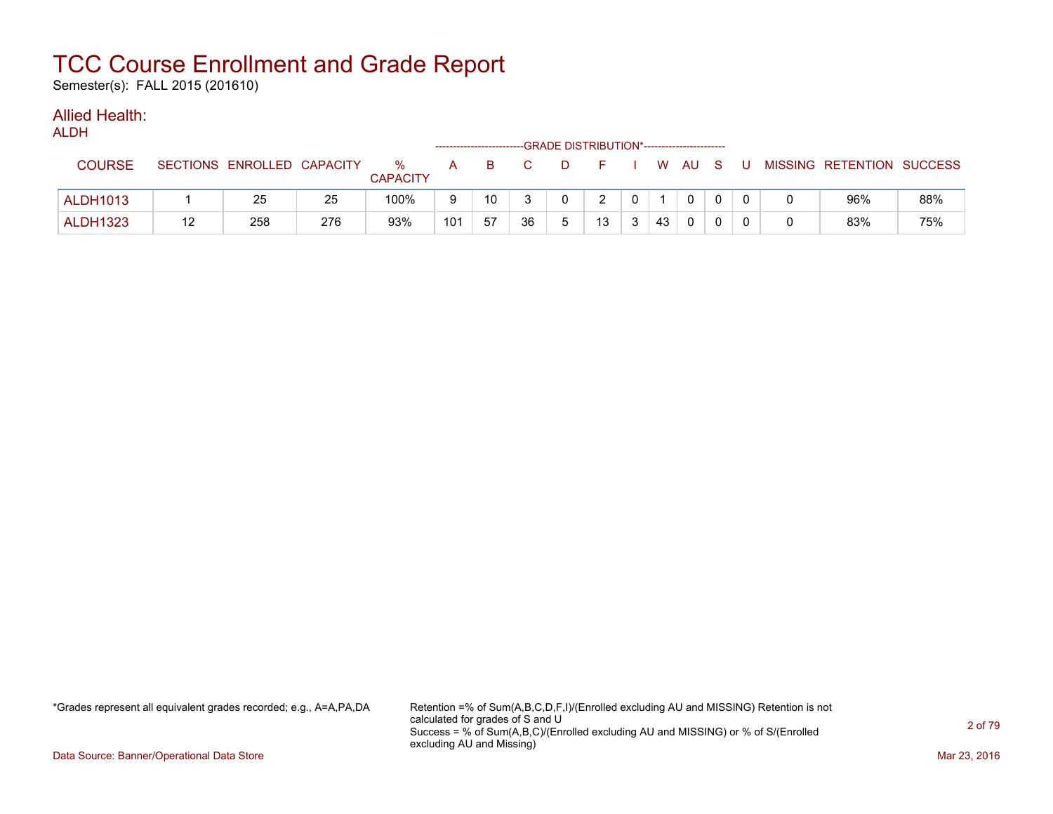Semester(s): FALL 2015 (201610)

#### Allied Health: ALDH<sub>1</sub>

| ALDH            |    |                            |     |                         |     |    |    | --GRADE DISTRIBUTION*----------------------- |    |    |          |     |    |                           |     |
|-----------------|----|----------------------------|-----|-------------------------|-----|----|----|----------------------------------------------|----|----|----------|-----|----|---------------------------|-----|
| <b>COURSE</b>   |    | SECTIONS ENROLLED CAPACITY |     | $\%$<br><b>CAPACITY</b> | A   | B. |    | D                                            | н. |    | W AU     | - S | -U | MISSING RETENTION SUCCESS |     |
| <b>ALDH1013</b> |    | 25                         | 25  | 100%                    | 9   | 10 |    |                                              | າ  |    | $\Omega$ |     |    | 96%                       | 88% |
| <b>ALDH1323</b> | 12 | 258                        | 276 | 93%                     | 101 | 57 | 36 |                                              | 13 | 43 | 0        |     |    | 83%                       | 75% |

\*Grades represent all equivalent grades recorded; e.g., A=A,PA,DA Retention =% of Sum(A,B,C,D,F,I)/(Enrolled excluding AU and MISSING) Retention is not calculated for grades of S and U Success = % of Sum(A,B,C)/(Enrolled excluding AU and MISSING) or % of S/(Enrolled excluding AU and Missing)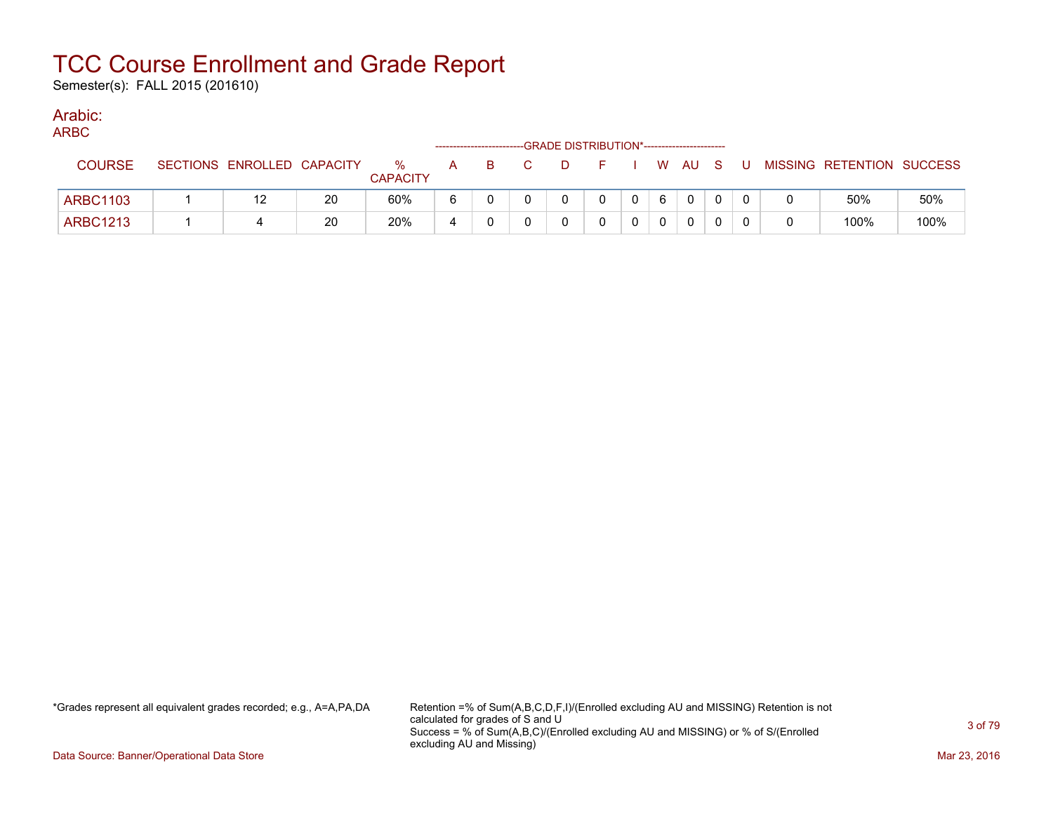Semester(s): FALL 2015 (201610)

### Arabic:

| M.<br>۰. |
|----------|

| $-$             |                 |                   |    |                      |   |  |    | ------------------------GRADE DISTRIBUTION*----------------------- |              |   |              |          |   |                           |      |
|-----------------|-----------------|-------------------|----|----------------------|---|--|----|--------------------------------------------------------------------|--------------|---|--------------|----------|---|---------------------------|------|
| <b>COURSE</b>   | <b>SECTIONS</b> | ENROLLED CAPACITY |    | %<br><b>CAPACITY</b> | A |  | D. | н.                                                                 |              |   | W AU S       |          | U | MISSING RETENTION SUCCESS |      |
| <b>ARBC1103</b> |                 | 12                | 20 | 60%                  | 6 |  |    |                                                                    | $\mathbf{0}$ | 6 | $\mathbf{0}$ | $\Omega$ |   | 50%                       | 50%  |
| <b>ARBC1213</b> |                 |                   | 20 | 20%                  | 4 |  |    |                                                                    |              |   | $\mathbf{0}$ | $\Omega$ |   | 100%                      | 100% |

\*Grades represent all equivalent grades recorded; e.g., A=A,PA,DA Retention =% of Sum(A,B,C,D,F,I)/(Enrolled excluding AU and MISSING) Retention is not calculated for grades of S and U Success = % of Sum(A,B,C)/(Enrolled excluding AU and MISSING) or % of S/(Enrolled excluding AU and Missing)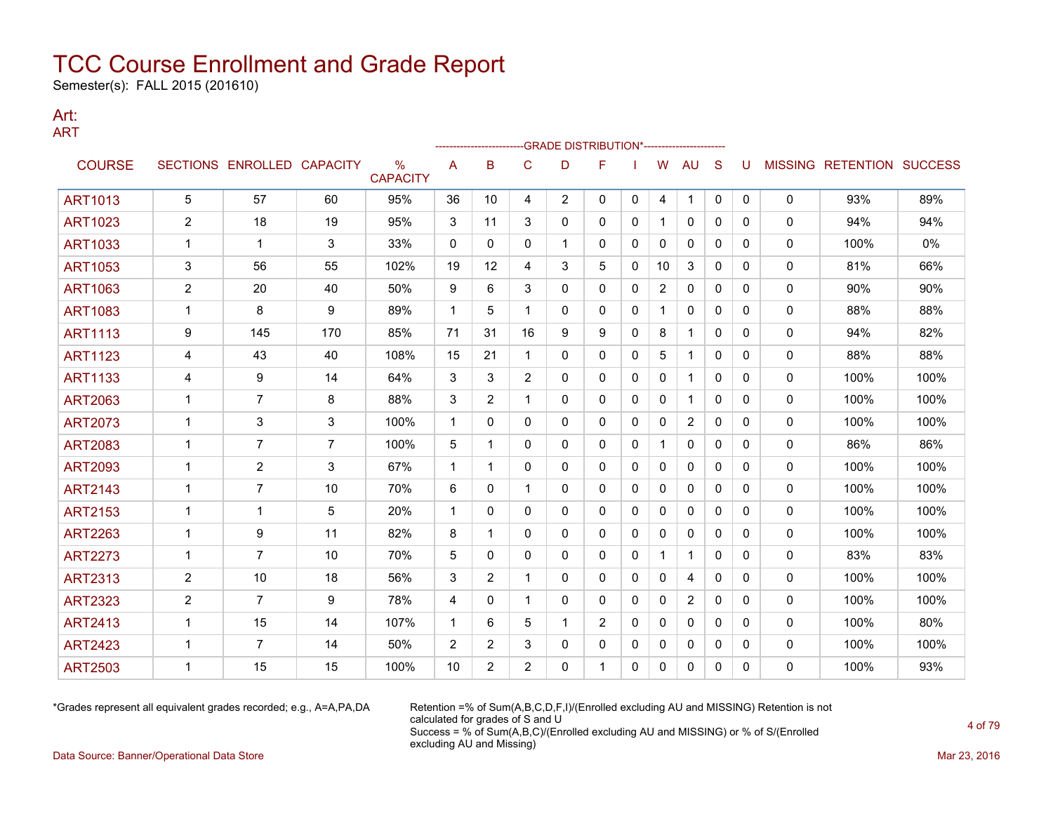Semester(s): FALL 2015 (201610)

#### Art: ART

|                |                |                            |                |                                  |                | ------------------- |                | -GRADE DISTRIBUTION*---------------------- |                |              |                |                |              |              |   |                           |      |
|----------------|----------------|----------------------------|----------------|----------------------------------|----------------|---------------------|----------------|--------------------------------------------|----------------|--------------|----------------|----------------|--------------|--------------|---|---------------------------|------|
| <b>COURSE</b>  |                | SECTIONS ENROLLED CAPACITY |                | $\frac{0}{0}$<br><b>CAPACITY</b> | Α              | B                   | C              | D                                          | F              |              | W              | <b>AU</b>      | S            | U            |   | MISSING RETENTION SUCCESS |      |
| <b>ART1013</b> | 5              | 57                         | 60             | 95%                              | 36             | 10                  | 4              | $\overline{2}$                             | 0              | 0            | 4              | $\mathbf{1}$   | 0            | $\mathbf{0}$ | 0 | 93%                       | 89%  |
| <b>ART1023</b> | 2              | 18                         | 19             | 95%                              | 3              | 11                  | 3              | 0                                          | $\mathbf{0}$   | 0            |                | $\mathbf{0}$   | $\mathbf{0}$ | 0            | 0 | 94%                       | 94%  |
| <b>ART1033</b> | 1              | $\mathbf 1$                | 3              | 33%                              | $\mathbf{0}$   | $\mathbf{0}$        | 0              | 1                                          | 0              | $\mathbf{0}$ | $\Omega$       | 0              | $\mathbf{0}$ | $\Omega$     | 0 | 100%                      | 0%   |
| <b>ART1053</b> | 3              | 56                         | 55             | 102%                             | 19             | $12 \overline{ }$   | 4              | 3                                          | 5              | 0            | 10             | 3              | $\mathbf{0}$ | 0            | 0 | 81%                       | 66%  |
| <b>ART1063</b> | $\overline{2}$ | 20                         | 40             | 50%                              | 9              | 6                   | 3              | 0                                          | 0              | $\mathbf{0}$ | $\overline{2}$ | $\mathbf{0}$   | $\mathbf{0}$ | 0            | 0 | 90%                       | 90%  |
| <b>ART1083</b> | 1              | 8                          | 9              | 89%                              | 1              | 5                   | 1              | 0                                          | $\mathbf{0}$   | $\mathbf{0}$ | 1              | $\mathbf{0}$   | $\mathbf{0}$ | $\Omega$     | 0 | 88%                       | 88%  |
| <b>ART1113</b> | 9              | 145                        | 170            | 85%                              | 71             | 31                  | 16             | 9                                          | 9              | $\mathbf{0}$ | 8              | $\mathbf{1}$   | $\mathbf{0}$ | $\Omega$     | 0 | 94%                       | 82%  |
| <b>ART1123</b> | 4              | 43                         | 40             | 108%                             | 15             | 21                  | 1              | 0                                          | $\mathbf{0}$   | $\mathbf{0}$ | 5              | $\mathbf{1}$   | $\Omega$     | $\Omega$     | 0 | 88%                       | 88%  |
| <b>ART1133</b> | 4              | 9                          | 14             | 64%                              | 3              | 3                   | $\overline{2}$ | 0                                          | 0              | 0            | 0              | $\mathbf{1}$   | $\mathbf{0}$ | 0            | 0 | 100%                      | 100% |
| <b>ART2063</b> | 1              | $\overline{7}$             | 8              | 88%                              | 3              | 2                   | 1              | 0                                          | 0              | 0            | 0              | $\mathbf{1}$   | $\mathbf{0}$ | $\Omega$     | 0 | 100%                      | 100% |
| <b>ART2073</b> | 1              | 3                          | 3              | 100%                             | 1              | 0                   | 0              | 0                                          | 0              | 0            | 0              | $\overline{2}$ | $\mathbf{0}$ | 0            | 0 | 100%                      | 100% |
| <b>ART2083</b> | 1              | $\overline{7}$             | $\overline{7}$ | 100%                             | 5              | 1                   | $\Omega$       | $\Omega$                                   | 0              | $\mathbf{0}$ |                | $\mathbf{0}$   | $\mathbf{0}$ | 0            | 0 | 86%                       | 86%  |
| <b>ART2093</b> | 1              | $\overline{c}$             | 3              | 67%                              | 1              | 1                   | 0              | 0                                          | $\mathbf{0}$   | $\mathbf{0}$ | $\mathbf{0}$   | $\mathbf{0}$   | $\Omega$     | 0            | 0 | 100%                      | 100% |
| <b>ART2143</b> | 1              | $\overline{7}$             | 10             | 70%                              | 6              | 0                   | 1              | 0                                          | 0              | 0            | 0              | 0              | $\mathbf{0}$ | 0            | 0 | 100%                      | 100% |
| <b>ART2153</b> | 1              | 1                          | 5              | 20%                              | 1              | $\mathbf{0}$        | $\mathbf{0}$   | 0                                          | $\mathbf{0}$   | $\mathbf{0}$ | 0              | 0              | $\mathbf{0}$ | 0            | 0 | 100%                      | 100% |
| <b>ART2263</b> | 1              | 9                          | 11             | 82%                              | 8              | 1                   | $\mathbf{0}$   | 0                                          | 0              | 0            | 0              | 0              | $\mathbf{0}$ | 0            | 0 | 100%                      | 100% |
| <b>ART2273</b> | 1              | $\overline{7}$             | 10             | 70%                              | 5              | $\mathbf{0}$        | 0              | 0                                          | $\mathbf{0}$   | 0            | 1              | $\mathbf{1}$   | $\Omega$     | $\Omega$     | 0 | 83%                       | 83%  |
| <b>ART2313</b> | $\overline{2}$ | 10                         | 18             | 56%                              | 3              | 2                   | 1              | 0                                          | 0              | 0            | 0              | 4              | $\mathbf{0}$ | 0            | 0 | 100%                      | 100% |
| <b>ART2323</b> | $\overline{2}$ | $\overline{7}$             | 9              | 78%                              | 4              | $\Omega$            | $\mathbf 1$    | 0                                          | $\Omega$       | $\Omega$     | $\mathbf{0}$   | $\overline{2}$ | $\mathbf{0}$ | $\Omega$     | 0 | 100%                      | 100% |
| <b>ART2413</b> | 1              | 15                         | 14             | 107%                             | 1              | 6                   | 5              | $\mathbf{1}$                               | $\overline{2}$ | $\mathbf{0}$ | $\mathbf{0}$   | $\mathbf{0}$   | $\Omega$     | $\Omega$     | 0 | 100%                      | 80%  |
| <b>ART2423</b> | 1              | $\overline{7}$             | 14             | 50%                              | $\overline{2}$ | 2                   | 3              | 0                                          | 0              | 0            | 0              | 0              | 0            | $\Omega$     | 0 | 100%                      | 100% |
| <b>ART2503</b> |                | 15                         | 15             | 100%                             | 10             | $\overline{2}$      | 2              | 0                                          |                | 0            | 0              | $\mathbf{0}$   | 0            | 0            | 0 | 100%                      | 93%  |

\*Grades represent all equivalent grades recorded; e.g., A=A,PA,DA Retention =% of Sum(A,B,C,D,F,I)/(Enrolled excluding AU and MISSING) Retention is not calculated for grades of S and U Success = % of Sum(A,B,C)/(Enrolled excluding AU and MISSING) or % of S/(Enrolled excluding AU and Missing)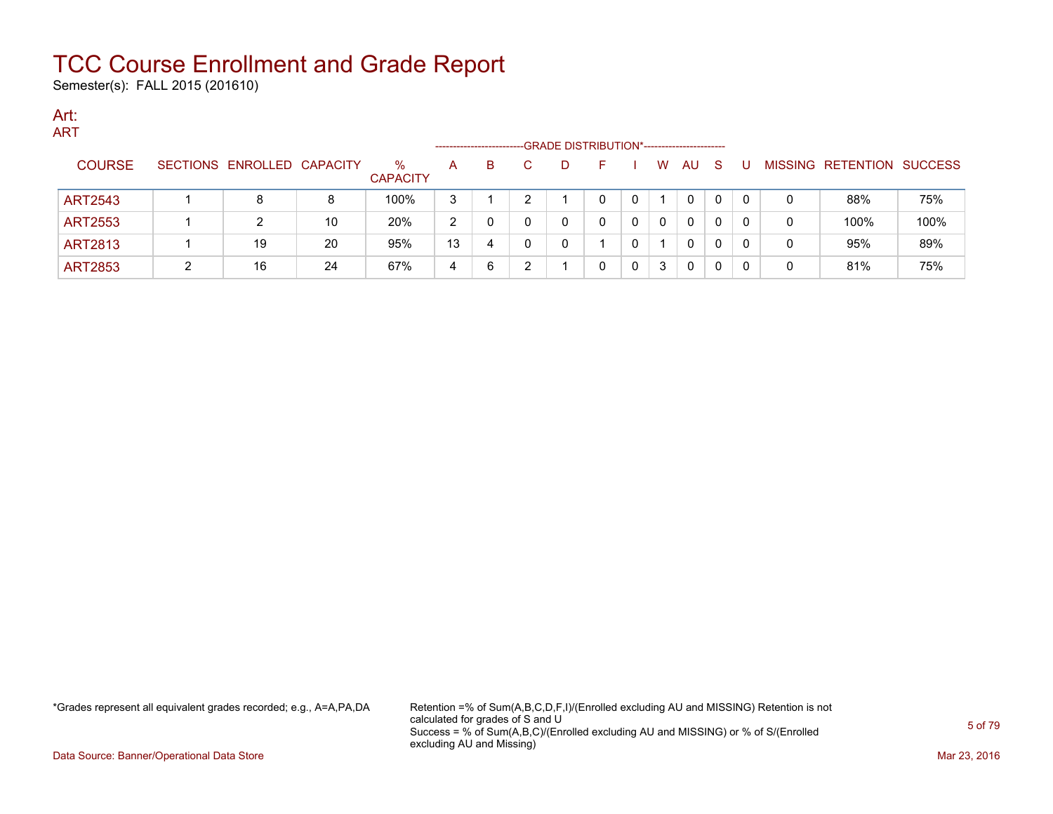Semester(s): FALL 2015 (201610)

#### Art: ART

| .              |   |                            |    |                      | -------------------- |   |    | -GRADE DISTRIBUTION*------------------------ |   |          |           |    |   |                           |      |
|----------------|---|----------------------------|----|----------------------|----------------------|---|----|----------------------------------------------|---|----------|-----------|----|---|---------------------------|------|
| <b>COURSE</b>  |   | SECTIONS ENROLLED CAPACITY |    | %<br><b>CAPACITY</b> | A                    | B | C. | D                                            |   | W        | <b>AU</b> | -S |   | MISSING RETENTION SUCCESS |      |
| <b>ART2543</b> |   |                            | 8  | 100%                 | 3                    |   |    |                                              |   |          | 0         | 0  | 0 | 88%                       | 75%  |
| <b>ART2553</b> |   |                            | 10 | 20%                  | າ                    |   |    |                                              |   | $\Omega$ | 0         | 0  | 0 | 100%                      | 100% |
| <b>ART2813</b> |   | 19                         | 20 | 95%                  | 13                   | 4 |    | 0                                            |   |          | 0         | 0  | 0 | 95%                       | 89%  |
| <b>ART2853</b> | ົ | 16                         | 24 | 67%                  | 4                    | 6 |    |                                              | 0 | 3        | 0         | 0  | 0 | 81%                       | 75%  |

\*Grades represent all equivalent grades recorded; e.g., A=A,PA,DA Retention =% of Sum(A,B,C,D,F,I)/(Enrolled excluding AU and MISSING) Retention is not calculated for grades of S and U Success = % of Sum(A,B,C)/(Enrolled excluding AU and MISSING) or % of S/(Enrolled excluding AU and Missing)

Data Source: Banner/Operational Data Store Mar 23, 2016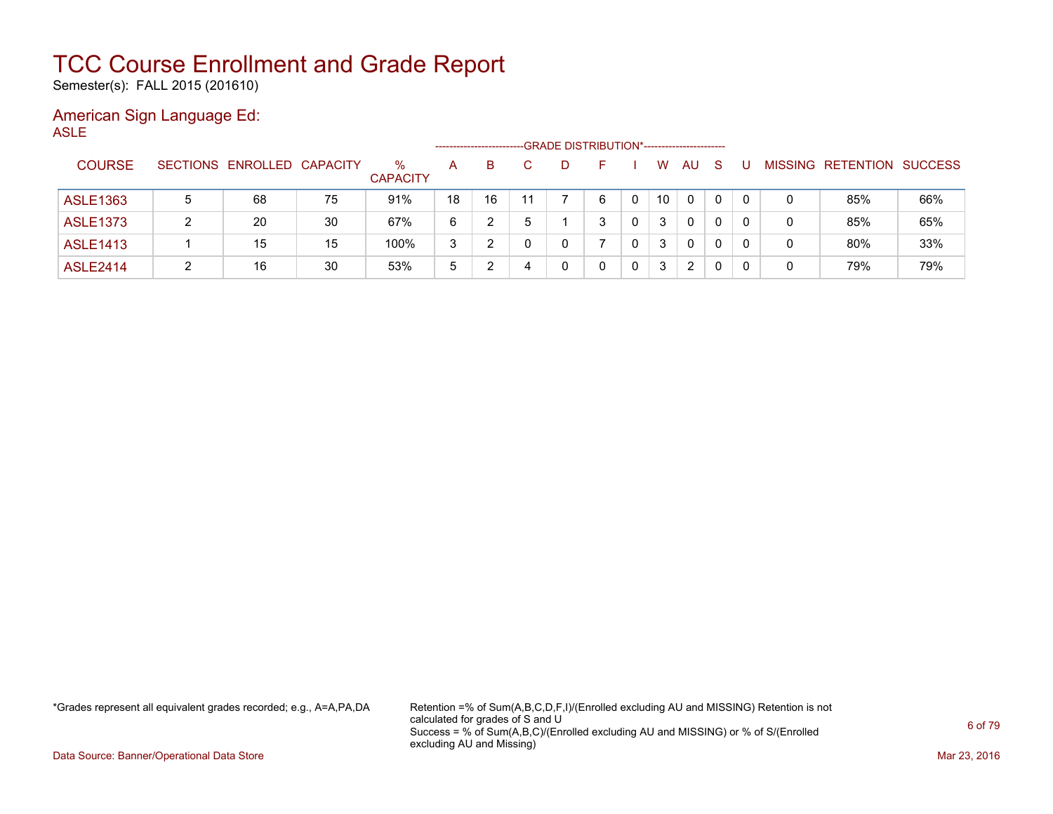Semester(s): FALL 2015 (201610)

#### American Sign Language Ed: ASLE

|                 |   |                            |    |                         |    | ---------------------- | -GRADE DISTRIBUTION*----------------------- |   |   |    |              |              |          |                |                  |                |
|-----------------|---|----------------------------|----|-------------------------|----|------------------------|---------------------------------------------|---|---|----|--------------|--------------|----------|----------------|------------------|----------------|
| <b>COURSE</b>   |   | SECTIONS ENROLLED CAPACITY |    | $\%$<br><b>CAPACITY</b> | A  | B.                     | D                                           |   |   | W  | AU           | S            |          | <b>MISSING</b> | <b>RETENTION</b> | <b>SUCCESS</b> |
| <b>ASLE1363</b> | 5 | 68                         | 75 | 91%                     | 18 | 16                     |                                             | 6 | 0 | 10 | $\mathbf{0}$ | $\mathbf{0}$ | $\Omega$ | 0              | 85%              | 66%            |
| <b>ASLE1373</b> |   | 20                         | 30 | 67%                     | 6  |                        |                                             | ຈ | 0 | 3  | $\mathbf{0}$ | 0            | $\Omega$ | 0              | 85%              | 65%            |
| <b>ASLE1413</b> |   | 15                         | 15 | 100%                    | 3  |                        | 0                                           |   | 0 | 3  | 0            | 0            | $\Omega$ | 0              | 80%              | 33%            |
| <b>ASLE2414</b> |   | 16                         | 30 | 53%                     | 5  |                        | 0                                           |   | 0 | 3  | 2            | 0            | 0        | 0              | 79%              | 79%            |

\*Grades represent all equivalent grades recorded; e.g., A=A,PA,DA Retention =% of Sum(A,B,C,D,F,I)/(Enrolled excluding AU and MISSING) Retention is not calculated for grades of S and U Success = % of Sum(A,B,C)/(Enrolled excluding AU and MISSING) or % of S/(Enrolled excluding AU and Missing)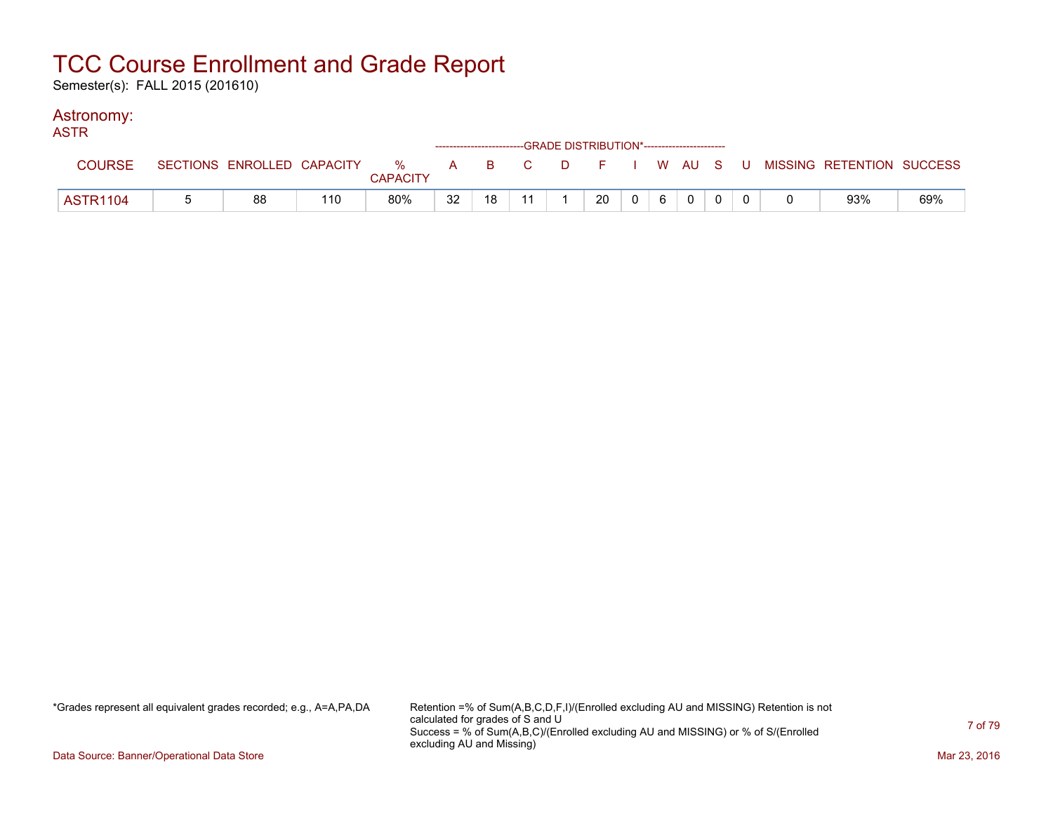Semester(s): FALL 2015 (201610)

### Astronomy:

| <b>ASTR</b>     |    |     |                 |    | ------------------------GRADE DISTRIBUTION*----------------------- |  |    |          |   |             |  |                                                                             |     |
|-----------------|----|-----|-----------------|----|--------------------------------------------------------------------|--|----|----------|---|-------------|--|-----------------------------------------------------------------------------|-----|
| <b>COURSE</b>   |    |     | <b>CAPACITY</b> |    |                                                                    |  |    |          |   |             |  | SECTIONS ENROLLED CAPACITY % A B C D F I W AU S U MISSING RETENTION SUCCESS |     |
| <b>ASTR1104</b> | 88 | 110 | 80%             | 32 | 18                                                                 |  | 20 | $\Omega$ | 6 | $\mathbf 0$ |  | 93%                                                                         | 69% |

\*Grades represent all equivalent grades recorded; e.g., A=A,PA,DA Retention =% of Sum(A,B,C,D,F,I)/(Enrolled excluding AU and MISSING) Retention is not calculated for grades of S and U Success = % of Sum(A,B,C)/(Enrolled excluding AU and MISSING) or % of S/(Enrolled excluding AU and Missing)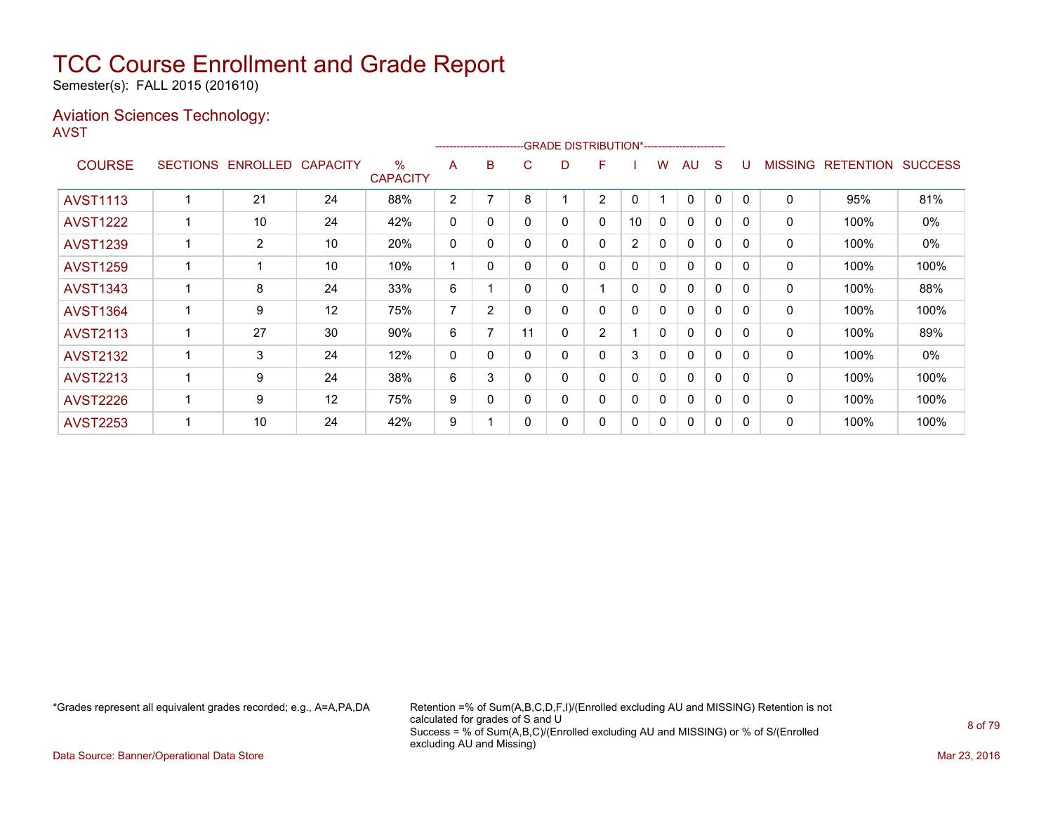Semester(s): FALL 2015 (201610)

### Aviation Sciences Technology: AVST

|                 |                   |                 |                         |                | ------------------------ |              |   | -GRADE DISTRIBUTION*----------------------- |                |              |              |   |          |                |                  |                |
|-----------------|-------------------|-----------------|-------------------------|----------------|--------------------------|--------------|---|---------------------------------------------|----------------|--------------|--------------|---|----------|----------------|------------------|----------------|
| <b>COURSE</b>   | SECTIONS ENROLLED | <b>CAPACITY</b> | $\%$<br><b>CAPACITY</b> | A              | B                        | C.           | D | F                                           |                | w            | AU           | S |          | <b>MISSING</b> | <b>RETENTION</b> | <b>SUCCESS</b> |
| <b>AVST1113</b> | 21                | 24              | 88%                     | 2              |                          | 8            |   | 2                                           | 0              |              | $\Omega$     | 0 |          | $\mathbf 0$    | 95%              | 81%            |
| <b>AVST1222</b> | 10                | 24              | 42%                     | 0              | 0                        | $\mathbf{0}$ | 0 | 0                                           | 10             | 0            | 0            | 0 | 0        | 0              | 100%             | 0%             |
| <b>AVST1239</b> | $\overline{2}$    | 10              | 20%                     | 0              | $\Omega$                 | $\Omega$     | 0 | 0                                           | $\overline{2}$ | 0            | $\Omega$     | 0 | $\Omega$ | 0              | 100%             | 0%             |
| <b>AVST1259</b> |                   | 10              | 10%                     |                | 0                        | $\Omega$     |   | 0                                           | $\Omega$       | 0            | $\mathbf{0}$ | 0 | 0        | 0              | 100%             | 100%           |
| <b>AVST1343</b> | 8                 | 24              | 33%                     | 6              |                          | 0            | 0 |                                             | 0              | 0            | 0            | 0 | 0        | 0              | 100%             | 88%            |
| <b>AVST1364</b> | 9                 | 12              | 75%                     | $\overline{7}$ | 2                        | 0            | 0 | 0                                           | 0              | 0            | 0            | 0 | $\Omega$ | 0              | 100%             | 100%           |
| <b>AVST2113</b> | 27                | 30              | 90%                     | 6              |                          | 11           | 0 | 2                                           |                | 0            | $\mathbf{0}$ | 0 | 0        | 0              | 100%             | 89%            |
| <b>AVST2132</b> | 3                 | 24              | 12%                     | 0              | 0                        | 0            | 0 | 0                                           | 3              | 0            | 0            | 0 | 0        | 0              | 100%             | 0%             |
| <b>AVST2213</b> | 9                 | 24              | 38%                     | 6              | 3                        | $\Omega$     |   | 0                                           | 0              | 0            | $\mathbf{0}$ | 0 | $\Omega$ | 0              | 100%             | 100%           |
| <b>AVST2226</b> | 9                 | 12              | 75%                     | 9              | 0                        | 0            | 0 | 0                                           | 0              | $\mathbf{0}$ | $\mathbf{0}$ | 0 | 0        | 0              | 100%             | 100%           |
| <b>AVST2253</b> | 10                | 24              | 42%                     | 9              |                          | 0            | 0 | 0                                           | 0              | 0            | 0            | 0 | 0        | 0              | 100%             | 100%           |

\*Grades represent all equivalent grades recorded; e.g., A=A,PA,DA Retention =% of Sum(A,B,C,D,F,I)/(Enrolled excluding AU and MISSING) Retention is not calculated for grades of S and U Success = % of Sum(A,B,C)/(Enrolled excluding AU and MISSING) or % of S/(Enrolled excluding AU and Missing)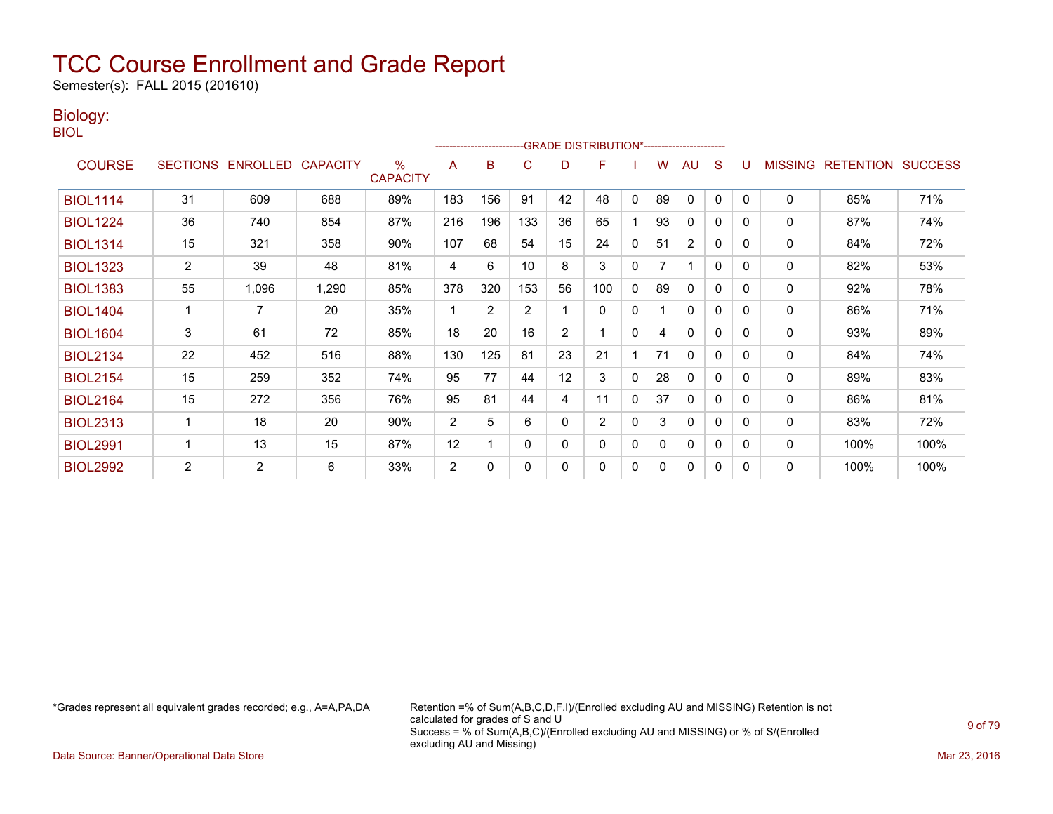Semester(s): FALL 2015 (201610)

### Biology:

BIOL

|                 |                |                   |                 |                                  |                |                |                |    | ------------------------GRADE                DISTRIBUTION*---------------------- |              |    |              |              |              |                |                  |                |
|-----------------|----------------|-------------------|-----------------|----------------------------------|----------------|----------------|----------------|----|----------------------------------------------------------------------------------|--------------|----|--------------|--------------|--------------|----------------|------------------|----------------|
| <b>COURSE</b>   |                | SECTIONS ENROLLED | <b>CAPACITY</b> | $\frac{0}{0}$<br><b>CAPACITY</b> | A              | B              | C              | D  | F                                                                                |              | w  | AU           | S            |              | <b>MISSING</b> | <b>RETENTION</b> | <b>SUCCESS</b> |
| <b>BIOL1114</b> | 31             | 609               | 688             | 89%                              | 183            | 156            | 91             | 42 | 48                                                                               | 0            | 89 | 0            | $\mathbf{0}$ | $\Omega$     | 0              | 85%              | 71%            |
| <b>BIOL1224</b> | 36             | 740               | 854             | 87%                              | 216            | 196            | 133            | 36 | 65                                                                               |              | 93 | 0            | 0            | $\Omega$     | 0              | 87%              | 74%            |
| <b>BIOL1314</b> | 15             | 321               | 358             | 90%                              | 107            | 68             | 54             | 15 | 24                                                                               | $\mathbf{0}$ | 51 | 2            | $\mathbf{0}$ | $\Omega$     | 0              | 84%              | 72%            |
| <b>BIOL1323</b> | 2              | 39                | 48              | 81%                              | 4              | 6              | 10             | 8  | 3                                                                                | 0            | 7  | 1            | $\mathbf{0}$ | $\Omega$     | 0              | 82%              | 53%            |
| <b>BIOL1383</b> | 55             | 1,096             | 1,290           | 85%                              | 378            | 320            | 153            | 56 | 100                                                                              | $\mathbf{0}$ | 89 | 0            | $\Omega$     | $\Omega$     | 0              | 92%              | 78%            |
| <b>BIOL1404</b> |                | 7                 | 20              | 35%                              | 1              | $\overline{2}$ | $\overline{2}$ |    | 0                                                                                | 0            |    | $\mathbf{0}$ | 0            | $\Omega$     | 0              | 86%              | 71%            |
| <b>BIOL1604</b> | 3              | 61                | 72              | 85%                              | 18             | 20             | 16             | 2  | 1                                                                                | 0            | 4  | 0            | 0            | $\Omega$     | 0              | 93%              | 89%            |
| <b>BIOL2134</b> | 22             | 452               | 516             | 88%                              | 130            | 125            | 81             | 23 | 21                                                                               |              | 71 | $\mathbf{0}$ | $\mathbf{0}$ | $\Omega$     | 0              | 84%              | 74%            |
| <b>BIOL2154</b> | 15             | 259               | 352             | 74%                              | 95             | 77             | 44             | 12 | 3                                                                                | 0            | 28 | 0            | 0            | $\Omega$     | 0              | 89%              | 83%            |
| <b>BIOL2164</b> | 15             | 272               | 356             | 76%                              | 95             | 81             | 44             | 4  | 11                                                                               | 0            | 37 | $\mathbf{0}$ | 0            | $\Omega$     | 0              | 86%              | 81%            |
| <b>BIOL2313</b> |                | 18                | 20              | 90%                              | $\overline{2}$ | 5              | 6              | 0  | $\overline{2}$                                                                   | 0            | 3  | 0            | 0            | $\Omega$     | 0              | 83%              | 72%            |
| <b>BIOL2991</b> |                | 13                | 15              | 87%                              | 12             |                | 0              | 0  | 0                                                                                | 0            | 0  | $\mathbf{0}$ | 0            | $\mathbf{0}$ | 0              | 100%             | 100%           |
| <b>BIOL2992</b> | $\overline{2}$ | $\overline{2}$    | 6               | 33%                              | $\overline{2}$ | 0              | 0              | 0  | 0                                                                                | 0            | 0  | 0            | 0            | $\Omega$     | 0              | 100%             | 100%           |

\*Grades represent all equivalent grades recorded; e.g., A=A,PA,DA Retention =% of Sum(A,B,C,D,F,I)/(Enrolled excluding AU and MISSING) Retention is not calculated for grades of S and U Success = % of Sum(A,B,C)/(Enrolled excluding AU and MISSING) or % of S/(Enrolled excluding AU and Missing)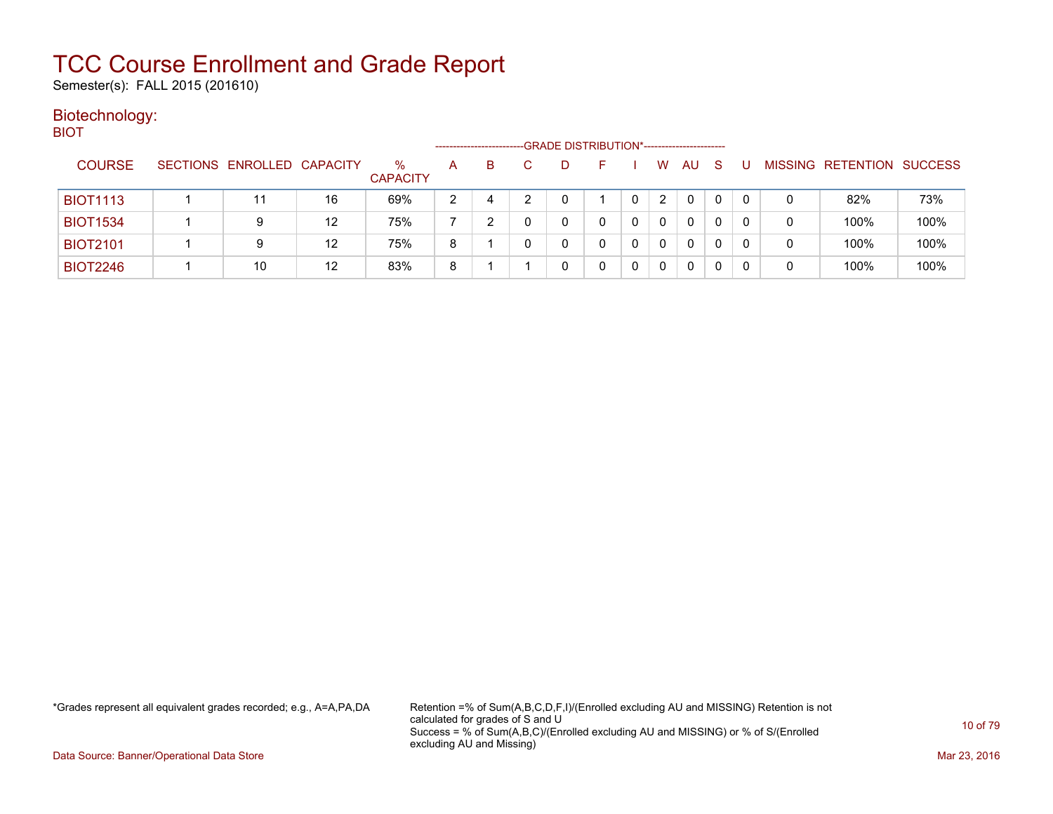Semester(s): FALL 2015 (201610)

#### Biotechnology: **BIOT**

| ____            |                            |    |                         | ------------------- |    |    | -GRADE DISTRIBUTION*----------------------- |  |                       |              |              |          |   |                           |      |
|-----------------|----------------------------|----|-------------------------|---------------------|----|----|---------------------------------------------|--|-----------------------|--------------|--------------|----------|---|---------------------------|------|
| <b>COURSE</b>   | SECTIONS ENROLLED CAPACITY |    | $\%$<br><b>CAPACITY</b> | A                   | B. | C. |                                             |  | w                     | AU           | <sub>S</sub> |          |   | MISSING RETENTION SUCCESS |      |
| <b>BIOT1113</b> | 11                         | 16 | 69%                     | າ                   |    |    |                                             |  | $\mathbf{2}^{\prime}$ | 0            |              | $\Omega$ | 0 | 82%                       | 73%  |
| <b>BIOT1534</b> | 9                          | 12 | 75%                     |                     |    |    |                                             |  | $\Omega$              | 0            |              | 0        | 0 | 100%                      | 100% |
| <b>BIOT2101</b> | 9                          | 12 | 75%                     | 8                   |    |    | 0                                           |  | 0                     | $\mathbf{0}$ | 0            | 0        | 0 | 100%                      | 100% |
| <b>BIOT2246</b> | 10                         | 12 | 83%                     | 8                   |    |    |                                             |  | 0                     | 0            | 0            |          | 0 | 100%                      | 100% |

\*Grades represent all equivalent grades recorded; e.g., A=A,PA,DA Retention =% of Sum(A,B,C,D,F,I)/(Enrolled excluding AU and MISSING) Retention is not calculated for grades of S and U Success = % of Sum(A,B,C)/(Enrolled excluding AU and MISSING) or % of S/(Enrolled excluding AU and Missing)

Data Source: Banner/Operational Data Store Mar 23, 2016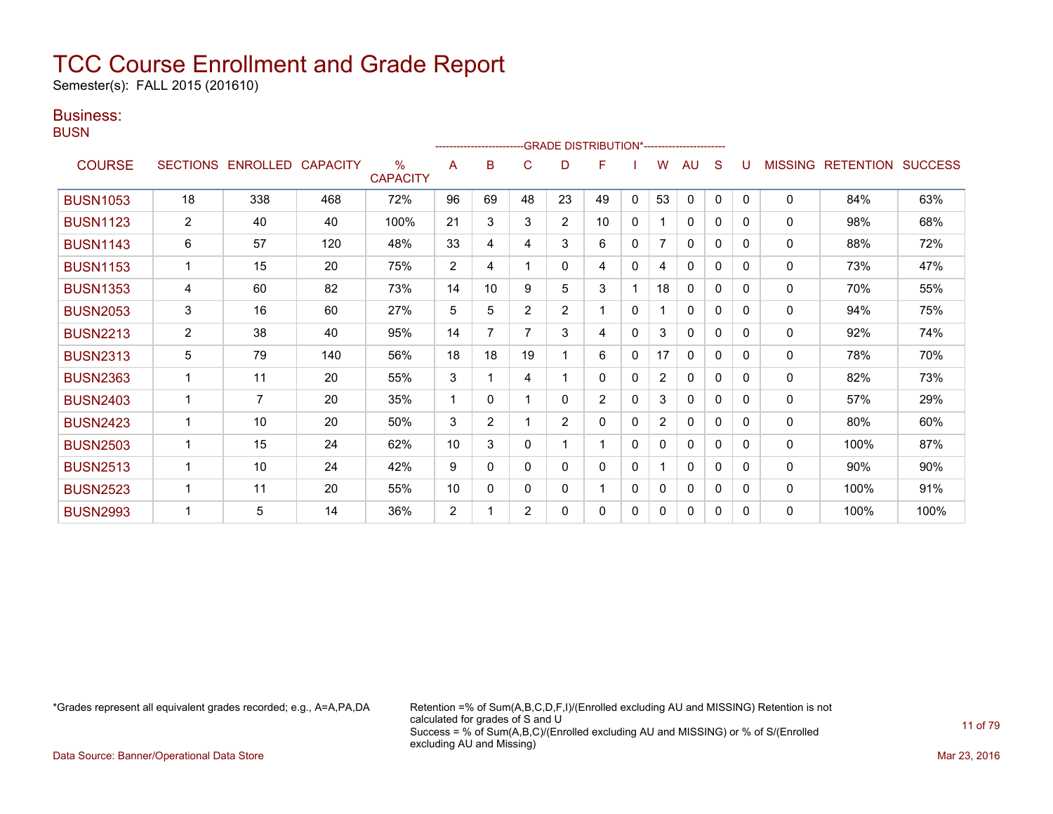Semester(s): FALL 2015 (201610)

### Business:

**BUSN** 

|                 |                |                   |                 |                         |    |                |                |                | ------------------------GRADE                DISTRIBUTION*---------------------- |              |                |              |              |              |                |                  |                |
|-----------------|----------------|-------------------|-----------------|-------------------------|----|----------------|----------------|----------------|----------------------------------------------------------------------------------|--------------|----------------|--------------|--------------|--------------|----------------|------------------|----------------|
| <b>COURSE</b>   |                | SECTIONS ENROLLED | <b>CAPACITY</b> | $\%$<br><b>CAPACITY</b> | A  | B              | C              | D              | F                                                                                |              | w              | AU           | S            |              | <b>MISSING</b> | <b>RETENTION</b> | <b>SUCCESS</b> |
| <b>BUSN1053</b> | 18             | 338               | 468             | 72%                     | 96 | 69             | 48             | 23             | 49                                                                               | $\mathbf{0}$ | 53             | $\mathbf{0}$ | $\mathbf{0}$ | $\Omega$     | $\Omega$       | 84%              | 63%            |
| <b>BUSN1123</b> | $\overline{c}$ | 40                | 40              | 100%                    | 21 | 3              | 3              | $\overline{c}$ | 10 <sup>°</sup>                                                                  | 0            |                | $\mathbf{0}$ | $\mathbf{0}$ | $\mathbf{0}$ | 0              | 98%              | 68%            |
| <b>BUSN1143</b> | 6              | 57                | 120             | 48%                     | 33 | 4              | 4              | 3              | 6                                                                                | 0            | 7              | $\mathbf{0}$ | $\mathbf{0}$ | $\Omega$     | $\mathbf{0}$   | 88%              | 72%            |
| <b>BUSN1153</b> |                | 15                | 20              | 75%                     | 2  | 4              |                | 0              | 4                                                                                | 0            | 4              | $\mathbf{0}$ | $\mathbf{0}$ | 0            | 0              | 73%              | 47%            |
| <b>BUSN1353</b> | 4              | 60                | 82              | 73%                     | 14 | 10             | 9              | 5              | 3                                                                                |              | 18             | 0            | 0            | $\Omega$     | $\mathbf{0}$   | 70%              | 55%            |
| <b>BUSN2053</b> | 3              | 16                | 60              | 27%                     | 5  | 5              | $\overline{2}$ | $\overline{2}$ | 1                                                                                | $\Omega$     |                | $\Omega$     | $\Omega$     | $\Omega$     | 0              | 94%              | 75%            |
| <b>BUSN2213</b> | $\overline{c}$ | 38                | 40              | 95%                     | 14 | 7              |                | 3              | 4                                                                                | $\Omega$     | 3              | $\mathbf{0}$ | $\Omega$     | $\Omega$     | 0              | 92%              | 74%            |
| <b>BUSN2313</b> | 5              | 79                | 140             | 56%                     | 18 | 18             | 19             |                | 6                                                                                | $\mathbf{0}$ | 17             | $\Omega$     | $\Omega$     | $\Omega$     | 0              | 78%              | 70%            |
| <b>BUSN2363</b> |                | 11                | 20              | 55%                     | 3  |                | 4              |                | 0                                                                                | $\Omega$     | $\overline{2}$ | $\mathbf{0}$ | $\Omega$     | $\Omega$     | 0              | 82%              | 73%            |
| <b>BUSN2403</b> |                | $\overline{7}$    | 20              | 35%                     |    | 0              |                | 0              | $\overline{2}$                                                                   | $\Omega$     | 3              | 0            | 0            | $\Omega$     | $\Omega$       | 57%              | 29%            |
| <b>BUSN2423</b> |                | 10                | 20              | 50%                     | 3  | $\overline{2}$ |                | $\overline{2}$ | $\Omega$                                                                         | $\Omega$     | $\overline{2}$ | $\Omega$     | $\Omega$     | $\Omega$     | 0              | 80%              | 60%            |
| <b>BUSN2503</b> |                | 15                | 24              | 62%                     | 10 | 3              | 0              |                | 1.                                                                               | 0            | $\Omega$       | $\mathbf{0}$ | 0            | 0            | 0              | 100%             | 87%            |
| <b>BUSN2513</b> |                | 10                | 24              | 42%                     | 9  | $\Omega$       | 0              | 0              | 0                                                                                | 0            |                | $\mathbf{0}$ | $\mathbf{0}$ | $\Omega$     | $\mathbf{0}$   | 90%              | 90%            |
| <b>BUSN2523</b> |                | 11                | 20              | 55%                     | 10 | $\mathbf{0}$   | 0              | 0              |                                                                                  | $\mathbf{0}$ | 0              | 0            | $\mathbf{0}$ | $\Omega$     | $\mathbf{0}$   | 100%             | 91%            |
| <b>BUSN2993</b> |                | $5\phantom{.0}$   | 14              | 36%                     | 2  |                | 2              | 0              | 0                                                                                | 0            | 0              | $\mathbf{0}$ | 0            | $\Omega$     | 0              | 100%             | 100%           |

\*Grades represent all equivalent grades recorded; e.g., A=A,PA,DA Retention =% of Sum(A,B,C,D,F,I)/(Enrolled excluding AU and MISSING) Retention is not calculated for grades of S and U Success = % of Sum(A,B,C)/(Enrolled excluding AU and MISSING) or % of S/(Enrolled excluding AU and Missing)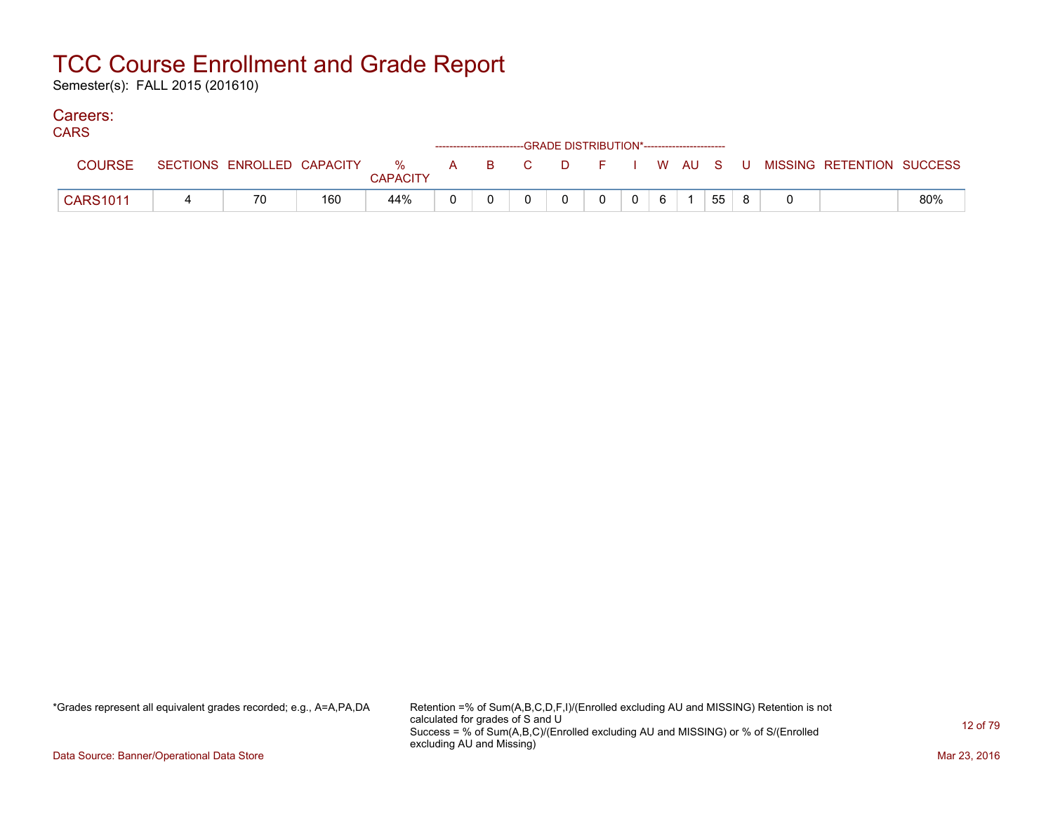Semester(s): FALL 2015 (201610)

#### Careers: CA<sub>D</sub><sub>C</sub>

| <b>CARS</b>     |                            |     |                            |  | ------------------------GRADE DISTRIBUTION*----------------------- |  |   |    |  |                                          |     |
|-----------------|----------------------------|-----|----------------------------|--|--------------------------------------------------------------------|--|---|----|--|------------------------------------------|-----|
| <b>COURSE</b>   | SECTIONS ENROLLED CAPACITY |     | % A B C<br><b>CAPACITY</b> |  |                                                                    |  |   |    |  | D F I W AU S U MISSING RETENTION SUCCESS |     |
| <b>CARS1011</b> | 70                         | 160 | 44%                        |  |                                                                    |  | 6 | 55 |  |                                          | 80% |

\*Grades represent all equivalent grades recorded; e.g., A=A,PA,DA Retention =% of Sum(A,B,C,D,F,I)/(Enrolled excluding AU and MISSING) Retention is not calculated for grades of S and U Success = % of Sum(A,B,C)/(Enrolled excluding AU and MISSING) or % of S/(Enrolled excluding AU and Missing)

Data Source: Banner/Operational Data Store Mar 23, 2016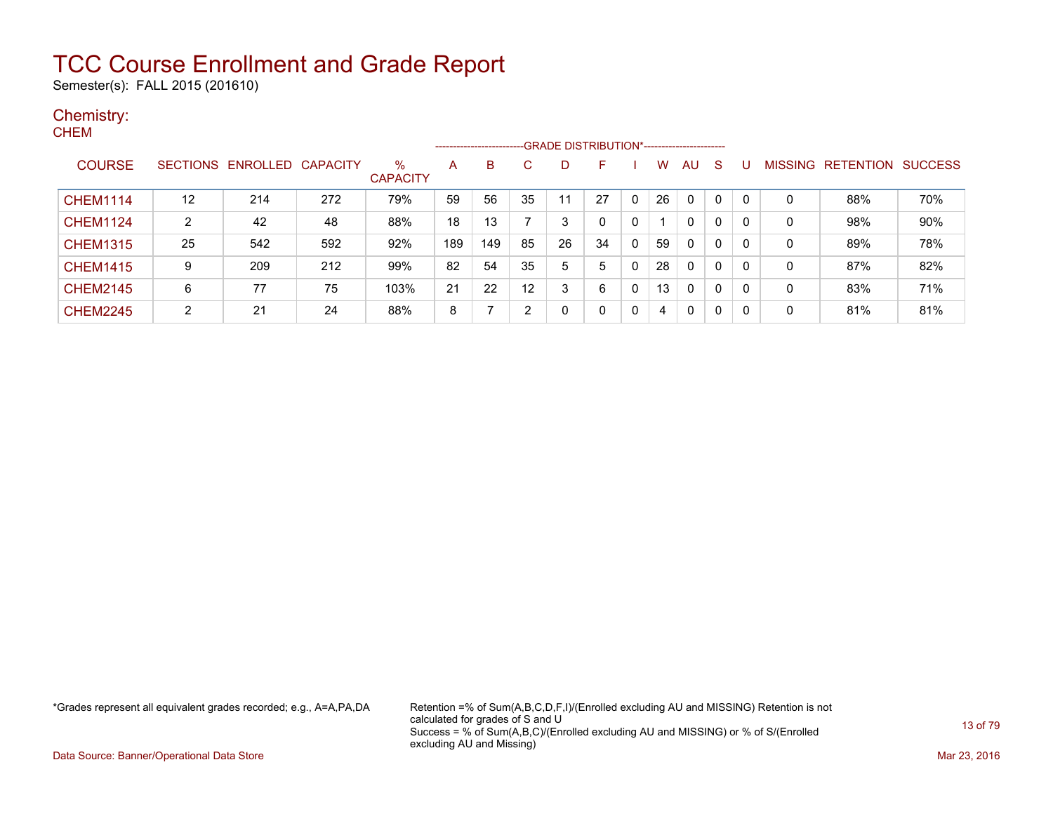Semester(s): FALL 2015 (201610)

### Chemistry: **CHEM**

|                 |    |                   |          |                      | -------------------- |     |    |    | -GRADE DISTRIBUTION*----------------------- |              |    |    |   |   |         |                  |                |
|-----------------|----|-------------------|----------|----------------------|----------------------|-----|----|----|---------------------------------------------|--------------|----|----|---|---|---------|------------------|----------------|
| <b>COURSE</b>   |    | SECTIONS ENROLLED | CAPACITY | %<br><b>CAPACITY</b> | А                    | B   | C. |    | F                                           |              | w  | AU | S | U | MISSING | <b>RETENTION</b> | <b>SUCCESS</b> |
| <b>CHEM1114</b> | 12 | 214               | 272      | 79%                  | 59                   | 56  | 35 | 11 | 27                                          | -0           | 26 | 0  | 0 | 0 | 0       | 88%              | 70%            |
| <b>CHEM1124</b> | 2  | 42                | 48       | 88%                  | 18                   | 13  |    | 3  |                                             | 0            |    | 0  | 0 | 0 | 0       | 98%              | 90%            |
| <b>CHEM1315</b> | 25 | 542               | 592      | 92%                  | 189                  | 149 | 85 | 26 | 34                                          | 0            | 59 | 0  | 0 | 0 | 0       | 89%              | 78%            |
| <b>CHEM1415</b> | 9  | 209               | 212      | 99%                  | 82                   | 54  | 35 | 5  | 5                                           | 0            | 28 | 0  | 0 | 0 | 0       | 87%              | 82%            |
| <b>CHEM2145</b> | 6  | 77                | 75       | 103%                 | 21                   | 22  | 12 | 3  | 6                                           | $\mathbf{0}$ | 13 | 0  | 0 | 0 | 0       | 83%              | 71%            |
| <b>CHEM2245</b> | 2  | 21                | 24       | 88%                  | 8                    |     | າ  |    |                                             | 0            | 4  | 0  | 0 | 0 | 0       | 81%              | 81%            |

\*Grades represent all equivalent grades recorded; e.g., A=A,PA,DA Retention =% of Sum(A,B,C,D,F,I)/(Enrolled excluding AU and MISSING) Retention is not calculated for grades of S and U Success = % of Sum(A,B,C)/(Enrolled excluding AU and MISSING) or % of S/(Enrolled excluding AU and Missing)

Data Source: Banner/Operational Data Store Mar 23, 2016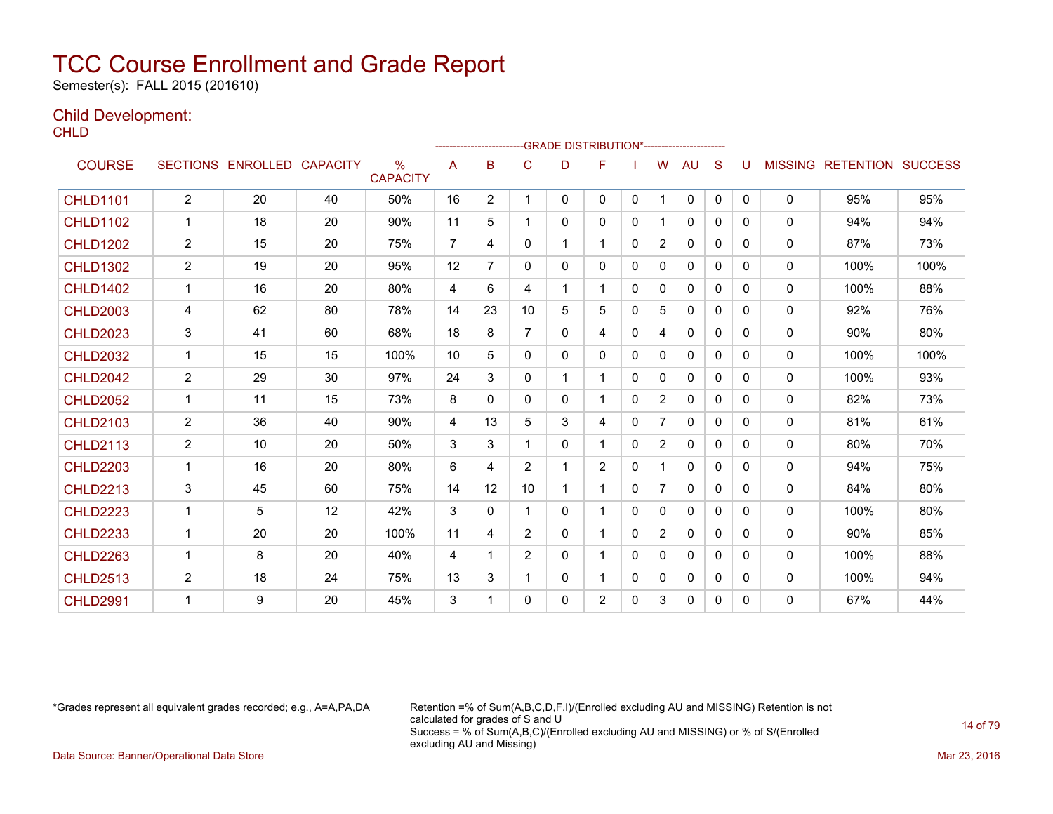Semester(s): FALL 2015 (201610)

### Child Development:

**CHLD** 

|                 |                |                   |                 |                         |                | ------------------- |                | -GRADE DISTRIBUTION*---------------------- |                |              |                |              |              |              |              |                          |                |
|-----------------|----------------|-------------------|-----------------|-------------------------|----------------|---------------------|----------------|--------------------------------------------|----------------|--------------|----------------|--------------|--------------|--------------|--------------|--------------------------|----------------|
| <b>COURSE</b>   |                | SECTIONS ENROLLED | <b>CAPACITY</b> | $\%$<br><b>CAPACITY</b> | A              | B                   | C              | D                                          | F              |              | W              | AU           | S            | U            |              | <b>MISSING RETENTION</b> | <b>SUCCESS</b> |
| <b>CHLD1101</b> | $\overline{2}$ | 20                | 40              | 50%                     | 16             | $\overline{2}$      |                | 0                                          | $\mathbf{0}$   | $\mathbf{0}$ | 1              | $\mathbf{0}$ | $\mathbf{0}$ | $\Omega$     | $\mathbf{0}$ | 95%                      | 95%            |
| <b>CHLD1102</b> | $\mathbf{1}$   | 18                | 20              | 90%                     | 11             | 5                   |                | 0                                          | $\mathbf{0}$   | 0            | 1              | $\mathbf{0}$ | 0            | $\mathbf{0}$ | $\mathbf{0}$ | 94%                      | 94%            |
| <b>CHLD1202</b> | $\overline{2}$ | 15                | 20              | 75%                     | 7              | 4                   | 0              | 1.                                         | 1              | 0            | $\overline{2}$ | $\mathbf{0}$ | 0            | $\Omega$     | $\mathbf{0}$ | 87%                      | 73%            |
| <b>CHLD1302</b> | $\overline{2}$ | 19                | 20              | 95%                     | 12             | $\overline{7}$      | 0              | 0                                          | $\mathbf{0}$   | 0            | $\mathbf{0}$   | $\mathbf{0}$ | $\mathbf{0}$ | $\mathbf{0}$ | $\mathbf{0}$ | 100%                     | 100%           |
| <b>CHLD1402</b> | 1              | 16                | 20              | 80%                     | 4              | 6                   | 4              | 1.                                         | 1              | 0            | 0              | $\mathbf{0}$ | 0            | $\Omega$     | $\mathbf{0}$ | 100%                     | 88%            |
| <b>CHLD2003</b> | 4              | 62                | 80              | 78%                     | 14             | 23                  | 10             | 5                                          | 5              | 0            | 5              | $\mathbf{0}$ | $\Omega$     | 0            | $\mathbf{0}$ | 92%                      | 76%            |
| <b>CHLD2023</b> | 3              | 41                | 60              | 68%                     | 18             | 8                   | $\overline{7}$ | 0                                          | 4              | 0            | 4              | 0            | 0            | $\Omega$     | $\mathbf{0}$ | 90%                      | 80%            |
| <b>CHLD2032</b> | $\mathbf 1$    | 15                | 15              | 100%                    | 10             | 5                   | $\Omega$       | 0                                          | $\mathbf{0}$   | $\Omega$     | 0              | $\mathbf{0}$ | $\Omega$     | $\Omega$     | $\mathbf{0}$ | 100%                     | 100%           |
| <b>CHLD2042</b> | $\overline{2}$ | 29                | 30              | 97%                     | 24             | 3                   | $\Omega$       | $\mathbf 1$                                | $\mathbf 1$    | 0            | $\mathbf{0}$   | $\mathbf{0}$ | $\mathbf{0}$ | $\mathbf{0}$ | $\mathbf{0}$ | 100%                     | 93%            |
| <b>CHLD2052</b> | 1              | 11                | 15              | 73%                     | 8              | $\Omega$            | 0              | 0                                          | 1              | 0            | $\overline{2}$ | $\mathbf{0}$ | $\Omega$     | $\Omega$     | $\mathbf{0}$ | 82%                      | 73%            |
| <b>CHLD2103</b> | $\overline{2}$ | 36                | 40              | 90%                     | 4              | 13                  | 5              | 3                                          | 4              | 0            | $\overline{7}$ | $\mathbf{0}$ | $\mathbf{0}$ | $\mathbf{0}$ | 0            | 81%                      | 61%            |
| <b>CHLD2113</b> | 2              | 10                | 20              | 50%                     | 3              | 3                   | 1              | 0                                          | 1              | 0            | 2              | $\mathbf{0}$ | 0            | $\Omega$     | $\mathbf{0}$ | 80%                      | 70%            |
| <b>CHLD2203</b> | $\mathbf{1}$   | 16                | 20              | 80%                     | 6              | 4                   | 2              | $\mathbf 1$                                | $\overline{2}$ | 0            | 1              | $\mathbf{0}$ | $\Omega$     | $\mathbf{0}$ | $\mathbf{0}$ | 94%                      | 75%            |
| <b>CHLD2213</b> | 3              | 45                | 60              | 75%                     | 14             | 12                  | 10             | $\mathbf 1$                                | $\mathbf 1$    | 0            | $\overline{7}$ | $\mathbf{0}$ | 0            | 0            | $\mathbf{0}$ | 84%                      | 80%            |
| <b>CHLD2223</b> | 1              | 5                 | 12              | 42%                     | 3              | 0                   |                | 0                                          | 1              | $\Omega$     | 0              | $\mathbf{0}$ | $\Omega$     | $\Omega$     | $\mathbf{0}$ | 100%                     | 80%            |
| <b>CHLD2233</b> | $\mathbf{1}$   | 20                | 20              | 100%                    | 11             | 4                   | 2              | 0                                          | $\mathbf{1}$   | 0            | $\overline{2}$ | $\mathbf{0}$ | 0            | 0            | $\mathbf{0}$ | 90%                      | 85%            |
| <b>CHLD2263</b> | 1              | 8                 | 20              | 40%                     | $\overline{4}$ |                     | 2              | 0                                          | 1              | 0            | 0              | $\mathbf{0}$ | $\Omega$     | $\Omega$     | $\mathbf{0}$ | 100%                     | 88%            |
| <b>CHLD2513</b> | $\overline{2}$ | 18                | 24              | 75%                     | 13             | 3                   |                | 0                                          | 1              | 0            | 0              | 0            | $\mathbf{0}$ | $\mathbf{0}$ | 0            | 100%                     | 94%            |
| <b>CHLD2991</b> | 1              | 9                 | 20              | 45%                     | 3              |                     | 0              | 0                                          | $\overline{2}$ | 0            | 3              | 0            | 0            | 0            | $\mathbf{0}$ | 67%                      | 44%            |

\*Grades represent all equivalent grades recorded; e.g., A=A,PA,DA Retention =% of Sum(A,B,C,D,F,I)/(Enrolled excluding AU and MISSING) Retention is not calculated for grades of S and U Success = % of Sum(A,B,C)/(Enrolled excluding AU and MISSING) or % of S/(Enrolled excluding AU and Missing)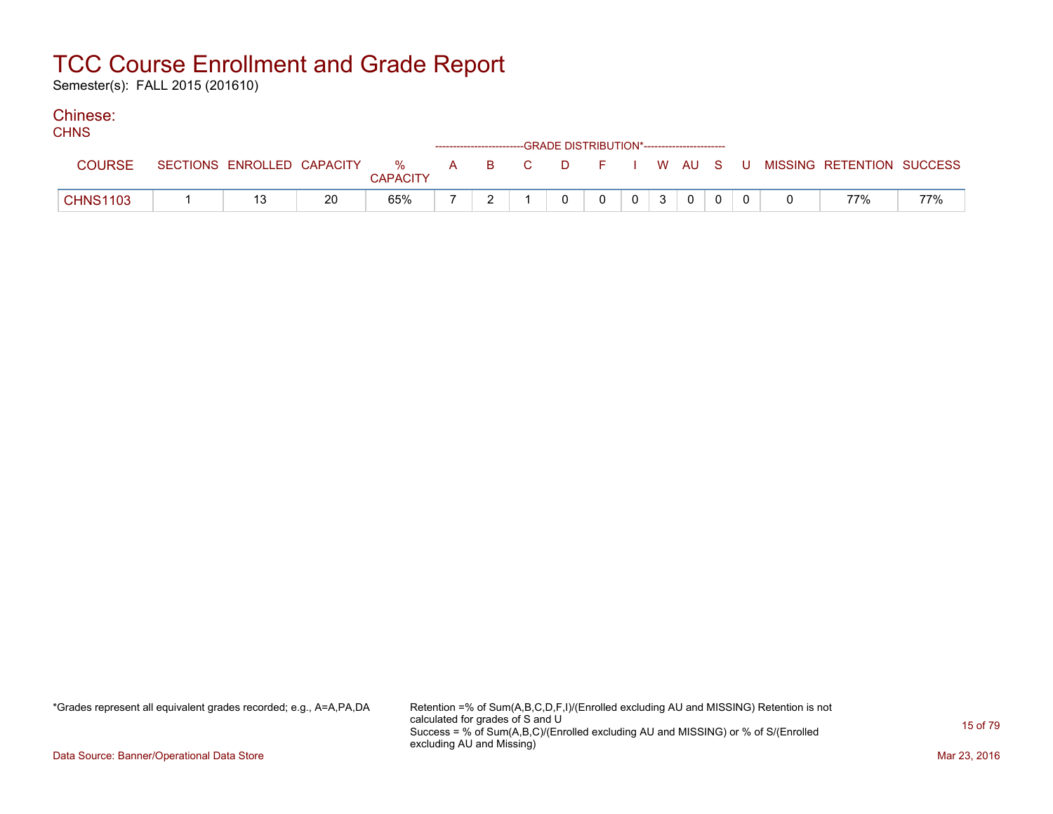Semester(s): FALL 2015 (201610)

#### Chinese:  $C$

| <b>UHNS</b>     |                            |    |                      |  | ------------------------GRADE DISTRIBUTION*----------------------- |   |          |   |              |  |                           |     |
|-----------------|----------------------------|----|----------------------|--|--------------------------------------------------------------------|---|----------|---|--------------|--|---------------------------|-----|
| <b>COURSE</b>   | SECTIONS ENROLLED CAPACITY |    | %<br><b>CAPACITY</b> |  | A B C                                                              |   | DFIWAUSU |   |              |  | MISSING RETENTION SUCCESS |     |
| <b>CHNS1103</b> |                            | 20 | 65%                  |  |                                                                    | 0 |          | 3 | $\mathbf{0}$ |  | 77%                       | 77% |

\*Grades represent all equivalent grades recorded; e.g., A=A,PA,DA Retention =% of Sum(A,B,C,D,F,I)/(Enrolled excluding AU and MISSING) Retention is not calculated for grades of S and U Success = % of Sum(A,B,C)/(Enrolled excluding AU and MISSING) or % of S/(Enrolled excluding AU and Missing)

Data Source: Banner/Operational Data Store Mar 23, 2016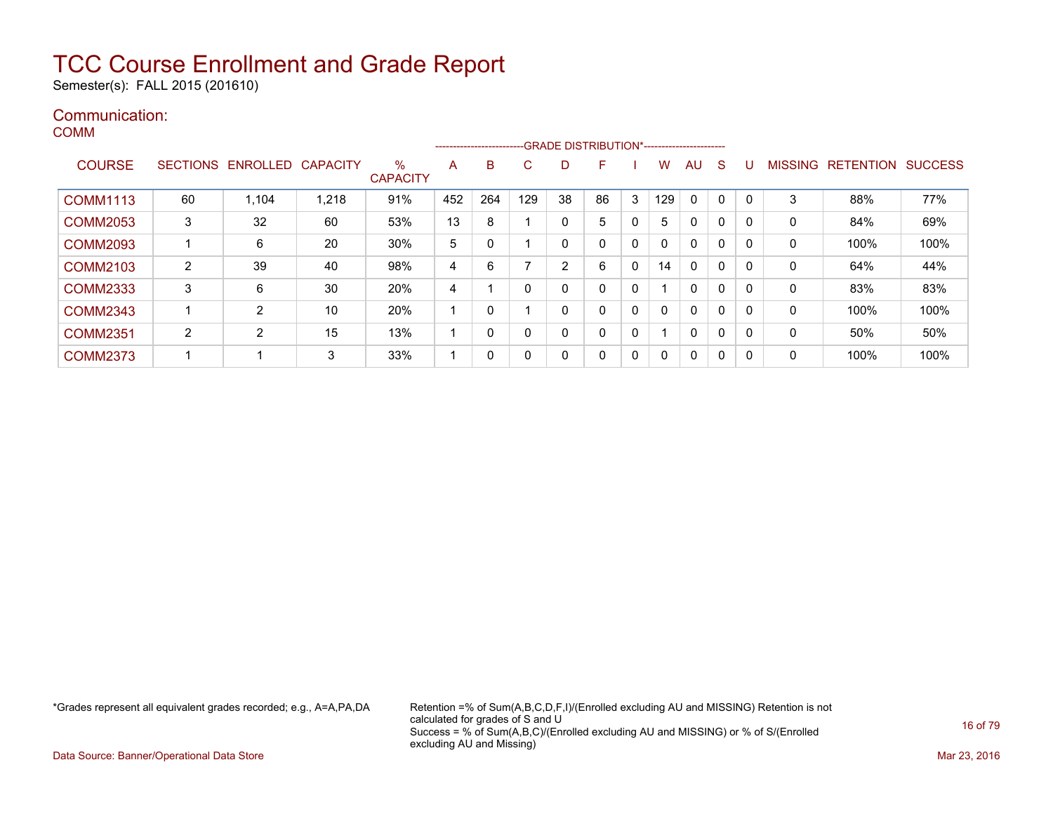Semester(s): FALL 2015 (201610)

#### Communication: COMM

|                 |    |                            |       |                      |     |          | -------------------------GRADE DISTRIBUTION*----------------------- |                |              |              |     |              |              |          |              |                                  |      |
|-----------------|----|----------------------------|-------|----------------------|-----|----------|---------------------------------------------------------------------|----------------|--------------|--------------|-----|--------------|--------------|----------|--------------|----------------------------------|------|
| <b>COURSE</b>   |    | SECTIONS ENROLLED CAPACITY |       | %<br><b>CAPACITY</b> | A   | B        | С                                                                   | D              | F.           |              | w   | AU           | <sub>S</sub> |          |              | <b>MISSING RETENTION SUCCESS</b> |      |
| <b>COMM1113</b> | 60 | 1,104                      | 1,218 | 91%                  | 452 | 264      | 129                                                                 | 38             | 86           | 3            | 129 | $\mathbf{0}$ | 0            | 0        | 3            | 88%                              | 77%  |
| <b>COMM2053</b> | 3  | 32                         | 60    | 53%                  | 13  | 8        | $\overline{\phantom{a}}$                                            | 0              | 5            | $\mathbf{0}$ | 5   | 0            | 0            | 0        | 0            | 84%                              | 69%  |
| <b>COMM2093</b> |    | 6                          | 20    | $30\%$               | 5   | 0        |                                                                     | 0              | $\mathbf{0}$ | $\mathbf{0}$ | 0   | 0            | 0            | 0        | $\mathbf{0}$ | 100%                             | 100% |
| <b>COMM2103</b> | 2  | 39                         | 40    | 98%                  | 4   | 6        | 7                                                                   | $\overline{2}$ | 6            | $\mathbf{0}$ | 14  | 0            | 0            | 0        | 0            | 64%                              | 44%  |
| <b>COMM2333</b> | 3  | 6                          | 30    | 20%                  | 4   |          | 0                                                                   | 0              | $\mathbf{0}$ | $\mathbf{0}$ |     | 0            | 0            | $\Omega$ | $\mathbf{0}$ | 83%                              | 83%  |
| <b>COMM2343</b> |    | $\overline{2}$             | 10    | 20%                  |     | 0        |                                                                     | 0              | $\mathbf{0}$ | $\mathbf{0}$ | 0   | 0            | 0            | 0        | 0            | 100%                             | 100% |
| <b>COMM2351</b> | 2  | 2                          | 15    | 13%                  |     | $\Omega$ | 0                                                                   | $\mathbf{0}$   | $\Omega$     | $\mathbf{0}$ |     | 0            | 0            | 0        | $\mathbf{0}$ | 50%                              | 50%  |
| <b>COMM2373</b> |    |                            | 3     | 33%                  |     | 0        | 0                                                                   | 0              | 0            | $\mathbf{0}$ | 0   | 0            | 0            | 0        | 0            | 100%                             | 100% |

\*Grades represent all equivalent grades recorded; e.g., A=A,PA,DA Retention =% of Sum(A,B,C,D,F,I)/(Enrolled excluding AU and MISSING) Retention is not calculated for grades of S and U Success = % of Sum(A,B,C)/(Enrolled excluding AU and MISSING) or % of S/(Enrolled excluding AU and Missing)

Data Source: Banner/Operational Data Store Mar 23, 2016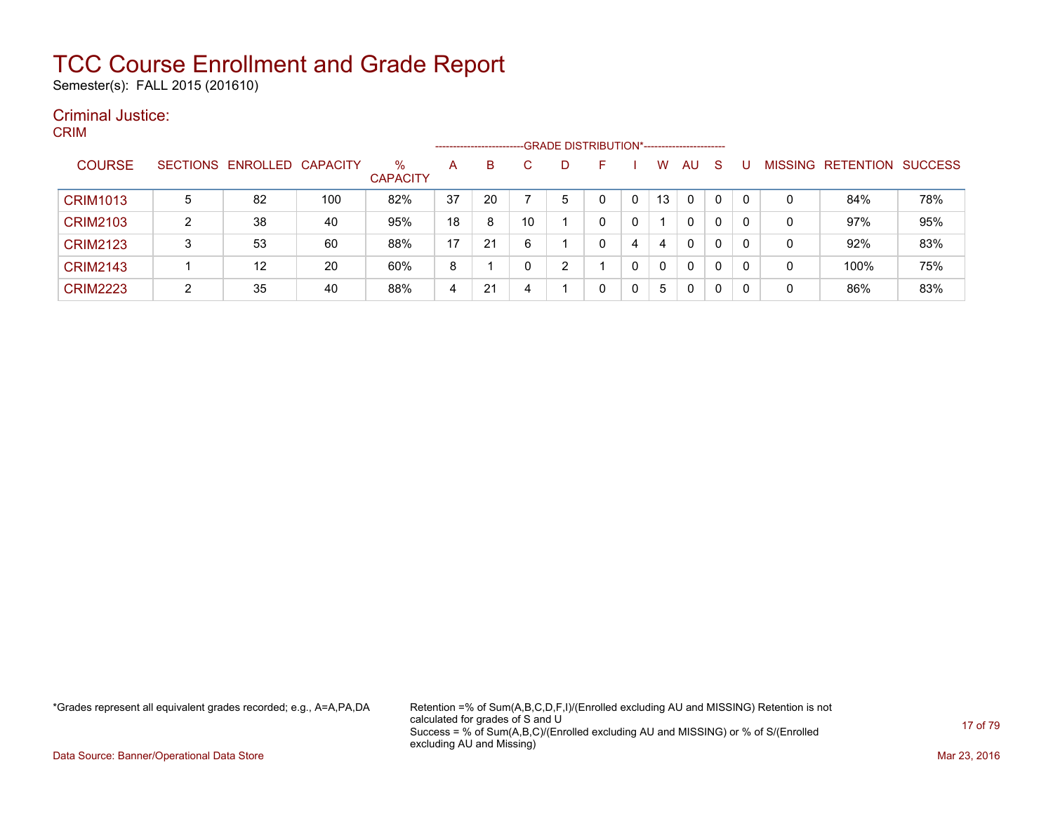Semester(s): FALL 2015 (201610)

#### Criminal Justice: CRIM

| -.              |   |                            |     |                         | -------------------- |    |    | -GRADE DISTRIBUTION*----------------------- |          |              |              |    |                |                          |     |
|-----------------|---|----------------------------|-----|-------------------------|----------------------|----|----|---------------------------------------------|----------|--------------|--------------|----|----------------|--------------------------|-----|
| <b>COURSE</b>   |   | SECTIONS ENROLLED CAPACITY |     | $\%$<br><b>CAPACITY</b> | A                    | B  |    | D                                           | <b>-</b> | W            | <b>AU</b>    | -S | <b>MISSING</b> | <b>RETENTION SUCCESS</b> |     |
| <b>CRIM1013</b> | 5 | 82                         | 100 | 82%                     | 37                   | 20 |    | 5                                           | 0        | 13           | $\Omega$     | 0  | 0              | 84%                      | 78% |
| <b>CRIM2103</b> | ົ | 38                         | 40  | 95%                     | 18                   | 8  | 10 |                                             | 0        |              | 0            | 0  | 0              | 97%                      | 95% |
| <b>CRIM2123</b> | 3 | 53                         | 60  | 88%                     | 17                   | 21 | ĥ  |                                             |          | 4            | $\mathbf{0}$ | 0  | 0              | 92%                      | 83% |
| <b>CRIM2143</b> |   | 12                         | 20  | 60%                     | 8                    |    |    | ົ                                           |          | $\mathbf{0}$ | 0            | 0  | 0              | 100%                     | 75% |
| <b>CRIM2223</b> | ົ | 35                         | 40  | 88%                     | 4                    | 21 |    |                                             |          | 5            | 0            | 0  | 0              | 86%                      | 83% |

\*Grades represent all equivalent grades recorded; e.g., A=A,PA,DA Retention =% of Sum(A,B,C,D,F,I)/(Enrolled excluding AU and MISSING) Retention is not calculated for grades of S and U Success = % of Sum(A,B,C)/(Enrolled excluding AU and MISSING) or % of S/(Enrolled excluding AU and Missing)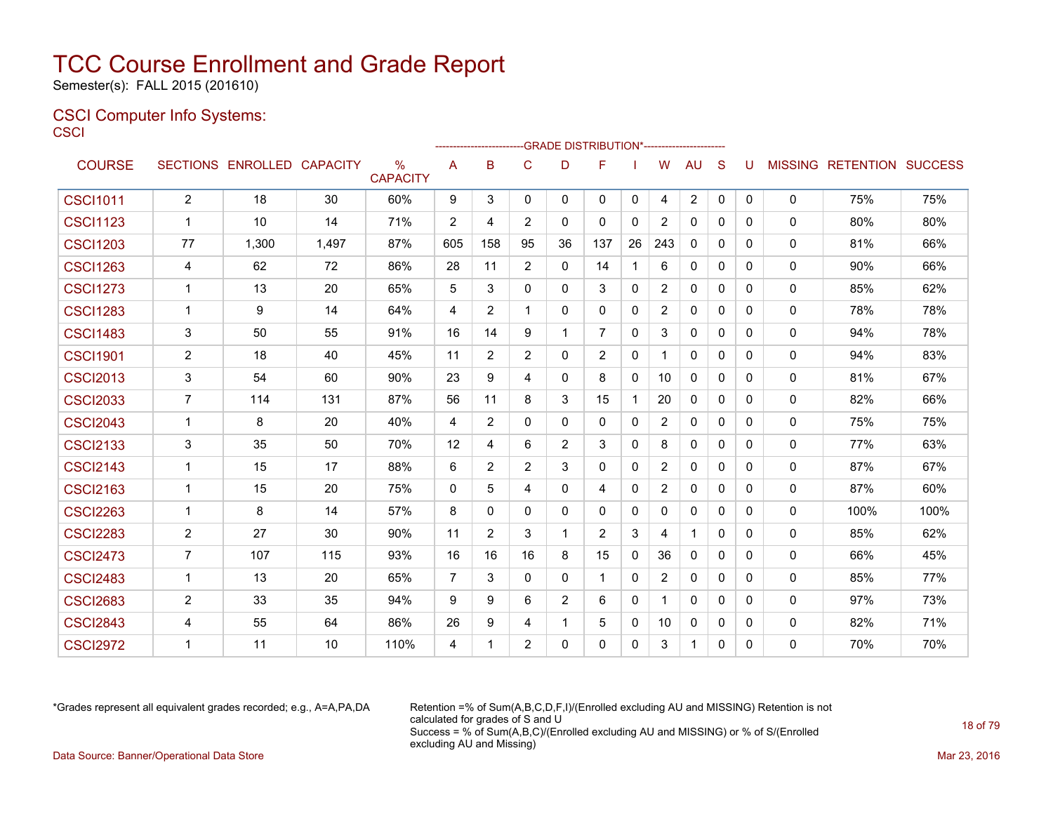Semester(s): FALL 2015 (201610)

### CSCI Computer Info Systems: **CSCI**

|                 |                |                            |       |                                  |                |                |                |              | ------------------------GRADE                DISTRIBUTION*---------------------- |              |                       |                |              |              |              |                                  |      |
|-----------------|----------------|----------------------------|-------|----------------------------------|----------------|----------------|----------------|--------------|----------------------------------------------------------------------------------|--------------|-----------------------|----------------|--------------|--------------|--------------|----------------------------------|------|
| <b>COURSE</b>   |                | SECTIONS ENROLLED CAPACITY |       | $\frac{0}{0}$<br><b>CAPACITY</b> | A              | B              | $\mathsf{C}$   | D            | F                                                                                |              | W                     | <b>AU</b>      | S            | U            |              | <b>MISSING RETENTION SUCCESS</b> |      |
| <b>CSCI1011</b> | $\mathbf{2}$   | 18                         | 30    | 60%                              | 9              | 3              | 0              | $\mathbf{0}$ | $\mathbf{0}$                                                                     | 0            | 4                     | $\overline{2}$ | $\mathbf{0}$ | $\mathbf{0}$ | 0            | 75%                              | 75%  |
| <b>CSCI1123</b> | 1              | 10                         | 14    | 71%                              | 2              | 4              | 2              | 0            | $\mathbf{0}$                                                                     | 0            | $\overline{2}$        | 0              | 0            | 0            | 0            | 80%                              | 80%  |
| <b>CSCI1203</b> | 77             | 1,300                      | 1,497 | 87%                              | 605            | 158            | 95             | 36           | 137                                                                              | 26           | 243                   | $\Omega$       | $\Omega$     | $\Omega$     | 0            | 81%                              | 66%  |
| <b>CSCI1263</b> | 4              | 62                         | 72    | 86%                              | 28             | 11             | 2              | $\mathbf{0}$ | 14                                                                               | $\mathbf{1}$ | 6                     | $\mathbf{0}$   | $\Omega$     | 0            | 0            | 90%                              | 66%  |
| <b>CSCI1273</b> | $\mathbf 1$    | 13                         | 20    | 65%                              | 5              | 3              | $\mathbf{0}$   | $\Omega$     | 3                                                                                | $\mathbf{0}$ | $\overline{2}$        | $\mathbf{0}$   | $\Omega$     | $\Omega$     | 0            | 85%                              | 62%  |
| <b>CSCI1283</b> | $\mathbf 1$    | 9                          | 14    | 64%                              | 4              | 2              | 1              | $\mathbf{0}$ | $\mathbf{0}$                                                                     | 0            | $\mathbf{2}^{\prime}$ | 0              | $\Omega$     | 0            | 0            | 78%                              | 78%  |
| <b>CSCI1483</b> | 3              | 50                         | 55    | 91%                              | 16             | 14             | 9              | $\mathbf 1$  | $\overline{7}$                                                                   | $\mathbf{0}$ | 3                     | $\mathbf{0}$   | $\Omega$     | $\Omega$     | 0            | 94%                              | 78%  |
| <b>CSCI1901</b> | $\overline{2}$ | 18                         | 40    | 45%                              | 11             | $\overline{2}$ | $\overline{2}$ | $\mathbf{0}$ | 2                                                                                | $\mathbf{0}$ | 1                     | $\mathbf{0}$   | $\Omega$     | $\Omega$     | $\mathbf{0}$ | 94%                              | 83%  |
| <b>CSCI2013</b> | 3              | 54                         | 60    | 90%                              | 23             | 9              | 4              | $\Omega$     | 8                                                                                | $\mathbf{0}$ | 10                    | $\mathbf{0}$   | $\Omega$     | 0            | 0            | 81%                              | 67%  |
| <b>CSCI2033</b> | $\overline{7}$ | 114                        | 131   | 87%                              | 56             | 11             | 8              | 3            | 15                                                                               | $\mathbf 1$  | 20                    | $\mathbf{0}$   | $\Omega$     | 0            | 0            | 82%                              | 66%  |
| <b>CSCI2043</b> | $\mathbf 1$    | 8                          | 20    | 40%                              | 4              | $\overline{2}$ | $\Omega$       | $\mathbf{0}$ | $\mathbf{0}$                                                                     | 0            | $\overline{2}$        | $\mathbf{0}$   | $\mathbf{0}$ | 0            | 0            | 75%                              | 75%  |
| <b>CSCI2133</b> | 3              | 35                         | 50    | 70%                              | 12             | 4              | 6              | 2            | 3                                                                                | $\mathbf{0}$ | 8                     | $\Omega$       | $\Omega$     | $\Omega$     | 0            | 77%                              | 63%  |
| <b>CSCI2143</b> | 1              | 15                         | 17    | 88%                              | 6              | 2              | 2              | 3            | $\mathbf{0}$                                                                     | 0            | 2                     | $\mathbf{0}$   | $\Omega$     | $\Omega$     | 0            | 87%                              | 67%  |
| <b>CSCI2163</b> | $\mathbf 1$    | 15                         | 20    | 75%                              | $\mathbf{0}$   | 5              | 4              | $\mathbf{0}$ | 4                                                                                | $\mathbf{0}$ | $\overline{2}$        | 0              | $\Omega$     | 0            | 0            | 87%                              | 60%  |
| <b>CSCI2263</b> | 1              | 8                          | 14    | 57%                              | 8              | $\Omega$       | $\mathbf{0}$   | $\mathbf{0}$ | $\mathbf{0}$                                                                     | 0            | 0                     | $\mathbf{0}$   | $\Omega$     | 0            | 0            | 100%                             | 100% |
| <b>CSCI2283</b> | $\overline{2}$ | 27                         | 30    | 90%                              | 11             | 2              | 3              | $\mathbf 1$  | 2                                                                                | 3            | 4                     | $\mathbf{1}$   | $\Omega$     | $\Omega$     | 0            | 85%                              | 62%  |
| <b>CSCI2473</b> | $\overline{7}$ | 107                        | 115   | 93%                              | 16             | 16             | 16             | 8            | 15                                                                               | $\mathbf{0}$ | 36                    | $\Omega$       | $\mathbf{0}$ | 0            | 0            | 66%                              | 45%  |
| <b>CSCI2483</b> | $\mathbf{1}$   | 13                         | 20    | 65%                              | $\overline{7}$ | 3              | $\mathbf{0}$   | $\mathbf{0}$ | 1                                                                                | $\mathbf{0}$ | $\overline{2}$        | $\mathbf{0}$   | $\Omega$     | $\Omega$     | 0            | 85%                              | 77%  |
| <b>CSCI2683</b> | $\overline{2}$ | 33                         | 35    | 94%                              | 9              | 9              | 6              | 2            | 6                                                                                | $\mathbf{0}$ | 1                     | $\mathbf{0}$   | 0            | 0            | 0            | 97%                              | 73%  |
| <b>CSCI2843</b> | 4              | 55                         | 64    | 86%                              | 26             | 9              | 4              | $\mathbf 1$  | 5                                                                                | $\mathbf{0}$ | 10                    | $\mathbf{0}$   | 0            | 0            | 0            | 82%                              | 71%  |
| <b>CSCI2972</b> | 1              | 11                         | 10    | 110%                             | 4              | 1              | 2              | $\Omega$     | $\mathbf{0}$                                                                     | $\mathbf{0}$ | 3                     | $\mathbf{1}$   | $\mathbf{0}$ | 0            | $\Omega$     | 70%                              | 70%  |

\*Grades represent all equivalent grades recorded; e.g., A=A,PA,DA Retention =% of Sum(A,B,C,D,F,I)/(Enrolled excluding AU and MISSING) Retention is not calculated for grades of S and U Success = % of Sum(A,B,C)/(Enrolled excluding AU and MISSING) or % of S/(Enrolled excluding AU and Missing) Data Source: Banner/Operational Data Store Mar 23, 2016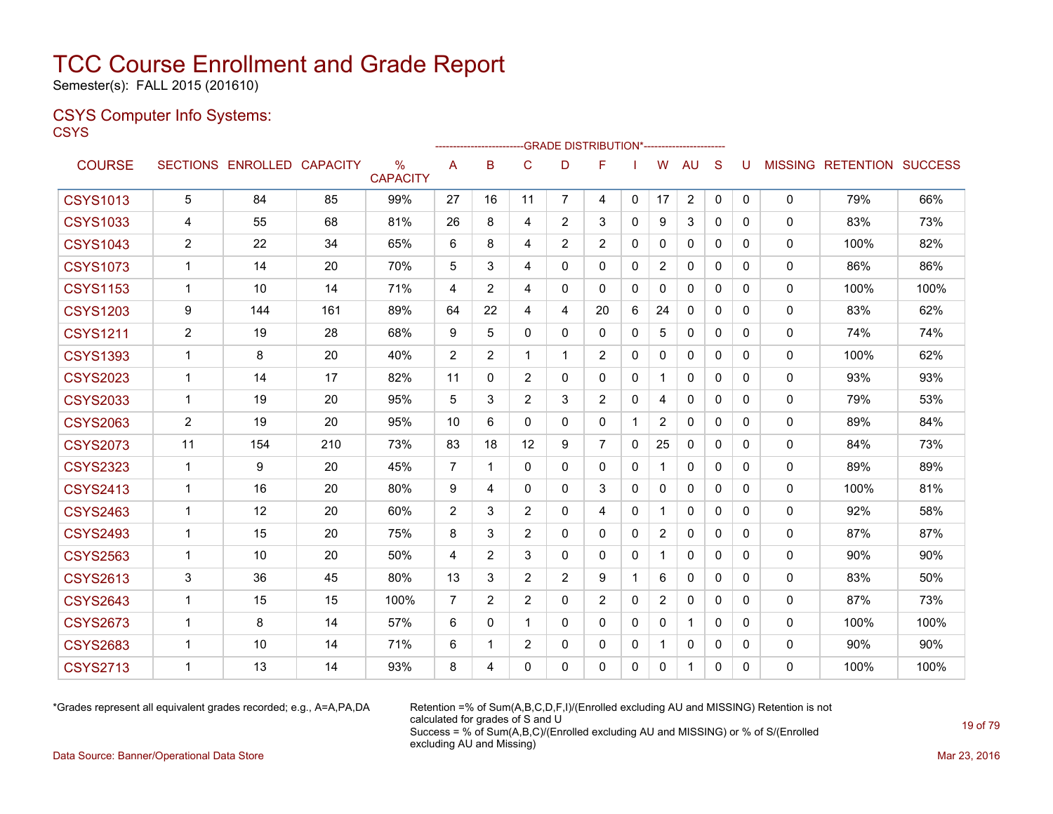Semester(s): FALL 2015 (201610)

### CSYS Computer Info Systems:

**CSYS** 

| ---             |                |                            |     |                                  |                |                |                |                |                |              |                |                |              |              |              |                           |      |
|-----------------|----------------|----------------------------|-----|----------------------------------|----------------|----------------|----------------|----------------|----------------|--------------|----------------|----------------|--------------|--------------|--------------|---------------------------|------|
| <b>COURSE</b>   |                | SECTIONS ENROLLED CAPACITY |     | $\frac{0}{0}$<br><b>CAPACITY</b> | A              | B              | $\mathsf{C}$   | D              | F              |              | W              | <b>AU</b>      | S            | U            |              | MISSING RETENTION SUCCESS |      |
| <b>CSYS1013</b> | 5              | 84                         | 85  | 99%                              | 27             | 16             | 11             | $\overline{7}$ | 4              | $\mathbf{0}$ | 17             | $\overline{2}$ | 0            | $\mathbf{0}$ | $\mathbf 0$  | 79%                       | 66%  |
| <b>CSYS1033</b> | 4              | 55                         | 68  | 81%                              | 26             | 8              | 4              | $\overline{2}$ | 3              | $\Omega$     | 9              | 3              | $\Omega$     | $\Omega$     | 0            | 83%                       | 73%  |
| <b>CSYS1043</b> | 2              | 22                         | 34  | 65%                              | 6              | 8              | 4              | $\overline{2}$ | $\overline{2}$ | $\Omega$     | $\Omega$       | $\mathbf{0}$   | $\Omega$     | $\Omega$     | $\Omega$     | 100%                      | 82%  |
| <b>CSYS1073</b> | $\mathbf{1}$   | 14                         | 20  | 70%                              | 5              | 3              | 4              | 0              | 0              | $\mathbf{0}$ | $\overline{2}$ | $\mathbf{0}$   | $\Omega$     | 0            | $\mathbf 0$  | 86%                       | 86%  |
| <b>CSYS1153</b> | $\mathbf{1}$   | 10                         | 14  | 71%                              | 4              | $\overline{2}$ | 4              | 0              | 0              | 0            | $\Omega$       | $\Omega$       | $\Omega$     | 0            | $\mathbf 0$  | 100%                      | 100% |
| <b>CSYS1203</b> | 9              | 144                        | 161 | 89%                              | 64             | 22             | 4              | 4              | 20             | 6            | 24             | $\mathbf{0}$   | $\Omega$     | $\Omega$     | $\mathbf{0}$ | 83%                       | 62%  |
| <b>CSYS1211</b> | $\overline{2}$ | 19                         | 28  | 68%                              | 9              | 5              | $\Omega$       | 0              | $\Omega$       | $\mathbf{0}$ | 5              | $\mathbf{0}$   | $\Omega$     | $\Omega$     | 0            | 74%                       | 74%  |
| <b>CSYS1393</b> | $\mathbf{1}$   | 8                          | 20  | 40%                              | 2              | $\overline{2}$ |                | 1              | $\overline{2}$ | $\mathbf 0$  | $\mathbf{0}$   | $\mathbf{0}$   | $\mathbf{0}$ | 0            | 0            | 100%                      | 62%  |
| <b>CSYS2023</b> | 1              | 14                         | 17  | 82%                              | 11             | 0              | $\overline{2}$ | 0              | 0              | $\mathbf{0}$ | 1              | $\mathbf{0}$   | $\mathbf{0}$ | 0            | 0            | 93%                       | 93%  |
| <b>CSYS2033</b> | $\mathbf{1}$   | 19                         | 20  | 95%                              | 5              | 3              | $\overline{2}$ | 3              | $\overline{2}$ | 0            | 4              | $\Omega$       | 0            | 0            | 0            | 79%                       | 53%  |
| <b>CSYS2063</b> | $\overline{2}$ | 19                         | 20  | 95%                              | 10             | 6              | $\Omega$       | 0              | 0              | 1            | $\overline{2}$ | $\mathbf{0}$   | $\Omega$     | 0            | 0            | 89%                       | 84%  |
| <b>CSYS2073</b> | 11             | 154                        | 210 | 73%                              | 83             | 18             | 12             | 9              | $\overline{7}$ | $\Omega$     | 25             | $\mathbf{0}$   | $\Omega$     | $\Omega$     | $\Omega$     | 84%                       | 73%  |
| <b>CSYS2323</b> | $\mathbf{1}$   | 9                          | 20  | 45%                              | $\overline{7}$ | 1              | 0              | $\Omega$       | $\Omega$       | $\mathbf{0}$ | $\mathbf 1$    | $\mathbf{0}$   | $\mathbf{0}$ | 0            | 0            | 89%                       | 89%  |
| <b>CSYS2413</b> | $\mathbf{1}$   | 16                         | 20  | 80%                              | 9              | 4              | 0              | 0              | 3              | 0            | 0              | 0              | $\mathbf{0}$ | 0            | 0            | 100%                      | 81%  |
| <b>CSYS2463</b> | $\mathbf{1}$   | 12                         | 20  | 60%                              | 2              | 3              | $\overline{2}$ | 0              | 4              | $\Omega$     | -1             | $\mathbf{0}$   | $\Omega$     | $\Omega$     | $\Omega$     | 92%                       | 58%  |
| <b>CSYS2493</b> | $\mathbf{1}$   | 15                         | 20  | 75%                              | 8              | 3              | $\overline{2}$ | 0              | 0              | $\Omega$     | $\overline{2}$ | $\Omega$       | $\Omega$     | $\Omega$     | 0            | 87%                       | 87%  |
| <b>CSYS2563</b> | $\mathbf{1}$   | 10                         | 20  | 50%                              | 4              | $\overline{2}$ | 3              | 0              | $\Omega$       | $\mathbf{0}$ | $\mathbf 1$    | $\mathbf{0}$   | $\mathbf{0}$ | 0            | $\Omega$     | 90%                       | 90%  |
| <b>CSYS2613</b> | 3              | 36                         | 45  | 80%                              | 13             | 3              | $\overline{2}$ | $\overline{2}$ | 9              |              | 6              | $\mathbf{0}$   | $\Omega$     | $\Omega$     | 0            | 83%                       | 50%  |
| <b>CSYS2643</b> | $\mathbf{1}$   | 15                         | 15  | 100%                             | 7              | $\overline{2}$ | $\overline{2}$ | 0              | 2              | 0            | $\overline{2}$ | 0              | $\mathbf{0}$ | 0            | 0            | 87%                       | 73%  |
| <b>CSYS2673</b> | $\mathbf 1$    | 8                          | 14  | 57%                              | 6              | $\mathbf{0}$   |                | 0              | 0              | $\Omega$     | $\Omega$       | 1              | $\Omega$     | $\Omega$     | $\mathbf{0}$ | 100%                      | 100% |
| <b>CSYS2683</b> | $\mathbf{1}$   | 10                         | 14  | 71%                              | 6              | 1              | $\overline{2}$ | 0              | 0              | $\mathbf{0}$ | -1             | 0              | $\Omega$     | $\Omega$     | 0            | 90%                       | 90%  |
| <b>CSYS2713</b> | 1              | 13                         | 14  | 93%                              | 8              | 4              | 0              | 0              | 0              | $\mathbf{0}$ | $\Omega$       | 1              | 0            | $\Omega$     | $\Omega$     | 100%                      | 100% |

\*Grades represent all equivalent grades recorded; e.g., A=A,PA,DA Retention =% of Sum(A,B,C,D,F,I)/(Enrolled excluding AU and MISSING) Retention is not calculated for grades of S and U Success = % of Sum(A,B,C)/(Enrolled excluding AU and MISSING) or % of S/(Enrolled excluding AU and Missing)

Data Source: Banner/Operational Data Store Mar 23, 2016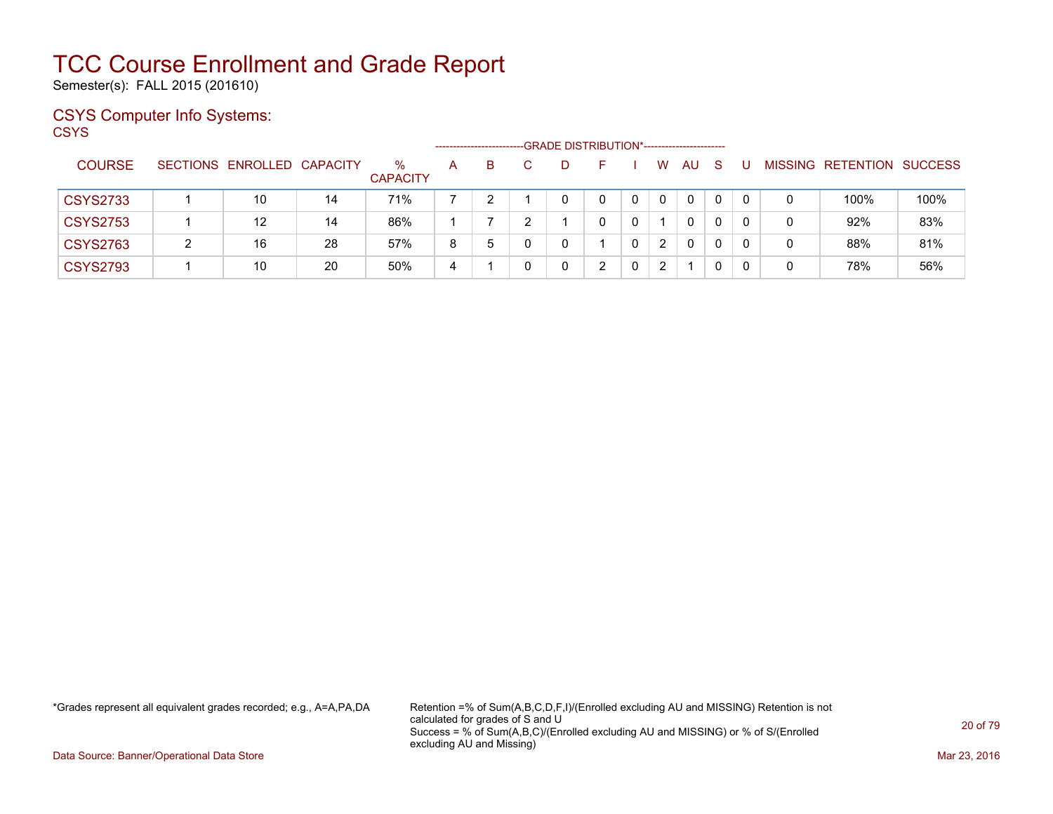Semester(s): FALL 2015 (201610)

### CSYS Computer Info Systems:

**CSYS** 

|                 |                            |    |                      |   | ------------------------ | -GRADE DISTRIBUTION*----------------------- |   |                       |          |    |          |   |                   |                |
|-----------------|----------------------------|----|----------------------|---|--------------------------|---------------------------------------------|---|-----------------------|----------|----|----------|---|-------------------|----------------|
| <b>COURSE</b>   | SECTIONS ENROLLED CAPACITY |    | %<br><b>CAPACITY</b> | A | B                        |                                             |   | W                     | AU.      | -S |          |   | MISSING RETENTION | <b>SUCCESS</b> |
| <b>CSYS2733</b> | 10                         | 14 | 71%                  |   |                          | 0                                           |   | 0                     | $\Omega$ | 0  | 0        | 0 | 100%              | 100%           |
| <b>CSYS2753</b> | 12                         | 14 | 86%                  |   |                          |                                             | 0 |                       | 0        | 0  | $\Omega$ | 0 | 92%               | 83%            |
| <b>CSYS2763</b> | 16                         | 28 | 57%                  | 8 | 5                        | 0                                           |   | $\mathbf{2}^{\prime}$ | 0        | 0  | $\Omega$ | 0 | 88%               | 81%            |
| <b>CSYS2793</b> | 10                         | 20 | 50%                  | 4 |                          | 0                                           |   | 2                     |          |    | $\Omega$ | 0 | 78%               | 56%            |

\*Grades represent all equivalent grades recorded; e.g., A=A,PA,DA Retention =% of Sum(A,B,C,D,F,I)/(Enrolled excluding AU and MISSING) Retention is not calculated for grades of S and U Success = % of Sum(A,B,C)/(Enrolled excluding AU and MISSING) or % of S/(Enrolled excluding AU and Missing)

Data Source: Banner/Operational Data Store Mar 23, 2016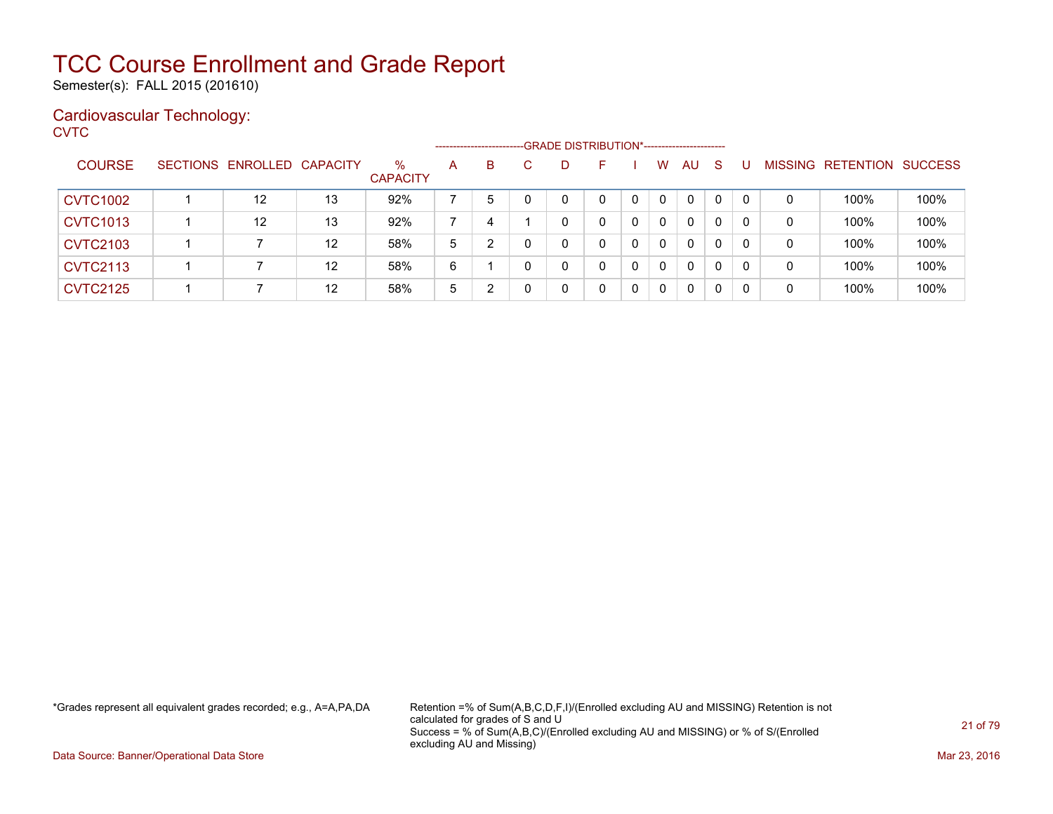Semester(s): FALL 2015 (201610)

### Cardiovascular Technology:

**CVTC** 

|                 |                            |                   |                         |   | -------------------------- | -GRADE DISTRIBUTION*----------------------- |   |   |              |    |              |          |                |                  |                |
|-----------------|----------------------------|-------------------|-------------------------|---|----------------------------|---------------------------------------------|---|---|--------------|----|--------------|----------|----------------|------------------|----------------|
| <b>COURSE</b>   | SECTIONS ENROLLED CAPACITY |                   | $\%$<br><b>CAPACITY</b> | A | В                          | D                                           |   |   | w            | AU | <sub>S</sub> |          | <b>MISSING</b> | <b>RETENTION</b> | <b>SUCCESS</b> |
| <b>CVTC1002</b> | 12                         | 13                | 92%                     |   | 5                          | $\Omega$                                    | 0 | 0 | 0            | 0  |              | $\Omega$ | 0              | 100%             | 100%           |
| <b>CVTC1013</b> | 12                         | 13                | 92%                     |   | 4                          | 0                                           | 0 | 0 | 0            | 0  | $\Omega$     | 0        | 0              | 100%             | 100%           |
| <b>CVTC2103</b> |                            | 12                | 58%                     | 5 | 2                          | 0                                           | 0 | 0 | 0            | 0  | 0            | 0        | 0              | 100%             | 100%           |
| <b>CVTC2113</b> |                            | $12 \overline{ }$ | 58%                     | 6 |                            | 0                                           | 0 | 0 | $\mathbf{0}$ | 0  | $\Omega$     | 0        | 0              | 100%             | 100%           |
| <b>CVTC2125</b> |                            | $12 \overline{ }$ | 58%                     | 5 |                            | 0                                           | 0 | 0 | 0            | 0  | $\Omega$     | 0        | 0              | 100%             | 100%           |

\*Grades represent all equivalent grades recorded; e.g., A=A,PA,DA Retention =% of Sum(A,B,C,D,F,I)/(Enrolled excluding AU and MISSING) Retention is not calculated for grades of S and U Success = % of Sum(A,B,C)/(Enrolled excluding AU and MISSING) or % of S/(Enrolled excluding AU and Missing)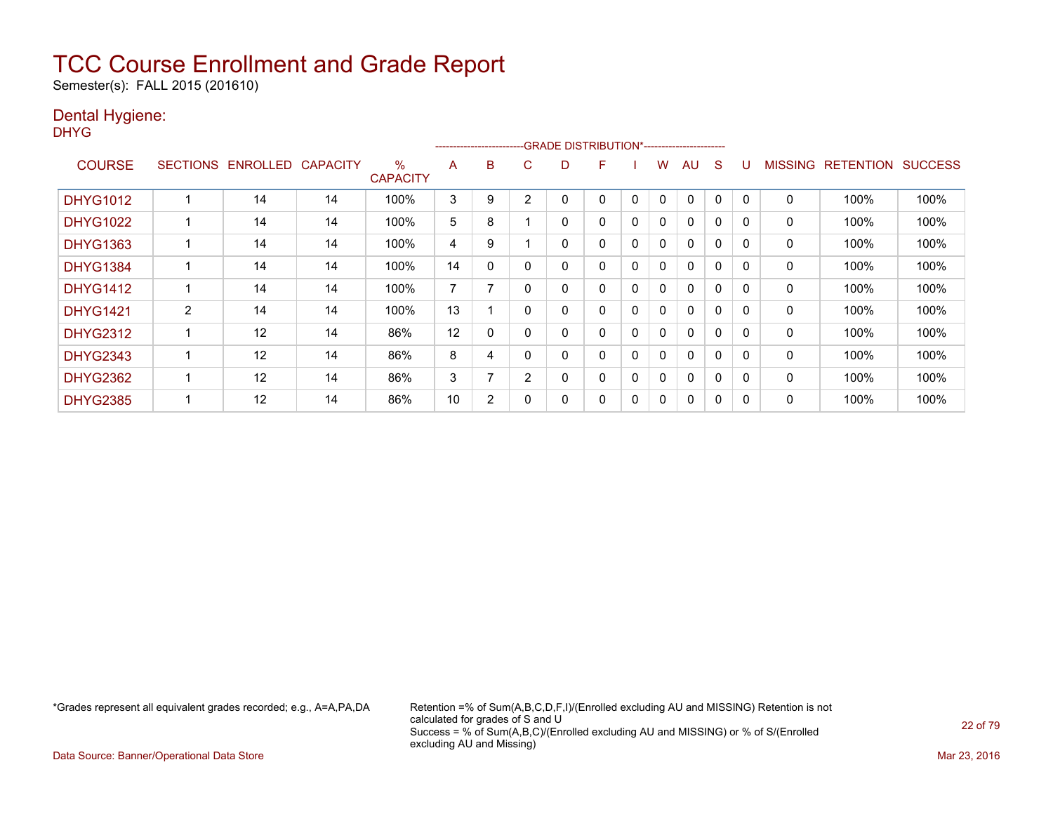Semester(s): FALL 2015 (201610)

### Dental Hygiene:

DHYG

|                 |                |                   |                 |                         | ------------------------ |                |   | -GRADE DISTRIBUTION*----------------------- |   |          |   |              |          |              |                |                  |                |
|-----------------|----------------|-------------------|-----------------|-------------------------|--------------------------|----------------|---|---------------------------------------------|---|----------|---|--------------|----------|--------------|----------------|------------------|----------------|
| <b>COURSE</b>   |                | SECTIONS ENROLLED | <b>CAPACITY</b> | $\%$<br><b>CAPACITY</b> | A                        | B              | С | D                                           | F |          | w | AU           | S        |              | <b>MISSING</b> | <b>RETENTION</b> | <b>SUCCESS</b> |
| <b>DHYG1012</b> |                | 14                | 14              | 100%                    | 3                        | 9              | ◠ |                                             | 0 | 0        | 0 | 0            | 0        |              | 0              | 100%             | 100%           |
| <b>DHYG1022</b> |                | 14                | 14              | 100%                    | 5                        | 8              |   | 0                                           | 0 | 0        | 0 | 0            | $\Omega$ | $\Omega$     | 0              | 100%             | 100%           |
| <b>DHYG1363</b> |                | 14                | 14              | 100%                    | 4                        | 9              |   | 0                                           | 0 | $\Omega$ | 0 | $\Omega$     | $\Omega$ | $\Omega$     | 0              | 100%             | 100%           |
| <b>DHYG1384</b> |                | 14                | 14              | 100%                    | 14                       | 0              |   | 0                                           | 0 | 0        | 0 | $\mathbf{0}$ | $\Omega$ | <sup>0</sup> | 0              | 100%             | 100%           |
| <b>DHYG1412</b> |                | 14                | 14              | 100%                    | $\overline{ }$           |                |   | 0                                           | 0 | $\Omega$ | 0 | $\mathbf{0}$ | $\Omega$ | $\Omega$     | 0              | 100%             | 100%           |
| <b>DHYG1421</b> | $\overline{2}$ | 14                | 14              | 100%                    | 13                       |                |   | 0                                           | 0 | 0        | 0 | $\mathbf{0}$ | 0        | <sup>0</sup> | 0              | 100%             | 100%           |
| <b>DHYG2312</b> |                | 12                | 14              | 86%                     | 12                       | 0              | 0 | 0                                           | 0 | 0        | 0 | 0            | 0        | $\Omega$     | 0              | 100%             | 100%           |
| <b>DHYG2343</b> |                | 12                | 14              | 86%                     | 8                        | 4              | 0 | 0                                           | 0 | 0        | 0 | 0            | $\Omega$ | $\Omega$     | 0              | 100%             | 100%           |
| <b>DHYG2362</b> |                | 12                | 14              | 86%                     | 3                        |                | 2 | 0                                           | 0 | 0        | 0 | 0            | 0        | $\Omega$     | 0              | 100%             | 100%           |
| <b>DHYG2385</b> |                | 12                | 14              | 86%                     | 10                       | $\overline{2}$ |   | 0                                           | 0 | 0        | 0 | 0            | 0        | O            | 0              | 100%             | 100%           |

\*Grades represent all equivalent grades recorded; e.g., A=A,PA,DA Retention =% of Sum(A,B,C,D,F,I)/(Enrolled excluding AU and MISSING) Retention is not calculated for grades of S and U Success = % of Sum(A,B,C)/(Enrolled excluding AU and MISSING) or % of S/(Enrolled excluding AU and Missing)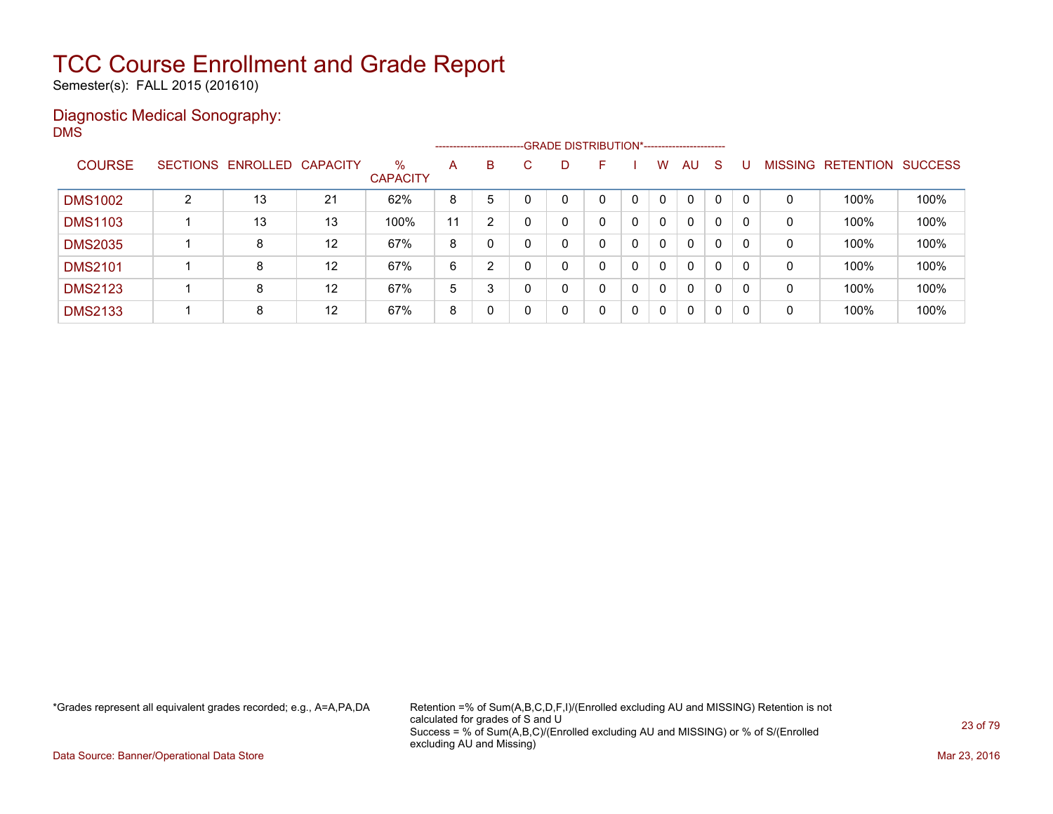Semester(s): FALL 2015 (201610)

### Diagnostic Medical Sonography: DMS

|                |   |                            |                   |                         |    | ------------------------ |              | -GRADE DISTRIBUTION*----------------------- |   |   |              |          |              |              |                |                  |                |
|----------------|---|----------------------------|-------------------|-------------------------|----|--------------------------|--------------|---------------------------------------------|---|---|--------------|----------|--------------|--------------|----------------|------------------|----------------|
| <b>COURSE</b>  |   | SECTIONS ENROLLED CAPACITY |                   | $\%$<br><b>CAPACITY</b> | A  | B                        | C            | D                                           | F |   | w            | AU.      | -S           |              | <b>MISSING</b> | <b>RETENTION</b> | <b>SUCCESS</b> |
| <b>DMS1002</b> | C | 13                         | 21                | 62%                     | 8  | 5                        |              | 0                                           | 0 | 0 | 0            | $\Omega$ |              | 0            | 0              | 100%             | 100%           |
| <b>DMS1103</b> |   | 13                         | 13                | 100%                    | 11 | $\overline{2}$           | 0            | 0                                           | 0 | 0 | $\mathbf{0}$ | $\Omega$ | 0            | $\mathbf{0}$ | 0              | 100%             | 100%           |
| <b>DMS2035</b> |   | 8                          | $12 \overline{ }$ | 67%                     | 8  | 0                        | 0            | 0                                           | 0 | 0 | $\mathbf{0}$ | 0        | $\Omega$     | 0            | 0              | 100%             | 100%           |
| <b>DMS2101</b> |   | 8                          | 12                | 67%                     | 6  | $\overline{2}$           | <sup>0</sup> | 0                                           | 0 | 0 | 0            | $\Omega$ | 0            | 0            | 0              | 100%             | 100%           |
| <b>DMS2123</b> |   | 8                          | 12                | 67%                     | 5  | 3                        |              | 0                                           | 0 | 0 | $\mathbf{0}$ | $\Omega$ | $\mathbf{0}$ | 0            | 0              | 100%             | 100%           |
| <b>DMS2133</b> |   | 8                          | 12                | 67%                     | 8  |                          |              | 0                                           | 0 | 0 | 0            | 0        | 0            | 0            | 0              | 100%             | 100%           |

\*Grades represent all equivalent grades recorded; e.g., A=A,PA,DA Retention =% of Sum(A,B,C,D,F,I)/(Enrolled excluding AU and MISSING) Retention is not calculated for grades of S and U Success = % of Sum(A,B,C)/(Enrolled excluding AU and MISSING) or % of S/(Enrolled excluding AU and Missing)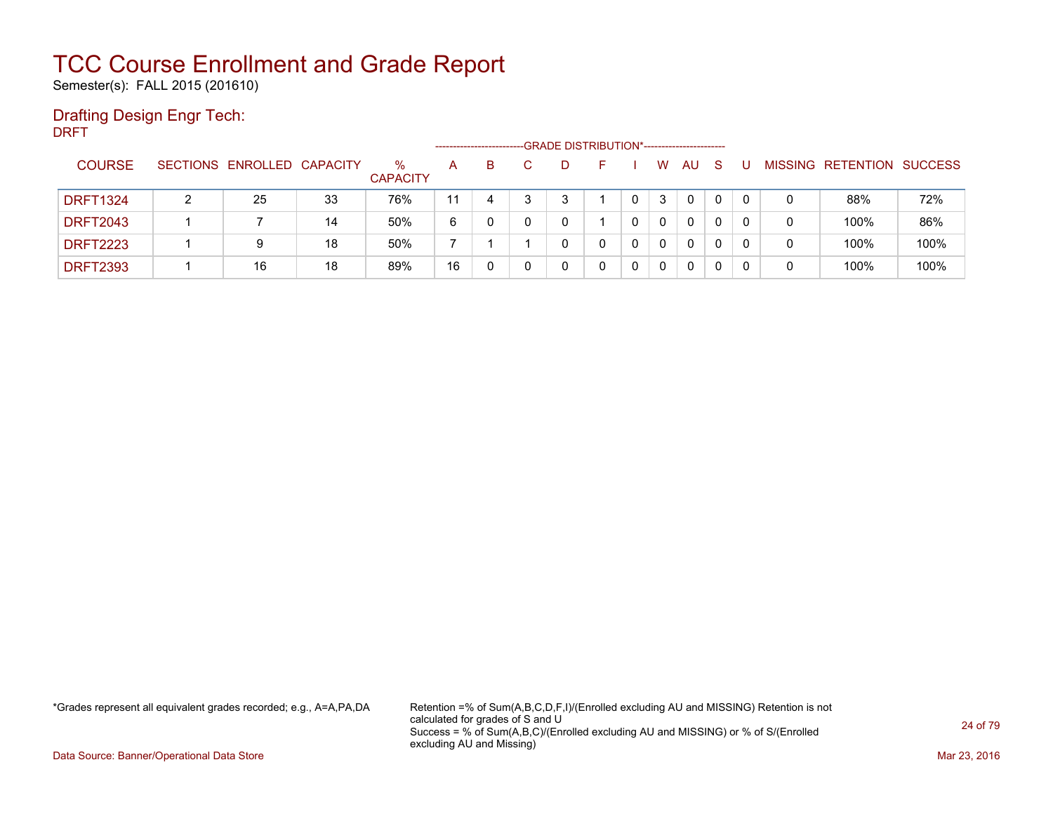Semester(s): FALL 2015 (201610)

### Drafting Design Engr Tech:

DRFT

|                 |   |                            |    |                      |    | ------------------------ | -GRADE DISTRIBUTION*----------------------- |   |              |     |   |          |   |                   |                |
|-----------------|---|----------------------------|----|----------------------|----|--------------------------|---------------------------------------------|---|--------------|-----|---|----------|---|-------------------|----------------|
| <b>COURSE</b>   |   | SECTIONS ENROLLED CAPACITY |    | %<br><b>CAPACITY</b> | A  | B                        |                                             |   | W            | AU. | S |          |   | MISSING RETENTION | <b>SUCCESS</b> |
| <b>DRFT1324</b> | ົ | 25                         | 33 | 76%                  | 11 |                          | 3                                           |   | 3            | 0   |   | 0        | 0 | 88%               | 72%            |
| <b>DRFT2043</b> |   |                            | 14 | 50%                  | 6  |                          | 0                                           |   | $\mathbf{0}$ | 0   |   | $\Omega$ | 0 | 100%              | 86%            |
| <b>DRFT2223</b> |   | 9                          | 18 | 50%                  |    |                          |                                             | 0 | $\mathbf{0}$ | 0   | 0 | $\Omega$ | 0 | 100%              | 100%           |
| <b>DRFT2393</b> |   | 16                         | 18 | 89%                  | 16 |                          | 0                                           | 0 | 0            |     |   | 0        | 0 | 100%              | 100%           |

\*Grades represent all equivalent grades recorded; e.g., A=A,PA,DA Retention =% of Sum(A,B,C,D,F,I)/(Enrolled excluding AU and MISSING) Retention is not calculated for grades of S and U Success = % of Sum(A,B,C)/(Enrolled excluding AU and MISSING) or % of S/(Enrolled excluding AU and Missing)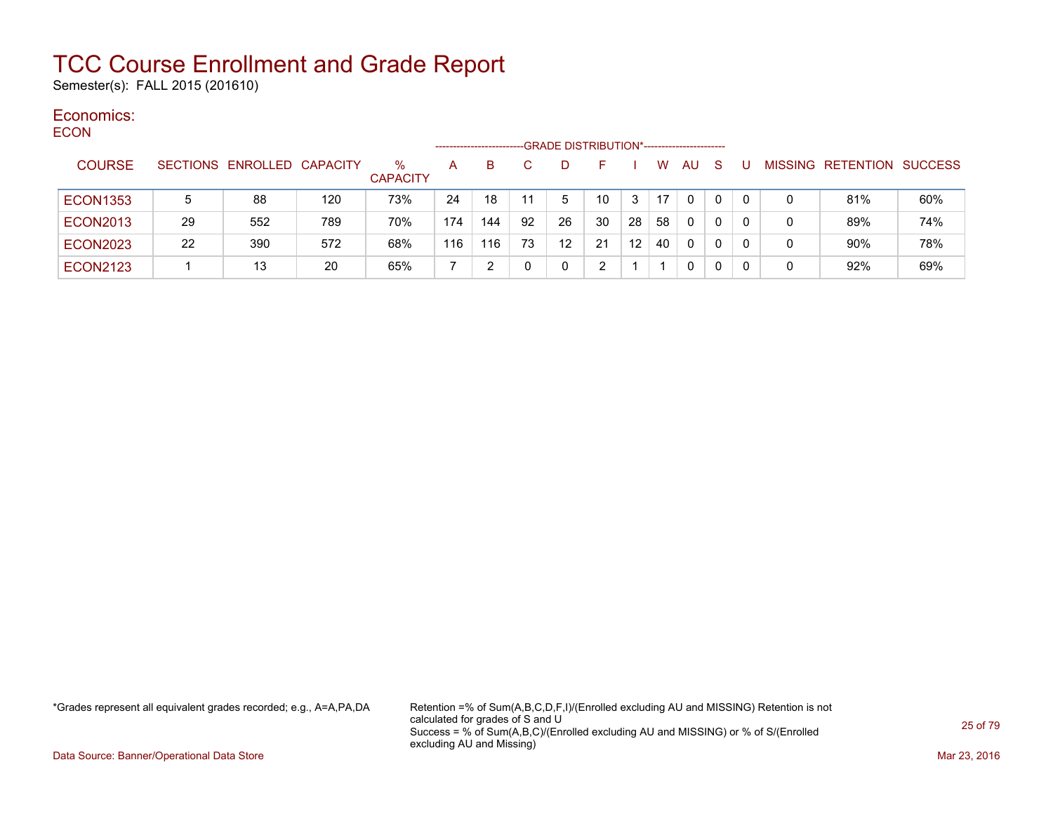Semester(s): FALL 2015 (201610)

#### Economics: ECON

| ◡◡◡╷៶           |    |                            |     |                      | --------------------- |     |    | -GRADE DISTRIBUTION*----------------------- |    |                   |    |           |   |   |   |                   |                |
|-----------------|----|----------------------------|-----|----------------------|-----------------------|-----|----|---------------------------------------------|----|-------------------|----|-----------|---|---|---|-------------------|----------------|
| <b>COURSE</b>   |    | SECTIONS ENROLLED CAPACITY |     | %<br><b>CAPACITY</b> | A                     | B.  |    | D                                           |    |                   | W  | <b>AU</b> | S |   |   | MISSING RETENTION | <b>SUCCESS</b> |
| <b>ECON1353</b> | 5  | 88                         | 120 | 73%                  | 24                    | 18  |    | 5                                           | 10 | 3                 | 17 | $\Omega$  | 0 |   | 0 | 81%               | 60%            |
| <b>ECON2013</b> | 29 | 552                        | 789 | 70%                  | 174                   | 144 | 92 | 26                                          | 30 | 28                | 58 | 0         | 0 |   | 0 | 89%               | 74%            |
| <b>ECON2023</b> | 22 | 390                        | 572 | 68%                  | 116                   | 116 | 73 | 12 <sup>°</sup>                             | 21 | $12 \overline{ }$ | 40 | $\Omega$  | 0 | 0 | 0 | 90%               | 78%            |
| <b>ECON2123</b> |    | 13                         | 20  | 65%                  |                       |     |    | 0                                           |    |                   |    | 0         | 0 |   | 0 | 92%               | 69%            |

\*Grades represent all equivalent grades recorded; e.g., A=A,PA,DA Retention =% of Sum(A,B,C,D,F,I)/(Enrolled excluding AU and MISSING) Retention is not calculated for grades of S and U Success = % of Sum(A,B,C)/(Enrolled excluding AU and MISSING) or % of S/(Enrolled excluding AU and Missing)

Data Source: Banner/Operational Data Store Mar 23, 2016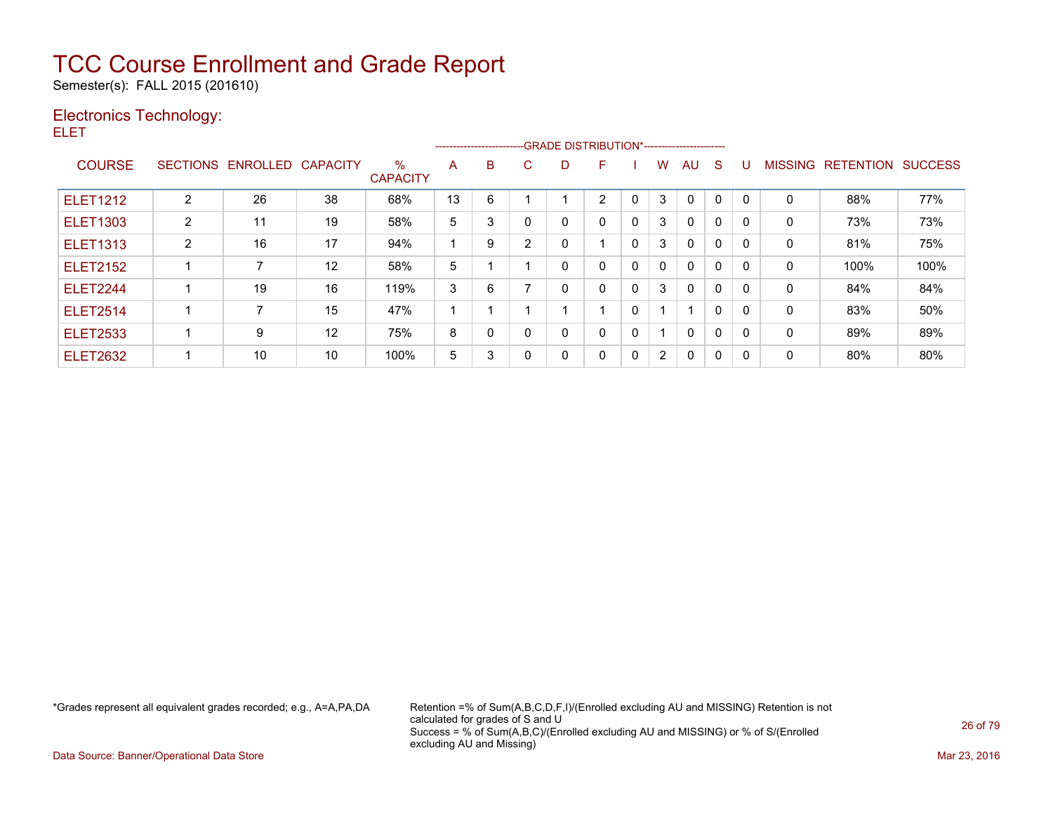Semester(s): FALL 2015 (201610)

### Electronics Technology:

ELET

|                 |                 |          |                 |                         |    | ------------------------- |   |   | --GRADE DISTRIBUTION*----------------------- |          |                |              |          |              |                |                  |                |
|-----------------|-----------------|----------|-----------------|-------------------------|----|---------------------------|---|---|----------------------------------------------|----------|----------------|--------------|----------|--------------|----------------|------------------|----------------|
| <b>COURSE</b>   | <b>SECTIONS</b> | ENROLLED | <b>CAPACITY</b> | $\%$<br><b>CAPACITY</b> | A  | B                         | С | D | F                                            |          | w              | AU           | S        |              | <b>MISSING</b> | <b>RETENTION</b> | <b>SUCCESS</b> |
| <b>ELET1212</b> | $\overline{2}$  | 26       | 38              | 68%                     | 13 | 6                         |   |   | $\overline{2}$                               | 0        | 3              | $\mathbf 0$  | 0        | $\Omega$     | 0              | 88%              | 77%            |
| <b>ELET1303</b> | 2               | 11       | 19              | 58%                     | 5  | 3                         |   | 0 | 0                                            | 0        | 3              | $\mathbf{0}$ | 0        | $\mathbf{0}$ | 0              | 73%              | 73%            |
| <b>ELET1313</b> | $\overline{2}$  | 16       | 17              | 94%                     |    | 9                         | 2 | 0 | $\overline{ }$                               | 0        | 3              | $\Omega$     | $\Omega$ | $\Omega$     | 0              | 81%              | 75%            |
| <b>ELET2152</b> |                 |          | 12              | 58%                     | 5  |                           |   | 0 | 0                                            | 0        | 0              | $\mathbf{0}$ | 0        | $\Omega$     | 0              | 100%             | 100%           |
| <b>ELET2244</b> |                 | 19       | 16              | 119%                    | 3  | 6                         |   | 0 | $\Omega$                                     | $\Omega$ | 3              | $\mathbf{0}$ | $\Omega$ | $\Omega$     | 0              | 84%              | 84%            |
| <b>ELET2514</b> |                 |          | 15              | 47%                     |    |                           |   |   |                                              | $\Omega$ |                | 1            | $\Omega$ | $\mathbf{0}$ | 0              | 83%              | 50%            |
| <b>ELET2533</b> |                 | 9        | 12              | 75%                     | 8  | 0                         |   | 0 | 0                                            | 0        |                | $\mathbf{0}$ | $\Omega$ | $\mathbf{0}$ | 0              | 89%              | 89%            |
| <b>ELET2632</b> |                 | 10       | 10              | 100%                    | 5  | 3                         | Ω | 0 | 0                                            | 0        | $\overline{2}$ | $\mathbf{0}$ | 0        | $\Omega$     | 0              | 80%              | 80%            |

\*Grades represent all equivalent grades recorded; e.g., A=A,PA,DA Retention =% of Sum(A,B,C,D,F,I)/(Enrolled excluding AU and MISSING) Retention is not calculated for grades of S and U Success = % of Sum(A,B,C)/(Enrolled excluding AU and MISSING) or % of S/(Enrolled excluding AU and Missing)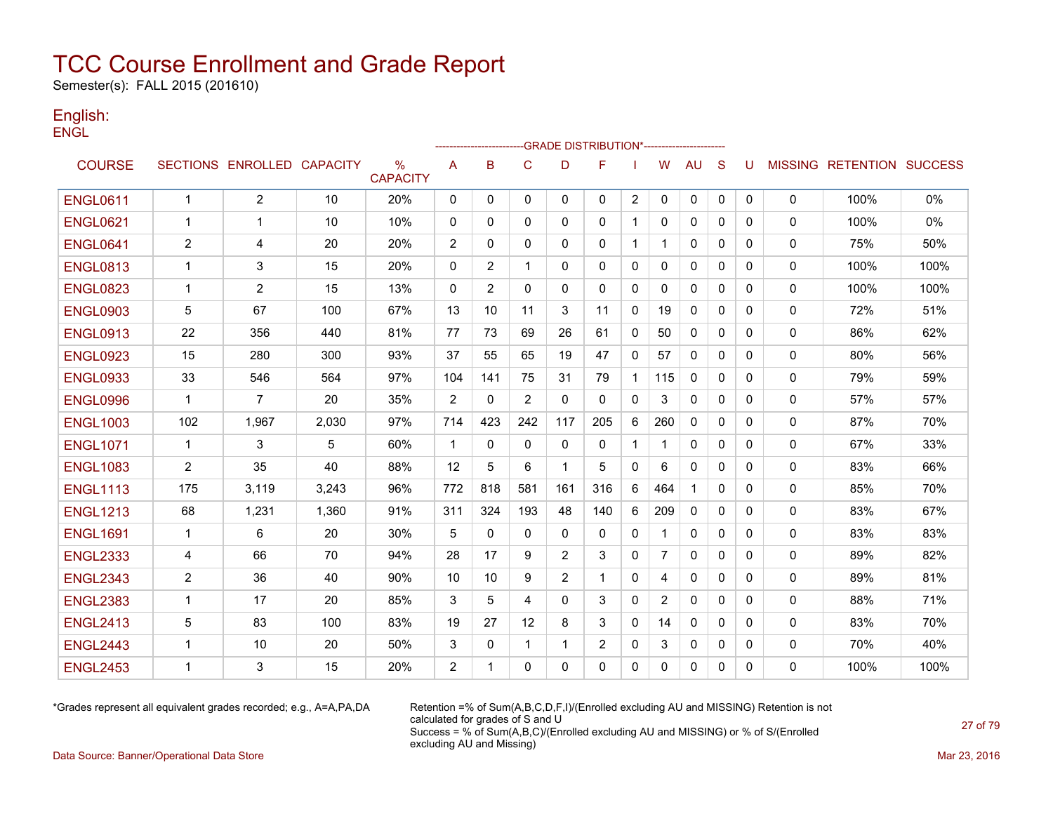Semester(s): FALL 2015 (201610)

### English: **ENGL**

|                 |                |                            |       |                         |                |              |              |              | ------------------------GRADE                DISTRIBUTION*---------------------- |                |                |              |              |              |          |                                  |       |
|-----------------|----------------|----------------------------|-------|-------------------------|----------------|--------------|--------------|--------------|----------------------------------------------------------------------------------|----------------|----------------|--------------|--------------|--------------|----------|----------------------------------|-------|
| <b>COURSE</b>   |                | SECTIONS ENROLLED CAPACITY |       | $\%$<br><b>CAPACITY</b> | A              | B            | $\mathsf{C}$ | D            | F                                                                                |                | W              | <b>AU</b>    | S            | U            |          | <b>MISSING RETENTION SUCCESS</b> |       |
| <b>ENGL0611</b> | $\mathbf{1}$   | $\overline{2}$             | 10    | 20%                     | 0              | 0            | 0            | $\mathbf{0}$ | $\mathbf{0}$                                                                     | $\overline{2}$ | $\Omega$       | 0            | 0            | $\mathbf{0}$ | 0        | 100%                             | $0\%$ |
| <b>ENGL0621</b> | $\mathbf 1$    | 1                          | 10    | 10%                     | 0              | 0            | 0            | 0            | 0                                                                                | 1              | 0              | 0            | 0            | 0            | 0        | 100%                             | 0%    |
| <b>ENGL0641</b> | $\overline{2}$ | 4                          | 20    | 20%                     | 2              | 0            | 0            | $\Omega$     | $\mathbf{0}$                                                                     | 1              |                | 0            | $\mathbf{0}$ | $\mathbf{0}$ | 0        | 75%                              | 50%   |
| <b>ENGL0813</b> | -1             | 3                          | 15    | 20%                     | $\mathbf{0}$   | 2            | $\mathbf 1$  | $\mathbf{0}$ | $\mathbf{0}$                                                                     | $\mathbf{0}$   | 0              | 0            | $\mathbf{0}$ | 0            | 0        | 100%                             | 100%  |
| <b>ENGL0823</b> | $\mathbf 1$    | 2                          | 15    | 13%                     | $\mathbf{0}$   | 2            | $\mathbf{0}$ | $\mathbf{0}$ | $\mathbf{0}$                                                                     | $\mathbf{0}$   | 0              | 0            | $\mathbf{0}$ | 0            | 0        | 100%                             | 100%  |
| <b>ENGL0903</b> | 5              | 67                         | 100   | 67%                     | 13             | 10           | 11           | 3            | 11                                                                               | $\mathbf{0}$   | 19             | 0            | $\mathbf{0}$ | 0            | 0        | 72%                              | 51%   |
| <b>ENGL0913</b> | 22             | 356                        | 440   | 81%                     | 77             | 73           | 69           | 26           | 61                                                                               | 0              | 50             | 0            | $\mathbf{0}$ | $\mathbf{0}$ | 0        | 86%                              | 62%   |
| <b>ENGL0923</b> | 15             | 280                        | 300   | 93%                     | 37             | 55           | 65           | 19           | 47                                                                               | 0              | 57             | $\Omega$     | $\mathbf{0}$ | $\Omega$     | 0        | 80%                              | 56%   |
| <b>ENGL0933</b> | 33             | 546                        | 564   | 97%                     | 104            | 141          | 75           | 31           | 79                                                                               | 1              | 115            | $\Omega$     | $\Omega$     | $\Omega$     | 0        | 79%                              | 59%   |
| <b>ENGL0996</b> | $\mathbf 1$    | 7                          | 20    | 35%                     | $\overline{2}$ | $\mathbf{0}$ | 2            | $\mathbf{0}$ | $\mathbf{0}$                                                                     | $\mathbf{0}$   | 3              | $\Omega$     | $\mathbf{0}$ | $\Omega$     | 0        | 57%                              | 57%   |
| <b>ENGL1003</b> | 102            | 1,967                      | 2,030 | 97%                     | 714            | 423          | 242          | 117          | 205                                                                              | 6              | 260            | $\mathbf{0}$ | $\Omega$     | $\Omega$     | 0        | 87%                              | 70%   |
| <b>ENGL1071</b> | $\mathbf 1$    | 3                          | 5     | 60%                     | $\mathbf{1}$   | 0            | 0            | 0            | 0                                                                                | 1              | 1              | 0            | $\mathbf{0}$ | 0            | 0        | 67%                              | 33%   |
| <b>ENGL1083</b> | $\overline{2}$ | 35                         | 40    | 88%                     | 12             | 5            | 6            | 1            | 5                                                                                | 0              | 6              | 0            | 0            | 0            | 0        | 83%                              | 66%   |
| <b>ENGL1113</b> | 175            | 3,119                      | 3,243 | 96%                     | 772            | 818          | 581          | 161          | 316                                                                              | 6              | 464            | 1            | $\mathbf{0}$ | $\mathbf{0}$ | 0        | 85%                              | 70%   |
| <b>ENGL1213</b> | 68             | 1,231                      | 1,360 | 91%                     | 311            | 324          | 193          | 48           | 140                                                                              | 6              | 209            | $\Omega$     | $\Omega$     | $\Omega$     | 0        | 83%                              | 67%   |
| <b>ENGL1691</b> | $\overline{1}$ | 6                          | 20    | 30%                     | 5              | $\mathbf{0}$ | $\mathbf 0$  | $\mathbf{0}$ | $\mathbf{0}$                                                                     | 0              | 1              | 0            | $\mathbf{0}$ | $\mathbf{0}$ | 0        | 83%                              | 83%   |
| <b>ENGL2333</b> | 4              | 66                         | 70    | 94%                     | 28             | 17           | 9            | 2            | 3                                                                                | $\mathbf{0}$   | $\overline{7}$ | $\Omega$     | $\mathbf{0}$ | $\Omega$     | 0        | 89%                              | 82%   |
| <b>ENGL2343</b> | $\overline{2}$ | 36                         | 40    | 90%                     | 10             | 10           | 9            | 2            | -1                                                                               | 0              | 4              | $\mathbf{0}$ | $\mathbf{0}$ | 0            | 0        | 89%                              | 81%   |
| <b>ENGL2383</b> | $\mathbf{1}$   | 17                         | 20    | 85%                     | 3              | 5            | 4            | $\Omega$     | 3                                                                                | $\mathbf{0}$   | $\overline{2}$ | $\Omega$     | $\Omega$     | $\Omega$     | 0        | 88%                              | 71%   |
| <b>ENGL2413</b> | 5              | 83                         | 100   | 83%                     | 19             | 27           | 12           | 8            | 3                                                                                | 0              | 14             | $\mathbf{0}$ | $\Omega$     | $\Omega$     | 0        | 83%                              | 70%   |
| <b>ENGL2443</b> | 1              | 10                         | 20    | 50%                     | 3              | $\mathbf{0}$ | $\mathbf 1$  | 1            | 2                                                                                | 0              | 3              | 0            | 0            | 0            | 0        | 70%                              | 40%   |
| <b>ENGL2453</b> | -1             | 3                          | 15    | 20%                     | $\overline{2}$ | 1            | $\mathbf{0}$ | $\Omega$     | $\Omega$                                                                         | 0              | 0              | $\mathbf{0}$ | 0            | 0            | $\Omega$ | 100%                             | 100%  |

\*Grades represent all equivalent grades recorded; e.g., A=A,PA,DA Retention =% of Sum(A,B,C,D,F,I)/(Enrolled excluding AU and MISSING) Retention is not calculated for grades of S and U Success = % of Sum(A,B,C)/(Enrolled excluding AU and MISSING) or % of S/(Enrolled excluding AU and Missing)

Data Source: Banner/Operational Data Store Mar 23, 2016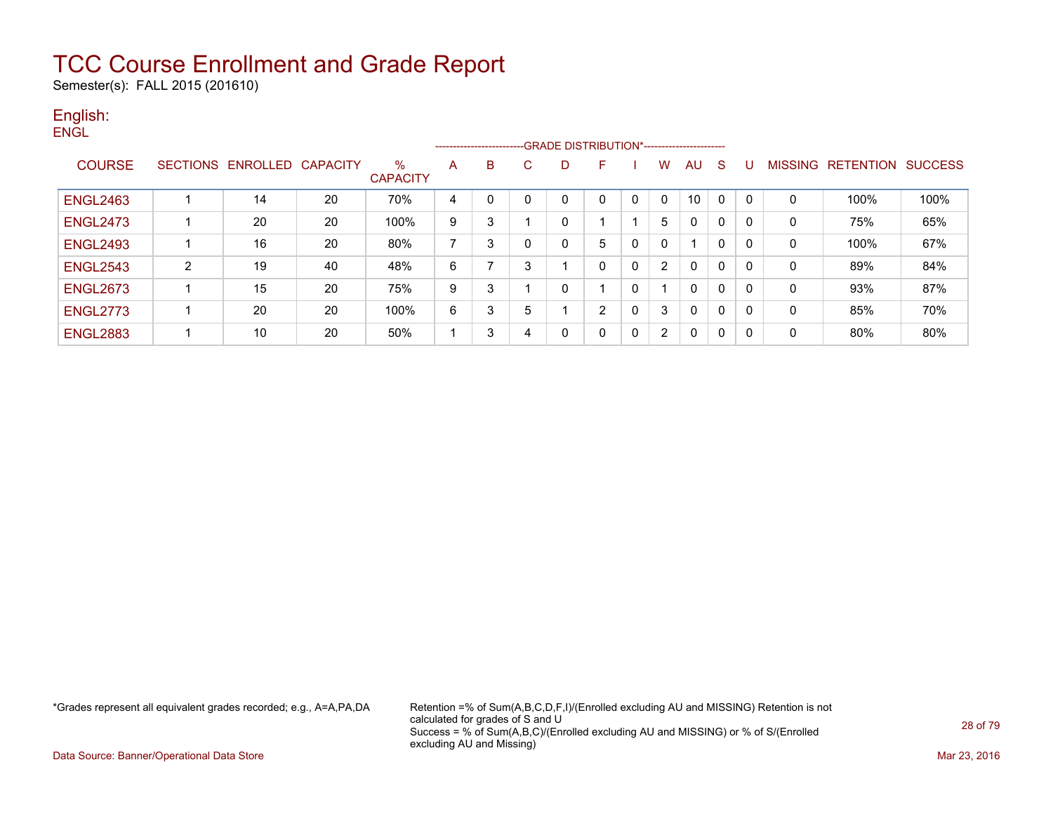Semester(s): FALL 2015 (201610)

### English: **ENGL**

|                 |   |                            |    |                         |                |   | ------------------------GRADE DISTRIBUTION*----------------------- |              |   |              |   |              |   |          |                |                  |                |
|-----------------|---|----------------------------|----|-------------------------|----------------|---|--------------------------------------------------------------------|--------------|---|--------------|---|--------------|---|----------|----------------|------------------|----------------|
| <b>COURSE</b>   |   | SECTIONS ENROLLED CAPACITY |    | $\%$<br><b>CAPACITY</b> | A              | B | C                                                                  | D            | F |              | w | AU           | S |          | <b>MISSING</b> | <b>RETENTION</b> | <b>SUCCESS</b> |
| <b>ENGL2463</b> |   | 14                         | 20 | 70%                     | 4              |   | $\Omega$                                                           |              |   | 0            |   | 10           | 0 | $\Omega$ | 0              | 100%             | 100%           |
| <b>ENGL2473</b> |   | 20                         | 20 | 100%                    | 9              | 3 |                                                                    | 0            |   |              | 5 | 0            | 0 |          | $\mathbf 0$    | 75%              | 65%            |
| <b>ENGL2493</b> |   | 16                         | 20 | 80%                     | $\overline{ }$ | 3 | 0                                                                  | $\mathbf{0}$ | 5 | 0            |   |              | 0 |          | 0              | 100%             | 67%            |
| <b>ENGL2543</b> | 2 | 19                         | 40 | 48%                     | 6              |   | 3                                                                  |              | 0 | 0            | 2 | $\mathbf{0}$ | 0 | 0        | $\mathbf 0$    | 89%              | 84%            |
| <b>ENGL2673</b> |   | 15                         | 20 | 75%                     | 9              | 3 |                                                                    | 0            |   | 0            |   | $\mathbf{0}$ | 0 | 0        | $\mathbf 0$    | 93%              | 87%            |
| <b>ENGL2773</b> |   | 20                         | 20 | 100%                    | 6              | 3 | 5                                                                  |              | 2 | $\mathbf{0}$ | 3 | $\mathbf{0}$ | 0 | 0        | $\mathbf 0$    | 85%              | 70%            |
| <b>ENGL2883</b> |   | 10                         | 20 | 50%                     | ٠              | 3 | 4                                                                  | $\Omega$     | 0 | 0            | 2 | $\mathbf{0}$ | 0 | 0        | $\mathbf 0$    | 80%              | 80%            |

\*Grades represent all equivalent grades recorded; e.g., A=A,PA,DA Retention =% of Sum(A,B,C,D,F,I)/(Enrolled excluding AU and MISSING) Retention is not calculated for grades of S and U Success = % of Sum(A,B,C)/(Enrolled excluding AU and MISSING) or % of S/(Enrolled excluding AU and Missing)

Data Source: Banner/Operational Data Store Mar 23, 2016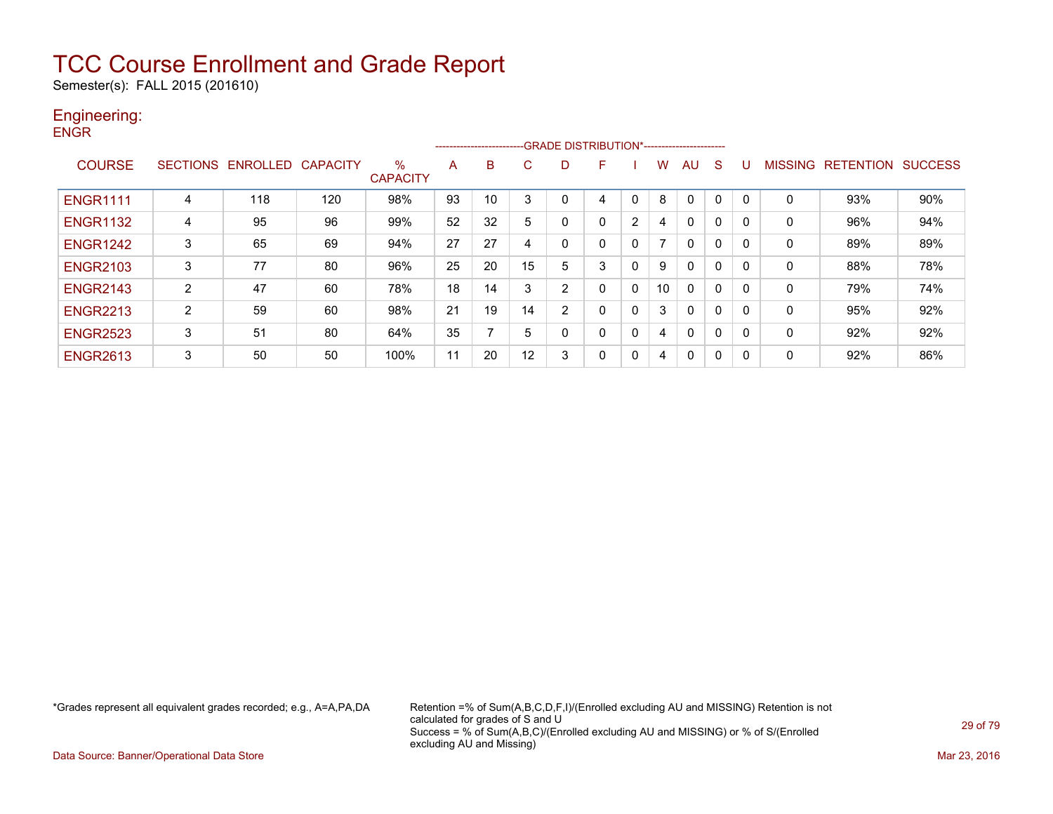Semester(s): FALL 2015 (201610)

### Engineering: **ENGR**

|                 |                |                            |     |                         |    | --------------------------GRADE DISTRIBUTION*----------------------- |    |   |   |              |    |              |              |   |         |                  |                |
|-----------------|----------------|----------------------------|-----|-------------------------|----|----------------------------------------------------------------------|----|---|---|--------------|----|--------------|--------------|---|---------|------------------|----------------|
| <b>COURSE</b>   |                | SECTIONS ENROLLED CAPACITY |     | $\%$<br><b>CAPACITY</b> | A  | B                                                                    | C. | D | F |              | w  | AU           | <sub>S</sub> | U | MISSING | <b>RETENTION</b> | <b>SUCCESS</b> |
| <b>ENGR1111</b> | 4              | 118                        | 120 | 98%                     | 93 | 10                                                                   | 3  |   |   | 0            | 8  | 0            |              | 0 | 0       | 93%              | 90%            |
| <b>ENGR1132</b> | 4              | 95                         | 96  | 99%                     | 52 | 32                                                                   | 5  | 0 |   | 2            | 4  | 0            | $\mathbf 0$  | 0 | 0       | 96%              | 94%            |
| <b>ENGR1242</b> | 3              | 65                         | 69  | 94%                     | 27 | 27                                                                   | 4  | 0 |   | 0            |    | 0            | 0            | 0 | 0       | 89%              | 89%            |
| <b>ENGR2103</b> | 3              | 77                         | 80  | 96%                     | 25 | 20                                                                   | 15 | 5 | 3 | 0            | 9  | 0            | 0            | 0 | 0       | 88%              | 78%            |
| <b>ENGR2143</b> | 2              | 47                         | 60  | 78%                     | 18 | 14                                                                   | 3  | っ |   | $\mathbf 0$  | 10 | 0            | $\Omega$     | 0 | 0       | 79%              | 74%            |
| <b>ENGR2213</b> | $\overline{2}$ | 59                         | 60  | 98%                     | 21 | 19                                                                   | 14 | 2 |   | $\mathbf 0$  | 3  | 0            | $\mathbf 0$  | 0 | 0       | 95%              | 92%            |
| <b>ENGR2523</b> | 3              | 51                         | 80  | 64%                     | 35 |                                                                      | 5  | 0 |   | $\mathbf{0}$ | 4  | 0            | 0            | 0 | 0       | 92%              | 92%            |
| <b>ENGR2613</b> | 3              | 50                         | 50  | 100%                    | 11 | 20                                                                   | 12 | 3 |   | $\mathbf{0}$ | 4  | $\mathbf{0}$ | $\Omega$     | 0 | 0       | 92%              | 86%            |

\*Grades represent all equivalent grades recorded; e.g., A=A,PA,DA Retention =% of Sum(A,B,C,D,F,I)/(Enrolled excluding AU and MISSING) Retention is not calculated for grades of S and U Success = % of Sum(A,B,C)/(Enrolled excluding AU and MISSING) or % of S/(Enrolled excluding AU and Missing)

Data Source: Banner/Operational Data Store Mar 23, 2016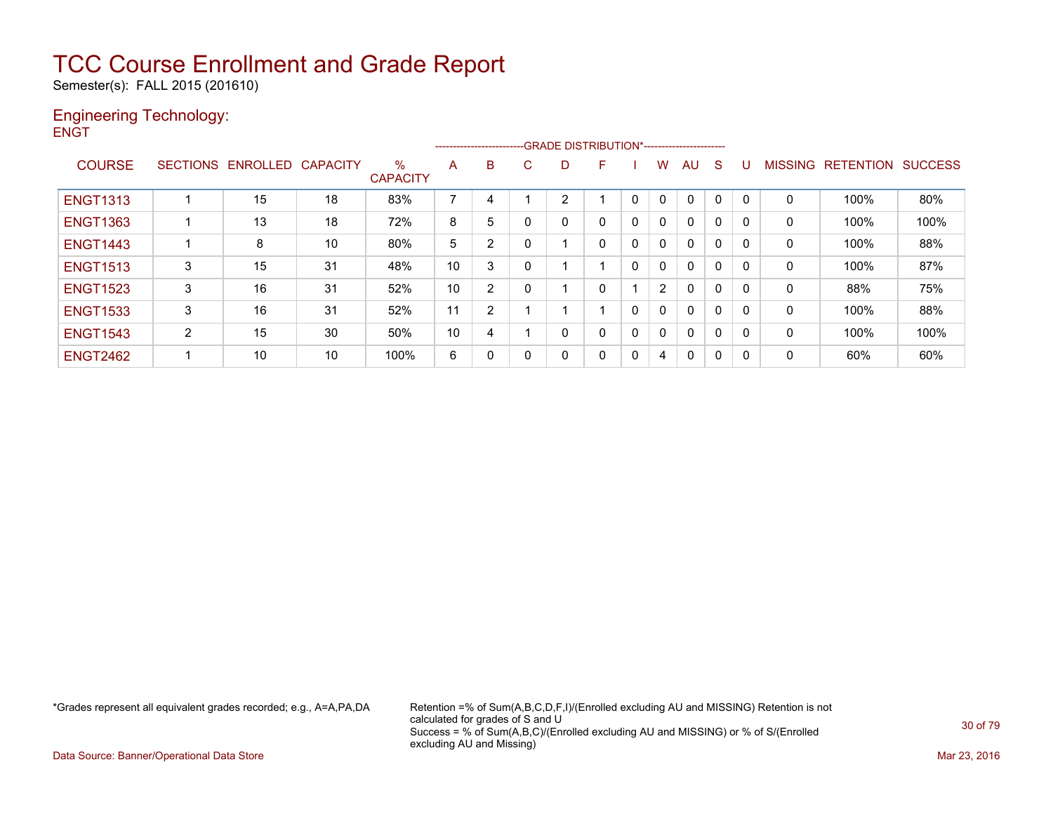Semester(s): FALL 2015 (201610)

#### Engineering Technology: **ENGT**

|                 |                 |                   |    |                         |                | -------------------------- |   |   | -GRADE DISTRIBUTION*----------------------- |              |                |          |          |              |                |                  |                |
|-----------------|-----------------|-------------------|----|-------------------------|----------------|----------------------------|---|---|---------------------------------------------|--------------|----------------|----------|----------|--------------|----------------|------------------|----------------|
| <b>COURSE</b>   | <b>SECTIONS</b> | ENROLLED CAPACITY |    | $\%$<br><b>CAPACITY</b> | A              | B                          | C | D | F                                           |              | w              | AU       | S        |              | <b>MISSING</b> | <b>RETENTION</b> | <b>SUCCESS</b> |
| <b>ENGT1313</b> |                 | 15                | 18 | 83%                     | $\overline{ }$ | 4                          |   | 2 |                                             | $\Omega$     | 0              | $\Omega$ | $\Omega$ | $\Omega$     | 0              | 100%             | 80%            |
| <b>ENGT1363</b> |                 | 13                | 18 | 72%                     | 8              | 5                          | 0 | 0 | 0                                           | $\Omega$     | 0              | 0        | 0        | 0            | 0              | 100%             | 100%           |
| <b>ENGT1443</b> |                 | 8                 | 10 | 80%                     | 5              | 2                          | 0 |   | 0                                           | 0            | 0              | 0        | 0        |              | 0              | 100%             | 88%            |
| <b>ENGT1513</b> | 3               | 15                | 31 | 48%                     | 10             | 3                          | 0 |   |                                             | $\mathbf{0}$ | $\Omega$       | 0        | 0        | $\mathbf{0}$ | 0              | 100%             | 87%            |
| <b>ENGT1523</b> | 3               | 16                | 31 | 52%                     | 10             | 2                          | 0 |   | 0                                           |              | $\overline{2}$ | 0        | 0        | $\Omega$     | 0              | 88%              | 75%            |
| <b>ENGT1533</b> | 3               | 16                | 31 | 52%                     | 11             | 2                          |   |   |                                             | $\mathbf{0}$ | 0              | 0        | 0        | 0            | 0              | 100%             | 88%            |
| <b>ENGT1543</b> | 2               | 15                | 30 | 50%                     | 10             | 4                          |   | 0 | 0                                           | $\mathbf{0}$ | 0              | 0        | $\Omega$ | 0            | $\mathbf{0}$   | 100%             | 100%           |
| <b>ENGT2462</b> |                 | 10                | 10 | 100%                    | 6              | 0                          | 0 | 0 | 0                                           | $\mathbf{0}$ | 4              | 0        | 0        | 0            | 0              | 60%              | 60%            |

\*Grades represent all equivalent grades recorded; e.g., A=A,PA,DA Retention =% of Sum(A,B,C,D,F,I)/(Enrolled excluding AU and MISSING) Retention is not calculated for grades of S and U Success = % of Sum(A,B,C)/(Enrolled excluding AU and MISSING) or % of S/(Enrolled excluding AU and Missing)

Data Source: Banner/Operational Data Store Mar 23, 2016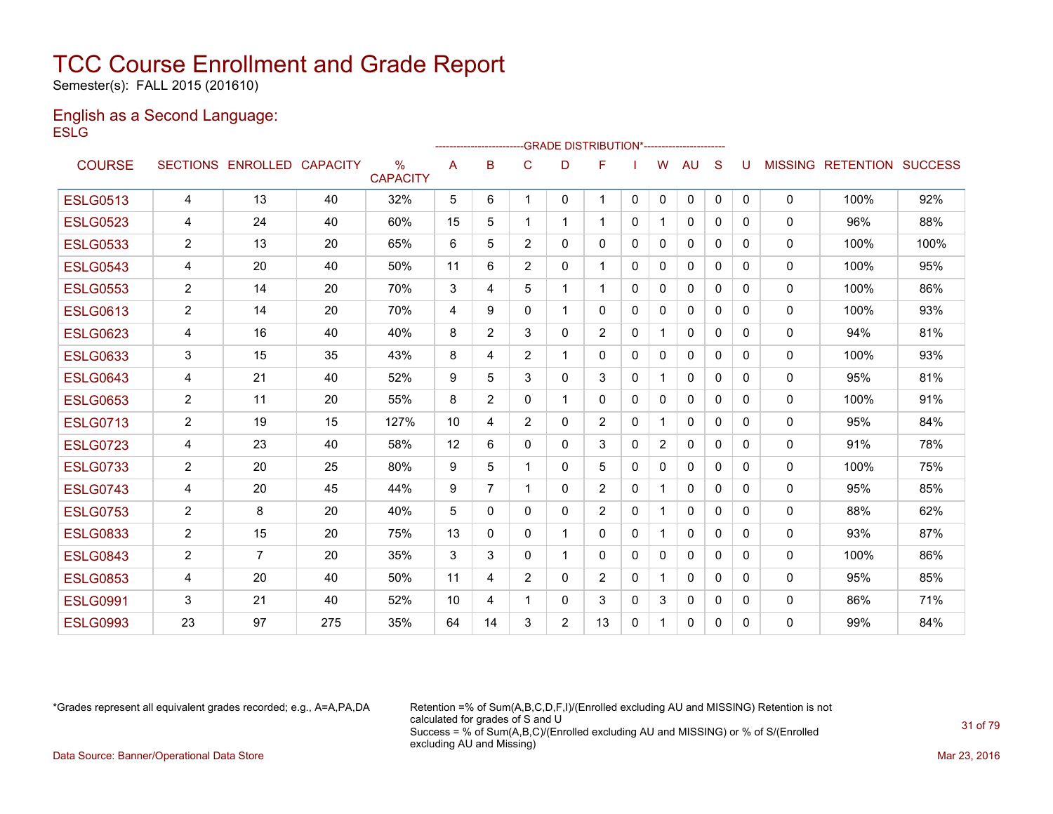Semester(s): FALL 2015 (201610)

#### English as a Second Language: **ESLG**

|                 |                |                            |     |                         |    | ------------------------ |                | -GRADE DISTRIBUTION*---------------------- |                |              |                |              |              |              |              |                                  |      |
|-----------------|----------------|----------------------------|-----|-------------------------|----|--------------------------|----------------|--------------------------------------------|----------------|--------------|----------------|--------------|--------------|--------------|--------------|----------------------------------|------|
| <b>COURSE</b>   |                | SECTIONS ENROLLED CAPACITY |     | $\%$<br><b>CAPACITY</b> | A  | B                        | C              | D                                          | F              |              | W              | <b>AU</b>    | S            |              |              | <b>MISSING RETENTION SUCCESS</b> |      |
| <b>ESLG0513</b> | 4              | 13                         | 40  | 32%                     | 5  | 6                        |                | $\mathbf{0}$                               | $\mathbf 1$    | $\mathbf{0}$ | $\Omega$       | $\mathbf{0}$ | $\mathbf{0}$ | $\mathbf{0}$ | 0            | 100%                             | 92%  |
| <b>ESLG0523</b> | 4              | 24                         | 40  | 60%                     | 15 | 5                        |                | 1                                          | $\mathbf{1}$   | $\Omega$     | -1             | $\mathbf{0}$ | $\Omega$     | $\Omega$     | $\mathbf{0}$ | 96%                              | 88%  |
| <b>ESLG0533</b> | $\overline{2}$ | 13                         | 20  | 65%                     | 6  | 5                        | $\overline{2}$ | 0                                          | 0              | $\Omega$     | $\Omega$       | $\mathbf{0}$ | $\Omega$     | 0            | 0            | 100%                             | 100% |
| <b>ESLG0543</b> | 4              | 20                         | 40  | 50%                     | 11 | 6                        | $\overline{2}$ | $\Omega$                                   | 1              | $\mathbf{0}$ | $\Omega$       | $\Omega$     | $\mathbf{0}$ | 0            | 0            | 100%                             | 95%  |
| <b>ESLG0553</b> | 2              | 14                         | 20  | 70%                     | 3  | 4                        | 5              | 1                                          | 1              | $\mathbf{0}$ | $\mathbf{0}$   | $\mathbf{0}$ | $\Omega$     | $\Omega$     | $\mathbf{0}$ | 100%                             | 86%  |
| <b>ESLG0613</b> | $\overline{2}$ | 14                         | 20  | 70%                     | 4  | 9                        | $\Omega$       | 1                                          | 0              | $\Omega$     | $\Omega$       | 0            | $\Omega$     | $\Omega$     | 0            | 100%                             | 93%  |
| <b>ESLG0623</b> | 4              | 16                         | 40  | 40%                     | 8  | $\overline{2}$           | 3              | 0                                          | $\overline{2}$ | $\mathbf{0}$ | 1              | $\mathbf{0}$ | $\Omega$     | 0            | 0            | 94%                              | 81%  |
| <b>ESLG0633</b> | 3              | 15                         | 35  | 43%                     | 8  | 4                        | $\overline{2}$ | 1                                          | 0              | $\Omega$     | $\mathbf{0}$   | $\Omega$     | $\Omega$     | 0            | 0            | 100%                             | 93%  |
| <b>ESLG0643</b> | 4              | 21                         | 40  | 52%                     | 9  | 5                        | 3              | 0                                          | 3              | $\mathbf{0}$ | $\mathbf{1}$   | $\mathbf{0}$ | $\Omega$     | $\Omega$     | $\mathbf{0}$ | 95%                              | 81%  |
| <b>ESLG0653</b> | 2              | 11                         | 20  | 55%                     | 8  | $\overline{2}$           | 0              | 1                                          | 0              | $\Omega$     | 0              | 0            | $\Omega$     | $\Omega$     | $\mathbf{0}$ | 100%                             | 91%  |
| <b>ESLG0713</b> | 2              | 19                         | 15  | 127%                    | 10 | 4                        | $\overline{2}$ | 0                                          | 2              | $\mathbf{0}$ |                | $\mathbf{0}$ | $\Omega$     | 0            | 0            | 95%                              | 84%  |
| <b>ESLG0723</b> | 4              | 23                         | 40  | 58%                     | 12 | 6                        | 0              | $\Omega$                                   | 3              | $\Omega$     | $\overline{2}$ | $\Omega$     | $\Omega$     | $\Omega$     | 0            | 91%                              | 78%  |
| <b>ESLG0733</b> | 2              | 20                         | 25  | 80%                     | 9  | 5                        |                | 0                                          | 5              | $\mathbf{0}$ | 0              | 0            | $\Omega$     | $\Omega$     | $\mathbf{0}$ | 100%                             | 75%  |
| <b>ESLG0743</b> | 4              | 20                         | 45  | 44%                     | 9  | 7                        |                | 0                                          | $\overline{2}$ | $\mathbf{0}$ | 1              | 0            | $\Omega$     | 0            | 0            | 95%                              | 85%  |
| <b>ESLG0753</b> | 2              | 8                          | 20  | 40%                     | 5  | 0                        | $\Omega$       | 0                                          | $\overline{2}$ | $\Omega$     | $\mathbf{1}$   | $\mathbf{0}$ | $\Omega$     | 0            | 0            | 88%                              | 62%  |
| <b>ESLG0833</b> | $\overline{2}$ | 15                         | 20  | 75%                     | 13 | 0                        | 0              |                                            | 0              | $\mathbf{0}$ |                | $\mathbf{0}$ | $\Omega$     | 0            | 0            | 93%                              | 87%  |
| <b>ESLG0843</b> | 2              | $\overline{7}$             | 20  | 35%                     | 3  | 3                        | 0              | $\mathbf{1}$                               | 0              | $\mathbf{0}$ | $\Omega$       | $\mathbf{0}$ | $\mathbf{0}$ | 0            | $\mathbf{0}$ | 100%                             | 86%  |
| <b>ESLG0853</b> | 4              | 20                         | 40  | 50%                     | 11 | 4                        | $\overline{2}$ | 0                                          | $\overline{2}$ | $\Omega$     |                | $\mathbf{0}$ | $\Omega$     | $\Omega$     | 0            | 95%                              | 85%  |
| <b>ESLG0991</b> | 3              | 21                         | 40  | 52%                     | 10 | 4                        |                | 0                                          | 3              | $\Omega$     | 3              | $\mathbf{0}$ | $\Omega$     | 0            | 0            | 86%                              | 71%  |
| <b>ESLG0993</b> | 23             | 97                         | 275 | 35%                     | 64 | 14                       | 3              | $\overline{2}$                             | 13             | $\mathbf{0}$ | 1.             | $\mathbf{0}$ | $\Omega$     | 0            | 0            | 99%                              | 84%  |
|                 |                |                            |     |                         |    |                          |                |                                            |                |              |                |              |              |              |              |                                  |      |

\*Grades represent all equivalent grades recorded; e.g., A=A,PA,DA Retention =% of Sum(A,B,C,D,F,I)/(Enrolled excluding AU and MISSING) Retention is not calculated for grades of S and U Success = % of Sum(A,B,C)/(Enrolled excluding AU and MISSING) or % of S/(Enrolled excluding AU and Missing) Data Source: Banner/Operational Data Store Mar 23, 2016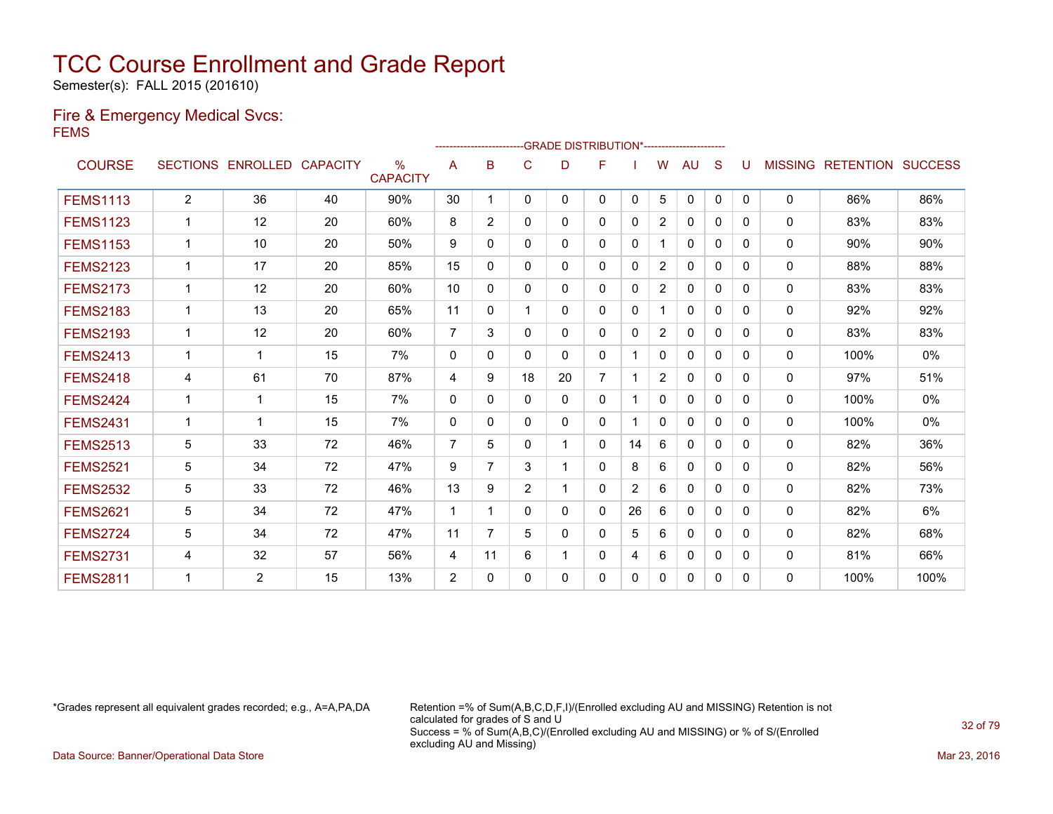Semester(s): FALL 2015 (201610)

### Fire & Emergency Medical Svcs: FEMS

|                 |                |                   |                 |                                  |                | ------------------------ |                | --GRADE DISTRIBUTION*---------------------- |                |                |                |              |              |          |                |                          |       |
|-----------------|----------------|-------------------|-----------------|----------------------------------|----------------|--------------------------|----------------|---------------------------------------------|----------------|----------------|----------------|--------------|--------------|----------|----------------|--------------------------|-------|
| <b>COURSE</b>   |                | SECTIONS ENROLLED | <b>CAPACITY</b> | $\frac{9}{6}$<br><b>CAPACITY</b> | A              | B                        | $\mathsf{C}$   | D                                           | F              |                | W              | AU           | S            |          | <b>MISSING</b> | <b>RETENTION SUCCESS</b> |       |
| <b>FEMS1113</b> | $\overline{2}$ | 36                | 40              | 90%                              | 30             | 1                        | $\mathbf{0}$   | 0                                           | 0              | $\mathbf{0}$   | 5              | $\mathbf{0}$ | $\mathbf{0}$ | $\Omega$ | 0              | 86%                      | 86%   |
| <b>FEMS1123</b> |                | 12                | 20              | 60%                              | 8              | $\overline{2}$           | $\Omega$       | $\Omega$                                    | 0              | $\Omega$       | $\overline{2}$ | $\Omega$     | $\Omega$     | 0        | $\mathbf{0}$   | 83%                      | 83%   |
| <b>FEMS1153</b> | $\mathbf 1$    | 10                | 20              | 50%                              | 9              | 0                        | 0              | 0                                           | 0              | $\Omega$       |                | $\Omega$     | $\Omega$     | $\Omega$ | $\Omega$       | 90%                      | 90%   |
| <b>FEMS2123</b> | $\mathbf{1}$   | 17                | 20              | 85%                              | 15             | 0                        | 0              | 0                                           | 0              | 0              | $\overline{2}$ | 0            | 0            | 0        | 0              | 88%                      | 88%   |
| <b>FEMS2173</b> | $\mathbf{1}$   | 12                | 20              | 60%                              | 10             | 0                        | $\Omega$       | 0                                           | 0              | 0              | $\overline{2}$ | $\mathbf{0}$ | $\Omega$     | 0        | 0              | 83%                      | 83%   |
| <b>FEMS2183</b> |                | 13                | 20              | 65%                              | 11             | $\mathbf{0}$             |                | $\Omega$                                    | 0              | $\Omega$       |                | $\Omega$     | $\Omega$     | $\Omega$ | $\mathbf{0}$   | 92%                      | 92%   |
| <b>FEMS2193</b> | $\mathbf{1}$   | 12                | 20              | 60%                              | $\overline{7}$ | 3                        | $\Omega$       | 0                                           | 0              | $\Omega$       | $\overline{2}$ | $\mathbf{0}$ | $\Omega$     | $\Omega$ | 0              | 83%                      | 83%   |
| <b>FEMS2413</b> | 1              | 1                 | 15              | 7%                               | $\Omega$       | 0                        | $\Omega$       | $\Omega$                                    | 0              |                | 0              | 0            | $\Omega$     | 0        | 0              | 100%                     | $0\%$ |
| <b>FEMS2418</b> | 4              | 61                | 70              | 87%                              | 4              | 9                        | 18             | 20                                          | $\overline{7}$ |                | $\overline{2}$ | $\mathbf{0}$ | $\Omega$     | $\Omega$ | 0              | 97%                      | 51%   |
| <b>FEMS2424</b> | $\mathbf 1$    | 1                 | 15              | 7%                               | $\mathbf{0}$   | 0                        | $\Omega$       | 0                                           | 0              |                | 0              | $\Omega$     | $\Omega$     | $\Omega$ | $\mathbf{0}$   | 100%                     | $0\%$ |
| <b>FEMS2431</b> | $\mathbf{1}$   | 1                 | 15              | 7%                               | $\mathbf{0}$   | 0                        | 0              | 0                                           | 0              |                | 0              | $\mathbf{0}$ | 0            | 0        | $\Omega$       | 100%                     | 0%    |
| <b>FEMS2513</b> | 5              | 33                | 72              | 46%                              | $\overline{7}$ | 5                        | 0              | 1.                                          | 0              | 14             | 6              | 0            | 0            | 0        | $\mathbf{0}$   | 82%                      | 36%   |
| <b>FEMS2521</b> | 5              | 34                | 72              | 47%                              | 9              | 7                        | 3              |                                             | 0              | 8              | 6              | $\mathbf{0}$ | $\Omega$     | 0        | $\mathbf{0}$   | 82%                      | 56%   |
| <b>FEMS2532</b> | 5              | 33                | 72              | 46%                              | 13             | 9                        | $\overline{2}$ | 1                                           | 0              | $\overline{2}$ | 6              | $\mathbf{0}$ | $\Omega$     | 0        | $\mathbf 0$    | 82%                      | 73%   |
| <b>FEMS2621</b> | 5              | 34                | 72              | 47%                              | -1             | 1                        | 0              | $\Omega$                                    | 0              | 26             | 6              | $\Omega$     | $\Omega$     | 0        | 0              | 82%                      | 6%    |
| <b>FEMS2724</b> | 5              | 34                | 72              | 47%                              | 11             | 7                        | 5              | 0                                           | 0              | 5              | 6              | $\mathbf{0}$ | $\Omega$     | 0        | $\mathbf{0}$   | 82%                      | 68%   |
| <b>FEMS2731</b> | 4              | 32                | 57              | 56%                              | 4              | 11                       | 6              |                                             | 0              | 4              | 6              | 0            | $\Omega$     | $\Omega$ | 0              | 81%                      | 66%   |
| <b>FEMS2811</b> |                | $\overline{2}$    | 15              | 13%                              | $\overline{2}$ | 0                        | $\Omega$       | 0                                           | 0              | 0              | $\mathbf{0}$   | $\mathbf{0}$ | $\mathbf{0}$ | $\Omega$ | 0              | 100%                     | 100%  |

\*Grades represent all equivalent grades recorded; e.g., A=A,PA,DA Retention =% of Sum(A,B,C,D,F,I)/(Enrolled excluding AU and MISSING) Retention is not calculated for grades of S and U Success = % of Sum(A,B,C)/(Enrolled excluding AU and MISSING) or % of S/(Enrolled excluding AU and Missing)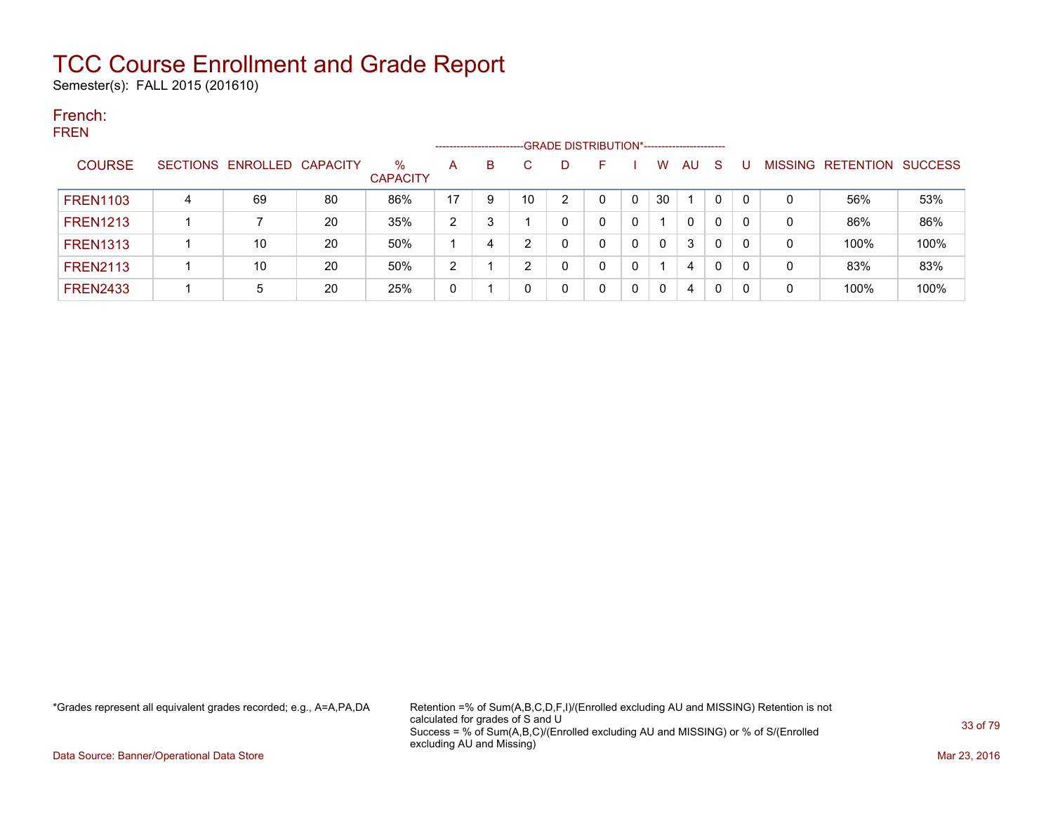Semester(s): FALL 2015 (201610)

#### French: FREN

|                 |   |                            |    |                         |                | ------------------------ |    |   | -GRADE DISTRIBUTION*----------------------- |   |          |    |          |    |                |           |                |
|-----------------|---|----------------------------|----|-------------------------|----------------|--------------------------|----|---|---------------------------------------------|---|----------|----|----------|----|----------------|-----------|----------------|
| <b>COURSE</b>   |   | SECTIONS ENROLLED CAPACITY |    | $\%$<br><b>CAPACITY</b> | A              | В                        |    | D |                                             |   | W        | AU | -S       |    | <b>MISSING</b> | RETENTION | <b>SUCCESS</b> |
| <b>FREN1103</b> | 4 | 69                         | 80 | 86%                     | 17             | 9                        | 10 | 2 |                                             | 0 | 30       |    | $\Omega$ |    | 0              | 56%       | 53%            |
| <b>FREN1213</b> |   |                            | 20 | 35%                     | $\overline{2}$ |                          |    | 0 |                                             | 0 |          | 0  | 0        | -0 | 0              | 86%       | 86%            |
| <b>FREN1313</b> |   | 10                         | 20 | 50%                     |                | 4                        | ົ  | 0 | 0                                           | 0 | $\Omega$ | 3  | 0        | -0 | 0              | 100%      | 100%           |
| <b>FREN2113</b> |   | 10                         | 20 | 50%                     | $\mathcal{D}$  |                          | ◠  | 0 | 0                                           | 0 |          | 4  | 0        | -0 | 0              | 83%       | 83%            |
| <b>FREN2433</b> |   | 5                          | 20 | 25%                     | 0              |                          |    | 0 |                                             | 0 | $\Omega$ | 4  | 0        | -0 | 0              | 100%      | 100%           |

\*Grades represent all equivalent grades recorded; e.g., A=A,PA,DA Retention =% of Sum(A,B,C,D,F,I)/(Enrolled excluding AU and MISSING) Retention is not calculated for grades of S and U Success = % of Sum(A,B,C)/(Enrolled excluding AU and MISSING) or % of S/(Enrolled excluding AU and Missing)

Data Source: Banner/Operational Data Store Mar 23, 2016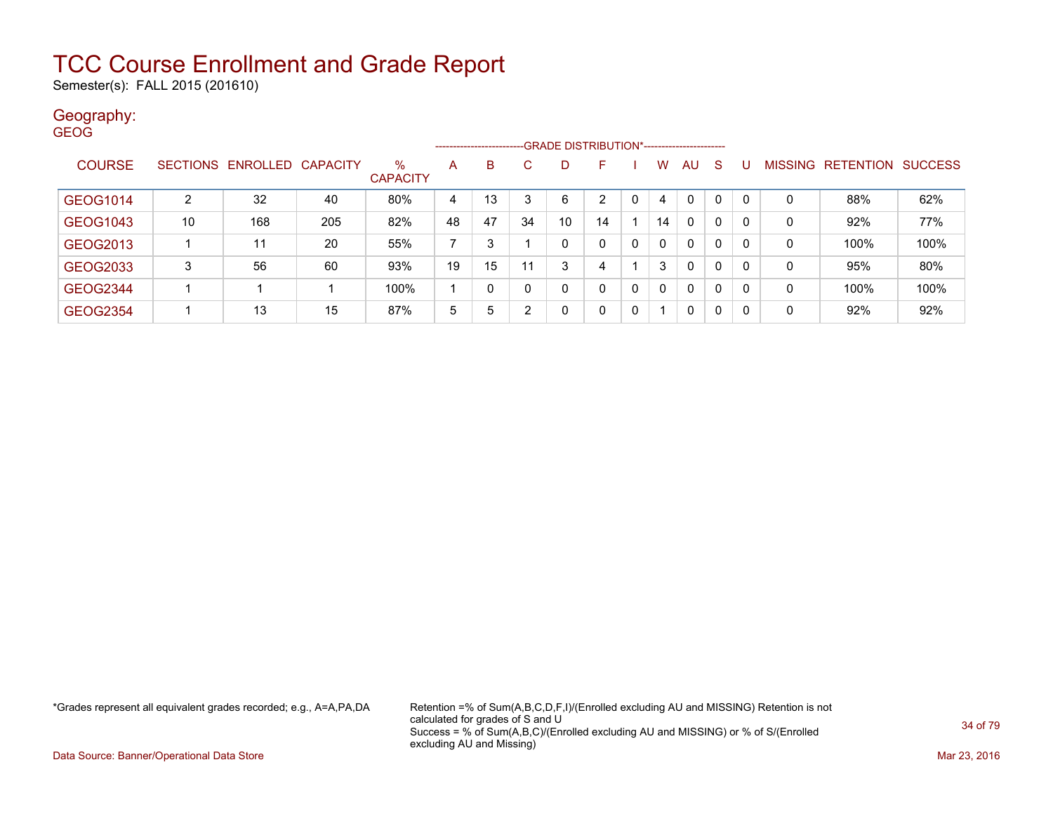Semester(s): FALL 2015 (201610)

### Geography:

| <b>GEOG</b>     |                 |                   |     |                         |    | --------------------- |     | -GRADE DISTRIBUTION*----------------------- |    |              |          |              |              |              |                |                  |                |
|-----------------|-----------------|-------------------|-----|-------------------------|----|-----------------------|-----|---------------------------------------------|----|--------------|----------|--------------|--------------|--------------|----------------|------------------|----------------|
| <b>COURSE</b>   | <b>SECTIONS</b> | ENROLLED CAPACITY |     | $\%$<br><b>CAPACITY</b> | A  | B.                    | C   | D                                           | F  |              | W        | AU           | -S           |              | <b>MISSING</b> | <b>RETENTION</b> | <b>SUCCESS</b> |
| GEOG1014        | 2               | 32                | 40  | 80%                     | 4  | 13                    |     | 6                                           | 2  | 0            | 4        | $\mathbf{0}$ | 0            | $\Omega$     | 0              | 88%              | 62%            |
| <b>GEOG1043</b> | 10              | 168               | 205 | 82%                     | 48 | 47                    | 34  | 10                                          | 14 |              | 14       | $\mathbf{0}$ | 0            | 0            | 0              | 92%              | 77%            |
| GEOG2013        |                 | 11                | 20  | 55%                     |    | 3                     |     | 0                                           | 0  | 0            | $\Omega$ | $\mathbf{0}$ | 0            | 0            | 0              | 100%             | 100%           |
| GEOG2033        | 3               | 56                | 60  | 93%                     | 19 | 15                    | -11 | 3                                           | 4  |              | 3        | $\mathbf{0}$ | 0            | $\mathbf{0}$ | 0              | 95%              | 80%            |
| GEOG2344        |                 |                   |     | 100%                    |    | 0                     | 0   | 0                                           | 0  | $\mathbf{0}$ | $\Omega$ | $\mathbf{0}$ | $\mathbf{0}$ | - 0          | 0              | 100%             | 100%           |
| GEOG2354        |                 | 13                | 15  | 87%                     | 5  | 5                     | ົ   | 0                                           | 0  | 0            |          | 0            | 0            | 0            | 0              | 92%              | 92%            |

\*Grades represent all equivalent grades recorded; e.g., A=A,PA,DA Retention =% of Sum(A,B,C,D,F,I)/(Enrolled excluding AU and MISSING) Retention is not calculated for grades of S and U Success = % of Sum(A,B,C)/(Enrolled excluding AU and MISSING) or % of S/(Enrolled excluding AU and Missing)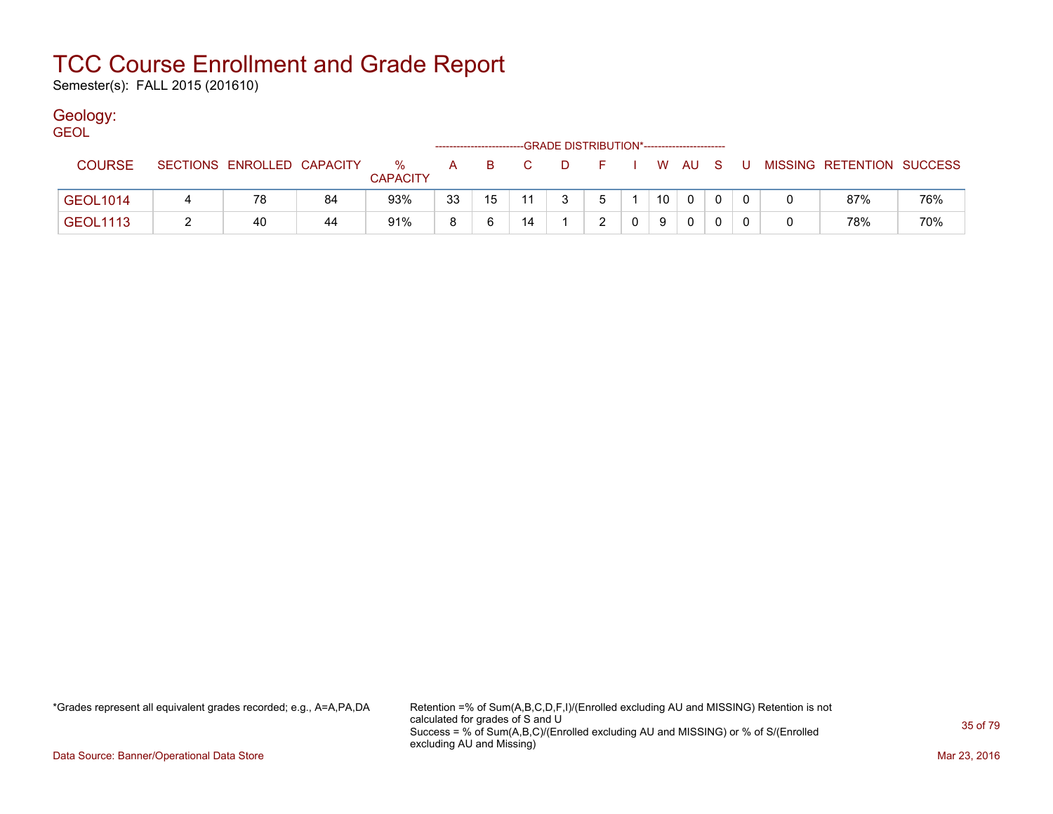Semester(s): FALL 2015 (201610)

### Geology:

| <b>GEOL</b>     |                            |    |                      |    |    |      | -GRADE DISTRIBUTION*----------------------- |                 |              |              |    |   |                           |     |
|-----------------|----------------------------|----|----------------------|----|----|------|---------------------------------------------|-----------------|--------------|--------------|----|---|---------------------------|-----|
| <b>COURSE</b>   | SECTIONS ENROLLED CAPACITY |    | %<br><b>CAPACITY</b> | A  | -B | $-C$ | - F                                         |                 | W AU S       |              | -U |   | MISSING RETENTION SUCCESS |     |
| <b>GEOL1014</b> | 78                         | 84 | 93%                  | 33 | 15 |      | 5                                           | 10 <sub>1</sub> | $\mathbf{0}$ | $\Omega$     |    |   | 87%                       | 76% |
| <b>GEOL1113</b> | 40                         | 44 | 91%                  |    | 6  | 14   |                                             | 9               |              | $\mathbf{0}$ |    | 0 | 78%                       | 70% |

\*Grades represent all equivalent grades recorded; e.g., A=A,PA,DA Retention =% of Sum(A,B,C,D,F,I)/(Enrolled excluding AU and MISSING) Retention is not calculated for grades of S and U Success = % of Sum(A,B,C)/(Enrolled excluding AU and MISSING) or % of S/(Enrolled excluding AU and Missing)

Data Source: Banner/Operational Data Store Mar 23, 2016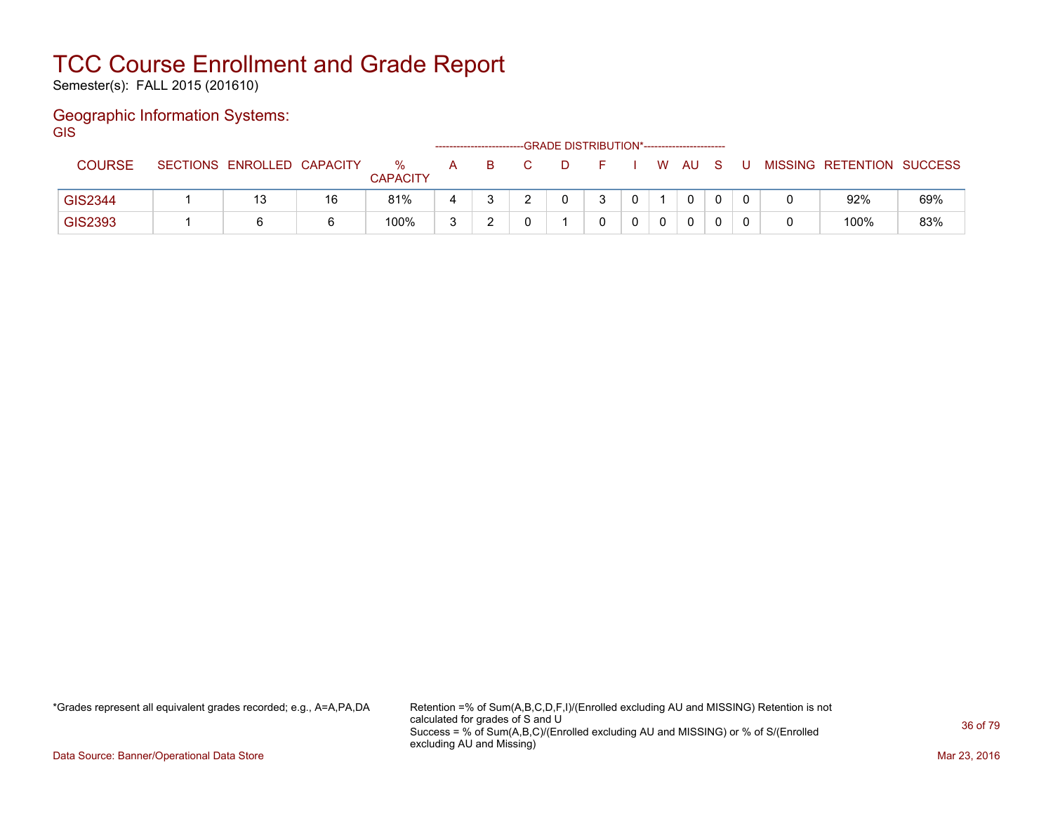Semester(s): FALL 2015 (201610)

#### Geographic Information Systems: GIS

| - -           | -GRADE DISTRIBUTION*-----------------------<br>------------------------- |                            |    |                      |   |    |  |  |   |  |  |      |     |   |                           |     |
|---------------|--------------------------------------------------------------------------|----------------------------|----|----------------------|---|----|--|--|---|--|--|------|-----|---|---------------------------|-----|
| <b>COURSE</b> |                                                                          | SECTIONS ENROLLED CAPACITY |    | %<br><b>CAPACITY</b> | A | B. |  |  |   |  |  | W AU | - S | U | MISSING RETENTION SUCCESS |     |
| GIS2344       |                                                                          |                            | 16 | 81%                  | 4 |    |  |  | າ |  |  | 0    |     |   | 92%                       | 69% |
| GIS2393       |                                                                          |                            |    | 100%                 |   |    |  |  |   |  |  | 0    |     |   | 100%                      | 83% |

\*Grades represent all equivalent grades recorded; e.g., A=A,PA,DA Retention =% of Sum(A,B,C,D,F,I)/(Enrolled excluding AU and MISSING) Retention is not calculated for grades of S and U Success = % of Sum(A,B,C)/(Enrolled excluding AU and MISSING) or % of S/(Enrolled excluding AU and Missing)

Data Source: Banner/Operational Data Store Mar 23, 2016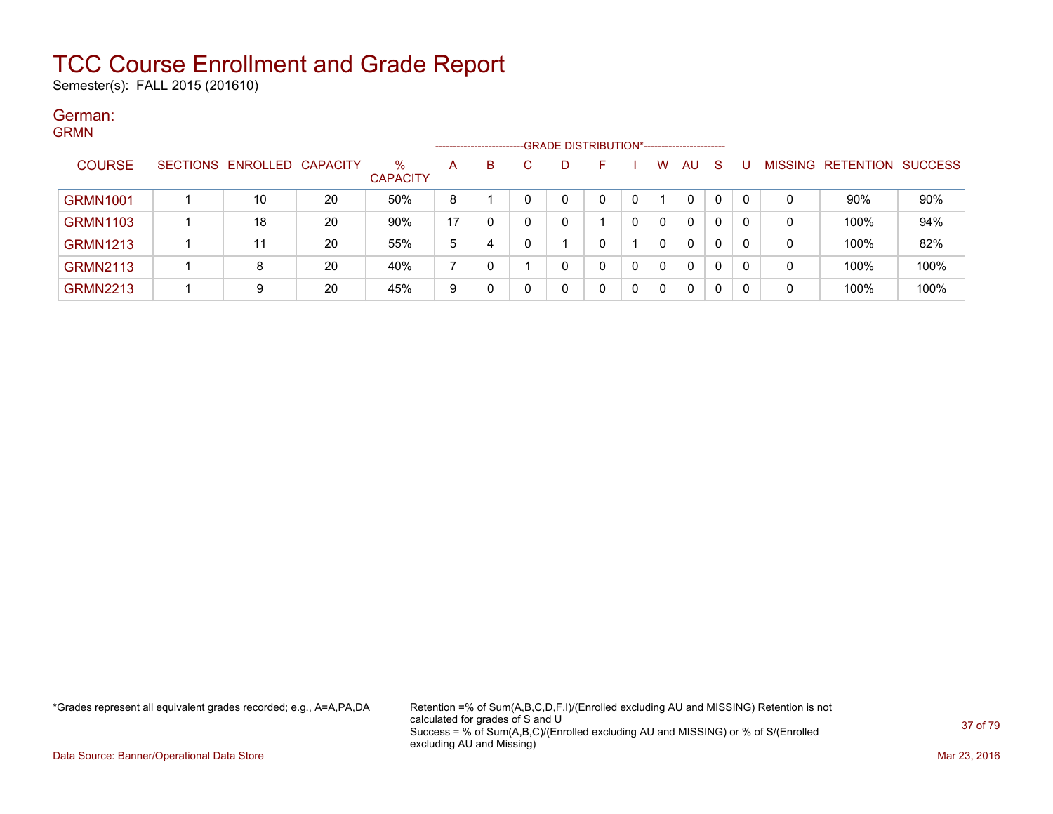Semester(s): FALL 2015 (201610)

#### German: GRMN

| ------          |                            |    |                         |    |   |              | ------------------------GRADE DISTRIBUTION*----------------------- |   |   |          |           |              |                |                          |      |
|-----------------|----------------------------|----|-------------------------|----|---|--------------|--------------------------------------------------------------------|---|---|----------|-----------|--------------|----------------|--------------------------|------|
| <b>COURSE</b>   | SECTIONS ENROLLED CAPACITY |    | $\%$<br><b>CAPACITY</b> | A  | B | C            | D                                                                  |   |   | W        | <b>AU</b> | <sub>S</sub> | <b>MISSING</b> | <b>RETENTION SUCCESS</b> |      |
| <b>GRMN1001</b> | 10                         | 20 | 50%                     | 8  |   | <sup>n</sup> | 0                                                                  | 0 | 0 |          | 0         | 0            | 0              | 90%                      | 90%  |
| <b>GRMN1103</b> | 18                         | 20 | 90%                     | 17 |   |              | 0                                                                  |   |   | $\Omega$ | 0         | 0            | 0              | 100%                     | 94%  |
| <b>GRMN1213</b> | 11                         | 20 | 55%                     | 5  | 4 |              |                                                                    |   |   | $\Omega$ | 0         | 0            | 0              | 100%                     | 82%  |
| <b>GRMN2113</b> | 8                          | 20 | 40%                     |    |   |              | 0                                                                  | 0 |   | $\Omega$ | 0         | 0            | 0              | 100%                     | 100% |
| <b>GRMN2213</b> | 9                          | 20 | 45%                     | 9  |   |              | 0                                                                  |   |   | $\Omega$ | 0         | 0            | 0              | 100%                     | 100% |

\*Grades represent all equivalent grades recorded; e.g., A=A,PA,DA Retention =% of Sum(A,B,C,D,F,I)/(Enrolled excluding AU and MISSING) Retention is not calculated for grades of S and U Success = % of Sum(A,B,C)/(Enrolled excluding AU and MISSING) or % of S/(Enrolled excluding AU and Missing)

Data Source: Banner/Operational Data Store Mar 23, 2016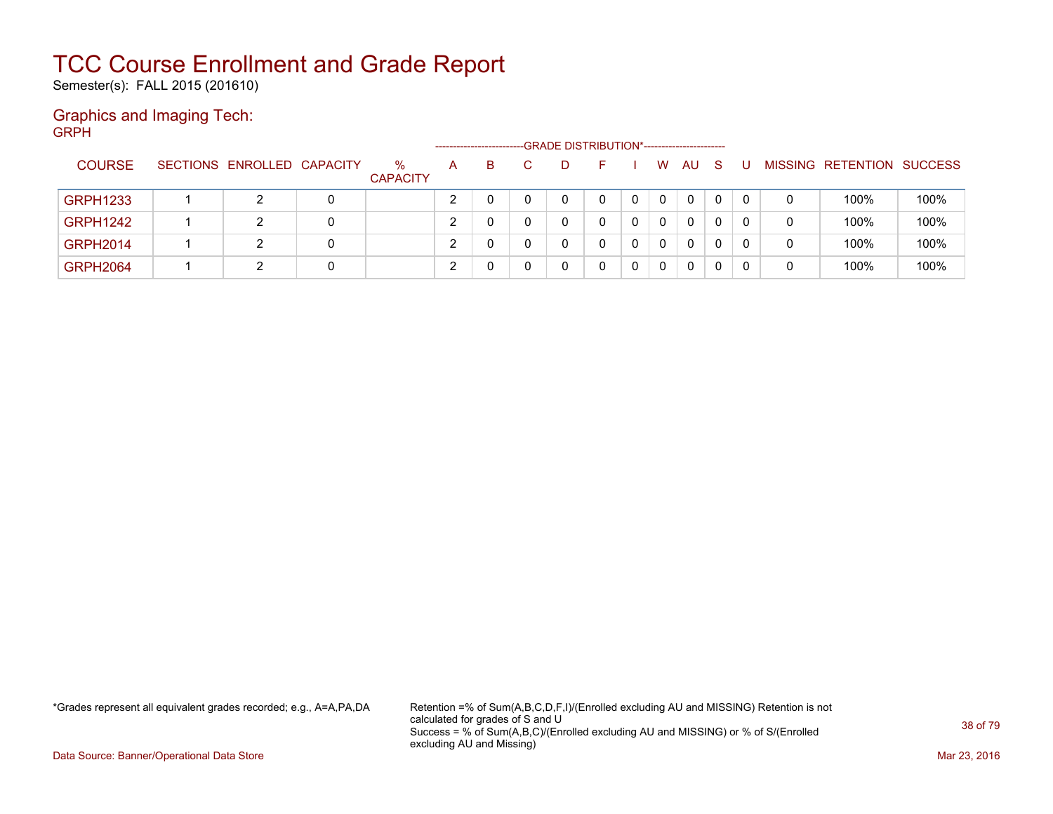Semester(s): FALL 2015 (201610)

#### Graphics and Imaging Tech: GRPH

| - - - - -       |                            |   |                      | ------------------- |    |              | -GRADE DISTRIBUTION*----------------------- |   |          |          |    |     |   |                   |                |
|-----------------|----------------------------|---|----------------------|---------------------|----|--------------|---------------------------------------------|---|----------|----------|----|-----|---|-------------------|----------------|
| <b>COURSE</b>   | SECTIONS ENROLLED CAPACITY |   | %<br><b>CAPACITY</b> | A                   | B. | D.           | F.                                          |   | W        | AU       | -S |     |   | MISSING RETENTION | <b>SUCCESS</b> |
| <b>GRPH1233</b> | 2                          | 0 |                      |                     |    |              |                                             | 0 | $\Omega$ | $\Omega$ | 0  | 0   | 0 | 100%              | 100%           |
| <b>GRPH1242</b> | 2                          | 0 |                      |                     |    | <sup>n</sup> |                                             | 0 | $\Omega$ | $\Omega$ | 0  | 0   | 0 | 100%              | 100%           |
| <b>GRPH2014</b> | 2                          | 0 |                      |                     |    |              |                                             |   | $\Omega$ | $\Omega$ | 0  | 0   | 0 | 100%              | 100%           |
| <b>GRPH2064</b> | າ                          | 0 |                      |                     |    |              |                                             |   | 0        | 0        | 0  | - 0 | 0 | 100%              | 100%           |

\*Grades represent all equivalent grades recorded; e.g., A=A,PA,DA Retention =% of Sum(A,B,C,D,F,I)/(Enrolled excluding AU and MISSING) Retention is not calculated for grades of S and U Success = % of Sum(A,B,C)/(Enrolled excluding AU and MISSING) or % of S/(Enrolled excluding AU and Missing)

Data Source: Banner/Operational Data Store Mar 23, 2016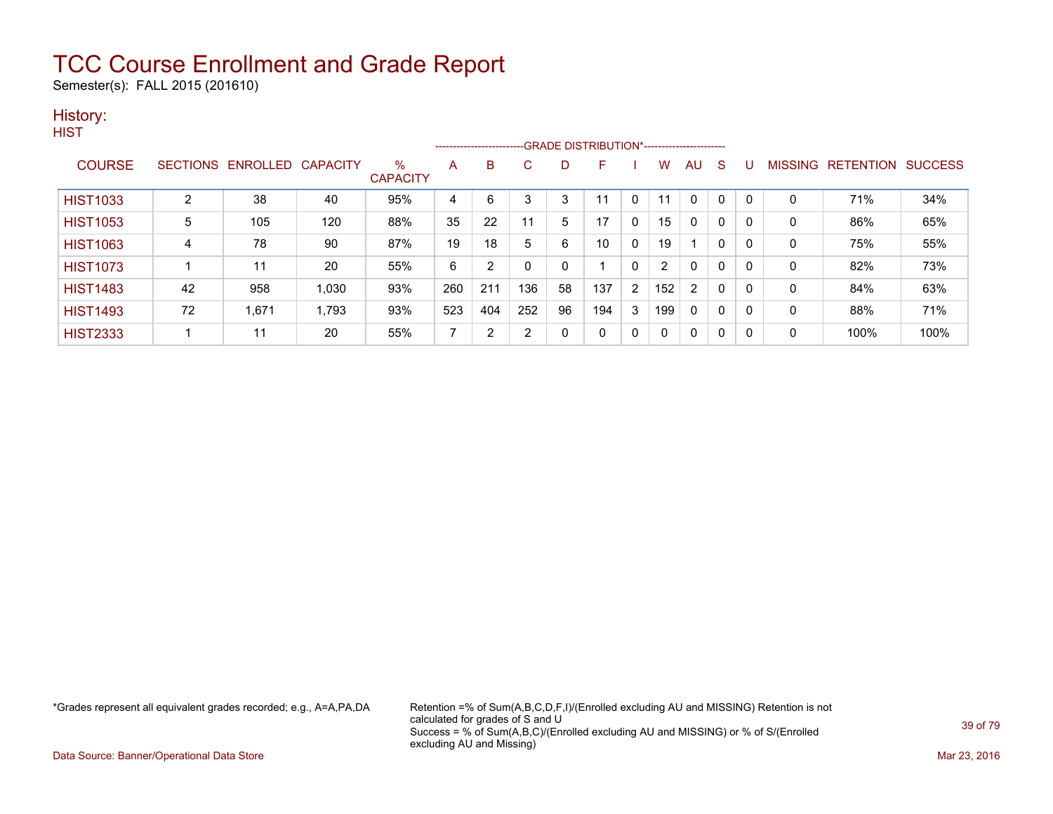Semester(s): FALL 2015 (201610)

### History:

| HIST            |    |       |       |                            |     |     |     |    |     |                |     |              |              |                                                                    |              |      |                                            |
|-----------------|----|-------|-------|----------------------------|-----|-----|-----|----|-----|----------------|-----|--------------|--------------|--------------------------------------------------------------------|--------------|------|--------------------------------------------|
| <b>COURSE</b>   |    |       |       | $\%$<br><b>CAPACITY</b>    | A   | B   | C   | D  | F   |                | w   | <b>AU</b>    | S.           | U                                                                  |              |      |                                            |
| <b>HIST1033</b> | 2  | 38    | 40    | 95%                        | 4   | 6   | 3   | 3  | 11  | 0              | 11  | $\mathbf{0}$ | 0            | 0                                                                  | $\mathbf{0}$ | 71%  | 34%                                        |
| <b>HIST1053</b> | 5  | 105   | 120   | 88%                        | 35  | 22  | 11  | 5  | 17  | 0              | 15  | $\Omega$     | $\Omega$     | 0                                                                  | $\mathbf{0}$ | 86%  | 65%                                        |
| <b>HIST1063</b> | 4  | 78    | 90    | 87%                        | 19  | 18  | 5   | 6  | 10  | 0              | 19  |              | $\mathbf{0}$ | 0                                                                  | $\mathbf{0}$ | 75%  | 55%                                        |
| <b>HIST1073</b> |    | 11    | 20    | 55%                        | 6   | 2   |     | 0  |     | 0              | 2   | $\mathbf{0}$ | $\mathbf{0}$ | 0                                                                  | $\Omega$     | 82%  | 73%                                        |
| <b>HIST1483</b> | 42 | 958   | 1,030 | 93%                        | 260 | 211 | 136 | 58 | 137 | $\overline{2}$ | 152 | 2            | $\Omega$     | 0                                                                  | $\mathbf{0}$ | 84%  | 63%                                        |
| <b>HIST1493</b> | 72 | 1,671 | 1,793 | 93%                        | 523 | 404 | 252 | 96 | 194 | 3              | 199 | 0            | 0            | 0                                                                  | $\mathbf{0}$ | 88%  | 71%                                        |
| <b>HIST2333</b> |    | 11    | 20    | 55%                        | 7   | 2   | 2   | 0  | 0   | 0              | 0   | 0            | $\Omega$     | 0                                                                  | 0            | 100% | 100%                                       |
|                 |    |       |       | SECTIONS ENROLLED CAPACITY |     |     |     |    |     |                |     |              |              | ------------------------GRADE DISTRIBUTION*----------------------- |              |      | <b>MISSING</b><br><b>RETENTION SUCCESS</b> |

\*Grades represent all equivalent grades recorded; e.g., A=A,PA,DA Retention =% of Sum(A,B,C,D,F,I)/(Enrolled excluding AU and MISSING) Retention is not calculated for grades of S and U Success = % of Sum(A,B,C)/(Enrolled excluding AU and MISSING) or % of S/(Enrolled excluding AU and Missing)

Data Source: Banner/Operational Data Store Mar 23, 2016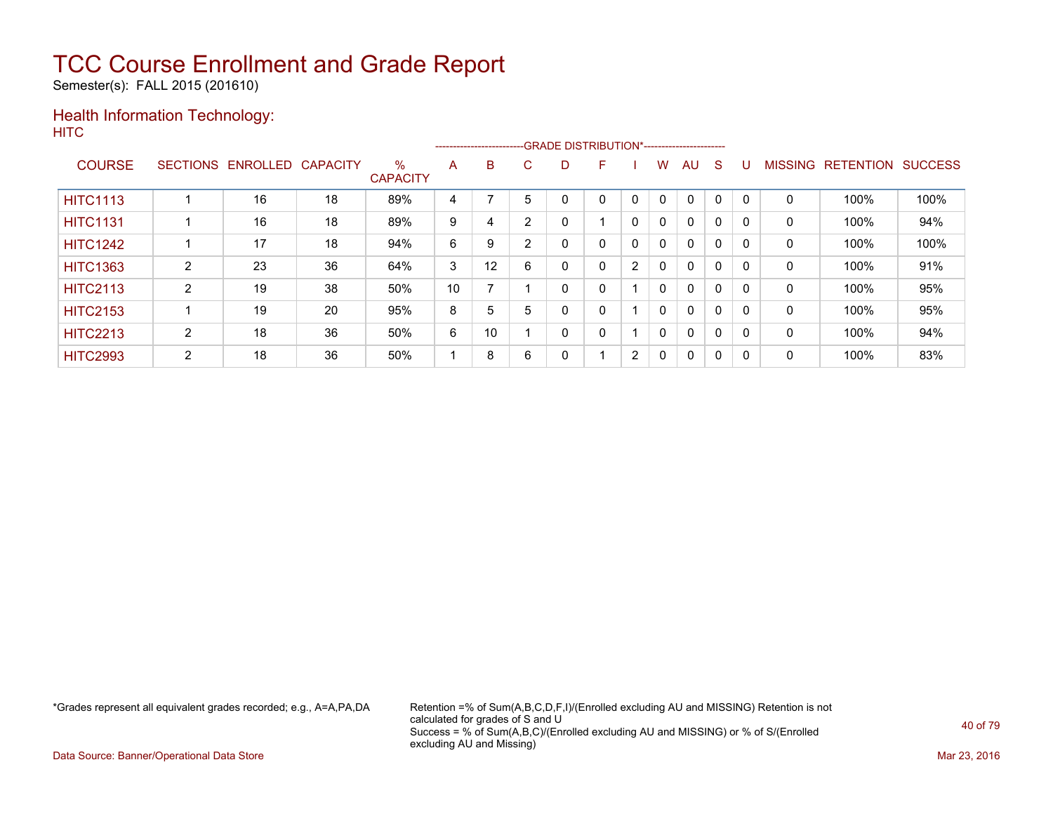Semester(s): FALL 2015 (201610)

#### Health Information Technology: **HITC**

|                 |                 |          |                 |                         |    |                   |   | --------------------------GRADE DISTRIBUTION*----------------------- |   |                |              |              |              |          |                |                  |                |
|-----------------|-----------------|----------|-----------------|-------------------------|----|-------------------|---|----------------------------------------------------------------------|---|----------------|--------------|--------------|--------------|----------|----------------|------------------|----------------|
| <b>COURSE</b>   | <b>SECTIONS</b> | ENROLLED | <b>CAPACITY</b> | $\%$<br><b>CAPACITY</b> | A  | B                 | C | D                                                                    | F |                | W            | AU           | <sub>S</sub> |          | <b>MISSING</b> | <b>RETENTION</b> | <b>SUCCESS</b> |
| <b>HITC1113</b> |                 | 16       | 18              | 89%                     | 4  |                   | 5 |                                                                      | 0 |                | $\mathbf{0}$ |              | 0            |          | 0              | 100%             | 100%           |
| <b>HITC1131</b> |                 | 16       | 18              | 89%                     | 9  | 4                 | 2 | 0                                                                    |   | $\mathbf{0}$   | 0            | $\mathbf{0}$ | 0            | $\Omega$ | 0              | 100%             | 94%            |
| <b>HITC1242</b> |                 | 17       | 18              | 94%                     | 6  | 9                 | ົ | 0                                                                    | 0 | 0              | $\mathbf{0}$ | $\mathbf{0}$ | $\mathbf 0$  |          | 0              | 100%             | 100%           |
| <b>HITC1363</b> | 2               | 23       | 36              | 64%                     | 3  | $12 \overline{ }$ | 6 | 0                                                                    | 0 | $\overline{2}$ | 0            | $\mathbf{0}$ | 0            |          | 0              | 100%             | 91%            |
| <b>HITC2113</b> | 2               | 19       | 38              | 50%                     | 10 |                   |   | 0                                                                    | 0 |                | 0            | $\mathbf{0}$ | 0            |          | 0              | 100%             | 95%            |
| <b>HITC2153</b> |                 | 19       | 20              | 95%                     | 8  | 5                 | 5 | 0                                                                    | 0 |                | 0            | $\mathbf{0}$ | 0            |          | 0              | 100%             | 95%            |
| <b>HITC2213</b> | 2               | 18       | 36              | 50%                     | 6  | 10                |   | 0                                                                    | 0 |                | 0            | 0            | 0            |          | 0              | 100%             | 94%            |
| <b>HITC2993</b> | 2               | 18       | 36              | 50%                     |    | 8                 | 6 | 0                                                                    |   | $\overline{2}$ | $\mathbf{0}$ | 0            | 0            |          | 0              | 100%             | 83%            |

\*Grades represent all equivalent grades recorded; e.g., A=A,PA,DA Retention =% of Sum(A,B,C,D,F,I)/(Enrolled excluding AU and MISSING) Retention is not calculated for grades of S and U Success = % of Sum(A,B,C)/(Enrolled excluding AU and MISSING) or % of S/(Enrolled excluding AU and Missing)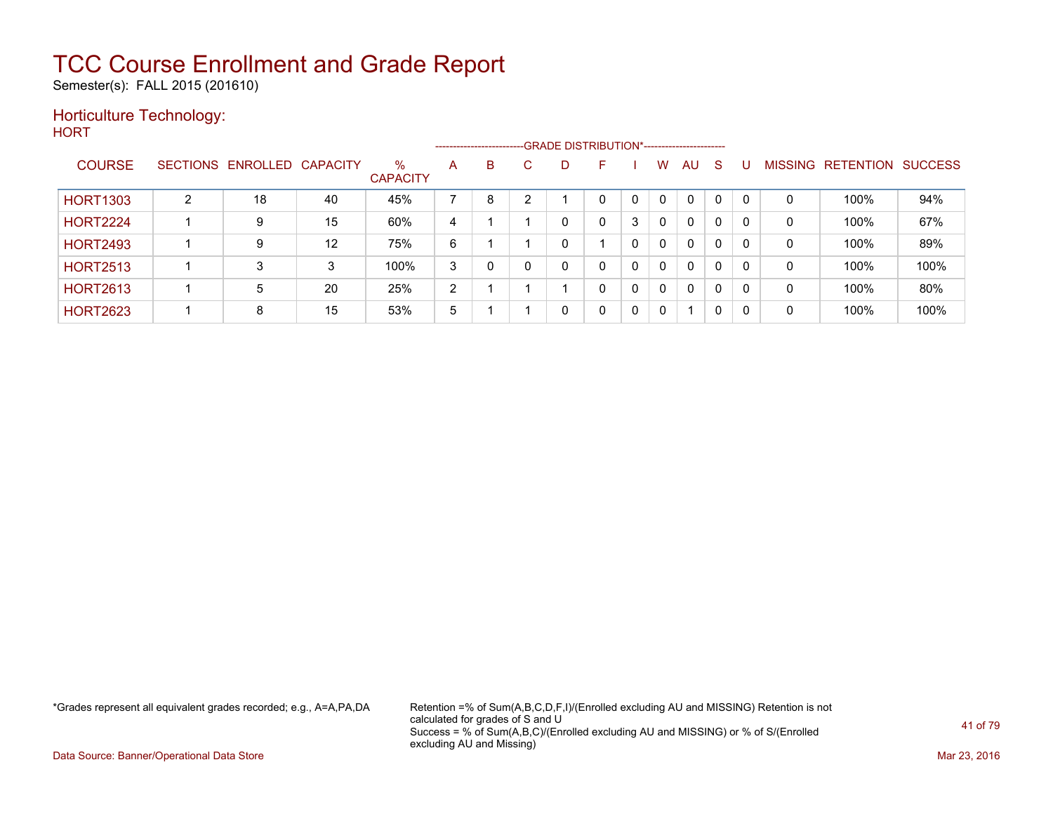Semester(s): FALL 2015 (201610)

### Horticulture Technology:

**HORT** 

|                 |   |                   |                 |                         |   | ------------------------- |   |   | -GRADE DISTRIBUTION*----------------------- |              |              |              |              |              |                |           |                |
|-----------------|---|-------------------|-----------------|-------------------------|---|---------------------------|---|---|---------------------------------------------|--------------|--------------|--------------|--------------|--------------|----------------|-----------|----------------|
| <b>COURSE</b>   |   | SECTIONS ENROLLED | <b>CAPACITY</b> | $\%$<br><b>CAPACITY</b> | A | B                         | С | D |                                             |              | W            | AU.          | <sub>S</sub> |              | <b>MISSING</b> | RETENTION | <b>SUCCESS</b> |
| <b>HORT1303</b> | 2 | 18                | 40              | 45%                     |   | 8                         | ົ |   | $\Omega$                                    |              | 0            | $\mathbf{0}$ | $\Omega$     | $\mathbf{0}$ | 0              | 100%      | 94%            |
| <b>HORT2224</b> |   | 9                 | 15              | 60%                     | 4 |                           |   | 0 | $\Omega$                                    | 3            | 0            | $\mathbf{0}$ | $\Omega$     | $\mathbf{0}$ | 0              | 100%      | 67%            |
| <b>HORT2493</b> |   | 9                 | 12              | 75%                     | 6 |                           |   | 0 |                                             | 0            | $\mathbf{0}$ | $\mathbf{0}$ | $\mathbf{0}$ | 0            | 0              | 100%      | 89%            |
| <b>HORT2513</b> |   | 3                 | 3               | 100%                    | 3 | <sup>n</sup>              |   | 0 | $\mathbf{0}$                                | 0            | 0            | $\mathbf{0}$ | $\Omega$     | 0            | 0              | 100%      | 100%           |
| <b>HORT2613</b> |   | 5                 | 20              | 25%                     | 2 |                           |   |   | $\Omega$                                    | $\mathbf{0}$ | 0            | $\Omega$     | $\mathbf{0}$ | 0            | 0              | 100%      | 80%            |
| <b>HORT2623</b> |   | 8                 | 15              | 53%                     | 5 |                           |   | 0 | $\mathbf{0}$                                | 0            | 0            | 1            | 0            | 0            | 0              | 100%      | 100%           |

\*Grades represent all equivalent grades recorded; e.g., A=A,PA,DA Retention =% of Sum(A,B,C,D,F,I)/(Enrolled excluding AU and MISSING) Retention is not calculated for grades of S and U Success = % of Sum(A,B,C)/(Enrolled excluding AU and MISSING) or % of S/(Enrolled excluding AU and Missing)

Data Source: Banner/Operational Data Store Mar 23, 2016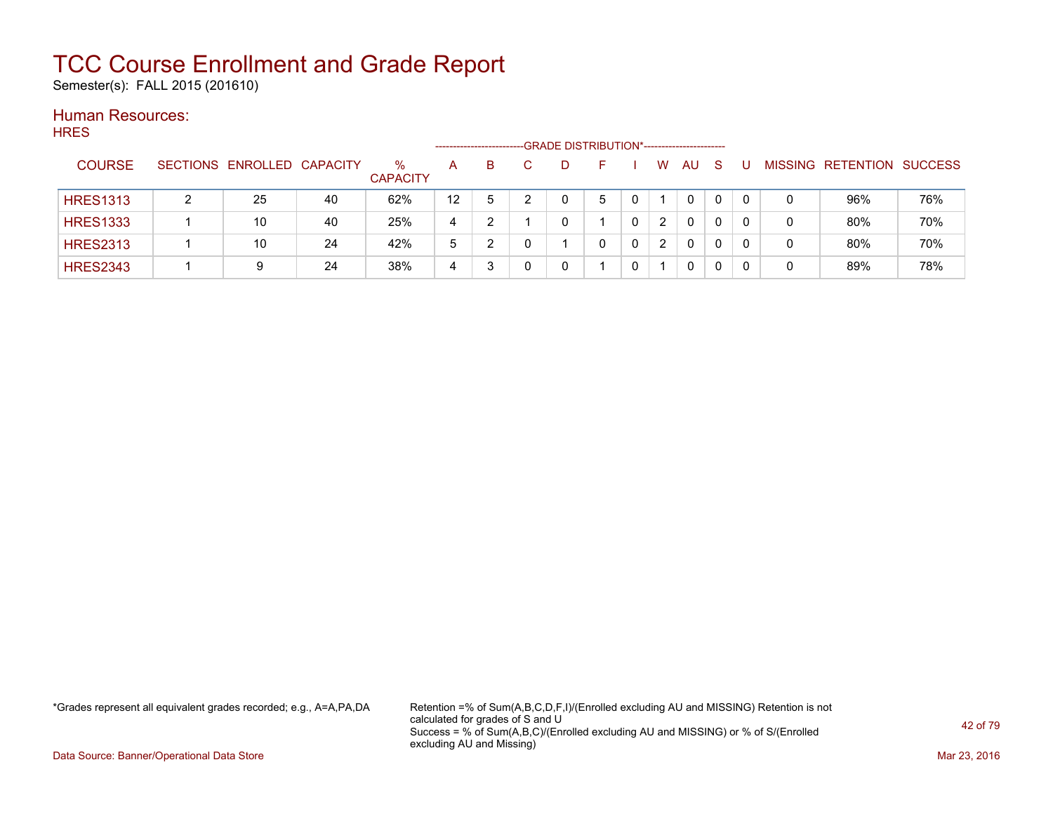Semester(s): FALL 2015 (201610)

#### Human Resources: **HRES**

| .  .__          |   |                            |    |                      |    | ---------------------- | -GRADE DISTRIBUTION*----------------------- |    |   |          |    |    |   |   |                                  |     |
|-----------------|---|----------------------------|----|----------------------|----|------------------------|---------------------------------------------|----|---|----------|----|----|---|---|----------------------------------|-----|
| <b>COURSE</b>   |   | SECTIONS ENROLLED CAPACITY |    | %<br><b>CAPACITY</b> | A  | B.                     | D                                           | н. |   | <b>W</b> | AU | -S |   |   | <b>MISSING RETENTION SUCCESS</b> |     |
| <b>HRES1313</b> | ົ | 25                         | 40 | 62%                  | 12 | 5                      |                                             |    |   |          | 0  | 0  |   | 0 | 96%                              | 76% |
| <b>HRES1333</b> |   | 10                         | 40 | 25%                  | 4  |                        |                                             |    |   | 2        | 0  |    |   | 0 | 80%                              | 70% |
| <b>HRES2313</b> |   | 10                         | 24 | 42%                  | 5  | 2                      |                                             | 0  | 0 | 2        | 0  | 0  | 0 | 0 | 80%                              | 70% |
| <b>HRES2343</b> |   | 9                          | 24 | 38%                  | 4  |                        |                                             |    |   |          | 0  | 0  |   | 0 | 89%                              | 78% |

\*Grades represent all equivalent grades recorded; e.g., A=A,PA,DA Retention =% of Sum(A,B,C,D,F,I)/(Enrolled excluding AU and MISSING) Retention is not calculated for grades of S and U Success = % of Sum(A,B,C)/(Enrolled excluding AU and MISSING) or % of S/(Enrolled excluding AU and Missing)

Data Source: Banner/Operational Data Store Mar 23, 2016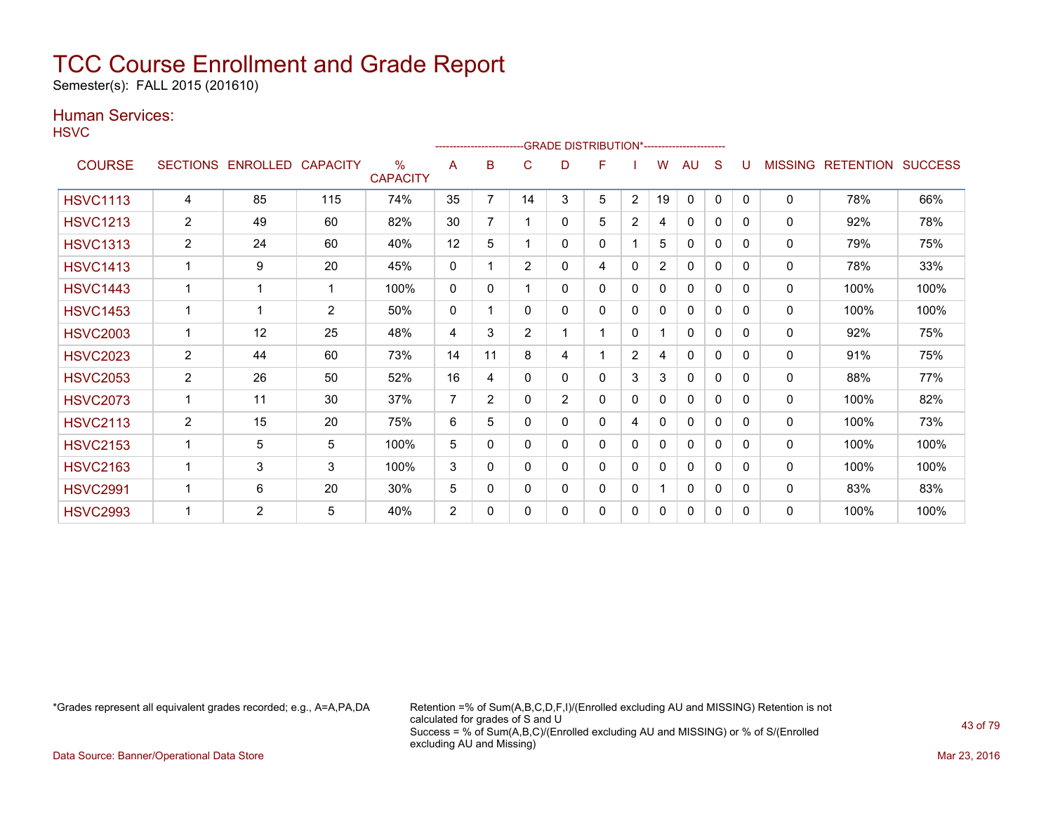Semester(s): FALL 2015 (201610)

### Human Services:

**HSVC** 

| .               |                |                   |                 |                         |                | --------------------- |                |                | -GRADE DISTRIBUTION*---------------------- |                |                |              |              |              |                |                          |      |
|-----------------|----------------|-------------------|-----------------|-------------------------|----------------|-----------------------|----------------|----------------|--------------------------------------------|----------------|----------------|--------------|--------------|--------------|----------------|--------------------------|------|
| <b>COURSE</b>   |                | SECTIONS ENROLLED | <b>CAPACITY</b> | $\%$<br><b>CAPACITY</b> | A              | B                     | C              | D              | F                                          |                | W              | AU           | <sub>S</sub> |              | <b>MISSING</b> | <b>RETENTION SUCCESS</b> |      |
| <b>HSVC1113</b> | 4              | 85                | 115             | 74%                     | 35             | 7                     | 14             | 3              | 5                                          | $\overline{2}$ | 19             | $\mathbf{0}$ | $\mathbf{0}$ | $\mathbf{0}$ | $\mathbf{0}$   | 78%                      | 66%  |
| <b>HSVC1213</b> | 2              | 49                | 60              | 82%                     | 30             |                       |                | 0              | 5                                          | $\overline{2}$ | 4              | $\mathbf{0}$ | 0            | 0            | 0              | 92%                      | 78%  |
| <b>HSVC1313</b> | $\overline{2}$ | 24                | 60              | 40%                     | 12             | 5                     |                | 0              | 0                                          |                | 5              | $\Omega$     | 0            | 0            | 0              | 79%                      | 75%  |
| <b>HSVC1413</b> |                | 9                 | 20              | 45%                     | $\mathbf{0}$   |                       | $\overline{2}$ | 0              | 4                                          | 0              | $\overline{2}$ | $\Omega$     | $\Omega$     | 0            | 0              | 78%                      | 33%  |
| <b>HSVC1443</b> |                |                   |                 | 100%                    | $\mathbf{0}$   | 0                     |                | 0              | 0                                          | 0              | 0              | 0            | 0            | 0            | 0              | 100%                     | 100% |
| <b>HSVC1453</b> |                | 1                 | 2               | 50%                     | 0              |                       | 0              | 0              | 0                                          | 0              | $\mathbf{0}$   | $\mathbf{0}$ | 0            | 0            | 0              | 100%                     | 100% |
| <b>HSVC2003</b> | 1              | 12                | 25              | 48%                     | 4              | 3                     | $\overline{2}$ | 1              | $\mathbf{1}$                               | $\Omega$       |                | $\Omega$     | $\Omega$     | 0            | 0              | 92%                      | 75%  |
| <b>HSVC2023</b> | $\overline{2}$ | 44                | 60              | 73%                     | 14             | 11                    | 8              | 4              |                                            | $\overline{2}$ | 4              | $\mathbf{0}$ | 0            | 0            | 0              | 91%                      | 75%  |
| <b>HSVC2053</b> | $\overline{2}$ | 26                | 50              | 52%                     | 16             | 4                     | 0              | 0              | 0                                          | 3              | 3              | 0            | 0            | 0            | 0              | 88%                      | 77%  |
| <b>HSVC2073</b> | 1              | 11                | 30              | 37%                     | $\overline{7}$ | $\overline{2}$        | $\Omega$       | $\overline{2}$ | 0                                          | 0              | 0              | $\mathbf{0}$ | 0            | 0            | 0              | 100%                     | 82%  |
| <b>HSVC2113</b> | $\overline{2}$ | 15                | 20              | 75%                     | 6              | 5                     | 0              | 0              | 0                                          | 4              | 0              | $\mathbf{0}$ | 0            | 0            | 0              | 100%                     | 73%  |
| <b>HSVC2153</b> | 1              | 5                 | 5               | 100%                    | 5              | $\mathbf{0}$          | 0              | 0              | 0                                          | $\mathbf{0}$   | $\mathbf{0}$   | 0            | 0            | 0            | 0              | 100%                     | 100% |
| <b>HSVC2163</b> |                | 3                 | 3               | 100%                    | 3              | $\Omega$              | 0              | 0              | 0                                          | 0              | 0              | $\mathbf{0}$ | 0            | 0            | $\mathbf{0}$   | 100%                     | 100% |
| <b>HSVC2991</b> |                | 6                 | 20              | 30%                     | 5              | 0                     | 0              | 0              | 0                                          | 0              |                | $\mathbf{0}$ | 0            | 0            | $\mathbf{0}$   | 83%                      | 83%  |
| <b>HSVC2993</b> |                | $\overline{2}$    | 5               | 40%                     | $\overline{2}$ | 0                     | 0              | 0              | 0                                          | 0              | 0              | 0            | 0            | 0            | 0              | 100%                     | 100% |

\*Grades represent all equivalent grades recorded; e.g., A=A,PA,DA Retention =% of Sum(A,B,C,D,F,I)/(Enrolled excluding AU and MISSING) Retention is not calculated for grades of S and U Success = % of Sum(A,B,C)/(Enrolled excluding AU and MISSING) or % of S/(Enrolled excluding AU and Missing)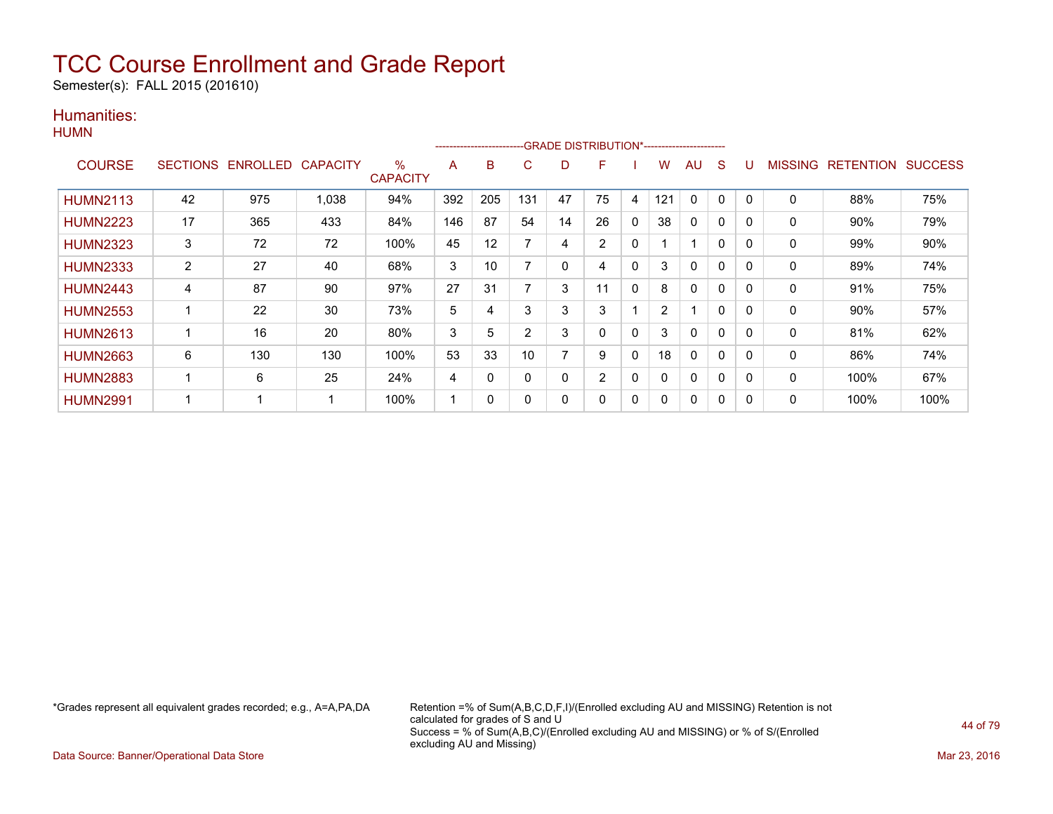Semester(s): FALL 2015 (201610)

### Humanities:

|                 |                |                            |       |                         |     | ---------------------- |     |          | -GRADE DISTRIBUTION*----------------------- |              |                |              |              |          |         |                  |                |
|-----------------|----------------|----------------------------|-------|-------------------------|-----|------------------------|-----|----------|---------------------------------------------|--------------|----------------|--------------|--------------|----------|---------|------------------|----------------|
| <b>COURSE</b>   |                | SECTIONS ENROLLED CAPACITY |       | $\%$<br><b>CAPACITY</b> | A   | в                      | C   | D        | F                                           |              | W              | AU           | S            | U        | MISSING | <b>RETENTION</b> | <b>SUCCESS</b> |
| <b>HUMN2113</b> | 42             | 975                        | 1,038 | 94%                     | 392 | 205                    | 131 | 47       | 75                                          | 4            | 121            | $\mathbf{0}$ | $\mathbf{0}$ | $\Omega$ | 0       | 88%              | 75%            |
| <b>HUMN2223</b> | 17             | 365                        | 433   | 84%                     | 146 | 87                     | 54  | 14       | 26                                          | $\mathbf{0}$ | 38             | 0            | 0            | $\Omega$ | 0       | 90%              | 79%            |
| <b>HUMN2323</b> | 3              | 72                         | 72    | 100%                    | 45  | 12                     | 7   | 4        | 2                                           | 0            |                |              | 0            | 0        | 0       | 99%              | 90%            |
| <b>HUMN2333</b> | $\overline{2}$ | 27                         | 40    | 68%                     | 3   | 10                     | 7   | $\Omega$ | 4                                           | $\mathbf{0}$ | 3              | 0            | $\mathbf{0}$ | $\Omega$ | 0       | 89%              | 74%            |
| <b>HUMN2443</b> | 4              | 87                         | 90    | 97%                     | 27  | 31                     | 7   | 3        | 11                                          | $\mathbf{0}$ | 8              | 0            | $\mathbf{0}$ | $\Omega$ | 0       | 91%              | 75%            |
| <b>HUMN2553</b> | 1              | 22                         | 30    | 73%                     | 5   | 4                      | 3   | 3        | 3                                           |              | $\overline{2}$ |              | $\mathbf{0}$ | $\Omega$ | 0       | 90%              | 57%            |
| <b>HUMN2613</b> |                | 16                         | 20    | 80%                     | 3   | 5                      | 2   | 3        | $\mathbf{0}$                                | $\mathbf{0}$ | 3              | 0            | $\mathbf{0}$ | $\Omega$ | 0       | 81%              | 62%            |
| <b>HUMN2663</b> | 6              | 130                        | 130   | 100%                    | 53  | 33                     | 10  |          | 9                                           | $\mathbf{0}$ | 18             | 0            | 0            | 0        | 0       | 86%              | 74%            |
| <b>HUMN2883</b> | 1              | 6                          | 25    | 24%                     | 4   | 0                      | 0   | 0        | 2                                           | 0            | 0              | 0            | 0            | 0        | 0       | 100%             | 67%            |
| <b>HUMN2991</b> | 1              |                            |       | 100%                    |     | 0                      | 0   | 0        | 0                                           | $\mathbf{0}$ | 0              | 0            | 0            | $\Omega$ | 0       | 100%             | 100%           |

\*Grades represent all equivalent grades recorded; e.g., A=A,PA,DA Retention =% of Sum(A,B,C,D,F,I)/(Enrolled excluding AU and MISSING) Retention is not calculated for grades of S and U Success = % of Sum(A,B,C)/(Enrolled excluding AU and MISSING) or % of S/(Enrolled excluding AU and Missing)

Data Source: Banner/Operational Data Store Mar 23, 2016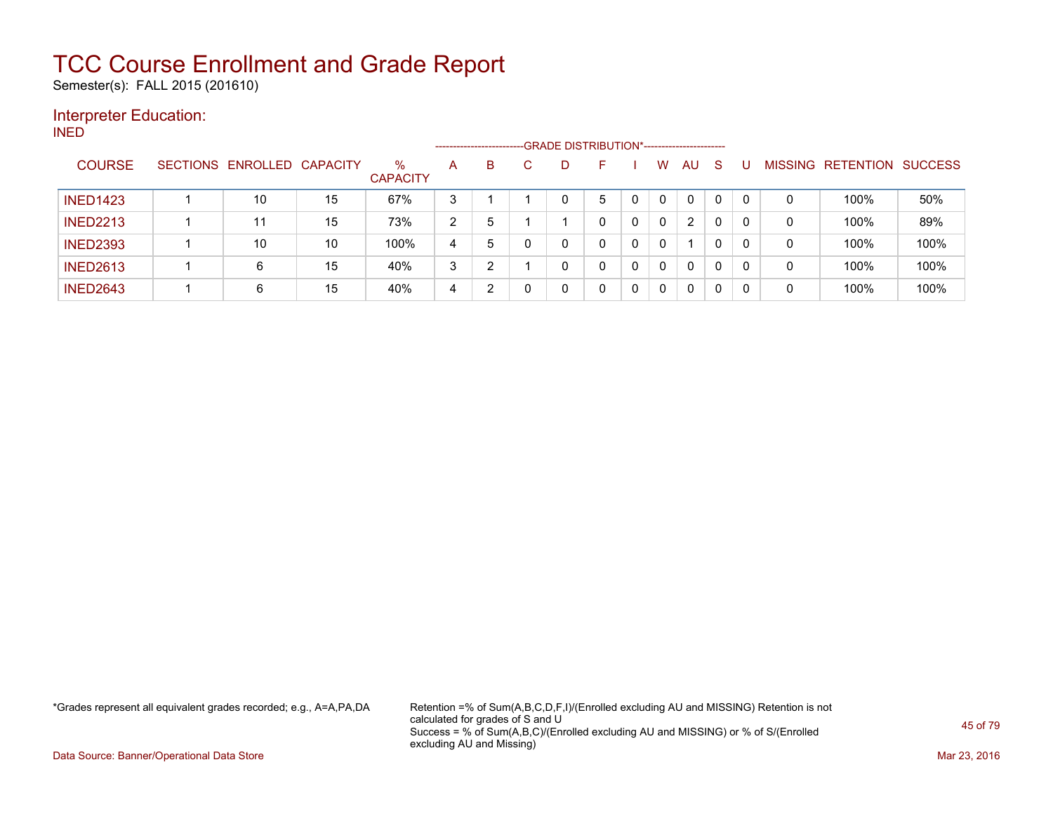Semester(s): FALL 2015 (201610)

### Interpreter Education:

INED

|                 |                            |    |                      |   | -------------------------- | -GRADE DISTRIBUTION*----------------------- |   |   |              |    |              |          |                |                  |                |
|-----------------|----------------------------|----|----------------------|---|----------------------------|---------------------------------------------|---|---|--------------|----|--------------|----------|----------------|------------------|----------------|
| <b>COURSE</b>   | SECTIONS ENROLLED CAPACITY |    | %<br><b>CAPACITY</b> | A | В                          | D                                           |   |   | w            | AU | <sub>S</sub> |          | <b>MISSING</b> | <b>RETENTION</b> | <b>SUCCESS</b> |
| <b>INED1423</b> | 10                         | 15 | 67%                  | 3 |                            | 0                                           | 5 |   | 0            | 0  | $\mathbf{0}$ | $\Omega$ | 0              | 100%             | 50%            |
| <b>INED2213</b> | 11                         | 15 | 73%                  | 2 | 5                          |                                             |   | 0 | 0            | 2  | 0            | 0        | 0              | 100%             | 89%            |
| <b>INED2393</b> | 10                         | 10 | 100%                 | 4 | 5                          | 0                                           | 0 | 0 | $\mathbf{0}$ |    | 0            | 0        | 0              | 100%             | 100%           |
| <b>INED2613</b> | 6                          | 15 | 40%                  | 3 | າ                          | 0                                           | 0 | 0 | $\mathbf{0}$ | 0  | $\Omega$     | $\Omega$ | 0              | 100%             | 100%           |
| <b>INED2643</b> | 6                          | 15 | 40%                  | 4 | 2                          | 0                                           | 0 | 0 | 0            | 0  | 0            | 0        | 0              | 100%             | 100%           |

\*Grades represent all equivalent grades recorded; e.g., A=A,PA,DA Retention =% of Sum(A,B,C,D,F,I)/(Enrolled excluding AU and MISSING) Retention is not calculated for grades of S and U Success = % of Sum(A,B,C)/(Enrolled excluding AU and MISSING) or % of S/(Enrolled excluding AU and Missing)

Data Source: Banner/Operational Data Store Mar 23, 2016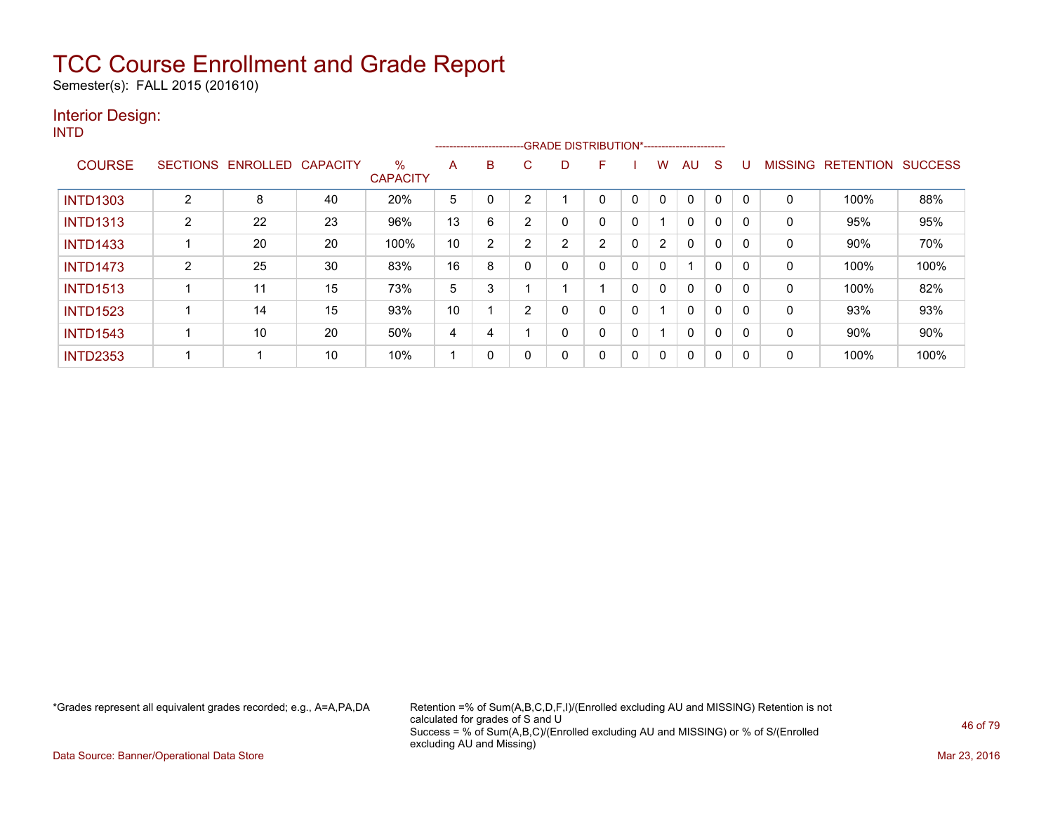Semester(s): FALL 2015 (201610)

### Interior Design:

INTD --GRADE DISTRIBUTION\*-----------------------COURSE SECTIONS ENROLLED CAPACITY % **CAPACITY** A B C D F I W AU S U MISSING RETENTION SUCCESS INTD1303 2 8 40 20% 5 0 2 1 0 0 0 0 0 0 0 100% 88% INTD1313 2 22 23 96% 13 6 2 0 0 0 1 0 0 0 0 95% 95% INTD1433 1 20 20 100% 10 2 2 2 2 0 2 0 0 0 0 90% 70% INTD1473 2 25 30 83% 16 8 0 0 0 0 0 1 0 0 0 100% 100% INTD1513 1 11 15 73% 5 3 1 1 1 0 0 0 0 0 0 100% 82% INTD1523 | 1 | 14 | 15 | 93% | 10 | 1 | 2 | 0 | 0 | 0 | 1 | 0 | 0 | 0 | 0 | 93% | 93% INTD1543 1 10 20 50% 4 4 1 0 0 0 1 | 0 | 0 | 0 90% 90% INTD2353 | 1 | 1 | 10 | 10% |1 |0 |0 |0 |0 |0 |0 |0 |0 |0 | 100% | 100%

\*Grades represent all equivalent grades recorded; e.g., A=A,PA,DA Retention =% of Sum(A,B,C,D,F,I)/(Enrolled excluding AU and MISSING) Retention is not calculated for grades of S and U Success = % of Sum(A,B,C)/(Enrolled excluding AU and MISSING) or % of S/(Enrolled excluding AU and Missing)

Data Source: Banner/Operational Data Store Mar 23, 2016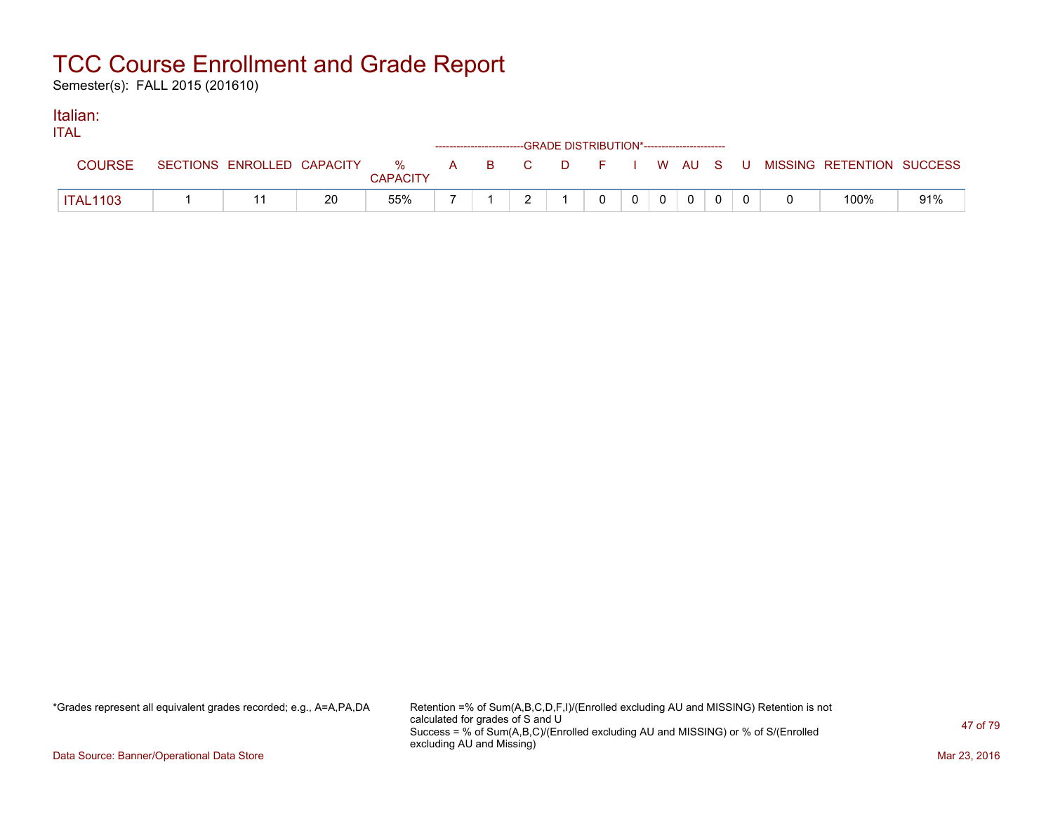Semester(s): FALL 2015 (201610)

#### Italian: ITAL

| <b>IIAL</b>     |  |    |                 | ------------------------GRADE DISTRIBUTION*----------------------- |  |          |         |          |  |                                                                               |     |
|-----------------|--|----|-----------------|--------------------------------------------------------------------|--|----------|---------|----------|--|-------------------------------------------------------------------------------|-----|
| <b>COURSE</b>   |  |    | <b>CAPACITY</b> |                                                                    |  |          |         |          |  | SECTIONS ENROLLED CAPACITY 3 % A B C D F I W AU S U MISSING RETENTION SUCCESS |     |
| <b>ITAL1103</b> |  | 20 | 55%             |                                                                    |  | $\Omega$ | $0$   0 | $\Omega$ |  | 100%                                                                          | 91% |

\*Grades represent all equivalent grades recorded; e.g., A=A,PA,DA Retention =% of Sum(A,B,C,D,F,I)/(Enrolled excluding AU and MISSING) Retention is not calculated for grades of S and U Success = % of Sum(A,B,C)/(Enrolled excluding AU and MISSING) or % of S/(Enrolled excluding AU and Missing)

Data Source: Banner/Operational Data Store Mar 23, 2016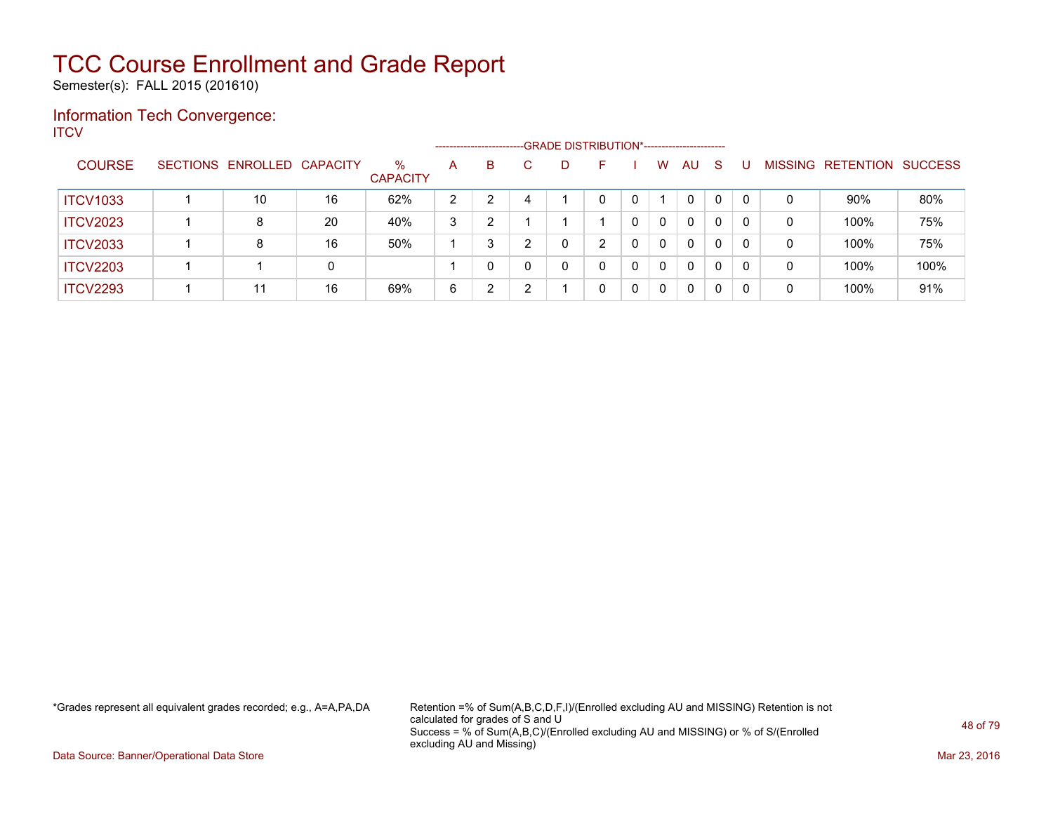Semester(s): FALL 2015 (201610)

#### Information Tech Convergence: **ITCV**

|                 |                            |    |                         |   | ---------------------- |   | -GRADE DISTRIBUTION*----------------------- |   |   |   |    |          |          |                |           |                |
|-----------------|----------------------------|----|-------------------------|---|------------------------|---|---------------------------------------------|---|---|---|----|----------|----------|----------------|-----------|----------------|
| <b>COURSE</b>   | SECTIONS ENROLLED CAPACITY |    | $\%$<br><b>CAPACITY</b> | A | B.                     |   | D                                           |   |   | w | AU | -S       |          | <b>MISSING</b> | RETENTION | <b>SUCCESS</b> |
| <b>ITCV1033</b> | 10                         | 16 | 62%                     | 2 |                        |   |                                             | 0 | 0 |   | 0  |          | $\Omega$ | 0              | $90\%$    | 80%            |
| <b>ITCV2023</b> | 8                          | 20 | 40%                     | 3 | 2                      |   |                                             |   | 0 | 0 | 0  |          | 0        | $\mathbf 0$    | 100%      | 75%            |
| <b>ITCV2033</b> |                            | 16 | 50%                     |   | 3                      |   | 0                                           | າ | 0 | 0 | 0  | $\Omega$ | 0        | 0              | 100%      | 75%            |
| <b>ITCV2203</b> |                            | 0  |                         |   |                        |   | 0                                           | 0 | 0 | 0 | 0  |          | 0        | 0              | 100%      | 100%           |
| <b>ITCV2293</b> | 11                         | 16 | 69%                     | 6 | 2                      | ◠ |                                             | 0 | 0 | 0 | 0  |          | 0        | 0              | 100%      | 91%            |

\*Grades represent all equivalent grades recorded; e.g., A=A,PA,DA Retention =% of Sum(A,B,C,D,F,I)/(Enrolled excluding AU and MISSING) Retention is not calculated for grades of S and U Success = % of Sum(A,B,C)/(Enrolled excluding AU and MISSING) or % of S/(Enrolled excluding AU and Missing)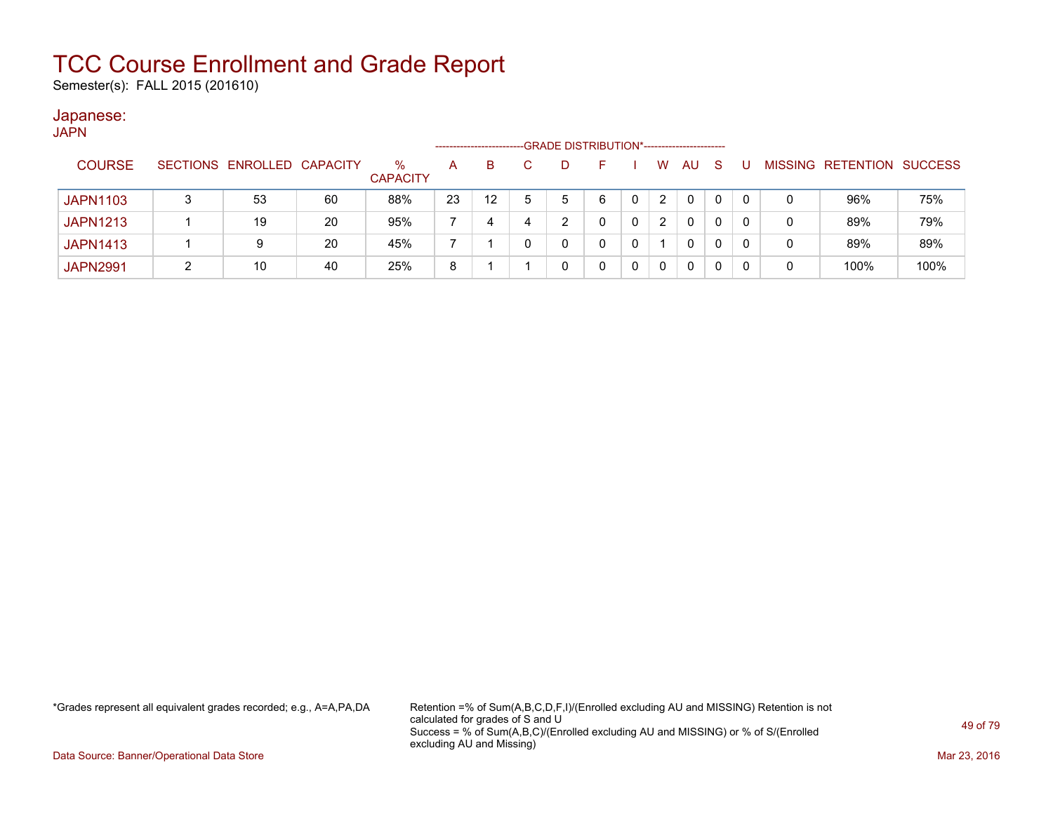Semester(s): FALL 2015 (201610)

### Japanese:

| <b>JAPN</b>     |   |                            |    |                         |                    |    |   |                                             |   |   |   |    |    |    |   |                                  |      |
|-----------------|---|----------------------------|----|-------------------------|--------------------|----|---|---------------------------------------------|---|---|---|----|----|----|---|----------------------------------|------|
|                 |   |                            |    |                         | ------------------ |    |   | -GRADE DISTRIBUTION*----------------------- |   |   |   |    |    |    |   |                                  |      |
| <b>COURSE</b>   |   | SECTIONS ENROLLED CAPACITY |    | $\%$<br><b>CAPACITY</b> | A                  | B. |   | D                                           |   |   | W | AU | -S |    |   | <b>MISSING RETENTION SUCCESS</b> |      |
|                 |   |                            |    |                         |                    |    |   |                                             |   |   |   |    |    |    |   |                                  |      |
| <b>JAPN1103</b> |   | 53                         | 60 | 88%                     | 23                 | 12 | 5 | 5                                           | 6 |   | 2 | 0  | 0  | 0  | 0 | 96%                              | 75%  |
| <b>JAPN1213</b> |   | 19                         | 20 | 95%                     |                    | 4  |   | າ                                           |   | 0 | 2 | 0  | 0  | -0 | 0 | 89%                              | 79%  |
| <b>JAPN1413</b> |   |                            | 20 | 45%                     |                    |    |   | 0                                           |   |   |   | 0  | 0  | -0 | 0 | 89%                              | 89%  |
| <b>JAPN2991</b> | ົ | 10                         | 40 | 25%                     | 8                  |    |   |                                             | 0 |   | 0 | 0  | 0  |    | 0 | 100%                             | 100% |

\*Grades represent all equivalent grades recorded; e.g., A=A,PA,DA Retention =% of Sum(A,B,C,D,F,I)/(Enrolled excluding AU and MISSING) Retention is not calculated for grades of S and U Success = % of Sum(A,B,C)/(Enrolled excluding AU and MISSING) or % of S/(Enrolled excluding AU and Missing)

Data Source: Banner/Operational Data Store Mar 23, 2016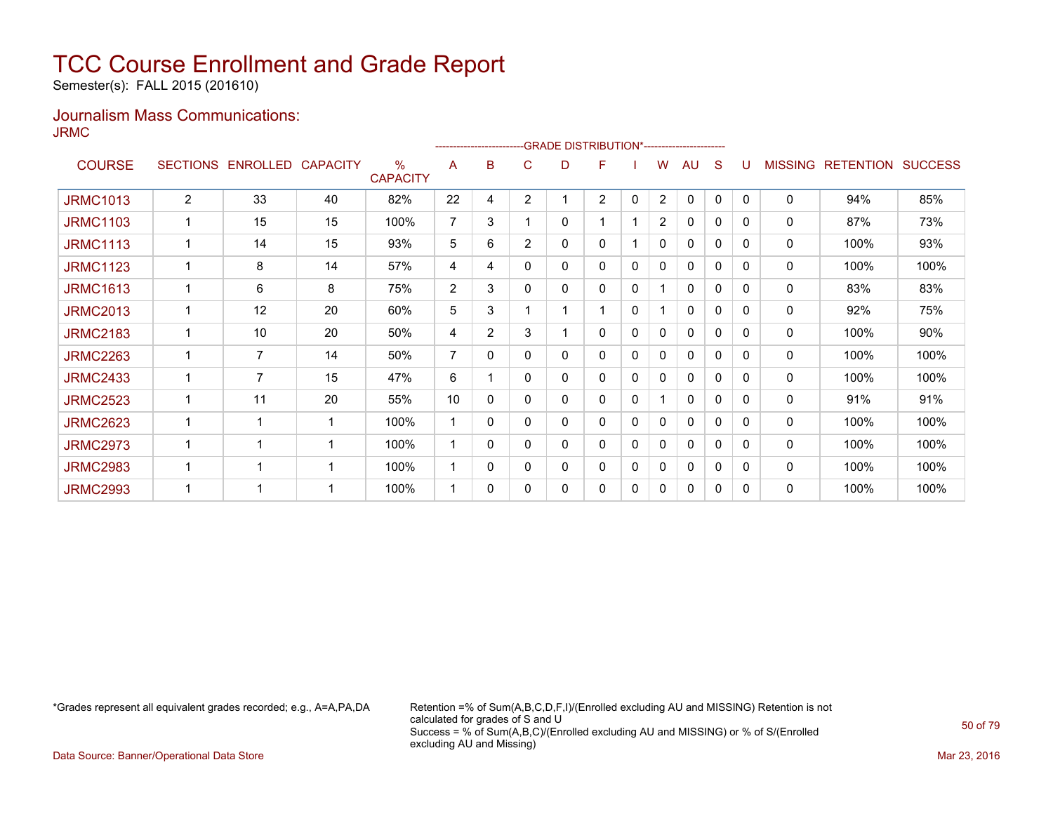Semester(s): FALL 2015 (201610)

#### Journalism Mass Communications: JRMC

|                 |                 |                 |                 |                                  |                |   |                | <b>GRADE DISTRIBUTION*-----------------------</b> |                |             |                |              |             |              |                |                  |                |
|-----------------|-----------------|-----------------|-----------------|----------------------------------|----------------|---|----------------|---------------------------------------------------|----------------|-------------|----------------|--------------|-------------|--------------|----------------|------------------|----------------|
| <b>COURSE</b>   | <b>SECTIONS</b> | <b>ENROLLED</b> | <b>CAPACITY</b> | $\frac{0}{0}$<br><b>CAPACITY</b> | Α              | в | C              | D                                                 | F              |             | W              | AU           | S           |              | <b>MISSING</b> | <b>RETENTION</b> | <b>SUCCESS</b> |
| <b>JRMC1013</b> | $\overline{2}$  | 33              | 40              | 82%                              | 22             | 4 | 2              |                                                   | $\overline{2}$ | 0           | $\overline{2}$ | $\mathbf 0$  | $\mathbf 0$ | $\mathbf{0}$ | 0              | 94%              | 85%            |
| <b>JRMC1103</b> |                 | 15              | 15              | 100%                             | 7              | 3 |                | 0                                                 |                |             | $\overline{2}$ | 0            | 0           | 0            | 0              | 87%              | 73%            |
| <b>JRMC1113</b> |                 | 14              | 15              | 93%                              | 5              | 6 | $\overline{2}$ | 0                                                 | 0              |             | 0              | $\mathbf{0}$ | 0           | 0            | 0              | 100%             | 93%            |
| <b>JRMC1123</b> | 1               | 8               | 14              | 57%                              | 4              | 4 | $\mathbf{0}$   | 0                                                 | 0              | 0           | $\mathbf{0}$   | $\mathbf{0}$ | 0           | $\mathbf{0}$ | 0              | 100%             | 100%           |
| <b>JRMC1613</b> |                 | 6               | 8               | 75%                              | 2              | 3 | $\Omega$       | 0                                                 | 0              | 0           |                | 0            | 0           | $\Omega$     | 0              | 83%              | 83%            |
| <b>JRMC2013</b> |                 | 12              | 20              | 60%                              | 5              | 3 |                |                                                   |                | 0           |                | $\mathbf{0}$ | 0           | 0            | 0              | 92%              | 75%            |
| <b>JRMC2183</b> |                 | 10              | 20              | 50%                              | 4              | 2 | 3              |                                                   | 0              | 0           | 0              | 0            | 0           | 0            | 0              | 100%             | 90%            |
| <b>JRMC2263</b> |                 | 7               | 14              | 50%                              | $\overline{7}$ | 0 | 0              | 0                                                 | 0              | 0           | 0              | $\mathbf{0}$ | 0           | 0            | 0              | 100%             | 100%           |
| <b>JRMC2433</b> |                 | $\overline{7}$  | 15              | 47%                              | 6              |   | $\mathbf{0}$   | 0                                                 | 0              | 0           | 0              | $\mathbf{0}$ | 0           | 0            | 0              | 100%             | 100%           |
| <b>JRMC2523</b> |                 | 11              | 20              | 55%                              | 10             | 0 | 0              | 0                                                 | 0              | 0           |                | 0            | 0           | $\Omega$     | 0              | 91%              | 91%            |
| <b>JRMC2623</b> |                 | 1               | 1               | 100%                             |                | 0 | 0              | 0                                                 | 0              | 0           | 0              | 0            | 0           | $\Omega$     | 0              | 100%             | 100%           |
| <b>JRMC2973</b> |                 | 1               | -1              | 100%                             |                | 0 | 0              | 0                                                 | 0              | 0           | 0              | 0            | 0           | $\Omega$     | 0              | 100%             | 100%           |
| <b>JRMC2983</b> |                 | 1               | -1              | 100%                             |                | 0 | 0              | 0                                                 | 0              | $\mathbf 0$ | 0              | $\mathbf{0}$ | 0           | $\Omega$     | 0              | 100%             | 100%           |
| <b>JRMC2993</b> |                 | 1               | 1               | 100%                             |                | 0 | 0              | 0                                                 | 0              | 0           | 0              | 0            | 0           | 0            | 0              | 100%             | 100%           |

\*Grades represent all equivalent grades recorded; e.g., A=A,PA,DA Retention =% of Sum(A,B,C,D,F,I)/(Enrolled excluding AU and MISSING) Retention is not calculated for grades of S and U Success = % of Sum(A,B,C)/(Enrolled excluding AU and MISSING) or % of S/(Enrolled excluding AU and Missing)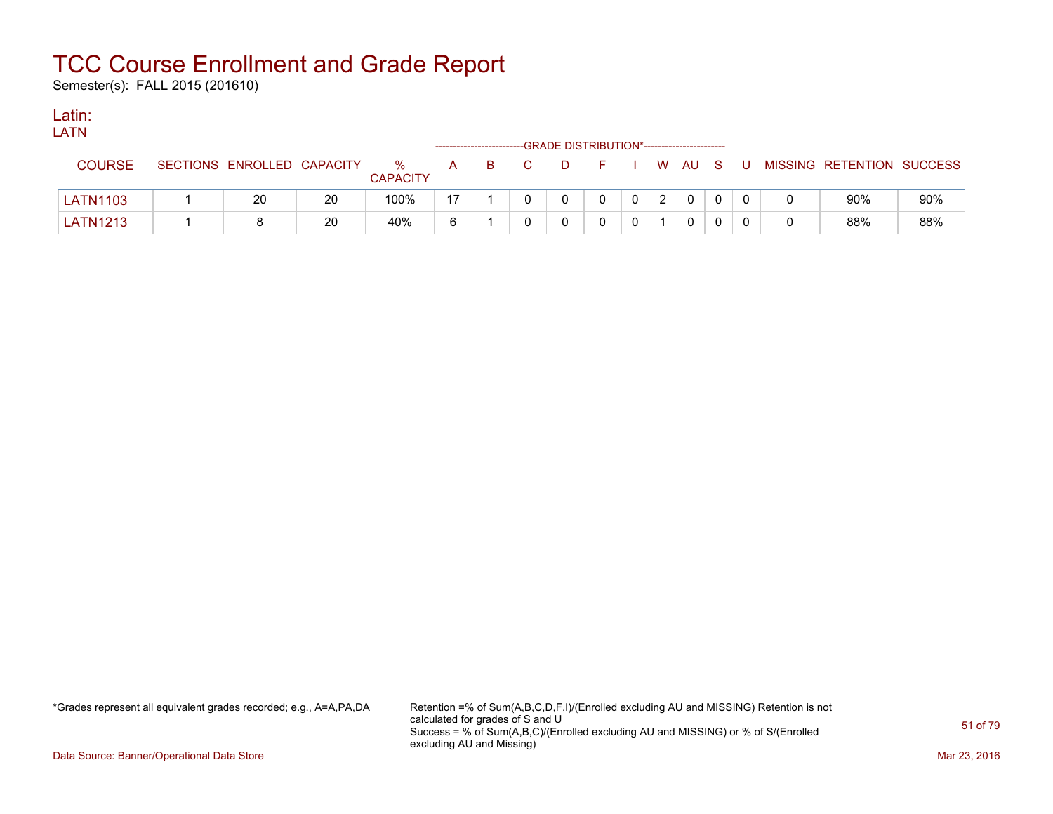Semester(s): FALL 2015 (201610)

### Latin:

| .               |                            |    |                      |              |  | ------------------------GRADE DISTRIBUTION*----------------------- |  |               |    |              |   |                           |     |
|-----------------|----------------------------|----|----------------------|--------------|--|--------------------------------------------------------------------|--|---------------|----|--------------|---|---------------------------|-----|
| <b>COURSE</b>   | SECTIONS ENROLLED CAPACITY |    | %<br><b>CAPACITY</b> | $\mathsf{A}$ |  | D                                                                  |  | W.            | AU | - S          | U | MISSING RETENTION SUCCESS |     |
| <b>LATN1103</b> | 20                         | 20 | 100%                 | 17           |  |                                                                    |  | $\mathcal{P}$ |    | $\mathbf{0}$ |   | 90%                       | 90% |
| <b>LATN1213</b> |                            | 20 | 40%                  | 6            |  |                                                                    |  |               |    | 0            |   | 88%                       | 88% |

\*Grades represent all equivalent grades recorded; e.g., A=A,PA,DA Retention =% of Sum(A,B,C,D,F,I)/(Enrolled excluding AU and MISSING) Retention is not calculated for grades of S and U Success = % of Sum(A,B,C)/(Enrolled excluding AU and MISSING) or % of S/(Enrolled excluding AU and Missing)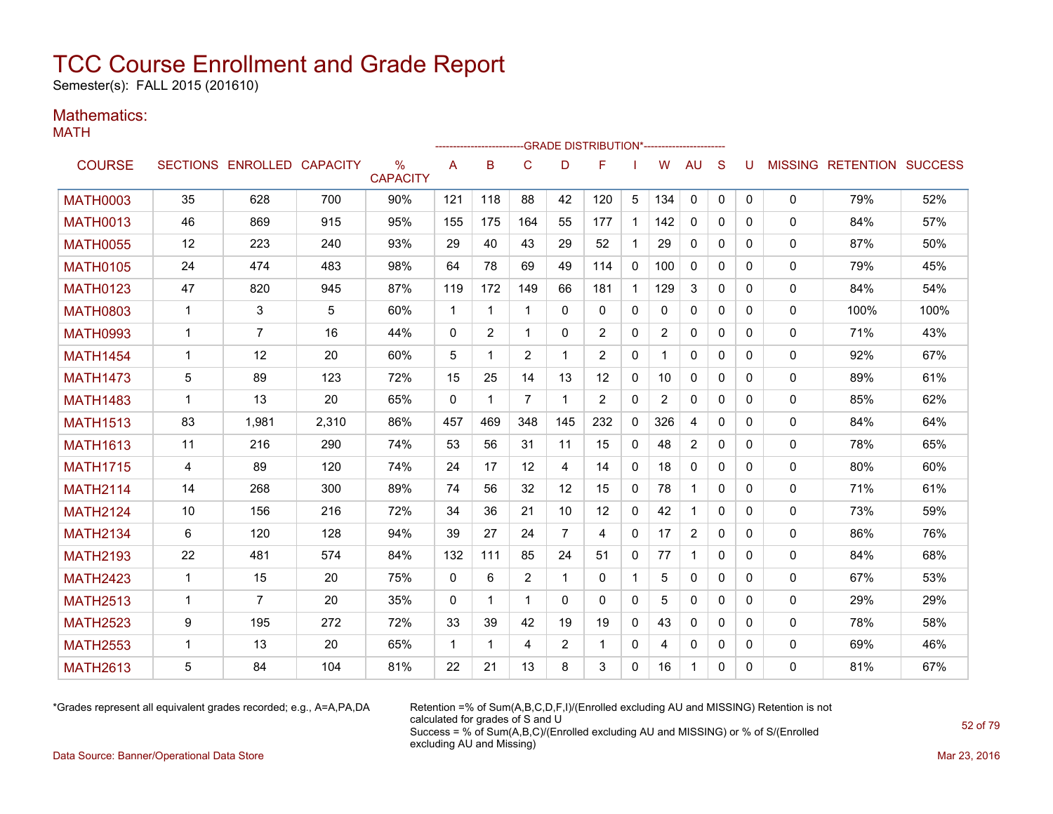Semester(s): FALL 2015 (201610)

### Mathematics:

MATH

|                 |              |                            |       |                         |              |     |              |          | -GRADE DISTRIBUTION*----------------------- |              |                |                |              |              |              |                           |      |
|-----------------|--------------|----------------------------|-------|-------------------------|--------------|-----|--------------|----------|---------------------------------------------|--------------|----------------|----------------|--------------|--------------|--------------|---------------------------|------|
| <b>COURSE</b>   |              | SECTIONS ENROLLED CAPACITY |       | $\%$<br><b>CAPACITY</b> | A            | B   | $\mathsf{C}$ | D        | F                                           |              | W              | <b>AU</b>      | S            | U            |              | MISSING RETENTION SUCCESS |      |
| <b>MATH0003</b> | 35           | 628                        | 700   | 90%                     | 121          | 118 | 88           | 42       | 120                                         | 5            | 134            | 0              | 0            | $\mathbf{0}$ | 0            | 79%                       | 52%  |
| <b>MATH0013</b> | 46           | 869                        | 915   | 95%                     | 155          | 175 | 164          | 55       | 177                                         | $\mathbf{1}$ | 142            | $\mathbf{0}$   | $\Omega$     | $\Omega$     | $\mathbf{0}$ | 84%                       | 57%  |
| <b>MATH0055</b> | 12           | 223                        | 240   | 93%                     | 29           | 40  | 43           | 29       | 52                                          | $\mathbf{1}$ | 29             | $\Omega$       | $\mathbf{0}$ | $\Omega$     | 0            | 87%                       | 50%  |
| <b>MATH0105</b> | 24           | 474                        | 483   | 98%                     | 64           | 78  | 69           | 49       | 114                                         | $\mathbf{0}$ | 100            | $\Omega$       | $\Omega$     | $\Omega$     | 0            | 79%                       | 45%  |
| <b>MATH0123</b> | 47           | 820                        | 945   | 87%                     | 119          | 172 | 149          | 66       | 181                                         | $\mathbf{1}$ | 129            | 3              | $\mathbf{0}$ | 0            | 0            | 84%                       | 54%  |
| <b>MATH0803</b> | $\mathbf{1}$ | 3                          | 5     | 60%                     | $\mathbf{1}$ | 1   | $\mathbf 1$  | $\Omega$ | $\mathbf{0}$                                | $\mathbf{0}$ | $\mathbf{0}$   | $\Omega$       | $\mathbf{0}$ | $\Omega$     | 0            | 100%                      | 100% |
| <b>MATH0993</b> | $\mathbf 1$  | 7                          | 16    | 44%                     | 0            | 2   | 1            | $\Omega$ | 2                                           | 0            | $\overline{2}$ | 0              | $\Omega$     | $\mathbf{0}$ | 0            | 71%                       | 43%  |
| <b>MATH1454</b> | 1            | 12                         | 20    | 60%                     | 5            | 1   | 2            |          | 2                                           | 0            | 1              | $\mathbf{0}$   | $\mathbf{0}$ | 0            | 0            | 92%                       | 67%  |
| <b>MATH1473</b> | 5            | 89                         | 123   | 72%                     | 15           | 25  | 14           | 13       | 12                                          | 0            | 10             | 0              | 0            | 0            | 0            | 89%                       | 61%  |
| <b>MATH1483</b> | $\mathbf 1$  | 13                         | 20    | 65%                     | $\mathbf{0}$ | 1   | 7            | -1       | 2                                           | 0            | $\overline{2}$ | 0              | 0            | 0            | 0            | 85%                       | 62%  |
| <b>MATH1513</b> | 83           | 1,981                      | 2,310 | 86%                     | 457          | 469 | 348          | 145      | 232                                         | 0            | 326            | 4              | $\Omega$     | 0            | 0            | 84%                       | 64%  |
| <b>MATH1613</b> | 11           | 216                        | 290   | 74%                     | 53           | 56  | 31           | 11       | 15                                          | $\mathbf{0}$ | 48             | $\overline{2}$ | $\Omega$     | $\Omega$     | 0            | 78%                       | 65%  |
| <b>MATH1715</b> | 4            | 89                         | 120   | 74%                     | 24           | 17  | 12           | 4        | 14                                          | $\Omega$     | 18             | $\Omega$       | $\Omega$     | $\Omega$     | $\Omega$     | 80%                       | 60%  |
| <b>MATH2114</b> | 14           | 268                        | 300   | 89%                     | 74           | 56  | 32           | 12       | 15                                          | $\mathbf{0}$ | 78             | $\mathbf{1}$   | $\mathbf{0}$ | $\mathbf{0}$ | 0            | 71%                       | 61%  |
| <b>MATH2124</b> | 10           | 156                        | 216   | 72%                     | 34           | 36  | 21           | 10       | 12                                          | $\mathbf{0}$ | 42             | $\mathbf{1}$   | $\mathbf{0}$ | $\Omega$     | 0            | 73%                       | 59%  |
| <b>MATH2134</b> | 6            | 120                        | 128   | 94%                     | 39           | 27  | 24           | 7        | 4                                           | 0            | 17             | $\overline{2}$ | 0            | 0            | 0            | 86%                       | 76%  |
| <b>MATH2193</b> | 22           | 481                        | 574   | 84%                     | 132          | 111 | 85           | 24       | 51                                          | 0            | 77             | $\mathbf{1}$   | $\mathbf{0}$ | 0            | 0            | 84%                       | 68%  |
| <b>MATH2423</b> | $\mathbf{1}$ | 15                         | 20    | 75%                     | $\mathbf{0}$ | 6   | 2            | 1        | $\mathbf{0}$                                | $\mathbf{1}$ | 5              | $\mathbf{0}$   | $\Omega$     | $\Omega$     | 0            | 67%                       | 53%  |
| <b>MATH2513</b> | 1            | 7                          | 20    | 35%                     | 0            | 1   | 1            | $\Omega$ | $\Omega$                                    | 0            | 5              | 0              | $\mathbf{0}$ | 0            | 0            | 29%                       | 29%  |
| <b>MATH2523</b> | 9            | 195                        | 272   | 72%                     | 33           | 39  | 42           | 19       | 19                                          | $\mathbf{0}$ | 43             | 0              | $\Omega$     | 0            | 0            | 78%                       | 58%  |
| <b>MATH2553</b> | $\mathbf 1$  | 13                         | 20    | 65%                     | $\mathbf 1$  | 1   | 4            | 2        | -1                                          | $\mathbf{0}$ | 4              | 0              | $\mathbf{0}$ | 0            | 0            | 69%                       | 46%  |
| <b>MATH2613</b> | 5            | 84                         | 104   | 81%                     | 22           | 21  | 13           | 8        | 3                                           | $\Omega$     | 16             | $\mathbf{1}$   | $\mathbf{0}$ | 0            | 0            | 81%                       | 67%  |

\*Grades represent all equivalent grades recorded; e.g., A=A,PA,DA Retention =% of Sum(A,B,C,D,F,I)/(Enrolled excluding AU and MISSING) Retention is not calculated for grades of S and U Success = % of Sum(A,B,C)/(Enrolled excluding AU and MISSING) or % of S/(Enrolled excluding AU and Missing)

Data Source: Banner/Operational Data Store Mar 23, 2016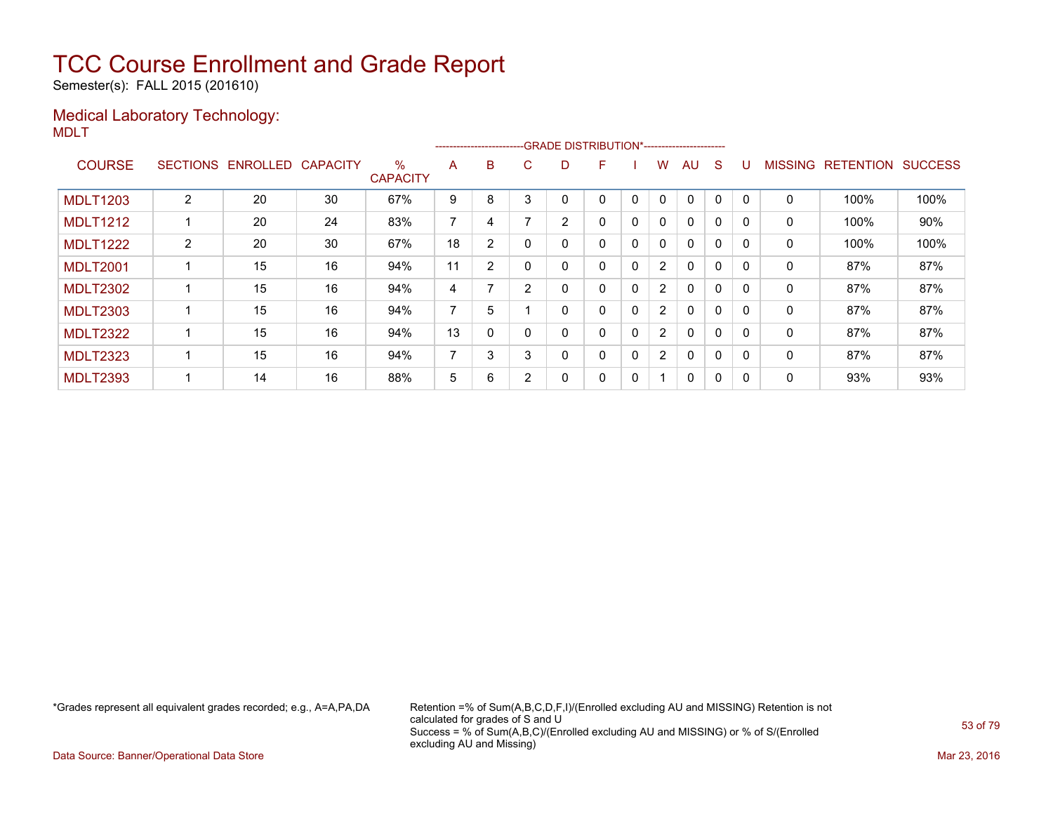Semester(s): FALL 2015 (201610)

#### Medical Laboratory Technology: MDLT

|                 |                 |                 |                 |                      |    |   |                | --------------------------GRADE DISTRIBUTION*----------------------- |   |   |                       |              |   |          |                |                  |                |
|-----------------|-----------------|-----------------|-----------------|----------------------|----|---|----------------|----------------------------------------------------------------------|---|---|-----------------------|--------------|---|----------|----------------|------------------|----------------|
| <b>COURSE</b>   | <b>SECTIONS</b> | <b>ENROLLED</b> | <b>CAPACITY</b> | %<br><b>CAPACITY</b> | A  | B | C.             | D                                                                    | F |   | W                     | AU           | S |          | <b>MISSING</b> | <b>RETENTION</b> | <b>SUCCESS</b> |
| <b>MDLT1203</b> | $\overline{2}$  | 20              | 30              | 67%                  | 9  | 8 | 3              | O                                                                    | 0 | 0 | $\mathbf{0}$          | $\mathbf{0}$ | 0 | $\Omega$ | 0              | 100%             | 100%           |
| <b>MDLT1212</b> |                 | 20              | 24              | 83%                  | 7  | 4 |                | 2                                                                    | 0 | 0 | 0                     | $\mathbf{0}$ | 0 | $\Omega$ | 0              | 100%             | 90%            |
| <b>MDLT1222</b> | $\overline{2}$  | 20              | 30              | 67%                  | 18 | 2 | $\Omega$       |                                                                      | 0 | 0 | $\mathbf{0}$          | $\mathbf{0}$ | 0 | $\Omega$ | 0              | 100%             | 100%           |
| <b>MDLT2001</b> |                 | 15              | 16              | 94%                  | 11 | 2 | $\Omega$       |                                                                      | 0 | 0 | $\overline{2}$        | $\mathbf{0}$ | 0 | $\Omega$ | 0              | 87%              | 87%            |
| <b>MDLT2302</b> |                 | 15              | 16              | 94%                  | 4  |   | $\overline{2}$ |                                                                      | 0 | 0 | $\mathbf{2}^{\circ}$  | $\mathbf{0}$ | 0 | $\Omega$ | 0              | 87%              | 87%            |
| <b>MDLT2303</b> |                 | 15              | 16              | 94%                  | 7  | 5 |                | 0                                                                    | 0 | 0 | $\overline{2}$        | $\mathbf{0}$ | 0 | 0        | 0              | 87%              | 87%            |
| <b>MDLT2322</b> |                 | 15              | 16              | 94%                  | 13 | 0 | $\Omega$       | Ω                                                                    | 0 | 0 | $\overline{2}$        | $\mathbf{0}$ | 0 | $\Omega$ | 0              | 87%              | 87%            |
| <b>MDLT2323</b> |                 | 15              | 16              | 94%                  | ⇁  | 3 | 3              | Ω                                                                    | 0 | 0 | $\mathbf{2}^{\prime}$ | 0            | 0 | $\Omega$ | 0              | 87%              | 87%            |
| <b>MDLT2393</b> |                 | 14              | 16              | 88%                  | 5  | 6 | ົ              |                                                                      | 0 | 0 |                       | 0            | 0 | 0        | 0              | 93%              | 93%            |

\*Grades represent all equivalent grades recorded; e.g., A=A,PA,DA Retention =% of Sum(A,B,C,D,F,I)/(Enrolled excluding AU and MISSING) Retention is not calculated for grades of S and U Success = % of Sum(A,B,C)/(Enrolled excluding AU and MISSING) or % of S/(Enrolled excluding AU and Missing)

Data Source: Banner/Operational Data Store Mar 23, 2016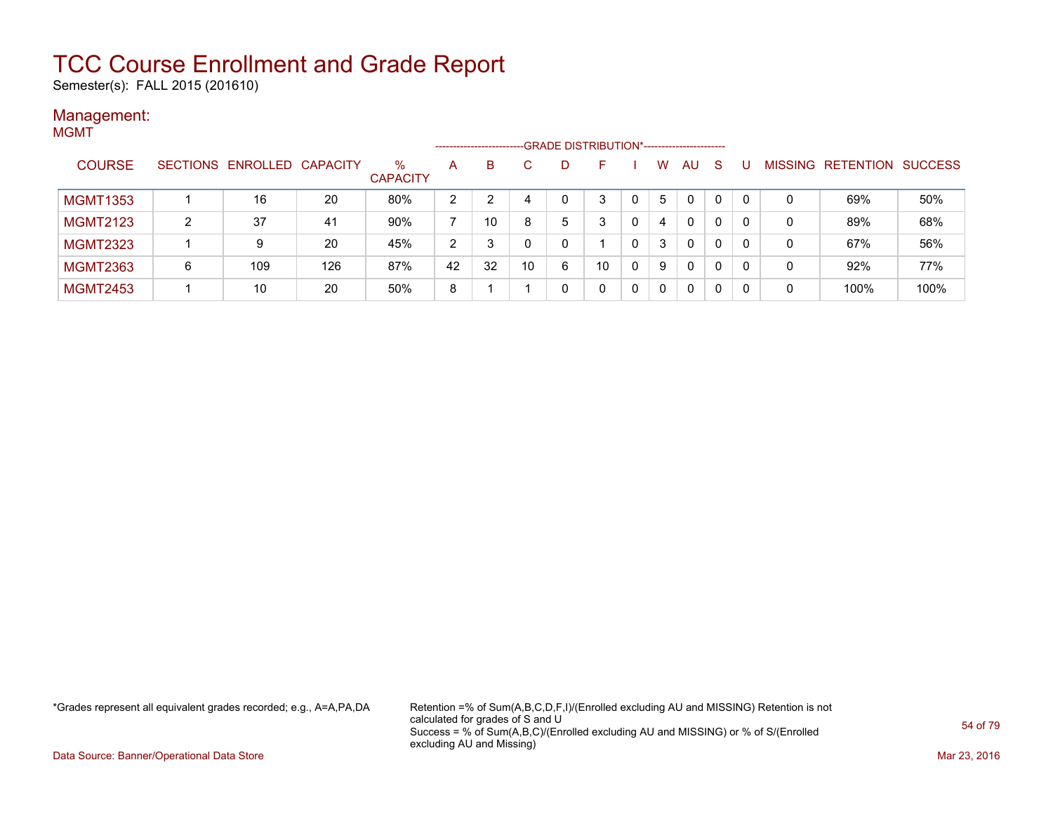Semester(s): FALL 2015 (201610)

#### Management: MGMT

| .               |   |                            |     |                         | --------------------- |    |    | -GRADE DISTRIBUTION*----------------------- |          |              |              |    |                |                          |      |
|-----------------|---|----------------------------|-----|-------------------------|-----------------------|----|----|---------------------------------------------|----------|--------------|--------------|----|----------------|--------------------------|------|
| <b>COURSE</b>   |   | SECTIONS ENROLLED CAPACITY |     | $\%$<br><b>CAPACITY</b> | A                     | B  |    | D                                           | <b>-</b> | W            | AU.          | -S | <b>MISSING</b> | <b>RETENTION SUCCESS</b> |      |
| <b>MGMT1353</b> |   | 16                         | 20  | 80%                     | 2                     |    |    |                                             | 3        | 5            | $\Omega$     |    | 0              | 69%                      | 50%  |
| <b>MGMT2123</b> | 2 | 37                         | 41  | 90%                     |                       | 10 |    | 5                                           | 3        | 4            | $\mathbf{0}$ | 0  | 0              | 89%                      | 68%  |
| <b>MGMT2323</b> |   | 9                          | 20  | 45%                     | 2                     | 3  |    |                                             |          | 3            | $\mathbf{0}$ | 0  | 0              | 67%                      | 56%  |
| <b>MGMT2363</b> | 6 | 109                        | 126 | 87%                     | 42                    | 32 | 10 | 6                                           | 10       | 9            | $\mathbf{0}$ | 0  | 0              | 92%                      | 77%  |
| <b>MGMT2453</b> |   | 10                         | 20  | 50%                     | 8                     |    |    |                                             |          | $\mathbf{0}$ | 0            | 0  | 0              | 100%                     | 100% |

\*Grades represent all equivalent grades recorded; e.g., A=A,PA,DA Retention =% of Sum(A,B,C,D,F,I)/(Enrolled excluding AU and MISSING) Retention is not calculated for grades of S and U Success = % of Sum(A,B,C)/(Enrolled excluding AU and MISSING) or % of S/(Enrolled excluding AU and Missing)

Data Source: Banner/Operational Data Store Mar 23, 2016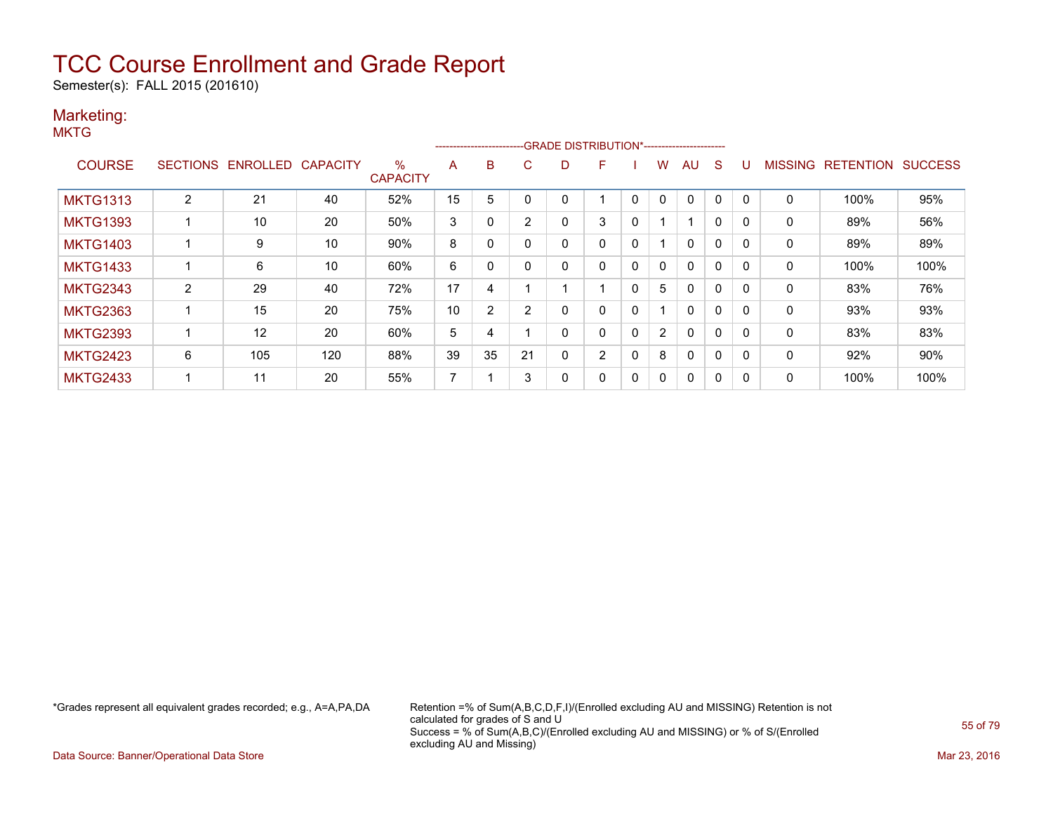Semester(s): FALL 2015 (201610)

### Marketing:

|  |  | v |
|--|--|---|
|--|--|---|

|                 |                 |          |                 |                         |    |    |                | -------------------------GRADE DISTRIBUTION*----------------------- |                |              |                |              |          |          |                |                  |                |
|-----------------|-----------------|----------|-----------------|-------------------------|----|----|----------------|---------------------------------------------------------------------|----------------|--------------|----------------|--------------|----------|----------|----------------|------------------|----------------|
| <b>COURSE</b>   | <b>SECTIONS</b> | ENROLLED | <b>CAPACITY</b> | $\%$<br><b>CAPACITY</b> | A  | B  | C              | D                                                                   | н.             |              | w              | AU           | S        |          | <b>MISSING</b> | <b>RETENTION</b> | <b>SUCCESS</b> |
| <b>MKTG1313</b> | 2               | 21       | 40              | 52%                     | 15 | 5  |                |                                                                     |                | 0            |                | 0            | 0        | $\Omega$ | 0              | 100%             | 95%            |
| <b>MKTG1393</b> |                 | 10       | 20              | 50%                     | 3  | 0  | $\overline{2}$ |                                                                     | 3              | 0            |                |              | 0        | 0        | 0              | 89%              | 56%            |
| <b>MKTG1403</b> |                 | 9        | 10              | 90%                     | 8  | 0  | 0              | $\Omega$                                                            | 0              | $\mathbf{0}$ |                | $\mathbf{0}$ | $\Omega$ | $\Omega$ | 0              | 89%              | 89%            |
| <b>MKTG1433</b> |                 | 6        | 10              | 60%                     | 6  | 0  | 0              |                                                                     | 0              | $\mathbf{0}$ | 0              | 0            | 0        | $\Omega$ | 0              | 100%             | 100%           |
| <b>MKTG2343</b> | $\overline{2}$  | 29       | 40              | 72%                     | 17 | 4  |                |                                                                     |                | 0            | 5              | $\mathbf{0}$ | $\Omega$ | $\Omega$ | $\mathbf 0$    | 83%              | 76%            |
| <b>MKTG2363</b> |                 | 15       | 20              | 75%                     | 10 | 2  | 2              | $\Omega$                                                            | 0              | 0            |                | 0            | 0        | 0        | 0              | 93%              | 93%            |
| <b>MKTG2393</b> |                 | 12       | 20              | 60%                     | 5  | 4  |                |                                                                     |                | $\mathbf{0}$ | $\overline{2}$ | $\mathbf{0}$ | $\Omega$ | $\Omega$ | $\mathbf 0$    | 83%              | 83%            |
| <b>MKTG2423</b> | 6               | 105      | 120             | 88%                     | 39 | 35 | 21             | 0                                                                   | $\overline{2}$ | $\mathbf{0}$ | 8              | $\mathbf{0}$ | $\Omega$ | $\Omega$ | $\mathbf 0$    | 92%              | 90%            |
| <b>MKTG2433</b> |                 | 11       | 20              | 55%                     | ⇁  |    | 3              |                                                                     |                | 0            |                | 0            | 0        | 0        | $\mathbf 0$    | 100%             | 100%           |

\*Grades represent all equivalent grades recorded; e.g., A=A,PA,DA Retention =% of Sum(A,B,C,D,F,I)/(Enrolled excluding AU and MISSING) Retention is not calculated for grades of S and U Success = % of Sum(A,B,C)/(Enrolled excluding AU and MISSING) or % of S/(Enrolled excluding AU and Missing)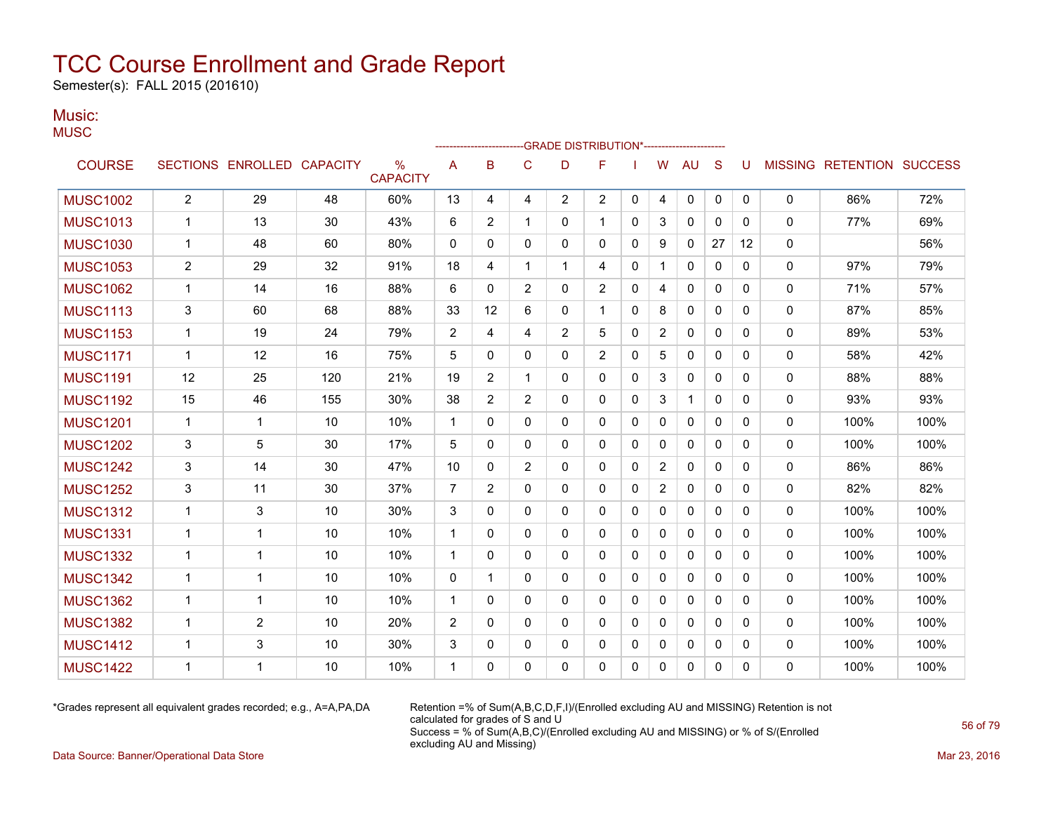Semester(s): FALL 2015 (201610)

#### Music: **MUSC**

|                 |                |                            |     |                                  |                | ---------------------- |                | -GRADE DISTRIBUTION*---------------------- |                |              |              |              |              |          |              |                                  |      |
|-----------------|----------------|----------------------------|-----|----------------------------------|----------------|------------------------|----------------|--------------------------------------------|----------------|--------------|--------------|--------------|--------------|----------|--------------|----------------------------------|------|
| <b>COURSE</b>   |                | SECTIONS ENROLLED CAPACITY |     | $\frac{0}{0}$<br><b>CAPACITY</b> | Α              | B                      | $\mathsf C$    | D                                          | F              |              | W            | <b>AU</b>    | S            | U        |              | <b>MISSING RETENTION SUCCESS</b> |      |
| <b>MUSC1002</b> | $\overline{2}$ | 29                         | 48  | 60%                              | 13             | 4                      | 4              | $\overline{2}$                             | $\overline{c}$ | 0            | 4            | $\mathbf 0$  | 0            | 0        | 0            | 86%                              | 72%  |
| <b>MUSC1013</b> | $\mathbf 1$    | 13                         | 30  | 43%                              | 6              | 2                      | 1              | 0                                          | 1              | $\mathbf{0}$ | 3            | $\mathbf{0}$ | $\mathbf{0}$ | 0        | $\mathbf{0}$ | 77%                              | 69%  |
| <b>MUSC1030</b> | $\mathbf 1$    | 48                         | 60  | 80%                              | 0              | 0                      | 0              | 0                                          | 0              | 0            | 9            | 0            | 27           | 12       | 0            |                                  | 56%  |
| <b>MUSC1053</b> | $\overline{2}$ | 29                         | 32  | 91%                              | 18             | 4                      | 1              | 1                                          | 4              | $\mathbf{0}$ |              | 0            | $\Omega$     | 0        | 0            | 97%                              | 79%  |
| <b>MUSC1062</b> | $\mathbf 1$    | 14                         | 16  | 88%                              | 6              | 0                      | $\overline{2}$ | 0                                          | $\overline{2}$ | $\mathbf{0}$ | 4            | 0            | 0            | 0        | 0            | 71%                              | 57%  |
| <b>MUSC1113</b> | 3              | 60                         | 68  | 88%                              | 33             | 12                     | 6              | $\mathbf{0}$                               | 1              | $\mathbf{0}$ | 8            | $\mathbf{0}$ | $\mathbf{0}$ | 0        | $\mathbf{0}$ | 87%                              | 85%  |
| <b>MUSC1153</b> | $\mathbf{1}$   | 19                         | 24  | 79%                              | $\overline{2}$ | 4                      | 4              | $\overline{2}$                             | 5              | $\mathbf{0}$ | 2            | 0            | $\mathbf{0}$ | 0        | 0            | 89%                              | 53%  |
| <b>MUSC1171</b> | $\mathbf{1}$   | 12                         | 16  | 75%                              | 5              | 0                      | $\Omega$       | 0                                          | $\overline{2}$ | $\mathbf{0}$ | 5            | $\Omega$     | $\mathbf{0}$ | 0        | 0            | 58%                              | 42%  |
| <b>MUSC1191</b> | 12             | 25                         | 120 | 21%                              | 19             | $\overline{2}$         | 1              | $\Omega$                                   | $\mathbf{0}$   | $\mathbf{0}$ | 3            | $\Omega$     | $\mathbf{0}$ | $\Omega$ | 0            | 88%                              | 88%  |
| <b>MUSC1192</b> | 15             | 46                         | 155 | 30%                              | 38             | 2                      | $\overline{2}$ | $\Omega$                                   | $\mathbf{0}$   | $\mathbf{0}$ | 3            | 1            | $\mathbf{0}$ | $\Omega$ | 0            | 93%                              | 93%  |
| <b>MUSC1201</b> | 1              | 1                          | 10  | 10%                              | 1              | 0                      | 0              | 0                                          | 0              | 0            | 0            | 0            | $\mathbf{0}$ | 0        | 0            | 100%                             | 100% |
| <b>MUSC1202</b> | 3              | 5                          | 30  | 17%                              | 5              | $\Omega$               | $\mathbf{0}$   | 0                                          | 0              | $\mathbf{0}$ | 0            | 0            | $\mathbf{0}$ | 0        | 0            | 100%                             | 100% |
| <b>MUSC1242</b> | 3              | 14                         | 30  | 47%                              | 10             | 0                      | 2              | 0                                          | 0              | $\mathbf{0}$ | 2            | 0            | $\mathbf{0}$ | 0        | 0            | 86%                              | 86%  |
| <b>MUSC1252</b> | 3              | 11                         | 30  | 37%                              | $\overline{7}$ | 2                      | $\mathbf{0}$   | 0                                          | 0              | 0            | 2            | $\mathbf{0}$ | $\mathbf{0}$ | 0        | $\mathbf{0}$ | 82%                              | 82%  |
| <b>MUSC1312</b> | $\mathbf{1}$   | 3                          | 10  | 30%                              | 3              | 0                      | $\Omega$       | $\Omega$                                   | $\mathbf{0}$   | $\mathbf{0}$ | $\mathbf{0}$ | $\Omega$     | $\mathbf{0}$ | 0        | 0            | 100%                             | 100% |
| <b>MUSC1331</b> | $\mathbf 1$    | $\mathbf{1}$               | 10  | 10%                              | 1              | 0                      | 0              | 0                                          | 0              | 0            | 0            | 0            | $\mathbf{0}$ | 0        | 0            | 100%                             | 100% |
| <b>MUSC1332</b> | $\mathbf{1}$   | $\mathbf{1}$               | 10  | 10%                              | $\mathbf{1}$   | $\Omega$               | $\Omega$       | $\Omega$                                   | 0              | $\mathbf{0}$ | $\mathbf{0}$ | $\Omega$     | $\Omega$     | $\Omega$ | 0            | 100%                             | 100% |
| <b>MUSC1342</b> | $\mathbf 1$    | 1                          | 10  | 10%                              | 0              | 1                      | $\Omega$       | 0                                          | $\mathbf{0}$   | $\mathbf{0}$ | 0            | $\mathbf{0}$ | $\mathbf{0}$ | $\Omega$ | 0            | 100%                             | 100% |
| <b>MUSC1362</b> | $\mathbf 1$    | $\mathbf 1$                | 10  | 10%                              | $\mathbf{1}$   | 0                      | $\mathbf{0}$   | 0                                          | 0              | 0            | 0            | 0            | $\mathbf{0}$ | 0        | $\mathbf{0}$ | 100%                             | 100% |
| <b>MUSC1382</b> | $\mathbf 1$    | 2                          | 10  | 20%                              | 2              | 0                      | $\Omega$       | 0                                          | 0              | $\mathbf{0}$ | 0            | $\mathbf{0}$ | $\mathbf{0}$ | 0        | $\mathbf{0}$ | 100%                             | 100% |
| <b>MUSC1412</b> | $\mathbf 1$    | 3                          | 10  | 30%                              | 3              | 0                      | 0              | 0                                          | 0              | 0            | 0            | 0            | 0            | 0        | 0            | 100%                             | 100% |
| <b>MUSC1422</b> | $\overline{1}$ | 1                          | 10  | 10%                              | 1              | 0                      | 0              | 0                                          | 0              | $\Omega$     | 0            | 0            | $\Omega$     | 0        | $\Omega$     | 100%                             | 100% |

\*Grades represent all equivalent grades recorded; e.g., A=A,PA,DA Retention =% of Sum(A,B,C,D,F,I)/(Enrolled excluding AU and MISSING) Retention is not calculated for grades of S and U Success = % of Sum(A,B,C)/(Enrolled excluding AU and MISSING) or % of S/(Enrolled excluding AU and Missing)

Data Source: Banner/Operational Data Store Mar 23, 2016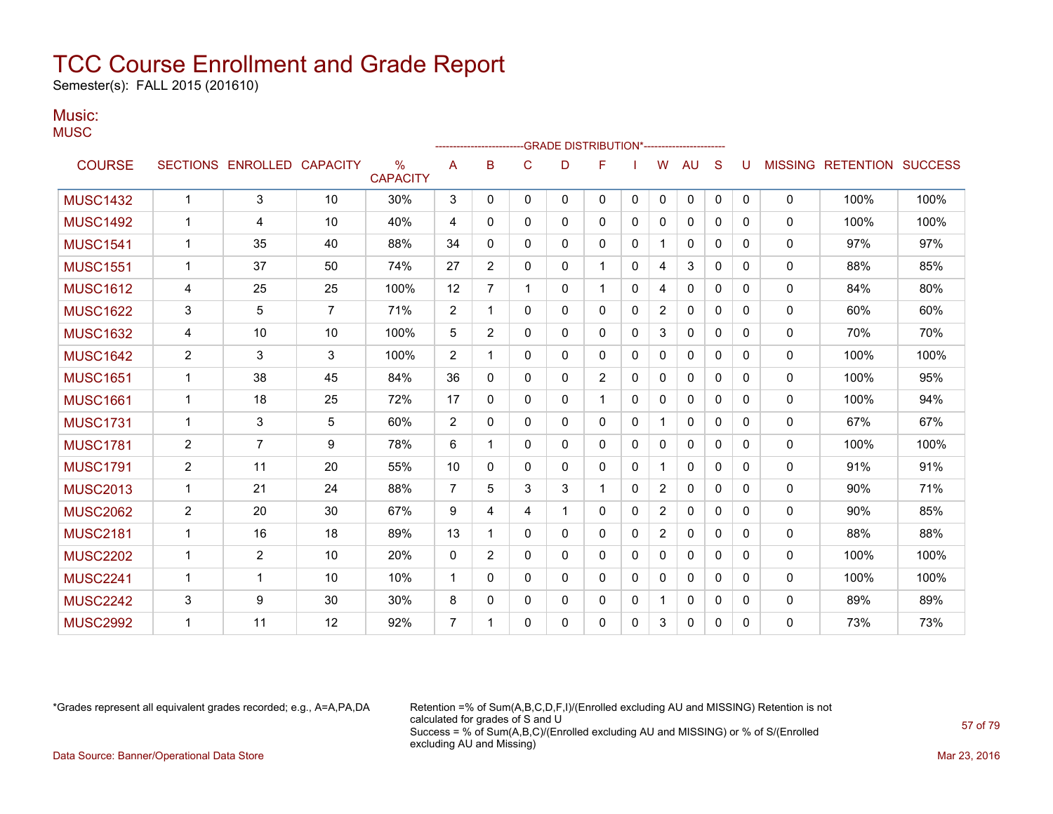Semester(s): FALL 2015 (201610)

#### Music: **MUSC**

|                 |                |                            |                |                                  |                |                |              | -GRADE DISTRIBUTION*---------------------- |                |              |                |              |              |          |              |                           |      |
|-----------------|----------------|----------------------------|----------------|----------------------------------|----------------|----------------|--------------|--------------------------------------------|----------------|--------------|----------------|--------------|--------------|----------|--------------|---------------------------|------|
| <b>COURSE</b>   |                | SECTIONS ENROLLED CAPACITY |                | $\frac{0}{0}$<br><b>CAPACITY</b> | A              | B              | C            | D                                          | F              |              | w              | AU           | S            |          |              | MISSING RETENTION SUCCESS |      |
| <b>MUSC1432</b> | $\mathbf{1}$   | 3                          | 10             | 30%                              | 3              | $\mathbf 0$    | 0            | 0                                          | 0              | $\mathbf 0$  | 0              | $\mathbf 0$  | $\mathbf 0$  | 0        | $\mathbf 0$  | 100%                      | 100% |
| <b>MUSC1492</b> | 1              | 4                          | 10             | 40%                              | 4              | 0              | $\Omega$     | 0                                          | $\Omega$       | 0            | 0              | $\mathbf{0}$ | $\Omega$     | 0        | $\mathbf{0}$ | 100%                      | 100% |
| <b>MUSC1541</b> | $\mathbf 1$    | 35                         | 40             | 88%                              | 34             | $\mathbf{0}$   | $\mathbf 0$  | 0                                          | 0              | 0            |                | 0            | $\mathbf{0}$ | 0        | 0            | 97%                       | 97%  |
| <b>MUSC1551</b> | $\mathbf 1$    | 37                         | 50             | 74%                              | 27             | $\overline{2}$ | $\Omega$     | 0                                          |                | $\Omega$     | 4              | 3            | $\Omega$     | 0        | $\mathbf{0}$ | 88%                       | 85%  |
| <b>MUSC1612</b> | 4              | 25                         | 25             | 100%                             | 12             | 7              | 1            | 0                                          |                | $\mathbf{0}$ | 4              | $\mathbf 0$  | $\Omega$     | 0        | 0            | 84%                       | 80%  |
| <b>MUSC1622</b> | 3              | 5                          | $\overline{7}$ | 71%                              | 2              | $\mathbf 1$    | $\Omega$     | 0                                          | 0              | $\mathbf{0}$ | $\overline{2}$ | $\mathbf{0}$ | $\Omega$     | 0        | $\mathbf{0}$ | 60%                       | 60%  |
| <b>MUSC1632</b> | 4              | 10                         | 10             | 100%                             | 5              | $\overline{2}$ | $\Omega$     | $\mathbf{0}$                               | $\Omega$       | 0            | 3              | $\mathbf{0}$ | $\mathbf{0}$ | 0        | $\mathbf{0}$ | 70%                       | 70%  |
| <b>MUSC1642</b> | $\overline{2}$ | 3                          | 3              | 100%                             | 2              | 1              | $\Omega$     | 0                                          | 0              | 0            | 0              | 0            | $\Omega$     | 0        | $\mathbf{0}$ | 100%                      | 100% |
| <b>MUSC1651</b> | $\mathbf{1}$   | 38                         | 45             | 84%                              | 36             | $\mathbf{0}$   | $\Omega$     | 0                                          | $\overline{2}$ | $\Omega$     | $\Omega$       | $\mathbf{0}$ | $\Omega$     | $\Omega$ | $\mathbf{0}$ | 100%                      | 95%  |
| <b>MUSC1661</b> | 1              | 18                         | 25             | 72%                              | 17             | 0              | $\Omega$     | 0                                          |                | $\mathbf{0}$ | 0              | $\mathbf{0}$ | $\Omega$     | 0        | $\mathbf{0}$ | 100%                      | 94%  |
| <b>MUSC1731</b> | $\mathbf{1}$   | 3                          | 5              | 60%                              | 2              | $\mathbf{0}$   | $\Omega$     | 0                                          | $\Omega$       | $\mathbf{0}$ | 1              | $\mathbf{0}$ | $\mathbf{0}$ | 0        | $\mathbf{0}$ | 67%                       | 67%  |
| <b>MUSC1781</b> | $\overline{2}$ | $\overline{7}$             | 9              | 78%                              | 6              | 1              | 0            | 0                                          | 0              | $\mathbf{0}$ | 0              | 0            | $\Omega$     | 0        | $\mathbf{0}$ | 100%                      | 100% |
| <b>MUSC1791</b> | 2              | 11                         | 20             | 55%                              | 10             | 0              | $\Omega$     | 0                                          | 0              | $\mathbf{0}$ |                | $\mathbf{0}$ | $\Omega$     | 0        | $\mathbf{0}$ | 91%                       | 91%  |
| <b>MUSC2013</b> | $\mathbf{1}$   | 21                         | 24             | 88%                              | $\overline{7}$ | 5              | 3            | 3                                          | 1              | 0            | $\overline{2}$ | $\mathbf{0}$ | $\Omega$     | 0        | $\mathbf{0}$ | 90%                       | 71%  |
| <b>MUSC2062</b> | $\overline{2}$ | 20                         | 30             | 67%                              | 9              | 4              | 4            | 1                                          | $\Omega$       | 0            | $\overline{2}$ | $\mathbf{0}$ | $\Omega$     | 0        | $\mathbf{0}$ | 90%                       | 85%  |
| <b>MUSC2181</b> | 1              | 16                         | 18             | 89%                              | 13             | 1              | $\mathbf{0}$ | $\mathbf{0}$                               | 0              | 0            | $\overline{2}$ | 0            | $\mathbf{0}$ | 0        | 0            | 88%                       | 88%  |
| <b>MUSC2202</b> | $\mathbf{1}$   | $\overline{2}$             | 10             | 20%                              | 0              | $\overline{2}$ | $\Omega$     | 0                                          | 0              | 0            | 0              | 0            | $\mathbf{0}$ | 0        | $\mathbf{0}$ | 100%                      | 100% |
| <b>MUSC2241</b> | 1              | 1                          | 10             | 10%                              | $\mathbf{1}$   | 0              | $\Omega$     | 0                                          | 0              | $\mathbf{0}$ | 0              | $\mathbf{0}$ | $\mathbf{0}$ | 0        | $\mathbf{0}$ | 100%                      | 100% |
| <b>MUSC2242</b> | 3              | 9                          | 30             | 30%                              | 8              | 0              | $\mathbf 0$  | 0                                          | 0              | 0            |                | 0            | $\Omega$     | 0        | 0            | 89%                       | 89%  |
| <b>MUSC2992</b> | 1              | 11                         | 12             | 92%                              | $\overline{7}$ | 1              | $\mathbf 0$  | 0                                          | 0              | 0            | 3              | $\mathbf{0}$ | 0            | 0        | $\mathbf{0}$ | 73%                       | 73%  |
|                 |                |                            |                |                                  |                |                |              |                                            |                |              |                |              |              |          |              |                           |      |

\*Grades represent all equivalent grades recorded; e.g., A=A,PA,DA Retention =% of Sum(A,B,C,D,F,I)/(Enrolled excluding AU and MISSING) Retention is not calculated for grades of S and U Success = % of Sum(A,B,C)/(Enrolled excluding AU and MISSING) or % of S/(Enrolled excluding AU and Missing) Data Source: Banner/Operational Data Store Mar 23, 2016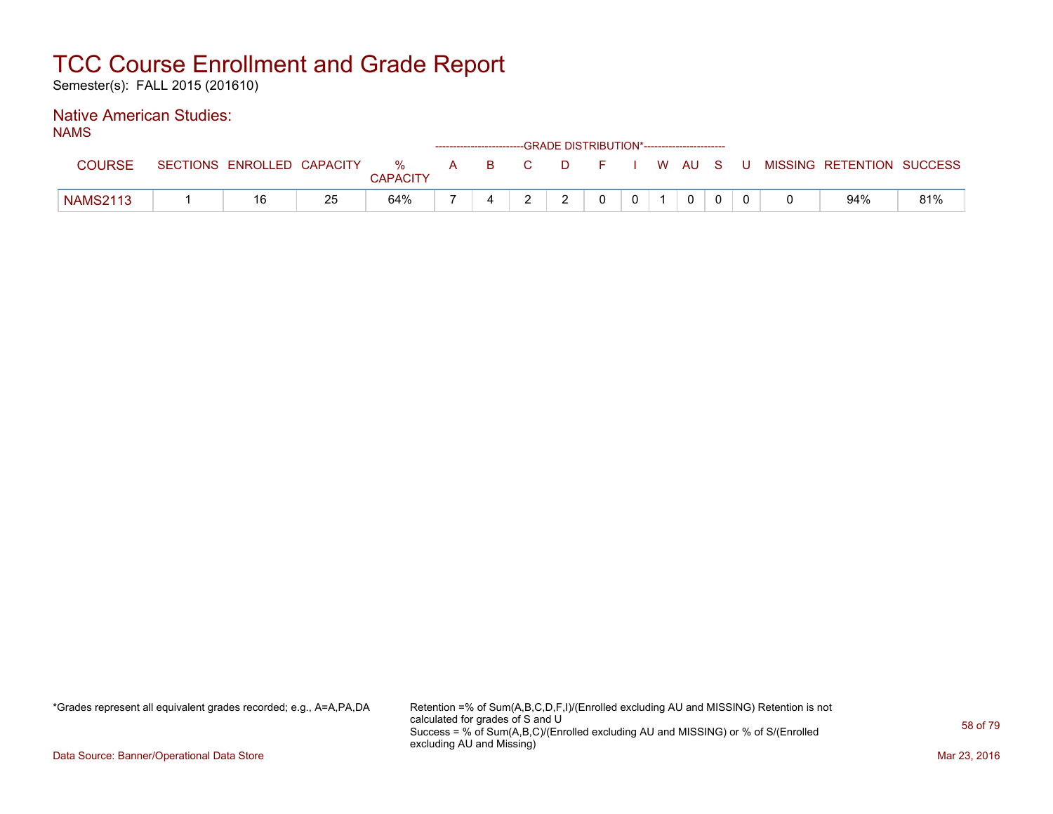Semester(s): FALL 2015 (201610)

#### Native American Studies: NAMS

| OIVIHI          |                            |    |                      |  | ------------------------GRADE DISTRIBUTION*----------------------- |              |          |   |             |  |                                          |     |
|-----------------|----------------------------|----|----------------------|--|--------------------------------------------------------------------|--------------|----------|---|-------------|--|------------------------------------------|-----|
|                 | SECTIONS ENROLLED CAPACITY |    | %<br><b>CAPACITY</b> |  | A B C                                                              |              |          |   |             |  | D F I W AU S U MISSING RETENTION SUCCESS |     |
| <b>NAMS2113</b> | 16                         | 25 | 64%                  |  |                                                                    | <sup>o</sup> | $\Omega$ | 0 | $\mathbf 0$ |  | 94%                                      | 81% |

\*Grades represent all equivalent grades recorded; e.g., A=A,PA,DA Retention =% of Sum(A,B,C,D,F,I)/(Enrolled excluding AU and MISSING) Retention is not calculated for grades of S and U Success = % of Sum(A,B,C)/(Enrolled excluding AU and MISSING) or % of S/(Enrolled excluding AU and Missing)

Data Source: Banner/Operational Data Store Mar 23, 2016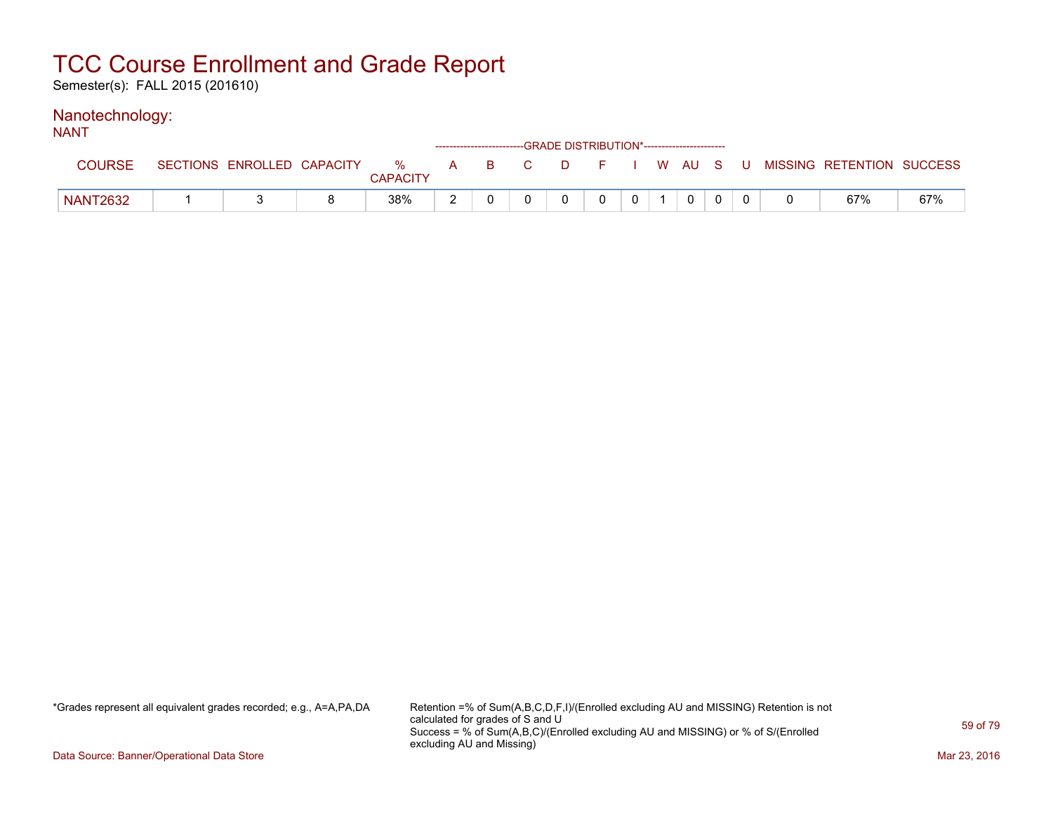Semester(s): FALL 2015 (201610)

#### Nanotechnology: NANT

| IVAIV I         |                            |                      |     |    |        | ------------------------GRADE DISTRIBUTION*----------------------- |              |          |  |                                        |     |
|-----------------|----------------------------|----------------------|-----|----|--------|--------------------------------------------------------------------|--------------|----------|--|----------------------------------------|-----|
| <b>COURSE</b>   | SECTIONS ENROLLED CAPACITY | %<br><b>CAPACITY</b> | A B | C. | $\Box$ |                                                                    |              |          |  | F I W AU S U MISSING RETENTION SUCCESS |     |
| <b>NANT2632</b> |                            | 38%                  |     |    |        | 0                                                                  | $\mathbf{0}$ | $\Omega$ |  | 67%                                    | 67% |

\*Grades represent all equivalent grades recorded; e.g., A=A,PA,DA Retention =% of Sum(A,B,C,D,F,I)/(Enrolled excluding AU and MISSING) Retention is not calculated for grades of S and U Success = % of Sum(A,B,C)/(Enrolled excluding AU and MISSING) or % of S/(Enrolled excluding AU and Missing)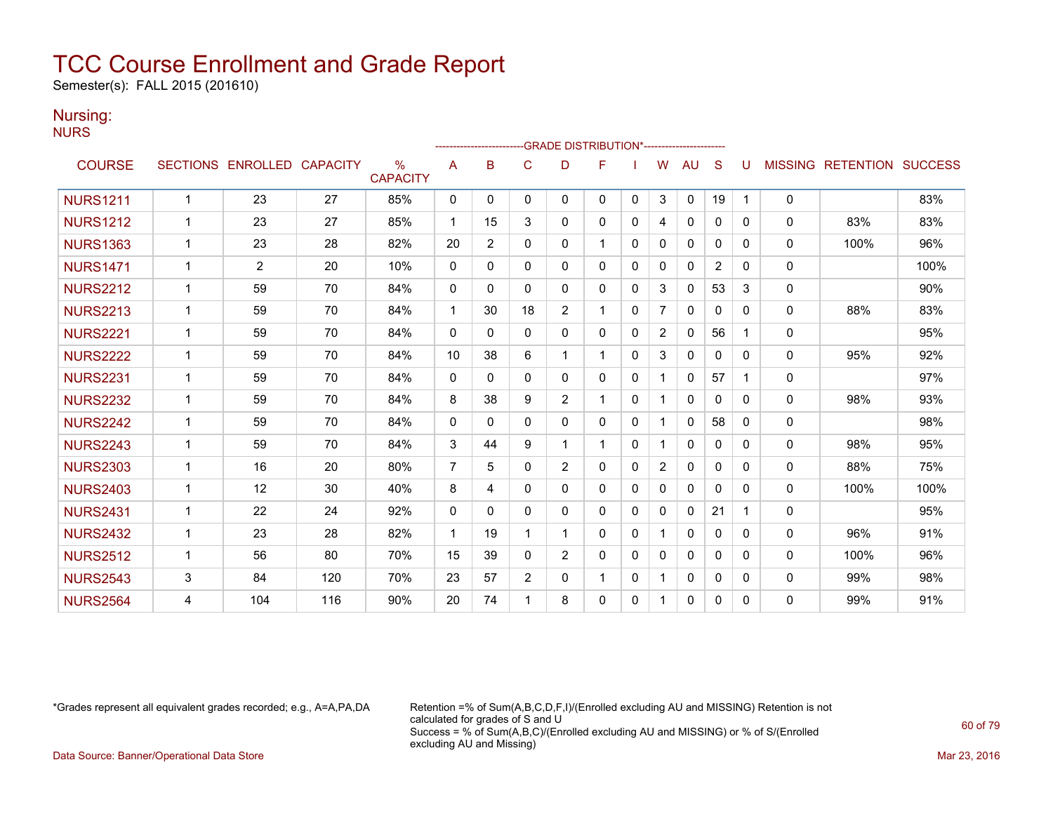Semester(s): FALL 2015 (201610)

### Nursing:

**NURS** 

|                 |              |                   |                 |                                  |                | ------------------- |                | -GRADE DISTRIBUTION*---------------------- |    |              |                |              |                |          |                |                  |                |
|-----------------|--------------|-------------------|-----------------|----------------------------------|----------------|---------------------|----------------|--------------------------------------------|----|--------------|----------------|--------------|----------------|----------|----------------|------------------|----------------|
| <b>COURSE</b>   |              | SECTIONS ENROLLED | <b>CAPACITY</b> | $\frac{0}{0}$<br><b>CAPACITY</b> | A              | B                   | C              | D                                          | F  |              | W              | AU           | S              |          | <b>MISSING</b> | <b>RETENTION</b> | <b>SUCCESS</b> |
| <b>NURS1211</b> |              | 23                | 27              | 85%                              | 0              | $\mathbf{0}$        | 0              | 0                                          | 0  | $\mathbf{0}$ | 3              | 0            | 19             | 1        | 0              |                  | 83%            |
| <b>NURS1212</b> | $\mathbf{1}$ | 23                | 27              | 85%                              | $\mathbf{1}$   | 15                  | 3              | 0                                          | 0  | 0            | 4              | $\mathbf{0}$ | $\mathbf{0}$   | 0        | $\mathbf 0$    | 83%              | 83%            |
| <b>NURS1363</b> | 1            | 23                | 28              | 82%                              | 20             | $\overline{2}$      | $\Omega$       | 0                                          | 1  | $\Omega$     | 0              | $\Omega$     | $\Omega$       | $\Omega$ | $\mathbf{0}$   | 100%             | 96%            |
| <b>NURS1471</b> | $\mathbf 1$  | $\overline{2}$    | 20              | 10%                              | $\Omega$       | 0                   | 0              | 0                                          | 0  | $\mathbf{0}$ | $\mathbf{0}$   | $\mathbf{0}$ | $\overline{2}$ | $\Omega$ | $\mathbf 0$    |                  | 100%           |
| <b>NURS2212</b> |              | 59                | 70              | 84%                              | $\mathbf{0}$   | 0                   | $\Omega$       | $\Omega$                                   | 0  | $\Omega$     | 3              | $\mathbf{0}$ | 53             | 3        | $\mathbf 0$    |                  | 90%            |
| <b>NURS2213</b> | $\mathbf{1}$ | 59                | 70              | 84%                              | $\mathbf 1$    | 30                  | 18             | $\overline{2}$                             | 1  | 0            | 7              | $\mathbf{0}$ | $\Omega$       | $\Omega$ | $\Omega$       | 88%              | 83%            |
| <b>NURS2221</b> | $\mathbf{1}$ | 59                | 70              | 84%                              | $\mathbf{0}$   | 0                   | 0              | 0                                          | 0  | $\mathbf{0}$ | $\overline{2}$ | 0            | 56             | 1        | 0              |                  | 95%            |
| <b>NURS2222</b> | 1            | 59                | 70              | 84%                              | 10             | 38                  | 6              | 1                                          | 1  | $\Omega$     | 3              | $\mathbf{0}$ | $\Omega$       | $\Omega$ | $\Omega$       | 95%              | 92%            |
| <b>NURS2231</b> | $\mathbf{1}$ | 59                | 70              | 84%                              | $\mathbf{0}$   | $\Omega$            | $\Omega$       | $\Omega$                                   | 0  | $\Omega$     | 1              | $\mathbf{0}$ | 57             | 1        | 0              |                  | 97%            |
| <b>NURS2232</b> |              | 59                | 70              | 84%                              | 8              | 38                  | 9              | $\overline{2}$                             | 1  | $\mathbf{0}$ |                | $\mathbf{0}$ | $\Omega$       | $\Omega$ | $\Omega$       | 98%              | 93%            |
| <b>NURS2242</b> | $\mathbf{1}$ | 59                | 70              | 84%                              | $\Omega$       | 0                   | 0              | 0                                          | 0  | $\mathbf{0}$ |                | $\mathbf{0}$ | 58             | 0        | 0              |                  | 98%            |
| <b>NURS2243</b> | 1            | 59                | 70              | 84%                              | 3              | 44                  | 9              | 1                                          | 1. | $\Omega$     |                | $\mathbf{0}$ | $\Omega$       | 0        | 0              | 98%              | 95%            |
| <b>NURS2303</b> | $\mathbf{1}$ | 16                | 20              | 80%                              | $\overline{7}$ | 5                   | 0              | $\overline{2}$                             | 0  | $\mathbf{0}$ | $\overline{2}$ | $\mathbf{0}$ | $\Omega$       | 0        | 0              | 88%              | 75%            |
| <b>NURS2403</b> | $\mathbf{1}$ | 12                | 30              | 40%                              | 8              | 4                   | 0              | 0                                          | 0  | 0            | $\mathbf{0}$   | 0            | $\Omega$       | 0        | 0              | 100%             | 100%           |
| <b>NURS2431</b> | 1            | 22                | 24              | 92%                              | $\mathbf{0}$   | 0                   | $\Omega$       | 0                                          | 0  | $\Omega$     | $\mathbf{0}$   | $\mathbf{0}$ | 21             | 1        | $\Omega$       |                  | 95%            |
| <b>NURS2432</b> | $\mathbf 1$  | 23                | 28              | 82%                              | $\mathbf 1$    | 19                  |                | 1                                          | 0  | 0            |                | $\mathbf{0}$ | $\mathbf{0}$   | 0        | 0              | 96%              | 91%            |
| <b>NURS2512</b> |              | 56                | 80              | 70%                              | 15             | 39                  | 0              | $\overline{2}$                             | 0  | $\Omega$     | $\Omega$       | $\Omega$     | $\Omega$       | 0        | $\mathbf{0}$   | 100%             | 96%            |
| <b>NURS2543</b> | 3            | 84                | 120             | 70%                              | 23             | 57                  | $\overline{2}$ | 0                                          | 1  | $\mathbf{0}$ |                | $\mathbf{0}$ | $\mathbf{0}$   | 0        | 0              | 99%              | 98%            |
| <b>NURS2564</b> | 4            | 104               | 116             | 90%                              | 20             | 74                  |                | 8                                          | 0  | 0            |                | $\Omega$     | 0              | $\Omega$ | $\Omega$       | 99%              | 91%            |

\*Grades represent all equivalent grades recorded; e.g., A=A,PA,DA Retention =% of Sum(A,B,C,D,F,I)/(Enrolled excluding AU and MISSING) Retention is not calculated for grades of S and U Success = % of Sum(A,B,C)/(Enrolled excluding AU and MISSING) or % of S/(Enrolled excluding AU and Missing)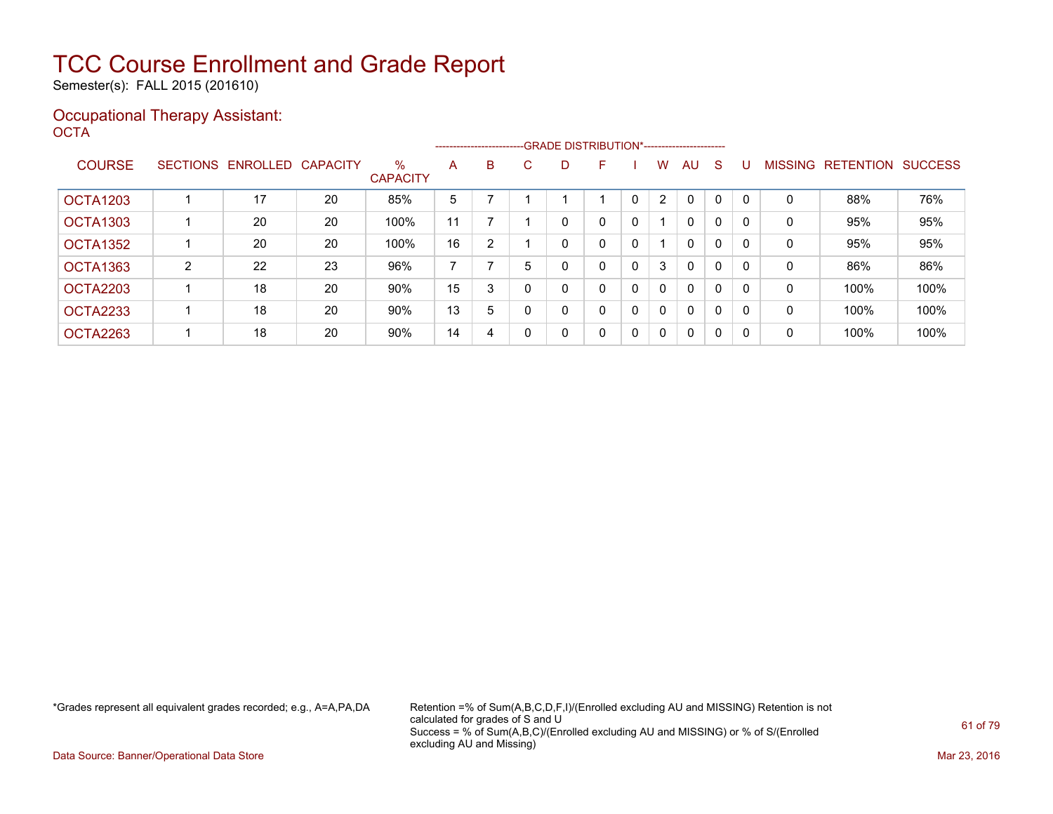Semester(s): FALL 2015 (201610)

#### Occupational Therapy Assistant: OCTA<sup>'</sup>

|                 |   |                   |          |                      |    |   |    | ------------------------GRADE DISTRIBUTION*----------------------- |   |   |                |              |              |              |                |                  |                |
|-----------------|---|-------------------|----------|----------------------|----|---|----|--------------------------------------------------------------------|---|---|----------------|--------------|--------------|--------------|----------------|------------------|----------------|
| <b>COURSE</b>   |   | SECTIONS ENROLLED | CAPACITY | %<br><b>CAPACITY</b> | A  | B | C. | D                                                                  | F |   | W              | AU           | S            |              | <b>MISSING</b> | <b>RETENTION</b> | <b>SUCCESS</b> |
| <b>OCTA1203</b> |   | 17                | 20       | 85%                  | 5  |   |    |                                                                    |   | 0 | $\overline{2}$ | 0            |              | $\Omega$     | 0              | 88%              | 76%            |
| <b>OCTA1303</b> |   | 20                | 20       | 100%                 | 11 |   |    | 0                                                                  | 0 | 0 |                | $\Omega$     | 0            | $\mathbf{0}$ | 0              | 95%              | 95%            |
| OCTA1352        |   | 20                | 20       | 100%                 | 16 | 2 |    | 0                                                                  | 0 | 0 |                | $\Omega$     | 0            | $\mathbf{0}$ | 0              | 95%              | 95%            |
| OCTA1363        | 2 | 22                | 23       | 96%                  |    |   | 5  | 0                                                                  | 0 | 0 | 3              | $\Omega$     | 0            | $\mathbf{0}$ | 0              | 86%              | 86%            |
| OCTA2203        |   | 18                | 20       | 90%                  | 15 | 3 | 0  | 0                                                                  | 0 | 0 | 0              | $\Omega$     | $\Omega$     | $\mathbf{0}$ | 0              | 100%             | 100%           |
| <b>OCTA2233</b> |   | 18                | 20       | 90%                  | 13 | 5 |    | 0                                                                  | 0 | 0 | $\mathbf{0}$   | $\mathbf{0}$ | $\mathbf{0}$ | $\Omega$     | 0              | 100%             | 100%           |
| OCTA2263        |   | 18                | 20       | 90%                  | 14 | 4 | 0  | 0                                                                  | 0 | 0 | $\Omega$       | $\mathbf{0}$ | $\Omega$     | $\mathbf{0}$ | 0              | 100%             | 100%           |

\*Grades represent all equivalent grades recorded; e.g., A=A,PA,DA Retention =% of Sum(A,B,C,D,F,I)/(Enrolled excluding AU and MISSING) Retention is not calculated for grades of S and U Success = % of Sum(A,B,C)/(Enrolled excluding AU and MISSING) or % of S/(Enrolled excluding AU and Missing)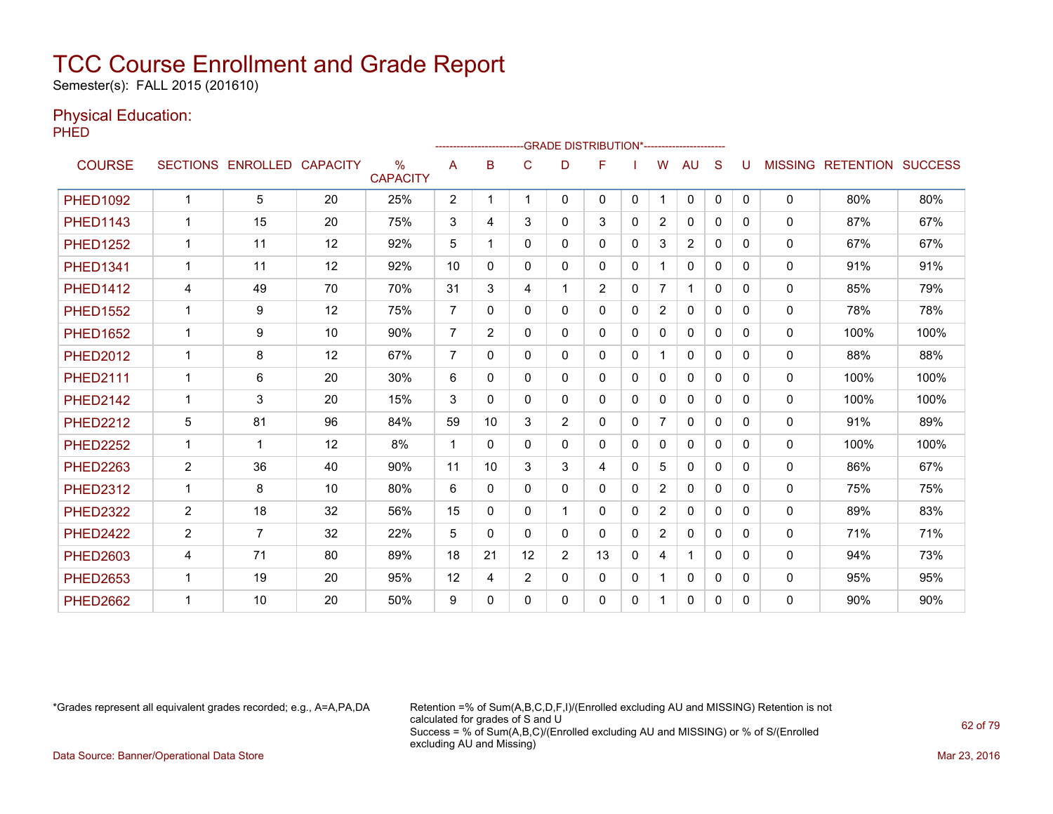Semester(s): FALL 2015 (201610)

### Physical Education:

PHED

|                 |                |                   |                 |                                  |                         |                |                |                | -- GRADE DISTRIBUTION*----------------------- |              |                |                |              |          |                |                          |      |
|-----------------|----------------|-------------------|-----------------|----------------------------------|-------------------------|----------------|----------------|----------------|-----------------------------------------------|--------------|----------------|----------------|--------------|----------|----------------|--------------------------|------|
| <b>COURSE</b>   |                | SECTIONS ENROLLED | <b>CAPACITY</b> | $\frac{0}{0}$<br><b>CAPACITY</b> | A                       | B              | C              | D              | F                                             |              | W              | AU             | S            |          | <b>MISSING</b> | <b>RETENTION SUCCESS</b> |      |
| <b>PHED1092</b> | $\overline{1}$ | 5                 | 20              | 25%                              | $\overline{2}$          |                |                | 0              | 0                                             | $\mathbf{0}$ |                | $\mathbf{0}$   | $\mathbf{0}$ | 0        | 0              | 80%                      | 80%  |
| <b>PHED1143</b> | $\mathbf{1}$   | 15                | 20              | 75%                              | 3                       | 4              | 3              | 0              | 3                                             | $\mathbf{0}$ | $\overline{2}$ | $\mathbf{0}$   | $\mathbf{0}$ | $\Omega$ | 0              | 87%                      | 67%  |
| <b>PHED1252</b> | 1              | 11                | 12              | 92%                              | 5                       |                | 0              | 0              | 0                                             | $\Omega$     | 3              | $\overline{2}$ | $\Omega$     | $\Omega$ | $\mathbf{0}$   | 67%                      | 67%  |
| <b>PHED1341</b> | $\mathbf{1}$   | 11                | 12              | 92%                              | 10                      | 0              | $\Omega$       | 0              | 0                                             | $\Omega$     |                | $\Omega$       | $\Omega$     | $\Omega$ | $\mathbf 0$    | 91%                      | 91%  |
| <b>PHED1412</b> | 4              | 49                | 70              | 70%                              | 31                      | 3              | 4              |                | $\overline{2}$                                | $\Omega$     | $\overline{7}$ | 1              | $\Omega$     | 0        | $\mathbf{0}$   | 85%                      | 79%  |
| <b>PHED1552</b> | $\mathbf{1}$   | 9                 | 12              | 75%                              | $\overline{7}$          | 0              | 0              | 0              | 0                                             | 0            | $\overline{2}$ | $\mathbf{0}$   | $\Omega$     | 0        | $\Omega$       | 78%                      | 78%  |
| <b>PHED1652</b> | 1              | 9                 | 10              | 90%                              | $\overline{7}$          | $\overline{2}$ | 0              | 0              | 0                                             | $\Omega$     | 0              | 0              | $\Omega$     | 0        | $\mathbf{0}$   | 100%                     | 100% |
| <b>PHED2012</b> | $\mathbf 1$    | 8                 | 12              | 67%                              | $\overline{7}$          | 0              | $\Omega$       | 0              | 0                                             | $\Omega$     |                | $\Omega$       | $\Omega$     | $\Omega$ | $\mathbf{0}$   | 88%                      | 88%  |
| <b>PHED2111</b> | $\mathbf 1$    | 6                 | 20              | 30%                              | 6                       | 0              | $\Omega$       | 0              | 0                                             | $\Omega$     | $\mathbf{0}$   | $\mathbf{0}$   | $\Omega$     | $\Omega$ | 0              | 100%                     | 100% |
| <b>PHED2142</b> |                | 3                 | 20              | 15%                              | 3                       | 0              | 0              | $\Omega$       | 0                                             | $\Omega$     | $\Omega$       | $\Omega$       | $\Omega$     | 0        | $\mathbf{0}$   | 100%                     | 100% |
| <b>PHED2212</b> | 5              | 81                | 96              | 84%                              | 59                      | 10             | 3              | $\overline{2}$ | 0                                             | $\Omega$     | $\overline{7}$ | $\Omega$       | $\Omega$     | 0        | 0              | 91%                      | 89%  |
| <b>PHED2252</b> | $\mathbf 1$    | 1                 | 12              | 8%                               | $\overline{\mathbf{1}}$ | 0              | $\Omega$       | 0              | 0                                             | $\Omega$     | $\mathbf{0}$   | $\mathbf{0}$   | $\Omega$     | $\Omega$ | 0              | 100%                     | 100% |
| <b>PHED2263</b> | $\overline{2}$ | 36                | 40              | 90%                              | 11                      | 10             | 3              | 3              | 4                                             | $\mathbf{0}$ | 5              | $\mathbf{0}$   | $\Omega$     | $\Omega$ | $\Omega$       | 86%                      | 67%  |
| <b>PHED2312</b> | 1              | 8                 | 10              | 80%                              | 6                       | 0              | $\Omega$       | 0              | 0                                             | $\Omega$     | $\overline{2}$ | $\mathbf{0}$   | $\Omega$     | 0        | $\mathbf{0}$   | 75%                      | 75%  |
| <b>PHED2322</b> | $\overline{2}$ | 18                | 32              | 56%                              | 15                      | 0              | 0              | 1              | 0                                             | $\Omega$     | $\overline{2}$ | $\mathbf{0}$   | $\Omega$     | $\Omega$ | $\mathbf{0}$   | 89%                      | 83%  |
| <b>PHED2422</b> | $\overline{2}$ | $\overline{7}$    | 32              | 22%                              | 5                       | 0              | 0              | 0              | 0                                             | 0            | $\overline{2}$ | 0              | 0            | 0        | $\Omega$       | 71%                      | 71%  |
| <b>PHED2603</b> | 4              | 71                | 80              | 89%                              | 18                      | 21             | 12             | $\overline{2}$ | 13                                            | $\mathbf{0}$ | 4              | 1              | $\Omega$     | 0        | $\Omega$       | 94%                      | 73%  |
| <b>PHED2653</b> | 1              | 19                | 20              | 95%                              | 12                      | 4              | $\overline{2}$ | 0              | 0                                             | $\Omega$     |                | $\mathbf{0}$   | $\Omega$     | $\Omega$ | 0              | 95%                      | 95%  |
| <b>PHED2662</b> |                | 10                | 20              | 50%                              | 9                       | 0              | $\Omega$       | 0              | 0                                             | $\mathbf{0}$ |                | $\Omega$       | 0            | $\Omega$ | $\mathbf 0$    | 90%                      | 90%  |

\*Grades represent all equivalent grades recorded; e.g., A=A,PA,DA Retention =% of Sum(A,B,C,D,F,I)/(Enrolled excluding AU and MISSING) Retention is not calculated for grades of S and U Success = % of Sum(A,B,C)/(Enrolled excluding AU and MISSING) or % of S/(Enrolled excluding AU and Missing) Data Source: Banner/Operational Data Store Mar 23, 2016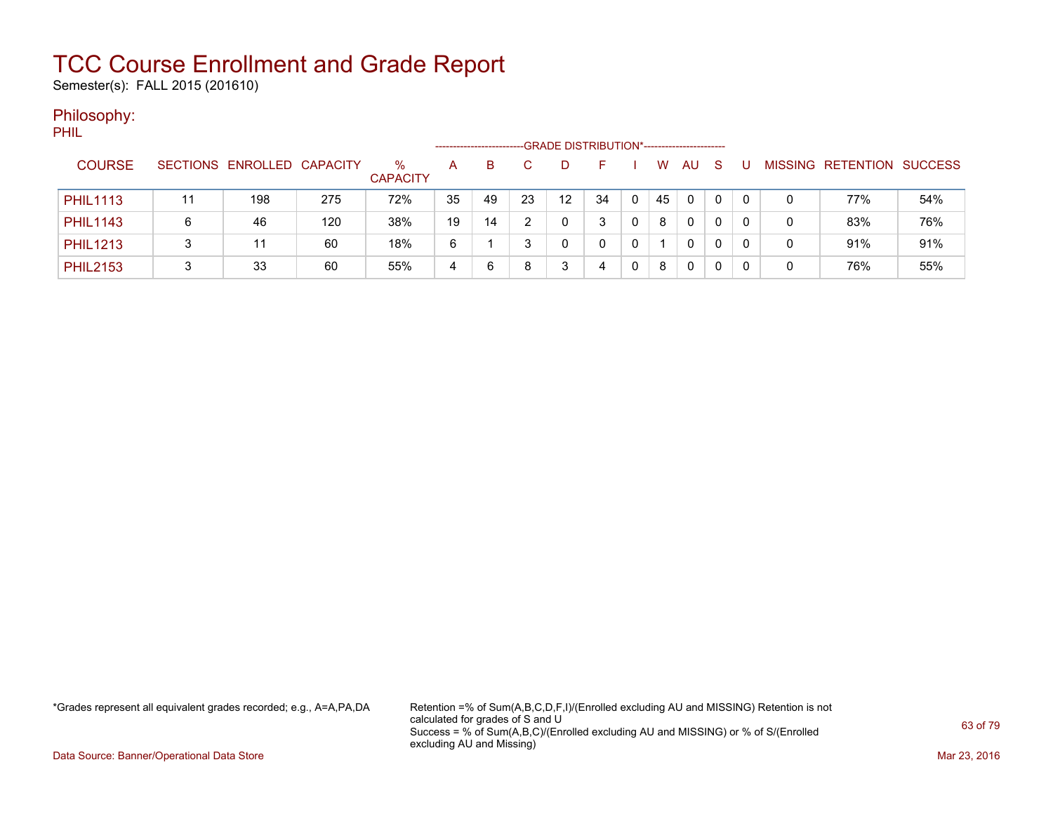Semester(s): FALL 2015 (201610)

### Philosophy:

PHIL

|                 |   |                            |     |                      |    |    |    | -GRADE DISTRIBUTION*----------------------- |    |    |           |              |   |                                  |     |
|-----------------|---|----------------------------|-----|----------------------|----|----|----|---------------------------------------------|----|----|-----------|--------------|---|----------------------------------|-----|
| <b>COURSE</b>   |   | SECTIONS ENROLLED CAPACITY |     | %<br><b>CAPACITY</b> | A  | B. |    |                                             |    | W  | <b>AU</b> | <sub>S</sub> |   | <b>MISSING RETENTION SUCCESS</b> |     |
| <b>PHIL1113</b> |   | 198                        | 275 | 72%                  | 35 | 49 | 23 | 12                                          | 34 | 45 | 0         | 0            | 0 | 77%                              | 54% |
| <b>PHIL1143</b> | 6 | 46                         | 120 | 38%                  | 19 | 14 |    |                                             | 3  | 8  | 0         | 0            | 0 | 83%                              | 76% |
| <b>PHIL1213</b> |   | 11                         | 60  | 18%                  | 6  |    |    |                                             |    |    | 0         | 0            | 0 | 91%                              | 91% |
| <b>PHIL2153</b> |   | 33                         | 60  | 55%                  | 4  | 6  |    | 2                                           | 4  | 8  | 0         | 0            | 0 | 76%                              | 55% |

\*Grades represent all equivalent grades recorded; e.g., A=A,PA,DA Retention =% of Sum(A,B,C,D,F,I)/(Enrolled excluding AU and MISSING) Retention is not calculated for grades of S and U Success = % of Sum(A,B,C)/(Enrolled excluding AU and MISSING) or % of S/(Enrolled excluding AU and Missing)

Data Source: Banner/Operational Data Store Mar 23, 2016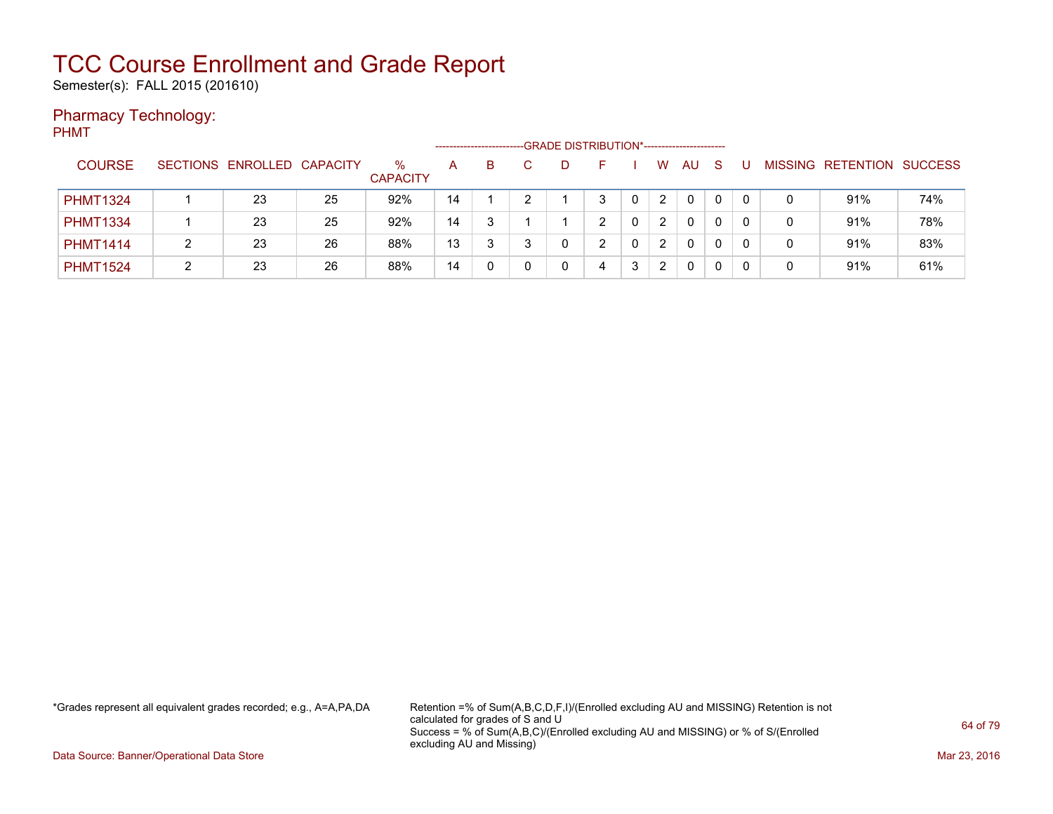Semester(s): FALL 2015 (201610)

### Pharmacy Technology:

PHMT

|                 |                            |    |                         | ---------------------- |   |  | -GRADE DISTRIBUTION*----------------------- |   |                       |           |              |          |                |           |                |
|-----------------|----------------------------|----|-------------------------|------------------------|---|--|---------------------------------------------|---|-----------------------|-----------|--------------|----------|----------------|-----------|----------------|
| <b>COURSE</b>   | SECTIONS ENROLLED CAPACITY |    | $\%$<br><b>CAPACITY</b> | A                      | B |  |                                             |   | W                     | <b>AU</b> | <sub>S</sub> |          | <b>MISSING</b> | RETENTION | <b>SUCCESS</b> |
| <b>PHMT1324</b> | 23                         | 25 | 92%                     | 14                     |   |  | 3                                           |   | 2                     | 0         | $\Omega$     | $\Omega$ | 0              | 91%       | 74%            |
| <b>PHMT1334</b> | 23                         | 25 | 92%                     | 14                     |   |  | ົ                                           |   | 2                     | 0         | 0            |          | 0              | 91%       | 78%            |
| <b>PHMT1414</b> | 23                         | 26 | 88%                     | 13                     |   |  |                                             |   | 2                     | 0         | 0            |          | 0              | 91%       | 83%            |
| <b>PHMT1524</b> | 23                         | 26 | 88%                     | 14                     |   |  | 4                                           | 3 | $\mathbf{2}^{\prime}$ | 0         | 0            |          | 0              | 91%       | 61%            |

\*Grades represent all equivalent grades recorded; e.g., A=A,PA,DA Retention =% of Sum(A,B,C,D,F,I)/(Enrolled excluding AU and MISSING) Retention is not calculated for grades of S and U Success = % of Sum(A,B,C)/(Enrolled excluding AU and MISSING) or % of S/(Enrolled excluding AU and Missing)

Data Source: Banner/Operational Data Store Mar 23, 2016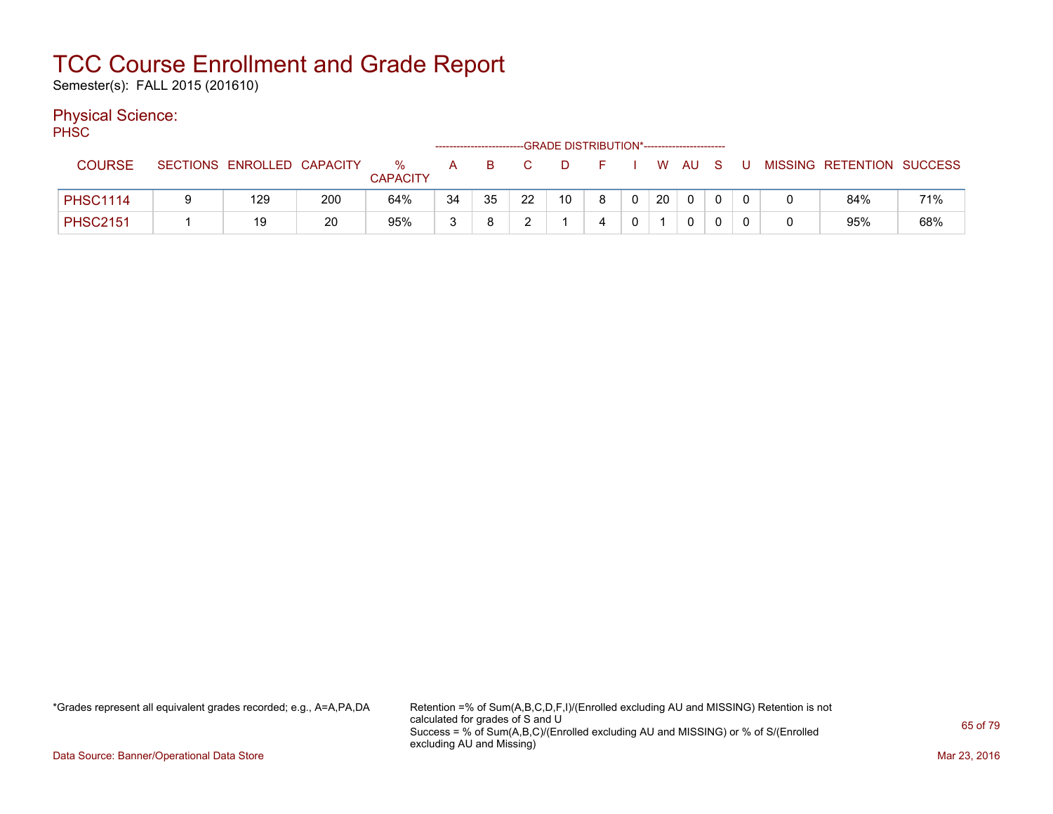Semester(s): FALL 2015 (201610)

### Physical Science:

PH<sub>SC</sub>

| .               |                 |                   |     |                      |    |    |    | ------------------------GRADE DISTRIBUTION*----------------------- |   |                |    |              |   |                           |     |
|-----------------|-----------------|-------------------|-----|----------------------|----|----|----|--------------------------------------------------------------------|---|----------------|----|--------------|---|---------------------------|-----|
| <b>COURSE</b>   | <b>SECTIONS</b> | ENROLLED CAPACITY |     | %<br><b>CAPACITY</b> | A  | в  |    | D                                                                  |   |                |    | W AU S       | U | MISSING RETENTION SUCCESS |     |
| <b>PHSC1114</b> |                 | 129               | 200 | 64%                  | 34 | 35 | 22 | 10                                                                 | 8 | $\overline{0}$ | 20 | $\mathbf{0}$ |   | 84%                       | 71% |
| <b>PHSC2151</b> |                 | 19                | 20  | 95%                  |    | O  |    |                                                                    |   |                |    |              |   | 95%                       | 68% |

\*Grades represent all equivalent grades recorded; e.g., A=A,PA,DA Retention =% of Sum(A,B,C,D,F,I)/(Enrolled excluding AU and MISSING) Retention is not calculated for grades of S and U Success = % of Sum(A,B,C)/(Enrolled excluding AU and MISSING) or % of S/(Enrolled excluding AU and Missing)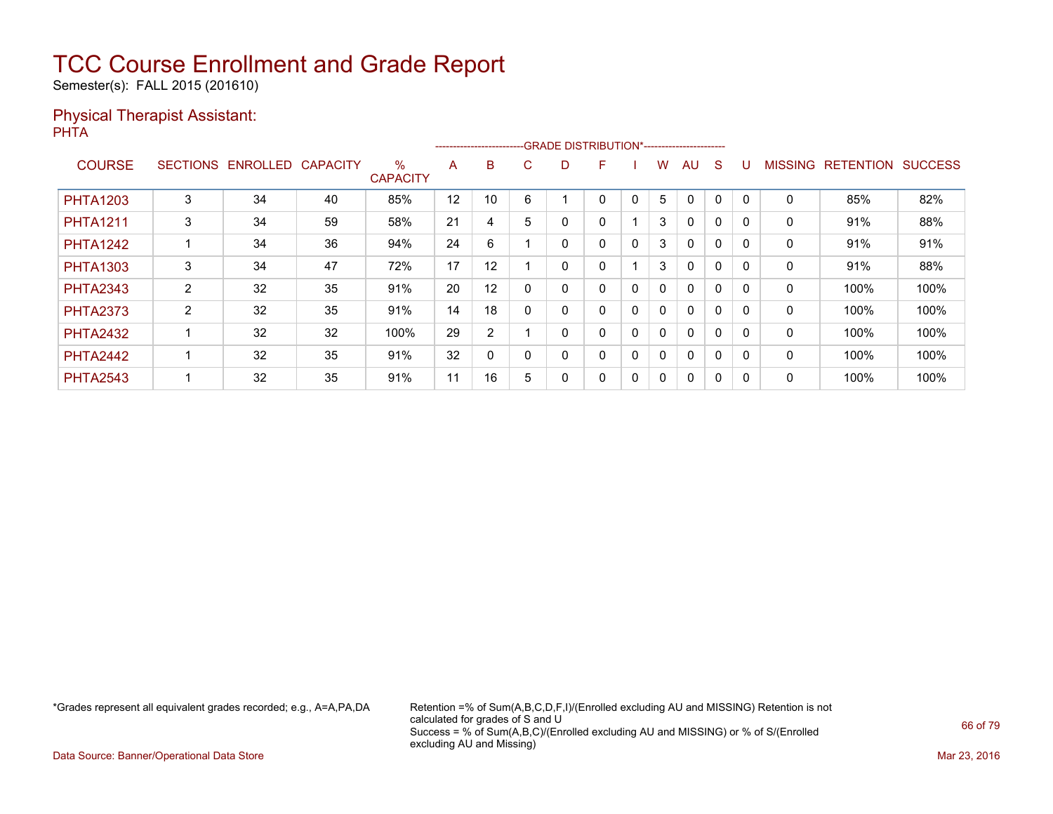Semester(s): FALL 2015 (201610)

#### Physical Therapist Assistant: PHTA

|                 |                 |          |                 |                         |    |                |    | --------------------------GRADE DISTRIBUTION*----------------------- |   |              |          |    |             |              |                |                  |                |
|-----------------|-----------------|----------|-----------------|-------------------------|----|----------------|----|----------------------------------------------------------------------|---|--------------|----------|----|-------------|--------------|----------------|------------------|----------------|
| <b>COURSE</b>   | <b>SECTIONS</b> | ENROLLED | <b>CAPACITY</b> | $\%$<br><b>CAPACITY</b> | A  | B              | C. | D                                                                    | F |              | w        | AU | S           |              | <b>MISSING</b> | <b>RETENTION</b> | <b>SUCCESS</b> |
| <b>PHTA1203</b> | 3               | 34       | 40              | 85%                     | 12 | 10             | 6  |                                                                      | 0 | $\mathbf{0}$ | 5        | 0  | $\mathbf 0$ | $\Omega$     | 0              | 85%              | 82%            |
| <b>PHTA1211</b> | 3               | 34       | 59              | 58%                     | 21 | 4              | 5  | 0                                                                    | 0 |              | 3        | 0  | 0           |              | 0              | 91%              | 88%            |
| <b>PHTA1242</b> |                 | 34       | 36              | 94%                     | 24 | 6              |    | 0                                                                    | 0 | $\Omega$     | 3        | 0  | $\Omega$    | $\Omega$     | 0              | 91%              | 91%            |
| <b>PHTA1303</b> | 3               | 34       | 47              | 72%                     | 17 | 12             |    | 0                                                                    | 0 |              | 3        | 0  | 0           |              | 0              | 91%              | 88%            |
| <b>PHTA2343</b> | $\overline{2}$  | 32       | 35              | 91%                     | 20 | 12             |    | 0                                                                    | 0 | 0            | 0        | 0  | 0           | $\Omega$     | 0              | 100%             | 100%           |
| <b>PHTA2373</b> | 2               | 32       | 35              | 91%                     | 14 | 18             | 0  | 0                                                                    | 0 | $\Omega$     | 0        | 0  | $\Omega$    | <sup>0</sup> | 0              | 100%             | 100%           |
| <b>PHTA2432</b> |                 | 32       | 32              | 100%                    | 29 | $\overline{2}$ |    | 0                                                                    | 0 | 0            | $\Omega$ | 0  | 0           | $\Omega$     | 0              | 100%             | 100%           |
| <b>PHTA2442</b> |                 | 32       | 35              | 91%                     | 32 | 0              |    | 0                                                                    | 0 | 0            | 0        | 0  | 0           | <sup>0</sup> | 0              | 100%             | 100%           |
| <b>PHTA2543</b> |                 | 32       | 35              | 91%                     | 11 | 16             | 5  | 0                                                                    | 0 | 0            | 0        | 0  | 0           | 0            | 0              | 100%             | 100%           |

\*Grades represent all equivalent grades recorded; e.g., A=A,PA,DA Retention =% of Sum(A,B,C,D,F,I)/(Enrolled excluding AU and MISSING) Retention is not calculated for grades of S and U Success = % of Sum(A,B,C)/(Enrolled excluding AU and MISSING) or % of S/(Enrolled excluding AU and Missing)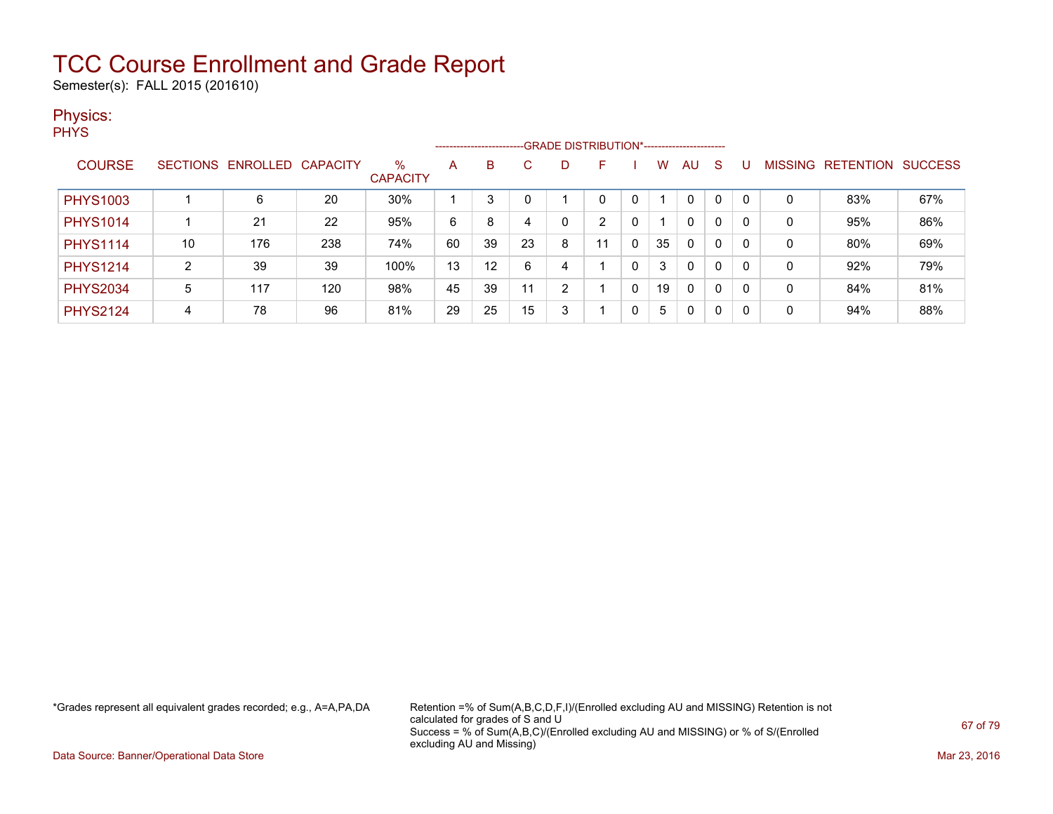Semester(s): FALL 2015 (201610)

### Physics:

**PHYS** 

|                 |                |                            |     |                         |    |    |    |   | -------------------------GRADE DISTRIBUTION*---------------------- |   |    |              |   |   |   |                   |                |
|-----------------|----------------|----------------------------|-----|-------------------------|----|----|----|---|--------------------------------------------------------------------|---|----|--------------|---|---|---|-------------------|----------------|
| <b>COURSE</b>   |                | SECTIONS ENROLLED CAPACITY |     | $\%$<br><b>CAPACITY</b> | A  | B  |    |   | F                                                                  |   | w  | AU           | S |   |   | MISSING RETENTION | <b>SUCCESS</b> |
| <b>PHYS1003</b> |                | 6                          | 20  | 30%                     |    | 3  |    |   | 0                                                                  |   |    | $\mathbf{0}$ | 0 |   |   | 83%               | 67%            |
| <b>PHYS1014</b> |                | 21                         | 22  | 95%                     | 6  | 8  | 4  |   | ົ                                                                  | 0 |    | 0            | 0 | 0 | 0 | 95%               | 86%            |
| <b>PHYS1114</b> | 10             | 176                        | 238 | 74%                     | 60 | 39 | 23 | 8 | 11                                                                 | 0 | 35 | 0            | 0 | 0 | 0 | 80%               | 69%            |
| <b>PHYS1214</b> | $\overline{2}$ | 39                         | 39  | 100%                    | 13 | 12 | 6  | 4 |                                                                    | 0 | 3  | $\mathbf{0}$ | 0 | 0 | 0 | 92%               | 79%            |
| <b>PHYS2034</b> | 5              | 117                        | 120 | 98%                     | 45 | 39 | 11 | ົ |                                                                    | 0 | 19 | $\mathbf{0}$ | 0 | 0 | 0 | 84%               | 81%            |
| <b>PHYS2124</b> | 4              | 78                         | 96  | 81%                     | 29 | 25 | 15 | 3 |                                                                    |   | 5  | 0            | 0 |   | 0 | 94%               | 88%            |

\*Grades represent all equivalent grades recorded; e.g., A=A,PA,DA Retention =% of Sum(A,B,C,D,F,I)/(Enrolled excluding AU and MISSING) Retention is not calculated for grades of S and U Success = % of Sum(A,B,C)/(Enrolled excluding AU and MISSING) or % of S/(Enrolled excluding AU and Missing)

Data Source: Banner/Operational Data Store Mar 23, 2016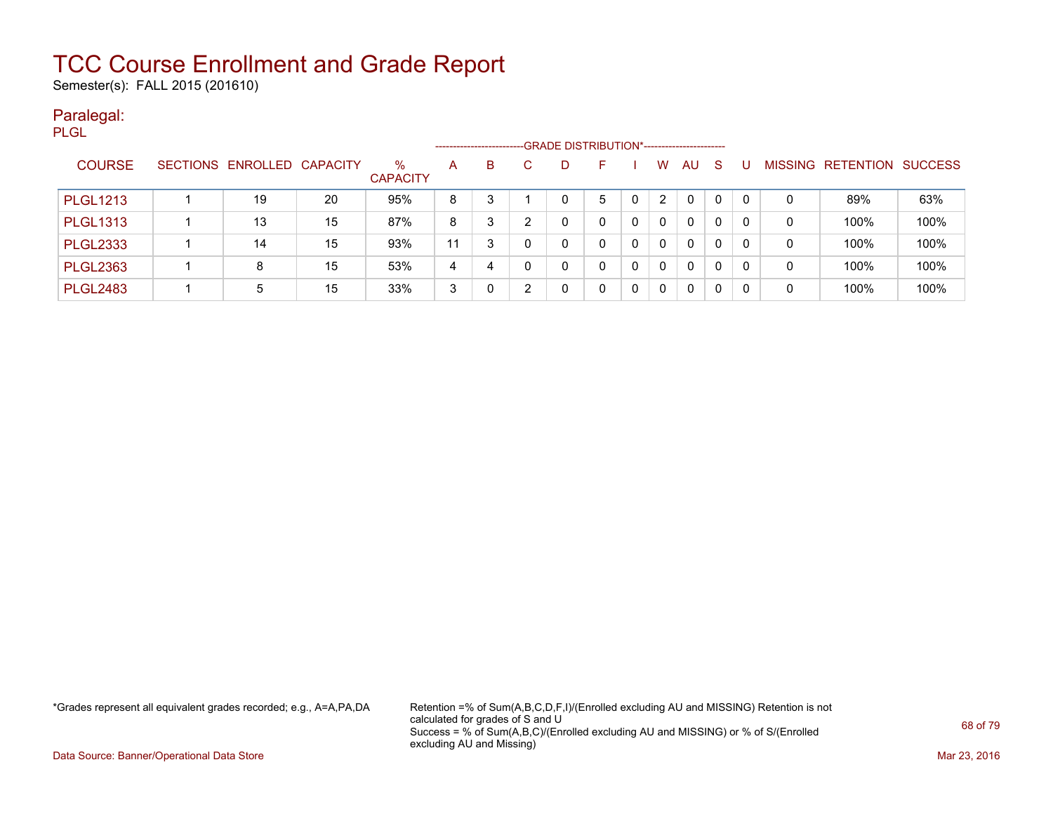Semester(s): FALL 2015 (201610)

#### Paralegal: PLGL

|                 |                            |    |                         | --------------------- |    |   | -GRADE DISTRIBUTION*----------------------- |              |   |    |              |              |   |                   |                |
|-----------------|----------------------------|----|-------------------------|-----------------------|----|---|---------------------------------------------|--------------|---|----|--------------|--------------|---|-------------------|----------------|
| <b>COURSE</b>   | SECTIONS ENROLLED CAPACITY |    | $\%$<br><b>CAPACITY</b> | A                     | B. | D | F                                           |              | w | AU | S            |              |   | MISSING RETENTION | <b>SUCCESS</b> |
| <b>PLGL1213</b> | 19                         | 20 | 95%                     | 8                     |    |   | 5                                           | 0            | 2 | 0  | $\mathbf{0}$ | $\Omega$     | 0 | 89%               | 63%            |
| <b>PLGL1313</b> | 13                         | 15 | 87%                     | 8                     | 3  |   | 0                                           | $\mathbf{0}$ | 0 | 0  | 0            | $\Omega$     | 0 | 100%              | 100%           |
| <b>PLGL2333</b> | 14                         | 15 | 93%                     | 11                    | 3  |   | 0                                           | 0            | 0 | 0  | $\mathbf{0}$ | $\mathbf{0}$ | 0 | 100%              | 100%           |
| <b>PLGL2363</b> | 8                          | 15 | 53%                     | 4                     | 4  | n | $\mathbf{0}$                                | 0            | 0 | 0  | $\mathbf{0}$ | $\Omega$     | 0 | 100%              | 100%           |
| <b>PLGL2483</b> | 5                          | 15 | 33%                     | 3                     |    |   | 0                                           | 0            | 0 | 0  | 0            | 0            | 0 | 100%              | 100%           |

\*Grades represent all equivalent grades recorded; e.g., A=A,PA,DA Retention =% of Sum(A,B,C,D,F,I)/(Enrolled excluding AU and MISSING) Retention is not calculated for grades of S and U Success = % of Sum(A,B,C)/(Enrolled excluding AU and MISSING) or % of S/(Enrolled excluding AU and Missing)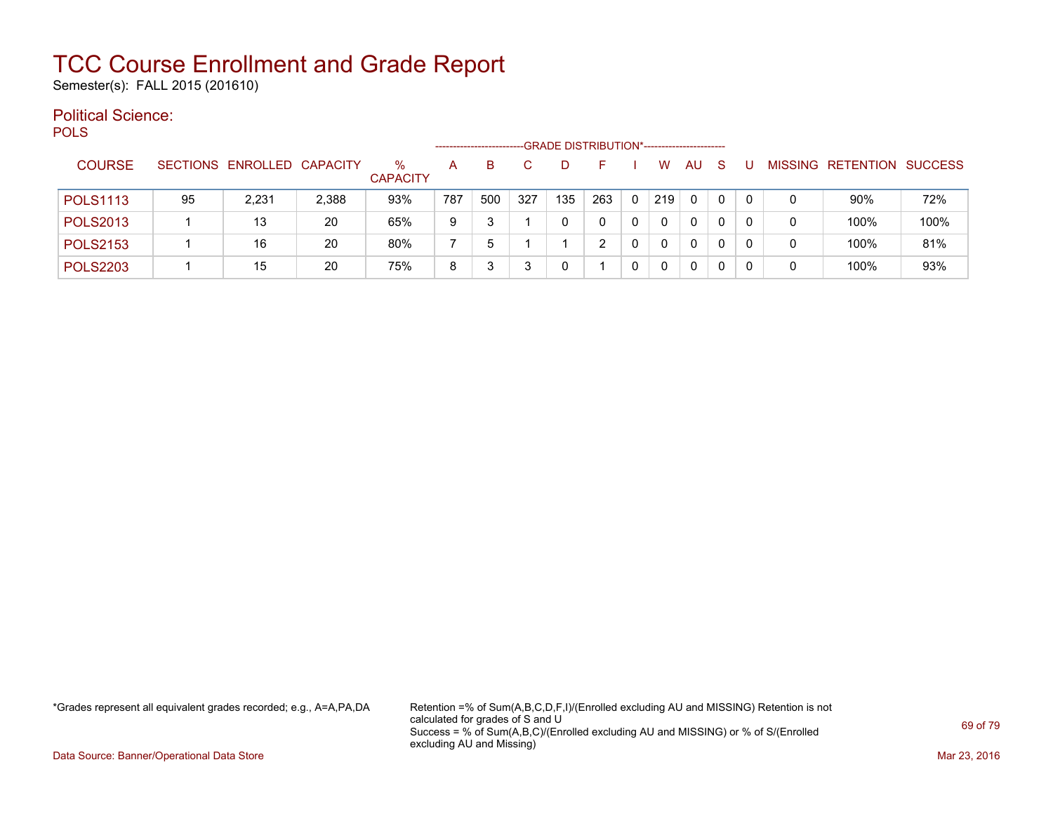Semester(s): FALL 2015 (201610)

#### Political Science: POLS

| $\sim$ $\sim$   |    |                            |       |                      | --------------------- |     |     |     | -GRADE DISTRIBUTION*----------------------- |   |              |              |          |   |                   |                |
|-----------------|----|----------------------------|-------|----------------------|-----------------------|-----|-----|-----|---------------------------------------------|---|--------------|--------------|----------|---|-------------------|----------------|
| <b>COURSE</b>   |    | SECTIONS ENROLLED CAPACITY |       | %<br><b>CAPACITY</b> | А                     | B   |     | D.  | н.                                          |   | W            | <b>AU</b>    | <b>S</b> |   | MISSING RETENTION | <b>SUCCESS</b> |
| <b>POLS1113</b> | 95 | 2,231                      | 2,388 | 93%                  | 787                   | 500 | 327 | 135 | 263                                         | 0 | 219          | 0            | 0        |   | 90%               | 72%            |
| <b>POLS2013</b> |    | 13                         | 20    | 65%                  | 9                     |     |     | 0   | 0                                           |   | $\Omega$     | $\mathbf{0}$ | 0        | 0 | 100%              | 100%           |
| <b>POLS2153</b> |    | 16                         | -20   | 80%                  |                       |     |     |     |                                             |   | <sup>n</sup> | 0            | 0        |   | 100%              | 81%            |
| <b>POLS2203</b> |    | 15                         | 20    | 75%                  | 8                     |     | 3   | 0   |                                             | 0 | 0            | 0            | 0        |   | 100%              | 93%            |

\*Grades represent all equivalent grades recorded; e.g., A=A,PA,DA Retention =% of Sum(A,B,C,D,F,I)/(Enrolled excluding AU and MISSING) Retention is not calculated for grades of S and U Success = % of Sum(A,B,C)/(Enrolled excluding AU and MISSING) or % of S/(Enrolled excluding AU and Missing)

Data Source: Banner/Operational Data Store Mar 23, 2016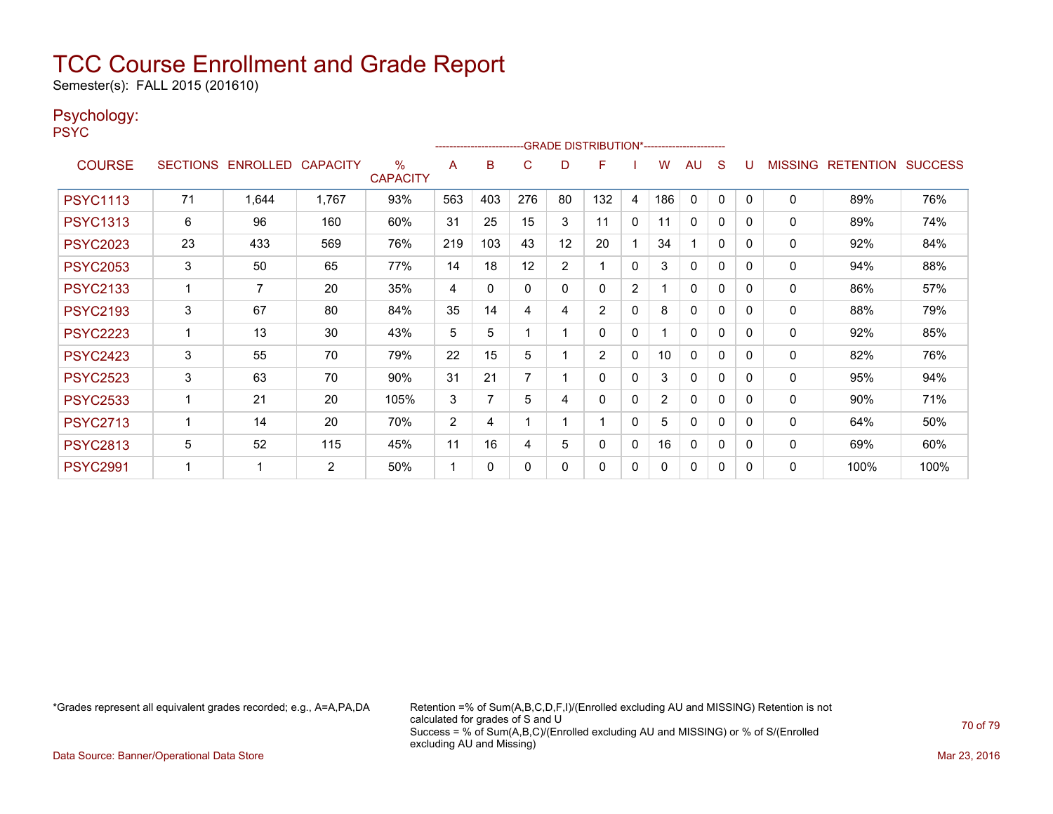Semester(s): FALL 2015 (201610)

### Psychology:

PSYC

|                 |                 |                   |                |                         |     | ------------------------ |          |                | -GRADE DISTRIBUTION*----------------------- |                |                |              |              |   |                |                          |      |
|-----------------|-----------------|-------------------|----------------|-------------------------|-----|--------------------------|----------|----------------|---------------------------------------------|----------------|----------------|--------------|--------------|---|----------------|--------------------------|------|
| <b>COURSE</b>   | <b>SECTIONS</b> | ENROLLED CAPACITY |                | $\%$<br><b>CAPACITY</b> | A   | B                        | C        | D              | F                                           |                | w              | AU           | S            |   | <b>MISSING</b> | <b>RETENTION SUCCESS</b> |      |
| <b>PSYC1113</b> | 71              | 1,644             | 1.767          | 93%                     | 563 | 403                      | 276      | 80             | 132                                         | 4              | 186            | 0            | 0            | 0 | $\mathbf{0}$   | 89%                      | 76%  |
| <b>PSYC1313</b> | 6               | 96                | 160            | 60%                     | 31  | 25                       | 15       | 3              | 11                                          | $\Omega$       | 11             | $\mathbf{0}$ | 0            | 0 | 0              | 89%                      | 74%  |
| <b>PSYC2023</b> | 23              | 433               | 569            | 76%                     | 219 | 103                      | 43       | 12             | 20                                          |                | 34             |              | $\mathbf{0}$ | 0 | $\mathbf{0}$   | 92%                      | 84%  |
| <b>PSYC2053</b> | 3               | 50                | 65             | 77%                     | 14  | 18                       | 12       | $\overline{2}$ |                                             | $\mathbf{0}$   | 3              | $\mathbf{0}$ | $\mathbf{0}$ | 0 | 0              | 94%                      | 88%  |
| <b>PSYC2133</b> |                 | 7                 | 20             | 35%                     | 4   | 0                        | 0        | 0              | 0                                           | $\overline{2}$ |                | $\mathbf{0}$ | 0            | 0 | $\mathbf{0}$   | 86%                      | 57%  |
| <b>PSYC2193</b> | 3               | 67                | 80             | 84%                     | 35  | 14                       | 4        | 4              | $\overline{2}$                              | $\Omega$       | 8              | $\Omega$     | $\mathbf{0}$ | 0 | 0              | 88%                      | 79%  |
| <b>PSYC2223</b> |                 | 13                | 30             | 43%                     | 5   | 5                        |          |                | 0                                           | $\mathbf{0}$   |                | $\mathbf{0}$ | 0            | 0 | 0              | 92%                      | 85%  |
| <b>PSYC2423</b> | 3               | 55                | 70             | 79%                     | 22  | 15                       | 5        |                | $\overline{2}$                              | 0              | 10             | 0            | $\mathbf{0}$ | 0 | 0              | 82%                      | 76%  |
| <b>PSYC2523</b> | 3               | 63                | 70             | 90%                     | 31  | 21                       | 7        |                | 0                                           | 0              | 3              | $\Omega$     | $\Omega$     | 0 | $\mathbf{0}$   | 95%                      | 94%  |
| <b>PSYC2533</b> |                 | 21                | 20             | 105%                    | 3   | 7                        | 5        | 4              | 0                                           | 0              | $\overline{2}$ | $\mathbf{0}$ | $\mathbf{0}$ | 0 | 0              | 90%                      | 71%  |
| <b>PSYC2713</b> |                 | 14                | 20             | 70%                     | 2   | 4                        |          |                |                                             | $\mathbf{0}$   | 5              | 0            | $\Omega$     | 0 | 0              | 64%                      | 50%  |
| <b>PSYC2813</b> | 5               | 52                | 115            | 45%                     | 11  | 16                       | 4        | 5              | 0                                           | $\mathbf 0$    | 16             | $\Omega$     | $\mathbf{0}$ | 0 | 0              | 69%                      | 60%  |
| <b>PSYC2991</b> |                 |                   | $\overline{2}$ | 50%                     | 1   | 0                        | $\Omega$ | $\mathbf{0}$   | 0                                           | 0              | 0              | 0            | $\mathbf{0}$ | 0 | 0              | 100%                     | 100% |

\*Grades represent all equivalent grades recorded; e.g., A=A,PA,DA Retention =% of Sum(A,B,C,D,F,I)/(Enrolled excluding AU and MISSING) Retention is not calculated for grades of S and U Success = % of Sum(A,B,C)/(Enrolled excluding AU and MISSING) or % of S/(Enrolled excluding AU and Missing)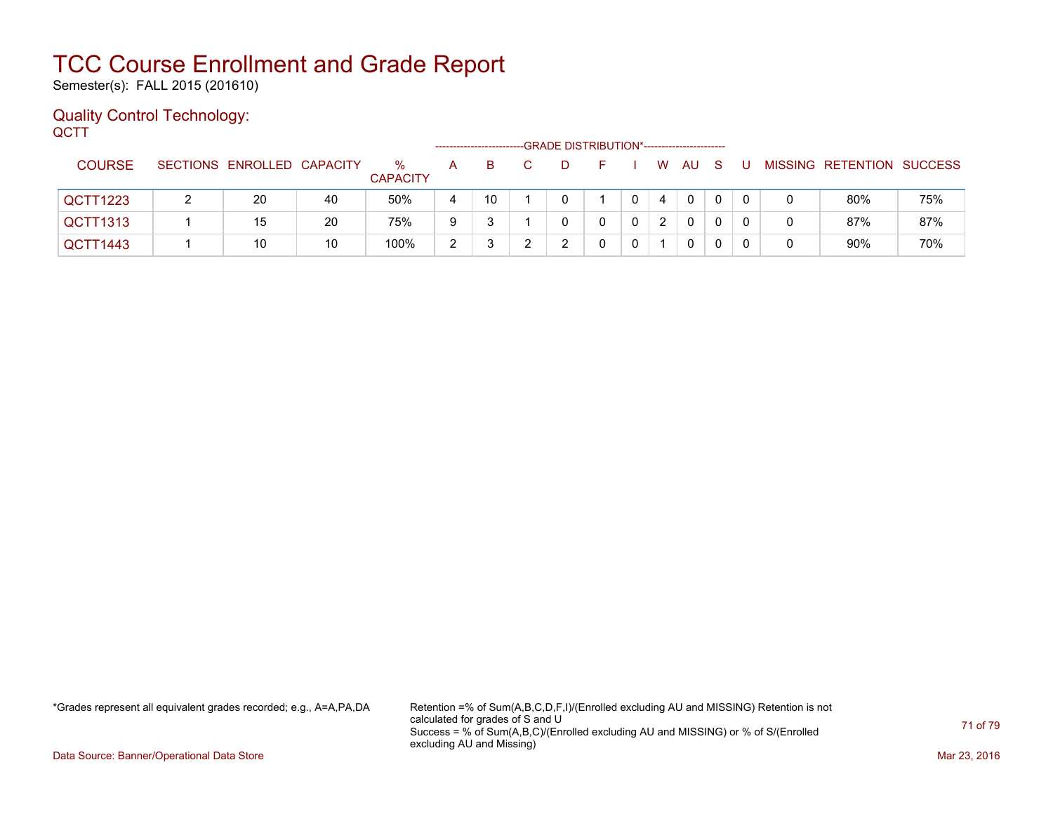Semester(s): FALL 2015 (201610)

#### Quality Control Technology: **QCTT**

|                 |                            |    | -GRADE DISTRIBUTION*----------------------- |   |    |  |  |  |  |    |    |    |  |  |                           |     |
|-----------------|----------------------------|----|---------------------------------------------|---|----|--|--|--|--|----|----|----|--|--|---------------------------|-----|
| <b>COURSE</b>   | SECTIONS ENROLLED CAPACITY |    | $\%$<br><b>CAPACITY</b>                     | A | B. |  |  |  |  | W. | AU | -S |  |  | MISSING RETENTION SUCCESS |     |
| QCTT1223        | 20                         | 40 | 50%                                         |   | 10 |  |  |  |  | 4  | 0  | 0  |  |  | 80%                       | 75% |
| <b>QCTT1313</b> | 15                         | 20 | 75%                                         | 9 |    |  |  |  |  |    | 0  |    |  |  | 87%                       | 87% |
| QCTT1443        | 10                         | 10 | 100%                                        | ົ |    |  |  |  |  |    | 0  |    |  |  | 90%                       | 70% |

\*Grades represent all equivalent grades recorded; e.g., A=A,PA,DA Retention =% of Sum(A,B,C,D,F,I)/(Enrolled excluding AU and MISSING) Retention is not calculated for grades of S and U Success = % of Sum(A,B,C)/(Enrolled excluding AU and MISSING) or % of S/(Enrolled excluding AU and Missing)

Data Source: Banner/Operational Data Store Mar 23, 2016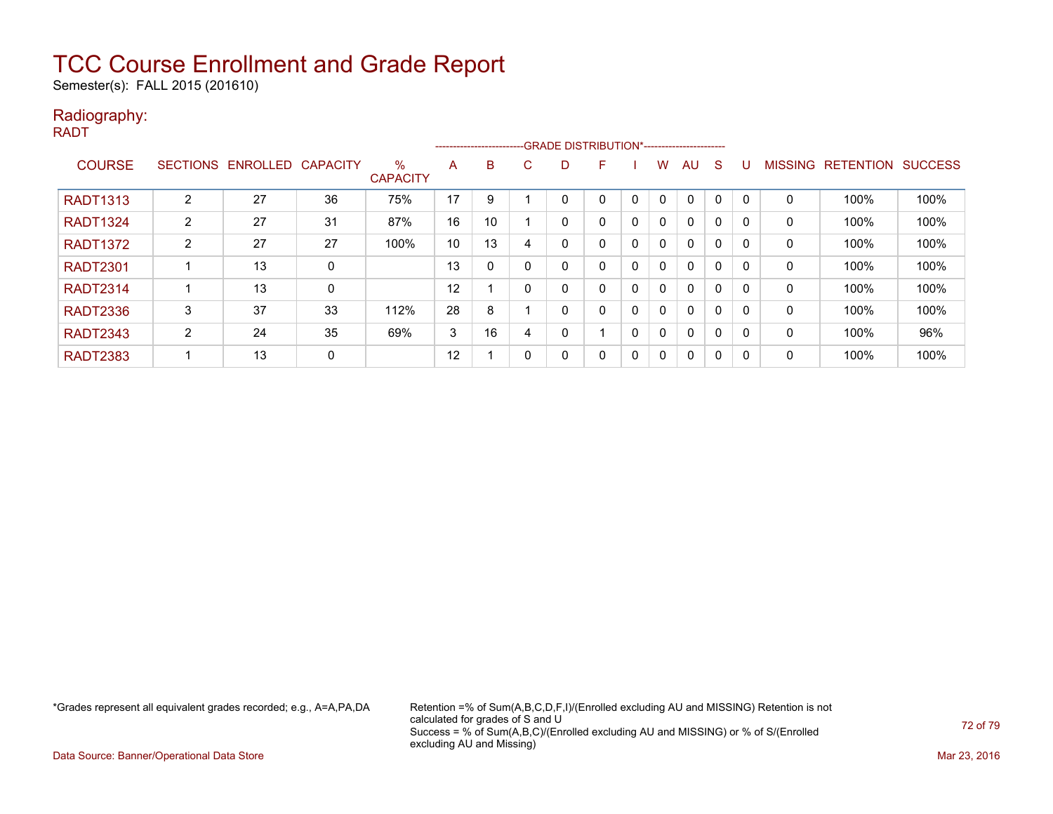Semester(s): FALL 2015 (201610)

#### Radiography: RADT

|                 |                 | --------------------------GRADE DISTRIBUTION*----------------------- |    |                         |    |    |             |   |          |              |              |              |              |          |                |                          |      |
|-----------------|-----------------|----------------------------------------------------------------------|----|-------------------------|----|----|-------------|---|----------|--------------|--------------|--------------|--------------|----------|----------------|--------------------------|------|
| <b>COURSE</b>   | <b>SECTIONS</b> | ENROLLED CAPACITY                                                    |    | $\%$<br><b>CAPACITY</b> | A  | в  | C           | D | F        |              | W            | AU.          | <sub>S</sub> | U        | <b>MISSING</b> | <b>RETENTION SUCCESS</b> |      |
| <b>RADT1313</b> | 2               | 27                                                                   | 36 | 75%                     | 17 | 9  |             | 0 |          | $\mathbf{0}$ | $\Omega$     | $\Omega$     | $\Omega$     | $\Omega$ | $\mathbf{0}$   | 100%                     | 100% |
| <b>RADT1324</b> | 2               | 27                                                                   | 31 | 87%                     | 16 | 10 |             | 0 |          | 0            | 0            | $\mathbf{0}$ | $\mathbf{0}$ | 0        | 0              | 100%                     | 100% |
| <b>RADT1372</b> | $\overline{2}$  | 27                                                                   | 27 | 100%                    | 10 | 13 | 4           | 0 |          | $\mathbf{0}$ | 0            | $\mathbf{0}$ | 0            | 0        | 0              | 100%                     | 100% |
| <b>RADT2301</b> |                 | 13                                                                   | 0  |                         | 13 | 0  | 0           | 0 |          | $\mathbf{0}$ | $\Omega$     | $\mathbf{0}$ | $\Omega$     | 0        | 0              | 100%                     | 100% |
| <b>RADT2314</b> |                 | 13                                                                   | 0  |                         | 12 | и  | $\mathbf 0$ | 0 |          | $\mathbf{0}$ | $\mathbf{0}$ | $\mathbf{0}$ | $\mathbf{0}$ | 0        | $\mathbf{0}$   | 100%                     | 100% |
| <b>RADT2336</b> | 3               | 37                                                                   | 33 | 112%                    | 28 | 8  |             | 0 |          | 0            | 0            | $\mathbf{0}$ | 0            | 0        | 0              | 100%                     | 100% |
| <b>RADT2343</b> | 2               | 24                                                                   | 35 | 69%                     | 3  | 16 | 4           | 0 |          | $\mathbf{0}$ | 0            | $\mathbf{0}$ | $\mathbf{0}$ | 0        | 0              | 100%                     | 96%  |
| <b>RADT2383</b> |                 | 13                                                                   | 0  |                         | 12 | -1 | 0           | 0 | $\Omega$ | 0            | $\Omega$     | $\mathbf{0}$ | $\mathbf{0}$ | 0        | 0              | 100%                     | 100% |

\*Grades represent all equivalent grades recorded; e.g., A=A,PA,DA Retention =% of Sum(A,B,C,D,F,I)/(Enrolled excluding AU and MISSING) Retention is not calculated for grades of S and U Success = % of Sum(A,B,C)/(Enrolled excluding AU and MISSING) or % of S/(Enrolled excluding AU and Missing)

Data Source: Banner/Operational Data Store Mar 23, 2016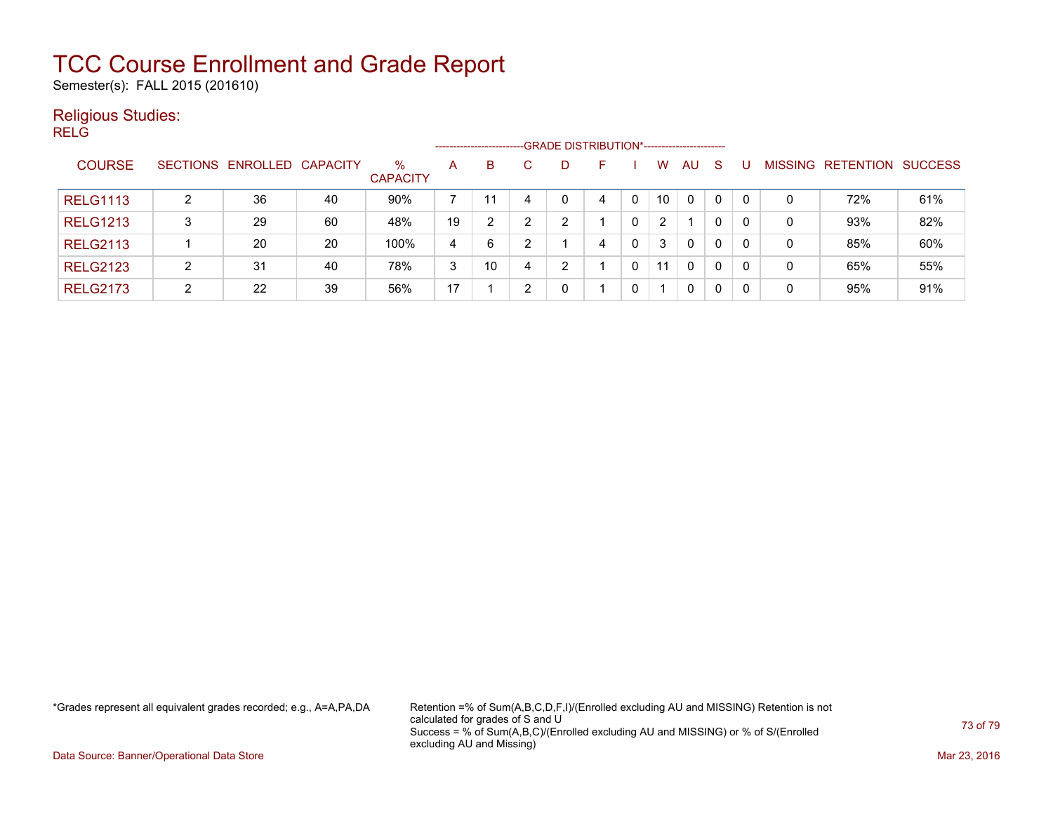Semester(s): FALL 2015 (201610)

### Religious Studies:

| $\tilde{\phantom{a}}$<br><b>RELG</b> |   |                            |    |                         | ------------------       |                |   |              |   |              |    |              |              |              |          |                           |     |
|--------------------------------------|---|----------------------------|----|-------------------------|--------------------------|----------------|---|--------------|---|--------------|----|--------------|--------------|--------------|----------|---------------------------|-----|
| <b>COURSE</b>                        |   | SECTIONS ENROLLED CAPACITY |    | $\%$<br><b>CAPACITY</b> | A                        | B              |   | D            | F |              | W  | AU.          | - S          | U            |          | MISSING RETENTION SUCCESS |     |
| <b>RELG1113</b>                      | 2 | 36                         | 40 | 90%                     | $\overline{\phantom{a}}$ | 11             | 4 | $\mathbf{0}$ | 4 | $\mathbf{0}$ | 10 | $\Omega$     | $\Omega$     | $\Omega$     | $\Omega$ | 72%                       | 61% |
| <b>RELG1213</b>                      | 3 | 29                         | 60 | 48%                     | 19                       | $\overline{2}$ | 2 | 2            |   | $\mathbf{0}$ | 2  |              | 0            | $\mathbf{0}$ | 0        | 93%                       | 82% |
| <b>RELG2113</b>                      |   | 20                         | 20 | 100%                    | 4                        | 6              | 2 |              | 4 | $\mathbf{0}$ | 3  | $\mathbf{0}$ | $\Omega$     | $\Omega$     | $\Omega$ | 85%                       | 60% |
| <b>RELG2123</b>                      | 2 | 31                         | 40 | 78%                     | 3                        | 10             | 4 | 2            |   | $\mathbf{0}$ | 11 | $\mathbf{0}$ | $\mathbf{0}$ | $\mathbf{0}$ | 0        | 65%                       | 55% |
| <b>RELG2173</b>                      | 2 | 22                         | 39 | 56%                     | 17                       |                | 2 | 0            |   | $\mathbf{0}$ | 1  | 0            | $\mathbf{0}$ | $\Omega$     | 0        | 95%                       | 91% |
|                                      |   |                            |    |                         |                          |                |   |              |   |              |    |              |              |              |          |                           |     |

\*Grades represent all equivalent grades recorded; e.g., A=A,PA,DA Retention =% of Sum(A,B,C,D,F,I)/(Enrolled excluding AU and MISSING) Retention is not calculated for grades of S and U Success = % of Sum(A,B,C)/(Enrolled excluding AU and MISSING) or % of S/(Enrolled excluding AU and Missing)

Data Source: Banner/Operational Data Store Mar 23, 2016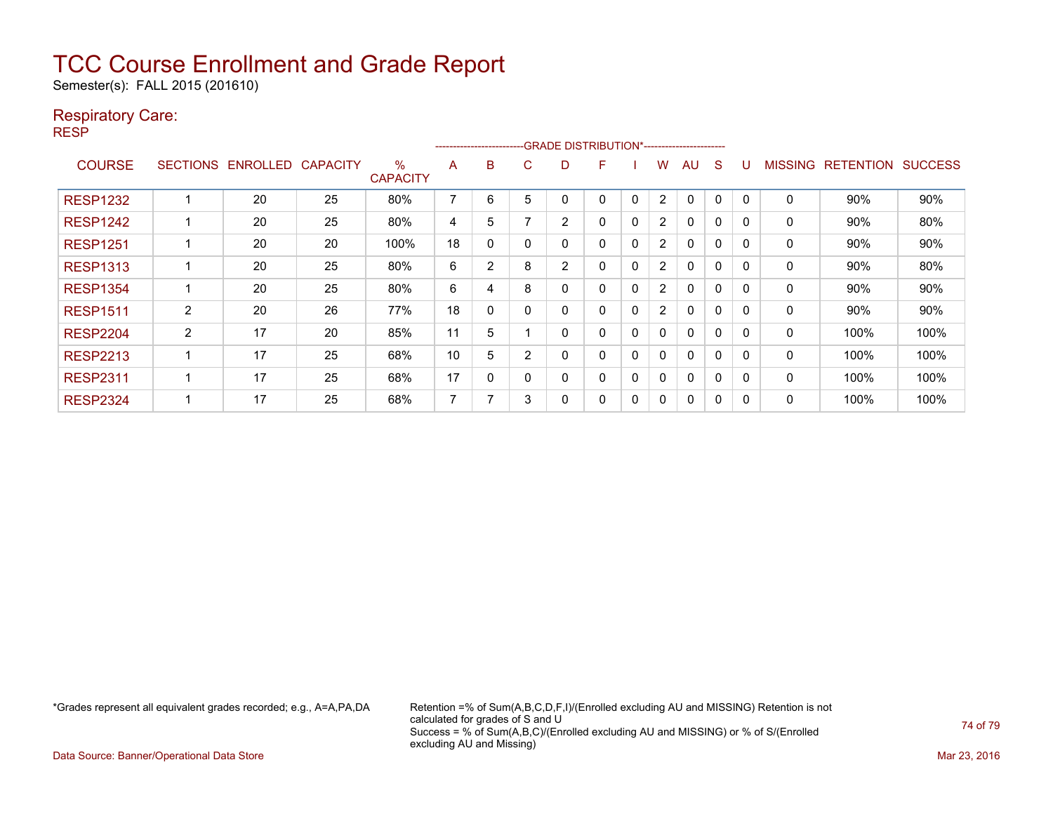Semester(s): FALL 2015 (201610)

### Respiratory Care:

RESP

|                 | ------------------------ |                 |                 |                         |                |                |   |                |   |          |                |              |          |          |                |                  |                |
|-----------------|--------------------------|-----------------|-----------------|-------------------------|----------------|----------------|---|----------------|---|----------|----------------|--------------|----------|----------|----------------|------------------|----------------|
| <b>COURSE</b>   | <b>SECTIONS</b>          | <b>ENROLLED</b> | <b>CAPACITY</b> | $\%$<br><b>CAPACITY</b> | A              | B              | C | D              | F |          | w              | AU           | S        |          | <b>MISSING</b> | <b>RETENTION</b> | <b>SUCCESS</b> |
| <b>RESP1232</b> |                          | 20              | 25              | 80%                     | $\overline{ }$ | 6              | 5 |                | 0 | $\Omega$ | 2              |              | 0        | $\Omega$ | 0              | 90%              | 90%            |
| <b>RESP1242</b> |                          | 20              | 25              | 80%                     | 4              | 5              |   | $\overline{2}$ | 0 | $\Omega$ | $\overline{2}$ | $\Omega$     | 0        | $\Omega$ | 0              | 90%              | 80%            |
| <b>RESP1251</b> |                          | 20              | 20              | 100%                    | 18             | 0              | 0 | 0              | 0 | 0        | $\overline{2}$ | $\mathbf{0}$ | $\Omega$ | 0        | 0              | 90%              | 90%            |
| <b>RESP1313</b> |                          | 20              | 25              | 80%                     | 6              | $\overline{2}$ | 8 | $\overline{2}$ | 0 | 0        | $\overline{2}$ | 0            | $\Omega$ | 0        | 0              | 90%              | 80%            |
| <b>RESP1354</b> |                          | 20              | 25              | 80%                     | 6              | 4              | 8 | 0              | 0 | 0        | $\overline{2}$ | 0            | $\Omega$ | 0        | 0              | 90%              | 90%            |
| <b>RESP1511</b> | $\overline{2}$           | 20              | 26              | 77%                     | 18             | 0              |   | 0              | 0 | 0        | $\overline{2}$ | $\mathbf{0}$ | 0        | 0        | 0              | 90%              | 90%            |
| <b>RESP2204</b> | $\overline{2}$           | 17              | 20              | 85%                     | 11             | 5.             |   | 0              | 0 | 0        | 0              | 0            | 0        | 0        | 0              | 100%             | 100%           |
| <b>RESP2213</b> |                          | 17              | 25              | 68%                     | 10             | 5.             | C | 0              | 0 | 0        | 0              | 0            | 0        | 0        | 0              | 100%             | 100%           |
| <b>RESP2311</b> |                          | 17              | 25              | 68%                     | 17             | 0              |   | 0              | 0 | 0        | 0              | 0            | 0        | 0        | 0              | 100%             | 100%           |
| <b>RESP2324</b> |                          | 17              | 25              | 68%                     | 7              |                | 3 | 0              | 0 | 0        | 0              | 0            | 0        | 0        | 0              | 100%             | 100%           |

\*Grades represent all equivalent grades recorded; e.g., A=A,PA,DA Retention =% of Sum(A,B,C,D,F,I)/(Enrolled excluding AU and MISSING) Retention is not calculated for grades of S and U Success = % of Sum(A,B,C)/(Enrolled excluding AU and MISSING) or % of S/(Enrolled excluding AU and Missing)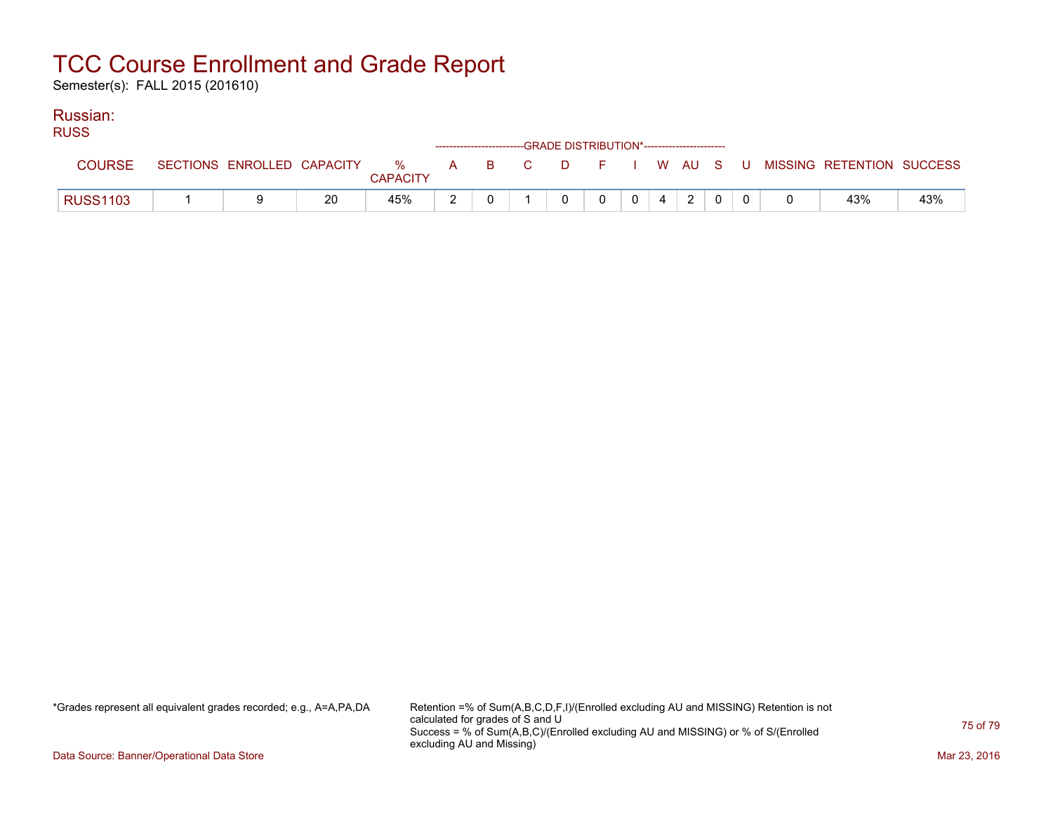Semester(s): FALL 2015 (201610)

#### Russian: RUSS

| <b>RUSS</b>     |                            |    |                            |  | ------------------------GRADE DISTRIBUTION*----------------------- |   |   |   |                |  |                                          |     |
|-----------------|----------------------------|----|----------------------------|--|--------------------------------------------------------------------|---|---|---|----------------|--|------------------------------------------|-----|
| <b>COURSE</b>   | SECTIONS ENROLLED CAPACITY |    | % A B C<br><b>CAPACITY</b> |  |                                                                    |   |   |   |                |  | D F I W AU S U MISSING RETENTION SUCCESS |     |
| <b>RUSS1103</b> |                            | 20 | 45%                        |  |                                                                    | 0 | 0 | 0 | $\overline{2}$ |  | 43%                                      | 43% |

\*Grades represent all equivalent grades recorded; e.g., A=A,PA,DA Retention =% of Sum(A,B,C,D,F,I)/(Enrolled excluding AU and MISSING) Retention is not calculated for grades of S and U Success = % of Sum(A,B,C)/(Enrolled excluding AU and MISSING) or % of S/(Enrolled excluding AU and Missing)

Data Source: Banner/Operational Data Store Mar 23, 2016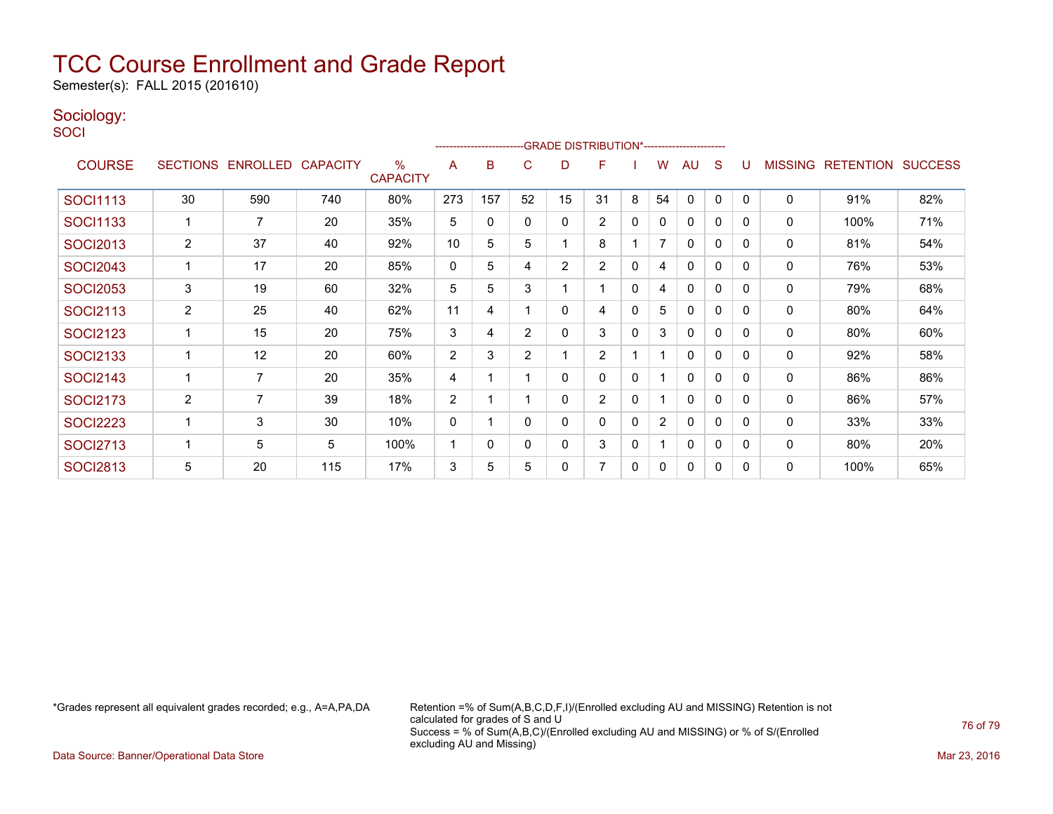Semester(s): FALL 2015 (201610)

### Sociology:

**SOCI** 

|                 |                |                   |                 |                                  |                | -------------------------GRADE                DISTRIBUTION*--------------------- |                |    |                |              |                |              |              |          |                |                  |                |
|-----------------|----------------|-------------------|-----------------|----------------------------------|----------------|----------------------------------------------------------------------------------|----------------|----|----------------|--------------|----------------|--------------|--------------|----------|----------------|------------------|----------------|
| <b>COURSE</b>   |                | SECTIONS ENROLLED | <b>CAPACITY</b> | $\frac{0}{0}$<br><b>CAPACITY</b> | A              | B                                                                                | C              | D  | F              |              | w              | AU           | S            | U        | <b>MISSING</b> | <b>RETENTION</b> | <b>SUCCESS</b> |
| <b>SOCI1113</b> | 30             | 590               | 740             | 80%                              | 273            | 157                                                                              | 52             | 15 | 31             | 8            | 54             | $\mathbf{0}$ | $\mathbf{0}$ | $\Omega$ | $\mathbf 0$    | 91%              | 82%            |
| SOCI1133        |                | 7                 | 20              | 35%                              | 5              | $\Omega$                                                                         | 0              | 0  | $\overline{2}$ | $\mathbf 0$  | 0              | 0            | 0            | 0        | 0              | 100%             | 71%            |
| <b>SOCI2013</b> | 2              | 37                | 40              | 92%                              | 10             | 5                                                                                | 5              |    | 8              |              | 7              | $\mathbf{0}$ | 0            | $\Omega$ | 0              | 81%              | 54%            |
| <b>SOCI2043</b> |                | 17                | 20              | 85%                              | 0              | 5                                                                                | 4              | 2  | $\overline{2}$ | 0            | 4              | $\mathbf{0}$ | 0            | $\Omega$ | 0              | 76%              | 53%            |
| <b>SOCI2053</b> | 3              | 19                | 60              | 32%                              | 5              | 5                                                                                | 3              |    | 4              | $\mathbf{0}$ | 4              | 0            | 0            | $\Omega$ | 0              | 79%              | 68%            |
| <b>SOCI2113</b> | $\overline{2}$ | 25                | 40              | 62%                              | 11             | 4                                                                                |                | 0  | 4              | 0            | 5              | $\mathbf{0}$ | $\mathbf{0}$ | $\Omega$ | 0              | 80%              | 64%            |
| <b>SOCI2123</b> |                | 15                | 20              | 75%                              | 3              | 4                                                                                | $\overline{2}$ | 0  | 3              | 0            | 3              | 0            | 0            | 0        | 0              | 80%              | 60%            |
| <b>SOCI2133</b> |                | 12                | 20              | 60%                              | $\overline{2}$ | 3                                                                                | $\overline{2}$ |    | $\overline{2}$ |              |                | $\mathbf{0}$ | $\mathbf{0}$ | $\Omega$ | 0              | 92%              | 58%            |
| <b>SOCI2143</b> |                | 7                 | 20              | 35%                              | 4              |                                                                                  |                | 0  | 0              | 0            |                | 0            | 0            | $\Omega$ | 0              | 86%              | 86%            |
| <b>SOCI2173</b> | $\overline{2}$ | $\overline{7}$    | 39              | 18%                              | 2              |                                                                                  |                | 0  | $\overline{2}$ | 0            |                | $\mathbf{0}$ | 0            | $\Omega$ | 0              | 86%              | 57%            |
| <b>SOCI2223</b> |                | 3                 | 30              | 10%                              | 0              |                                                                                  | 0              | 0  | 0              | 0            | $\overline{2}$ | 0            | 0            | $\Omega$ | 0              | 33%              | 33%            |
| <b>SOCI2713</b> |                | 5                 | 5               | 100%                             |                | 0                                                                                | 0              | 0  | 3              | 0            |                | 0            | 0            | $\Omega$ | $\mathbf 0$    | 80%              | 20%            |
| <b>SOCI2813</b> | 5              | 20                | 115             | 17%                              | 3              | 5                                                                                | 5              | 0  | 7              | 0            | 0              | 0            | 0            | $\Omega$ | $\mathbf 0$    | 100%             | 65%            |

\*Grades represent all equivalent grades recorded; e.g., A=A,PA,DA Retention =% of Sum(A,B,C,D,F,I)/(Enrolled excluding AU and MISSING) Retention is not calculated for grades of S and U Success = % of Sum(A,B,C)/(Enrolled excluding AU and MISSING) or % of S/(Enrolled excluding AU and Missing)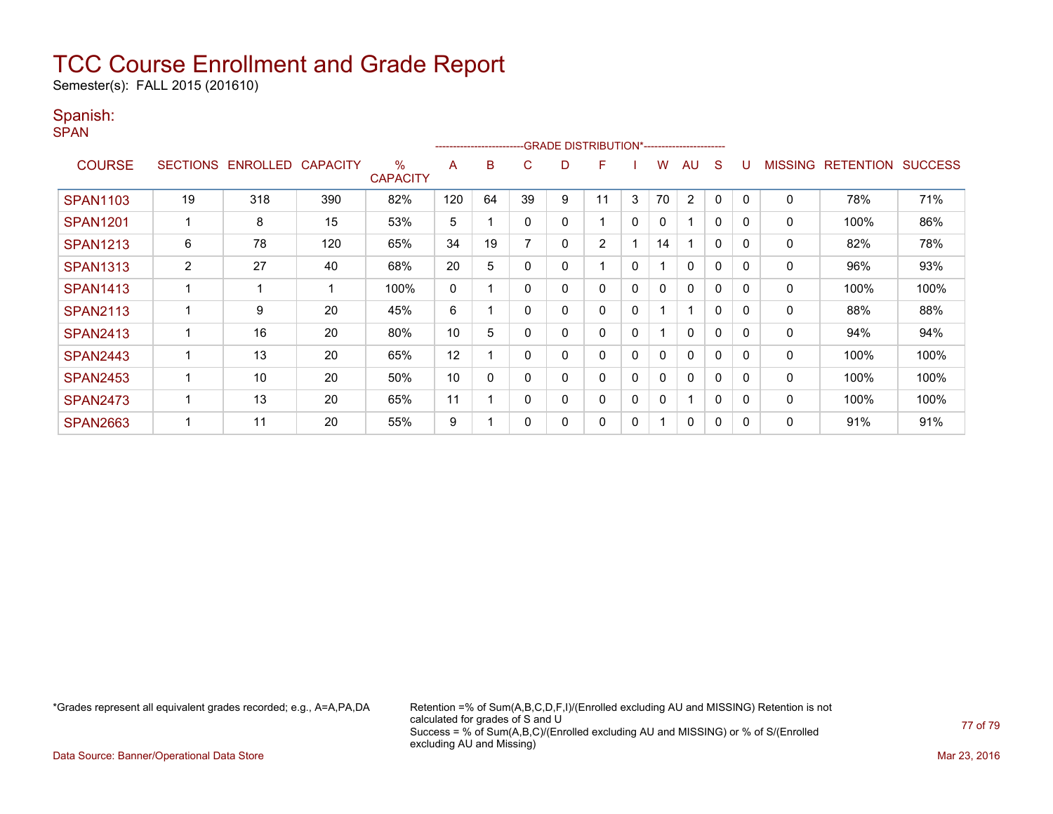Semester(s): FALL 2015 (201610)

### Spanish:

SPAN

|                 | ------------------------GRADE                DISTRIBUTION*---------------------- |                   |                 |                      |     |    |    |   |                |   |    |                         |              |              |                |                  |                |
|-----------------|----------------------------------------------------------------------------------|-------------------|-----------------|----------------------|-----|----|----|---|----------------|---|----|-------------------------|--------------|--------------|----------------|------------------|----------------|
| <b>COURSE</b>   |                                                                                  | SECTIONS ENROLLED | <b>CAPACITY</b> | %<br><b>CAPACITY</b> | A   | B  | C  | D | F              |   | w  | AU                      | S            |              | <b>MISSING</b> | <b>RETENTION</b> | <b>SUCCESS</b> |
| <b>SPAN1103</b> | 19                                                                               | 318               | 390             | 82%                  | 120 | 64 | 39 | 9 | ا ا            | 3 | 70 | $\overline{2}$          | 0            |              | 0              | 78%              | 71%            |
| <b>SPAN1201</b> |                                                                                  | 8                 | 15              | 53%                  | 5   |    | 0  | 0 |                | 0 | 0  | $\overline{\mathbf{A}}$ | $\mathbf{0}$ | $\Omega$     | 0              | 100%             | 86%            |
| <b>SPAN1213</b> | 6                                                                                | 78                | 120             | 65%                  | 34  | 19 |    | 0 | $\overline{2}$ |   | 14 |                         | $\mathbf{0}$ | $\Omega$     | 0              | 82%              | 78%            |
| <b>SPAN1313</b> | 2                                                                                | 27                | 40              | 68%                  | 20  | 5  |    | 0 |                | 0 |    | $\mathbf{0}$            | $\mathbf{0}$ | $\Omega$     | 0              | 96%              | 93%            |
| <b>SPAN1413</b> |                                                                                  | ◢                 |                 | 100%                 | 0   |    |    | 0 | 0              | 0 | 0  | $\mathbf{0}$            | 0            | $\mathbf{0}$ | 0              | 100%             | 100%           |
| <b>SPAN2113</b> |                                                                                  | 9                 | 20              | 45%                  | 6   |    |    | 0 | 0              | 0 |    | 1                       | 0            |              | 0              | 88%              | 88%            |
| <b>SPAN2413</b> |                                                                                  | 16                | 20              | 80%                  | 10  | 5  |    | 0 | 0              | 0 |    | $\mathbf{0}$            | 0            | $\Omega$     | 0              | 94%              | 94%            |
| <b>SPAN2443</b> |                                                                                  | 13                | 20              | 65%                  | 12  |    |    | 0 | 0              | 0 | 0  | $\mathbf{0}$            | $\mathbf{0}$ |              | 0              | 100%             | 100%           |
| <b>SPAN2453</b> |                                                                                  | 10                | 20              | 50%                  | 10  | 0  |    | 0 | 0              | 0 | 0  | $\mathbf{0}$            | $\mathbf{0}$ | $\Omega$     | 0              | 100%             | 100%           |
| <b>SPAN2473</b> |                                                                                  | 13                | 20              | 65%                  | 11  |    |    | 0 | 0              | 0 | 0  | 1                       | $\mathbf{0}$ | $\Omega$     | $\Omega$       | 100%             | 100%           |
| <b>SPAN2663</b> |                                                                                  | 11                | 20              | 55%                  | 9   |    |    | 0 | 0              | 0 |    | $\mathbf{0}$            | 0            |              | 0              | 91%              | 91%            |

\*Grades represent all equivalent grades recorded; e.g., A=A,PA,DA Retention =% of Sum(A,B,C,D,F,I)/(Enrolled excluding AU and MISSING) Retention is not calculated for grades of S and U Success = % of Sum(A,B,C)/(Enrolled excluding AU and MISSING) or % of S/(Enrolled excluding AU and Missing)

Data Source: Banner/Operational Data Store Mar 23, 2016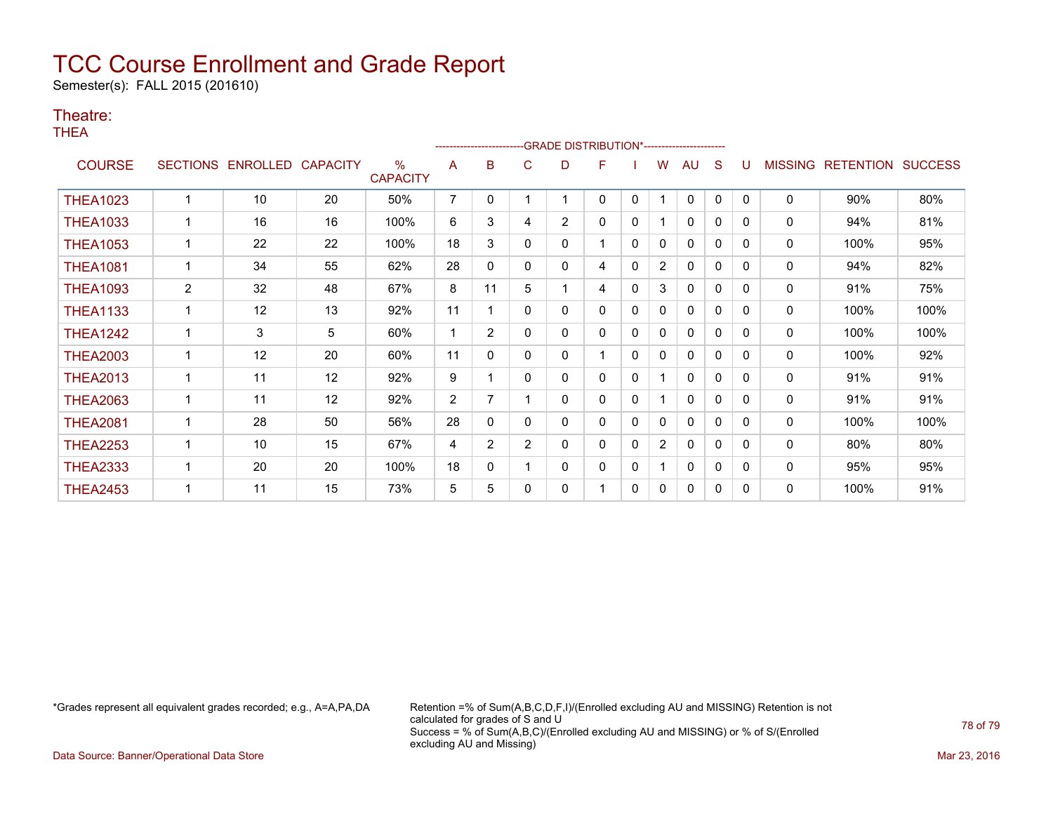Semester(s): FALL 2015 (201610)

### Theatre:

THEA

|                 |                |                   |                 |                      |                | ------------------------GRADE DISTRIBUTION*---------------------- |                |                |   |              |                |              |              |              |                |                   |      |
|-----------------|----------------|-------------------|-----------------|----------------------|----------------|-------------------------------------------------------------------|----------------|----------------|---|--------------|----------------|--------------|--------------|--------------|----------------|-------------------|------|
| <b>COURSE</b>   |                | SECTIONS ENROLLED | <b>CAPACITY</b> | %<br><b>CAPACITY</b> | A              | B                                                                 | C              | D              | F |              | W              | <b>AU</b>    | S            | U            | <b>MISSING</b> | RETENTION SUCCESS |      |
| <b>THEA1023</b> |                | 10                | 20              | 50%                  | $\overline{7}$ | 0                                                                 |                |                | 0 | $\mathbf{0}$ |                | $\mathbf{0}$ | $\mathbf{0}$ | $\Omega$     | $\Omega$       | 90%               | 80%  |
| <b>THEA1033</b> |                | 16                | 16              | 100%                 | 6              | 3                                                                 | 4              | $\overline{2}$ | 0 | $\mathbf{0}$ |                | $\mathbf{0}$ | $\Omega$     | $\Omega$     | 0              | 94%               | 81%  |
| <b>THEA1053</b> |                | 22                | 22              | 100%                 | 18             | 3                                                                 | 0              | 0              |   | $\mathbf{0}$ | 0              | $\mathbf{0}$ | $\mathbf{0}$ | $\Omega$     | 0              | 100%              | 95%  |
| <b>THEA1081</b> |                | 34                | 55              | 62%                  | 28             | $\mathbf{0}$                                                      | $\Omega$       | 0              | 4 | $\mathbf 0$  | $\overline{2}$ | 0            | 0            | $\Omega$     | 0              | 94%               | 82%  |
| <b>THEA1093</b> | $\overline{2}$ | 32                | 48              | 67%                  | 8              | 11                                                                | 5              |                | 4 | $\mathbf{0}$ | 3              | 0            | $\mathbf{0}$ | $\Omega$     | $\Omega$       | 91%               | 75%  |
| <b>THEA1133</b> |                | 12                | 13              | 92%                  | 11             |                                                                   | 0              | 0              | 0 | 0            | 0              | 0            | 0            | $\mathbf{0}$ | 0              | 100%              | 100% |
| <b>THEA1242</b> |                | 3                 | 5               | 60%                  | 1              | $\overline{2}$                                                    | 0              | 0              | 0 | $\mathbf{0}$ | 0              | $\mathbf{0}$ | $\mathbf{0}$ | $\Omega$     | 0              | 100%              | 100% |
| <b>THEA2003</b> |                | 12                | 20              | 60%                  | 11             | 0                                                                 | 0              | 0              | 1 | 0            | 0              | 0            | 0            | $\Omega$     | 0              | 100%              | 92%  |
| <b>THEA2013</b> |                | 11                | 12              | 92%                  | 9              |                                                                   | 0              | 0              | 0 | $\mathbf{0}$ |                | $\mathbf{0}$ | $\Omega$     | $\Omega$     | 0              | 91%               | 91%  |
| <b>THEA2063</b> |                | 11                | 12              | 92%                  | 2              | 7                                                                 |                | 0              | 0 | $\mathbf{0}$ |                | $\mathbf{0}$ | $\mathbf{0}$ | $\Omega$     | 0              | 91%               | 91%  |
| <b>THEA2081</b> |                | 28                | 50              | 56%                  | 28             | $\mathbf{0}$                                                      | 0              | 0              | 0 | $\mathbf{0}$ | 0              | $\mathbf{0}$ | $\mathbf{0}$ | $\Omega$     | 0              | 100%              | 100% |
| <b>THEA2253</b> |                | 10                | 15              | 67%                  | 4              | $\overline{2}$                                                    | $\overline{2}$ | 0              | 0 | 0            | $\overline{2}$ | $\mathbf{0}$ | 0            | $\Omega$     | 0              | 80%               | 80%  |
| <b>THEA2333</b> |                | 20                | 20              | 100%                 | 18             | 0                                                                 |                | 0              | 0 | 0            |                | 0            | 0            | 0            | 0              | 95%               | 95%  |
| <b>THEA2453</b> |                | 11                | 15              | 73%                  | 5              | 5                                                                 | 0              | 0              | 1 | $\mathbf{0}$ | 0              | 0            | 0            | $\Omega$     | $\mathbf{0}$   | 100%              | 91%  |

\*Grades represent all equivalent grades recorded; e.g., A=A,PA,DA Retention =% of Sum(A,B,C,D,F,I)/(Enrolled excluding AU and MISSING) Retention is not calculated for grades of S and U Success = % of Sum(A,B,C)/(Enrolled excluding AU and MISSING) or % of S/(Enrolled excluding AU and Missing)